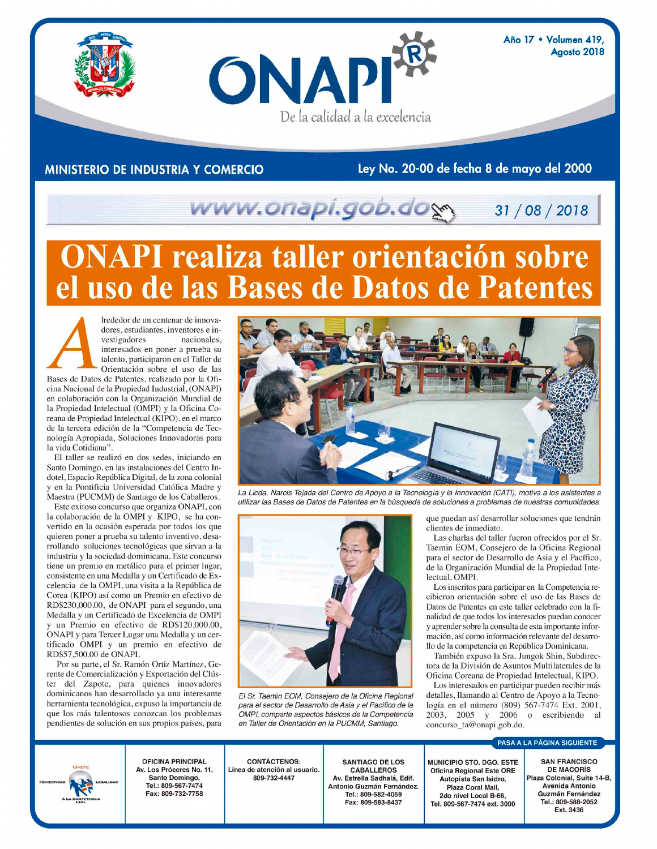Año 17 · Volumen 419, Agosto 2018



Ley No. 20-00 de fecha 8 de mayo del 2000

## www.onapi.gob.do 31/08/2018

De la calidad a la excelencia

# **ONAPI realiza taller orientación sobre** uso de las Bases de Datos de Patentes

ONAPI

Irededor de un centenar de innovadores, estudiantes, inventores e investigadores nacionales, interesados en poner a prueba su talento, participaron en el Taller de Orientación sobre el uso de las Bases de Datos de Patentes, realizado por la Oficina Nacional de la Propiedad Industrial, (ONAPI) en colaboración con la Organización Mundial de la Propiedad Intelectual (OMPI) y la Oficina Coreana de Propiedad Intelectual (KIPO), en el marco de la tercera edición de la "Competencia de Tecnología Apropiada, Soluciones Innovadoras para la vida Cotidiana"

El taller se realizó en dos sedes, iniciando en Santo Domingo, en las instalaciones del Centro Indotel, Espacio República Digital, de la zona colonial y en la Pontificia Universidad Católica Madre y Maestra (PUCMM) de Santiago de los Caballeros.

Este exitoso concurso que organiza ONAPI, con la colaboración de la OMPI y KIPO, se ha convertido en la ocasión esperada por todos los que quieren poner a prueba su talento inventivo, desarrollando soluciones tecnológicas que sirvan a la industria y la sociedad dominicana. Este concurso tiene un premio en metálico para el primer lugar, consistente en una Medalla y un Certificado de Excelencia de la OMPI, una visita a la República de Corea (KIPO) así como un Premio en efectivo de RD\$230,000.00, de ONAPI para el segundo, una Medalla y un Certificado de Excelencia de OMPI y un Premio en efectivo de RD\$120,000.00, ONAPI y para Tercer Lugar una Medalla y un certificado OMPI y un premio en efectivo de RD\$57,500.00 de ONAPI.

Por su parte, el Sr. Ramón Ortiz Martínez, Gerente de Comercialización y Exportación del Clúster del Zapote, para quienes innovadores dominicanos han desarrollado ya una interesante herramienta tecnológica, expuso la importancia de que los más talentosos conozcan los problemas pendientes de solución en sus propios países, para



La Licda. Narcis Tejada del Centro de Apoyo a la Tecnología y la Innovación (CATI), motiva a los asistentes a utilizar las Bases de Datos de Patentes en la búsqueda de soluciones a problemas de nuestras comunidades.



El Sr. Taemin EOM, Consejero de la Oficina Regional para el sector de Desarrollo de Asia y el Pacífico de la OMPI, comparte aspectos básicos de la Competencia en Taller de Orientación en la PUCMM. Santiago.

que puedan así desarrollar soluciones que tendrán clientes de inmediato.

Las charlas del taller fueron ofrecidos por el Sr. Taemin EOM, Consejero de la Oficina Regional para el sector de Desarrollo de Asia y el Pacífico, de la Organización Mundial de la Propiedad Intelectual, OMPI.

Los inscritos para participar en la Competencia recibieron orientación sobre el uso de las Bases de Datos de Patentes en este taller celebrado con la finalidad de que todos los interesados puedan conocer y aprender sobre la consulta de esta importante información, así como información relevante del desarrollo de la competencia en República Dominicana.

También expuso la Sra. Jungok Shin, Subdirectora de la División de Asuntos Multilaterales de la Oficina Coreana de Propiedad Intelectual, KIPO.

Los interesados en participar pueden recibir más detalles, llamando al Centro de Apoyo a la Tecnología en el número (809) 567-7474 Ext. 2001, 2003, 2005 y 2006 o escribiendo al concurso\_ta@onapi.gob.do.

#### PASA A LA PÁGINA SIGUIENTE



**OFICINA PRINCIPAL** Av. Los Próceres No. 11, Santo Domingo. Tel.: 809-567-7474 Fax: 809-732-7758

**CONTÁCTENOS:** Línea de atención al usuario. 809-732-4447

**SANTIAGO DE LOS CABALLEROS** Av. Estrella Sadhalá, Edif. Antonio Guzmán Fernández. Tel.: 809-582-4059 Fax: 809-583-8437

MUNICIPIO STO. DGO. ESTE **Oficina Regional Este ORE** Autopista San Isidro, Plaza Coral Mall, 2do nivel Local B-66, Tel. 809-567-7474 ext. 3000

**SAN FRANCISCO DE MACORÍS** Plaza Colonial, Suite 14-B, Avenida Antonio Guzmán Fernández Tel.: 809-588-2052 Ext. 3436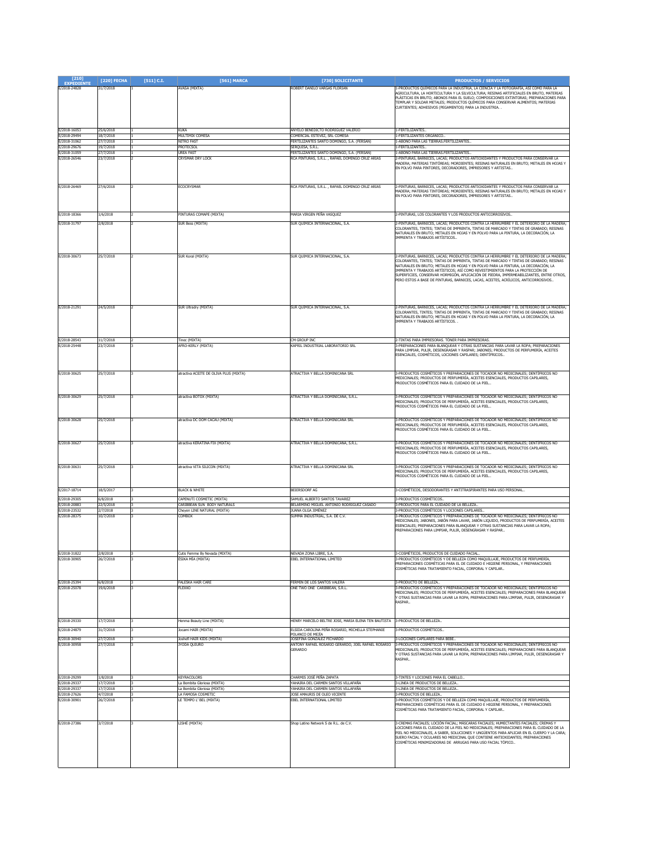| $[210]$<br><b>EXPEDIENTE</b> | [220] FECHA            | $[511]$ C.I. | [561] MARCA                                               | [730] SOLICITANTE                                                           | <b>PRODUCTOS / SERVICIOS</b>                                                                                                                                                      |
|------------------------------|------------------------|--------------|-----------------------------------------------------------|-----------------------------------------------------------------------------|-----------------------------------------------------------------------------------------------------------------------------------------------------------------------------------|
| E/2018-24828                 | 31/7/2018              |              | AVASA (MIXTA)                                             | ROBERT DANILO VARGAS FLORIAN                                                | -PRODUCTOS QUÍMICOS PARA LA INDUSTRIA, LA CIENCIA Y LA FOTOGRAFÍA, ASÍ COMO PARA LA                                                                                               |
|                              |                        |              |                                                           |                                                                             | AGRICULTURA, LA HORTICULTURA Y LA SILVICULTURA; RESINAS ARTIFICIALES EN BRUTO, MATERIAS<br>PLÁSTICAS EN BRUTO; ABONOS PARA EL SUELO; COMPOSICIONES EXTINTORAS; PREPARACIONES PARA |
|                              |                        |              |                                                           |                                                                             | TEMPLAR Y SOLDAR METALES; PRODUCTOS QUÍMICOS PARA CONSERVAR ALIMENTOS; MATERIAS                                                                                                   |
|                              |                        |              |                                                           |                                                                             | CURTIENTES; ADHESIVOS (PEGAMENTOS) PARA LA INDUSTRIA.                                                                                                                             |
|                              |                        |              |                                                           |                                                                             |                                                                                                                                                                                   |
|                              |                        |              |                                                           |                                                                             |                                                                                                                                                                                   |
| E/2018-16053                 | 25/6/2018              |              | KUKA                                                      | ANYELO BENEDICTO RODRIGUEZ VALERIO                                          | -FERTILIZANTES.                                                                                                                                                                   |
| E/2018-29494<br>E/2018-31062 | 18/7/2018<br>27/7/2018 |              | MULTIMIX COMESA<br>nitro fast                             | COMERCIAL ESTEVEZ, SRL COMESA<br>FERTILIZANTES SANTO DOMINGO, S.A. (FERSAN) | I-FERTILIZANTES ORGÁNICO.<br>-ABONO PARA LAS TIERRAS.FERTILIZANTES.                                                                                                               |
| E/2018-29676                 | 19/7/2018              |              | <b>PROTECSOL</b>                                          | SEROUISA, S.R.L.                                                            | 1-FERTILIZANTES.                                                                                                                                                                  |
| E/2018-31059                 | 27/7/2018              |              | <b>UREA FAST</b>                                          | FERTILIZANTES SANTO DOMINGO, S.A. (FERSAN)                                  | -ABONO PARA LAS TIERRAS.FERTILIZANTES                                                                                                                                             |
| E/2018-26546                 | 23/7/2018              |              | CRYSMAR DRY LOCK                                          | RCA PINTURAS, S.R.L., RAFAEL DOMINGO CRUZ ARIAS                             | -PINTURAS, BARNICES, LACAS; PRODUCTOS ANTIOXIDANTES Y PRODUCTOS PARA CONSERVAR LA<br>MADERA; MATERIAS TINTÓREAS; MORDIENTES; RESINAS NATURALES EN BRUTO; METALES EN HOJAS Y       |
|                              |                        |              |                                                           |                                                                             | EN POLVO PARA PINTORES, DECORADORES, IMPRESORES Y ARTISTAS                                                                                                                        |
|                              |                        |              |                                                           |                                                                             |                                                                                                                                                                                   |
| E/2018-26469                 | 27/6/2018              |              | ECOCRYSMAR                                                | RCA PINTURAS, S.R.L., RAFAEL DOMINGO CRUZ ARIAS                             | -PINTURAS, BARNICES, LACAS; PRODUCTOS ANTIOXIDANTES Y PRODUCTOS PARA CONSERVAR LA                                                                                                 |
|                              |                        |              |                                                           |                                                                             | MADERA; MATERIAS TINTÓREAS; MORDIENTES; RESINAS NATURALES EN BRUTO; METALES EN HOJAS Y                                                                                            |
|                              |                        |              |                                                           |                                                                             | EN POLVO PARA PINTORES, DECORADORES, IMPRESORES Y ARTISTAS                                                                                                                        |
|                              |                        |              |                                                           |                                                                             |                                                                                                                                                                                   |
| E/2018-18366                 | 1/6/2018               |              | PINTURAS COMAPE (MIXTA)                                   | MARIA VIRGEN PEÑA VASOUEZ                                                   | 2-PINTURAS, LOS COLORANTES Y LOS PRODUCTOS ANTICORROSIVOS                                                                                                                         |
| E/2018-31797                 | 2/8/2018               |              | SUR Bess (MIXTA)                                          | SUR QUIMICA INTERNACIONAL, S.A.                                             | -PINTURAS, BARNICES, LACAS; PRODUCTOS CONTRA LA HERRUMBRE Y EL DETERIORO DE LA MADERA;                                                                                            |
|                              |                        |              |                                                           |                                                                             | COLORANTES, TINTES; TINTAS DE IMPRENTA, TINTAS DE MARCADO Y TINTAS DE GRABADO; RESINAS<br>VATURALES EN BRUTO; METALES EN HOJAS Y EN POLVO PARA LA PINTURA, LA DECORACIÓN, LA      |
|                              |                        |              |                                                           |                                                                             | MPRENTA Y TRABAJOS ARTÍSTICOS.                                                                                                                                                    |
|                              |                        |              |                                                           |                                                                             |                                                                                                                                                                                   |
|                              |                        |              |                                                           |                                                                             |                                                                                                                                                                                   |
| E/2018-30673                 | 25/7/2018              |              | SUR Koral (MIXTA)                                         | SUR QUIMICA INTERNACIONAL, S.A.                                             | 2-PINTURAS, BARNICES, LACAS; PRODUCTOS CONTRA LA HERRUMBRE Y EL DETERIORO DE LA MADERA;<br>COLORANTES, TINTES; TINTAS DE IMPRENTA, TINTAS DE MARCADO Y TINTAS DE GRABADO; RESINAS |
|                              |                        |              |                                                           |                                                                             | VATURALES EN BRUTO; METALES EN HOJAS Y EN POLVO PARA LA PINTURA, LA DECORACIÓN, LA<br>IMPRENTA Y TRABAJOS ARTÍSTICOS; ASÍ COMO REVESTIMIENTOS PARA LA PROTECCIÓN DE               |
|                              |                        |              |                                                           |                                                                             | SUPERFICIES, CONSERVAR HORMIGÓN, APLICACIÓN DE PIEDRA, IMPERMEABILIZANTES, ENTRE OTROS,                                                                                           |
|                              |                        |              |                                                           |                                                                             | PERO ESTOS A BASE DE PINTURAS, BARNICES, LACAS, ACEITES, ACRÍLICOS, ANTICORROSIVOS                                                                                                |
|                              |                        |              |                                                           |                                                                             |                                                                                                                                                                                   |
|                              |                        |              |                                                           |                                                                             |                                                                                                                                                                                   |
|                              |                        |              |                                                           |                                                                             | -PINTURAS, BARNICES, LACAS; PRODUCTOS CONTRA LA HERRUMBRE Y EL DETERIORO DE LA MADERA;                                                                                            |
| E/2018-21291                 | 24/5/2018              |              | SUR Ultradry (MIXTA)                                      | SUR QUIMICA INTERNACIONAL, S.A.                                             | COLORANTES, TINTES; TINTAS DE IMPRENTA, TINTAS DE MARCADO Y TINTAS DE GRABADO; RESINAS                                                                                            |
|                              |                        |              |                                                           |                                                                             | VATURALES EN BRUTO; METALES EN HOJAS Y EN POLVO PARA LA PINTURA, LA DECORACIÓN, LA                                                                                                |
|                              |                        |              |                                                           |                                                                             | IMPRENTA Y TRABAJOS ARTÍSTICOS.                                                                                                                                                   |
|                              |                        |              |                                                           |                                                                             |                                                                                                                                                                                   |
| E/2018-28543                 | 11/7/2018              |              | Tinec (MIXTA)                                             | CM GROUP INC                                                                | -TINTAS PARA IMPRESORAS. TÓNER PARA IMPRESORAS                                                                                                                                    |
| E/2018-25448                 | 13/7/2018              |              | AFRO-KERLY (MIXTA)                                        | (APRIL INDUSTRIAL LABORATORIO SRL                                           | -PREPARACIONES PARA BLANQUEAR Y OTRAS SUSTANCIAS PARA LAVAR LA ROPA; PREPARACIONES<br>PARA LIMPIAR, PULIR, DESENGRASAR Y RASPAR; JABONES; PRODUCTOS DE PERFUMERÍA, ACEITES        |
|                              |                        |              |                                                           |                                                                             | ESENCIALES, COSMÉTICOS, LOCIONES CAPILARES; DENTÍFRICOS                                                                                                                           |
|                              |                        |              |                                                           |                                                                             |                                                                                                                                                                                   |
| E/2018-30625                 | 25/7/2018              |              | atractiva ACEITE DE OLIVA PLUS (MIXTA)                    | ATRACTIVA Y BELLA DOMINICANA SRL                                            | -PRODUCTOS COSMÉTICOS Y PREPARACIONES DE TOCADOR NO MEDICINALES; DENTÍFRICOS NO                                                                                                   |
|                              |                        |              |                                                           |                                                                             | AEDICINALES; PRODUCTOS DE PERFUMERÍA, ACEITES ESENCIALES, PRODUCTOS CAPILARES,                                                                                                    |
|                              |                        |              |                                                           |                                                                             | RODUCTOS COSMÉTICOS PARA EL CUIDADO DE LA PIEL.                                                                                                                                   |
| E/2018-30629                 | 25/7/2018              |              | atractiva BOTOX (MIXTA)                                   | ATRACTIVA Y BELLA DOMINICANA, S.R.L.                                        | 3-PRODUCTOS COSMÉTICOS Y PREPARACIONES DE TOCADOR NO MEDICINALES; DENTÍFRICOS NO                                                                                                  |
|                              |                        |              |                                                           |                                                                             | MEDICINALES; PRODUCTOS DE PERFUMERÍA, ACEITES ESENCIALES, PRODUCTOS CAPILARES,                                                                                                    |
|                              |                        |              |                                                           |                                                                             | PRODUCTOS COSMÉTICOS PARA EL CUIDADO DE LA PIEL.                                                                                                                                  |
| E/2018-30628                 | 25/7/2018              |              | atractiva DC DOM CACAU (MIXTA)                            | ATRACTIVA Y BELLA DOMINICANA SRL                                            | -PRODUCTOS COSMÉTICOS Y PREPARACIONES DE TOCADOR NO MEDICINALES; DENTÍFRICOS NO                                                                                                   |
|                              |                        |              |                                                           |                                                                             | AEDICINALES; PRODUCTOS DE PERFUMERÍA, ACEITES ESENCIALES, PRODUCTOS CAPILARES,                                                                                                    |
|                              |                        |              |                                                           |                                                                             | PRODUCTOS COSMÉTICOS PARA EL CUIDADO DE LA PIEL                                                                                                                                   |
| E/2018-30627                 | 25/7/2018              |              | atractiva KERATINA FIX (MIXTA)                            | ATRACTIVA Y BELLA DOMINICANA, S.R.L.                                        | 3-PRODUCTOS COSMÉTICOS Y PREPARACIONES DE TOCADOR NO MEDICINALES; DENTÍFRICOS NO                                                                                                  |
|                              |                        |              |                                                           |                                                                             | MEDICINALES; PRODUCTOS DE PERFUMERÍA, ACEITES ESENCIALES, PRODUCTOS CAPILARES,                                                                                                    |
|                              |                        |              |                                                           |                                                                             | PRODUCTOS COSMÉTICOS PARA EL CUIDADO DE LA PIEL                                                                                                                                   |
| E/2018-30631                 | 25/7/2018              |              | atractiva VITA SILICON (MIXTA)                            | <b>TRACTIVA Y BELLA DOMINICANA SRL</b>                                      | -PRODUCTOS COSMÉTICOS Y PREPARACIONES DE TOCADOR NO MEDICINALES; DENTÍFRICOS NO                                                                                                   |
|                              |                        |              |                                                           |                                                                             | AEDICINALES; PRODUCTOS DE PERFUMERÍA, ACEITES ESENCIALES, PRODUCTOS CAPILARES,                                                                                                    |
|                              |                        |              |                                                           |                                                                             | PRODUCTOS COSMÉTICOS PARA EL CUIDADO DE LA PIEL.                                                                                                                                  |
| E/2017-18714                 | 18/5/2017              |              | <b>BLACK &amp; WHITE</b>                                  | <b>BEIERSDORF AG</b>                                                        | 3-COSMÉTICOS, DESODORANTES Y ANTITRASPIRANTES PARA USO PERSONAL                                                                                                                   |
| E/2018-29305                 | 6/8/2018               |              | CAPENUTI COSMETIC (MIXTA)                                 | SAMUEL ALBERTO SANTOS TAVAREZ                                               | 3-PRODUCTOS COSMÉTICOS                                                                                                                                                            |
| E/2018-20883                 | 22/5/2018              |              | CARIBBEAN SUN BODY NATURALS                               | BELARMINO MIGUEL ANTONIO RODRIGUEZ CASADO                                   | -PRODUCTOS PARA EL CUIDADO DE LA BELLEZA.                                                                                                                                         |
| E/2018-23532                 | 2/7/2018               |              | Cheyen LINE NATURAL (MIXTA)                               | JUANA OLGA JIMÉNEZ                                                          | -PRODUCTOS COSMÉTICOS Y LOCIONES CAPILARES                                                                                                                                        |
| F/2018-28375                 | 10/7/2018              |              | COMBOX                                                    | SUMMA INDUSTRIAL, S.A. DE C.V.                                              | -PRODUCTOS COSMÉTICOS Y PREPARACIONES DE TOCADOR NO MEDICINALES; DENTÍFRICOS NO<br>EDICINALES; JABONES, JABÓN PARA LAVAR, JABÓN LIQUIDO, PRODUCTOS DE PERFUMERÍA, ACEITES         |
|                              |                        |              |                                                           |                                                                             | ESENCIALES; PREPARACIONES PARA BLANQUEAR Y OTRAS SUSTANCIAS PARA LAVAR LA ROPA;                                                                                                   |
|                              |                        |              |                                                           |                                                                             | PREPARACIONES PARA LIMPIAR, PULIR, DESENGRASAR Y RASPAR                                                                                                                           |
|                              |                        |              |                                                           |                                                                             |                                                                                                                                                                                   |
|                              |                        |              |                                                           |                                                                             |                                                                                                                                                                                   |
| E/2018-31822                 | 2/8/2018               |              | Cutis Femme By Nevada (MIXTA)                             | NEVADA ZONA LIBRE, S.A.                                                     | 3-COSMÉTICOS, PRODUCTOS DE CUIDADO FACIAL.                                                                                                                                        |
| E/2018-30905                 | 26/7/2018              |              | ÉSIKA MÍA (MIXTA)                                         | BEL INTERNATIONAL LIMITED                                                   | 3-PRODUCTOS COSMÉTICOS Y DE BELLEZA COMO MAQUILLAJE, PRODUCTOS DE PERFUMERÍA,<br>PREPARACIONES COSMÉTICAS PARA EL DE CUIDADO E HIGIENE PERSONAL, Y PREPARACIONES                  |
|                              |                        |              |                                                           |                                                                             | COSMÉTICAS PARA TRATAMIENTO FACIAL, CORPORAL Y CAPILAR                                                                                                                            |
|                              |                        |              |                                                           | FERMIN DE LOS SANTOS VALERA                                                 | -PRODUCTO DE BELLEZA.                                                                                                                                                             |
| E/2018-25394<br>E/2018-25078 | 6/8/2018<br>19/6/2018  |              | FALESKA HAIR CARE<br><b>FLEXXO</b>                        | ONE TWO ONE CARIBBEAN, S.R.L.                                               | -PRODUCTOS COSMÉTICOS Y PREPARACIONES DE TOCADOR NO MEDICINALES; DENTÍFRICOS NO                                                                                                   |
|                              |                        |              |                                                           |                                                                             | MEDICINALES; PRODUCTOS DE PERFUMERÍA, ACEITES ESENCIALES; PREPARACIONES PARA BLANQUEAR                                                                                            |
|                              |                        |              |                                                           |                                                                             | Y OTRAS SUSTANCIAS PARA LAVAR LA ROPA; PREPARACIONES PARA LIMPIAR, PULIR, DESENGRASAR Y<br><b>RASPAR.</b>                                                                         |
|                              |                        |              |                                                           |                                                                             |                                                                                                                                                                                   |
|                              |                        |              |                                                           |                                                                             |                                                                                                                                                                                   |
| E/2018-29330                 | 17/7/2018              |              | Henma Beauty Line (MIXTA)                                 | HENRY MARCELO BELTRE JOSE, MARIA ELENA TEN BAUTISTA                         | -PRODUCTOS DE BELLEZA.                                                                                                                                                            |
| E/2018-24879                 | 31/7/2018              |              | Jocami HAIR (MIXTA)                                       | ELSIDA CAROLINA PEÑA ROSARIO, MICHELLA STEPHANIE<br>POLANCO DE MEJÍA        | 3-PRODUCTOS COSMÉTICOS                                                                                                                                                            |
| E/2018-30940                 | 27/7/2018              |              | Joshefi HAIR KIDS (MIXTA)                                 | JOSEFINA GONZALEZ PICHARDO                                                  | 3-LOCIONES CAPILARES PARA BEBE                                                                                                                                                    |
| E/2018-30958                 | 27/7/2018              |              | iyoda Quiuro                                              | ANTONY RAFAEL ROSARIO GERARDO, JOEL RAFAEL ROSARIO<br>GERARDO               | -PRODUCTOS COSMÉTICOS Y PREPARACIONES DE TOCADOR NO MEDICINALES; DENTÍFRICOS NO<br>AEDICINALES; PRODUCTOS DE PERFUMERÍA, ACEITES ESENCIALES; PREPARACIONES PARA BLANQUEAR         |
|                              |                        |              |                                                           |                                                                             | OTRAS SUSTANCIAS PARA LAVAR LA ROPA; PREPARACIONES PARA LIMPIAR, PULIR, DESENGRASAR Y                                                                                             |
|                              |                        |              |                                                           |                                                                             | RASPAR                                                                                                                                                                            |
|                              |                        |              |                                                           |                                                                             |                                                                                                                                                                                   |
| E/2018-29299                 | 1/8/2018               |              | <b>KEYRACOLORS</b>                                        | CHARMIS JOSÉ PEÑA ZAPATA                                                    | FINTES Y LOCIONES PARA EL CABELLO                                                                                                                                                 |
| E/2018-29337<br>E/2018-29337 | 17/7/2018<br>17/7/2018 |              | a Bombita Gloriosa (MIXTA)<br>La Bombita Gloriosa (MIXTA) | YAHAIRA DEL CARMEN SANTOS VILLAFAÑA<br>YAHAIRA DEL CARMEN SANTOS VILLAFAÑA  | 3-LINEA DE PRODUCTOS DE BELLEZA<br>-LINEA DE PRODUCTOS DE BELLEZA.                                                                                                                |
| E/2018-27626                 | 4/7/2018               |              | LA FAMOSA COSMETIC                                        | JOSE AMAURIS DE OLEO VICENTE                                                | <b>LPRODUCTOS DE BELLEZA</b>                                                                                                                                                      |
| E/2018-30901                 | 26/7/2018              |              | LE TEMPO L' BEL (MIXTA)                                   | EBEL INTERNATIONAL LIMITED                                                  | -PRODUCTOS COSMÉTICOS Y DE BELLEZA COMO MAQUILLAJE, PRODUCTOS DE PERFUMERÍA,<br>PREPARACIONES COSMÉTICAS PARA EL DE CUIDADO E HIGIENE PERSONAL, Y PREPARACIONES                   |
|                              |                        |              |                                                           |                                                                             | COSMÉTICAS PARA TRATAMIENTO FACIAL, CORPORAL Y CAPILAR                                                                                                                            |
|                              |                        |              |                                                           |                                                                             |                                                                                                                                                                                   |
| E/2018-27386                 | 3/7/2018               |              | LISHÉ (MIXTA)                                             | Shop Latino Network S de R.L. de C.V.                                       | 3-CREMAS FACIALES; LOCIÓN FACIAL; MÁSCARAS FACIALES; HUMECTANTES FACIALES; CREMAS Y<br>OCIONES PARA EL CUIDADO DE LA PIEL NO MEDICINALES; PREPARACIONES PARA EL CUIDADO DE LA     |
|                              |                        |              |                                                           |                                                                             | PIEL NO MEDICINALES, A SABER, SOLUCIONES Y UNGÜENTOS PARA APLICAR EN EL CUERPO Y LA CARA;                                                                                         |
|                              |                        |              |                                                           |                                                                             | SUERO FACIAL Y OCULARES NO MEDICINAL QUE CONTIENE ANTIOXIDANTES; PREPARACIONES<br>COSMÉTICAS MINIMIZADORAS DE ARRUGAS PARA USO FACIAL TÓPICO                                      |
|                              |                        |              |                                                           |                                                                             |                                                                                                                                                                                   |
|                              |                        |              |                                                           |                                                                             |                                                                                                                                                                                   |
|                              |                        |              |                                                           |                                                                             |                                                                                                                                                                                   |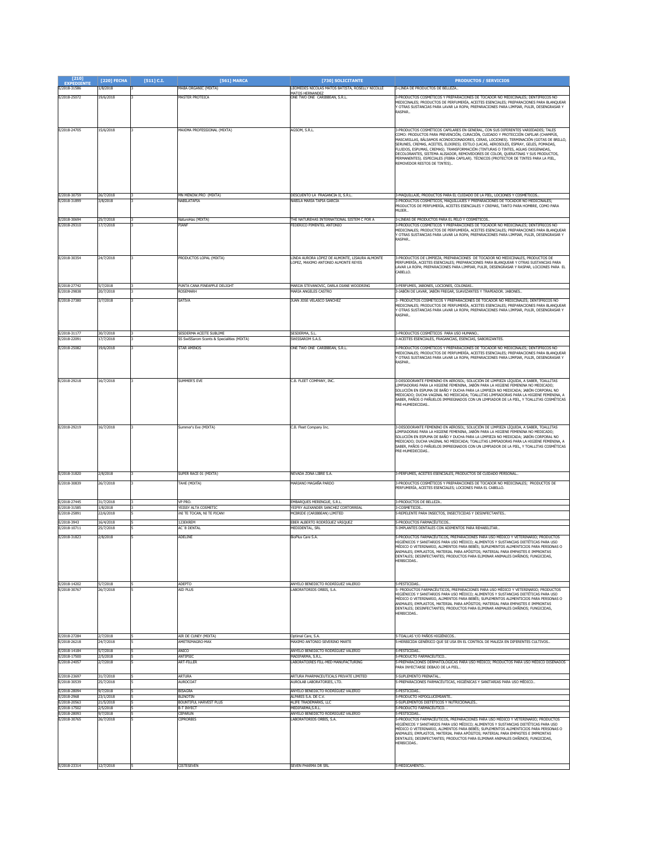| $[210]$<br><b>EXPEDIENTE</b> | [220] FECHA            | $[511]$ C.I. | [561] MARCA                                | [730] SOLICITANTE                                                                     | <b>PRODUCTOS / SERVICIOS</b>                                                                                                                                                           |
|------------------------------|------------------------|--------------|--------------------------------------------|---------------------------------------------------------------------------------------|----------------------------------------------------------------------------------------------------------------------------------------------------------------------------------------|
| E/2018-31586                 | /8/2018                |              | MABÁ ORGANIC (MIXTA)                       | LEOMEDES NICOLAS MATOS BATISTA, ROSELLY NICOLLE                                       | 3-LINEA DE PRODUCTOS DE BELLEZA.                                                                                                                                                       |
| E/2018-25072                 | 19/6/2018              |              | <b>MASTER PROTEICA</b>                     | <b>MATOS HERNANDEZ</b><br>ONE TWO ONE CARIBBEAN, S.R.L.                               | -PRODUCTOS COSMÉTICOS Y PREPARACIONES DE TOCADOR NO MEDICINALES; DENTÍFRICOS NO                                                                                                        |
|                              |                        |              |                                            |                                                                                       | MEDICINALES; PRODUCTOS DE PERFUMERÍA, ACEITES ESENCIALES; PREPARACIONES PARA BLANQUEAR<br>Y OTRAS SUSTANCIAS PARA LAVAR LA ROPA; PREPARACIONES PARA LIMPIAR, PULIR, DESENGRASAR Y      |
|                              |                        |              |                                            |                                                                                       | RASPAR.                                                                                                                                                                                |
|                              |                        |              |                                            |                                                                                       |                                                                                                                                                                                        |
| E/2018-24705                 | 15/6/2018              |              | MAXIMA PROFESSIONAL (MIXTA)                | AGSOM, S.R.L.                                                                         | 3-PRODUCTOS COSMÉTICOS CAPILARES EN GENERAL, CON SUS DIFERENTES VARIEDADES; TALES                                                                                                      |
|                              |                        |              |                                            |                                                                                       | COMO: PRODUCTOS PARA PREVENCIÓN, CURACIÓN, CUIDADO Y PROTECCIÓN CAPILAR (CHAMPÚS,                                                                                                      |
|                              |                        |              |                                            |                                                                                       | MASCARILLAS, BÁLSAMOS ACONDICIONADORES, CERAS, LOCIONES). TERMINACIÓN (GOTAS DE BRILLO,<br>SERUNES, CREMAS, ACEITES, ELIXIRES). ESTILO (LACAS, AEROSOLES, ESPRAY, GELES, POMADAS,      |
|                              |                        |              |                                            |                                                                                       | FLUIDOS, ESPUMAS, CREMAS). TRANSFORMACIÓN (TINTURAS O TINTES, AGUAS OXIGENADAS,<br>DECOLORANTES, SISTEMA ALISADOR, REMOVEDORES DE COLOR, QUERATINAS Y SUS PRODUCTOS,                   |
|                              |                        |              |                                            |                                                                                       | PERMANENTES). ESPECIALES (FIBRA CAPILAR). TÉCNICOS (PROTECTOR DE TINTES PARA LA PIEL,                                                                                                  |
|                              |                        |              |                                            |                                                                                       | REMOVEDOR RESTOS DE TINTES)                                                                                                                                                            |
|                              |                        |              |                                            |                                                                                       |                                                                                                                                                                                        |
|                              |                        |              |                                            |                                                                                       |                                                                                                                                                                                        |
|                              |                        |              |                                            |                                                                                       |                                                                                                                                                                                        |
| E/2018-30759<br>E/2018-31899 | 26/7/2018<br>3/8/2018  |              | MN MENOW, PRO (MIXTA)<br>ABILATAPIA        | DESCUENTO LA FRAGANCIA II, S.R.L.<br>NABILA MARÍA TAPIA GARCÍA                        | 3-MAQUILLAJE, PRODUCTOS PARA EL CUIDADO DE LA PIEL, LOCIONES Y COSMÉTICOS.<br>-PRODUCTOS COSMÉTICOS, MAQUILLAJES Y PREPARACIONES DE TOCADOR NO MEDICINALES                             |
|                              |                        |              |                                            |                                                                                       | PRODUCTOS DE PERFUMERÍA, ACEITES ESENCIALES Y CREMAS, TANTO PARA HOMBRE, COMO PARA                                                                                                     |
|                              |                        |              |                                            |                                                                                       | <b>MUJER.</b>                                                                                                                                                                          |
| E/2018-30694<br>E/2018-29310 | 25/7/2018<br>17/7/2018 |              | NatureHas (MIXTA)<br><b>LANE</b>           | THE NATUREHAS INTERNATIONAL SISTEM C POR A<br>FEDERICO PIMENTEL ANTONIO               | 3-LINEAS DE PRODUCTOS PARA EL PELO Y COSMÉTICOS<br>-PRODUCTOS COSMÉTICOS Y PREPARACIONES DE TOCADOR NO MEDICINALES; DENTÍFRICOS NO                                                     |
|                              |                        |              |                                            |                                                                                       | AEDICINALES; PRODUCTOS DE PERFUMERÍA, ACEITES ESENCIALES; PREPARACIONES PARA BLANQUEAR                                                                                                 |
|                              |                        |              |                                            |                                                                                       | Y OTRAS SUSTANCIAS PARA LAVAR LA ROPA; PREPARACIONES PARA LIMPIAR, PULIR, DESENGRASAR Y<br><b>RASPAR.</b>                                                                              |
|                              |                        |              |                                            |                                                                                       |                                                                                                                                                                                        |
|                              |                        |              |                                            |                                                                                       |                                                                                                                                                                                        |
| E/2018-30354                 | 24/7/2018              |              | <b>PRODUCTOS LOPAL (MIXTA)</b>             | LINDA AURORA LÓPEZ DE ALMONTE, LISAURA ALMONTE<br>LOPEZ, MAXIMO ANTONIO ALMONTE REYES | 3-PRODUCTOS DE LIMPIEZA, PREPARACIONES DE TOCADOR NO MEDICINALES, PRODUCTOS DE<br>PERFUMERÍA, ACEITES ESENCIALES; PREPARACIONES PARA BLANQUEAR Y OTRAS SUSTANCIAS PARA                 |
|                              |                        |              |                                            |                                                                                       | LAVAR LA ROPA: PREPARACIONES PARA LIMPIAR, PULIR, DESENGRASAR Y RASPAR, LOCIONES PARA EL<br>CABELLO.                                                                                   |
|                              |                        |              |                                            |                                                                                       |                                                                                                                                                                                        |
| E/2018-27742                 | 5/7/2018               |              | PUNTA CANA PINEAPPLE DELIGHT               | MARIJA STEVANOVIC, DARLA DIANE WOODRING                                               | 3-PERFUMES, JABONES, LOCIONES, COLONIAS.                                                                                                                                               |
| E/2018-29838                 | 20/7/2018              |              | ROSEMARI                                   | MARIA ANGELES CASTRO                                                                  | -JABÓN DE LAVAR, JABÓN FREGAR, SUAVIZANTES Y TRAPEADOR, JABONES                                                                                                                        |
| E/2018-27380                 | 3/7/2018               |              | <b>SATIVA</b>                              | JUAN JOSE VELASCO SANCHEZ                                                             | - PRODUCTOS COSMÉTICOS Y PREPARACIONES DE TOCADOR NO MEDICINALES; DENTÍFRICOS NO                                                                                                       |
|                              |                        |              |                                            |                                                                                       | MEDICINALES; PRODUCTOS DE PERFUMERÍA, ACEITES ESENCIALES; PREPARACIONES PARA BLANQUEAR<br>OTRAS SUSTANCIAS PARA LAVAR LA ROPA; PREPARACIONES PARA LIMPIAR, PULIR, DESENGRASAR Y        |
|                              |                        |              |                                            |                                                                                       | RASPAR                                                                                                                                                                                 |
|                              |                        |              |                                            |                                                                                       |                                                                                                                                                                                        |
| E/2018-31177                 | 30/7/2018              |              | SESDERMA ACEITE SUBLIME                    | SESDERMA, S.L.                                                                        | 3-PRODUCTOS COSMÉTICOS PARA USO HUMANO                                                                                                                                                 |
| E/2018-22091                 | 7/7/2018               |              | SS SwiSSarom Scents & Specialities (MIXTA) | SWISSAROM S.A.S.                                                                      | -ACEITES ESENCIALES, FRAGANCIAS, ESENCIAS, SABORIZANTES.                                                                                                                               |
| E/2018-25082                 | 19/6/2018              |              | <b>STAR AMINOS</b>                         | ONE TWO ONE CARIBBEAN, S.R.L.                                                         | 8-PRODUCTOS COSMÉTICOS Y PREPARACIONES DE TOCADOR NO MEDICINALES; DENTÍFRICOS NO                                                                                                       |
|                              |                        |              |                                            |                                                                                       | .<br>MEDICINALES; PRODUCTOS DE PERFUMERÍA, ACEITES ESENCIALES; PREPARACIONES PARA BLANQUEAR<br>Y OTRAS SUSTANCIAS PARA LAVAR LA ROPA; PREPARACIONES PARA LIMPIAR, PULIR, DESENGRASAR Y |
|                              |                        |              |                                            |                                                                                       | RASPAR.                                                                                                                                                                                |
|                              |                        |              |                                            |                                                                                       |                                                                                                                                                                                        |
| E/2018-29218                 | 16/7/2018              |              | SUMMER'S EVE                               | C.B. FLEET COMPANY, INC.                                                              | 3-DESODORANTE FEMENINO EN AEROSOL; SOLUCIÓN DE LIMPIEZA LÍQUIDA, A SABER, TOALLITAS                                                                                                    |
|                              |                        |              |                                            |                                                                                       | IMPIADORAS PARA LA HIGIENE FEMENINA, JABÓN PARA LA HIGIENE FEMENINA NO MEDICADO;                                                                                                       |
|                              |                        |              |                                            |                                                                                       | SOLUCIÓN EN ESPUMA DE BAÑO Y DUCHA PARA LA LIMPIEZA NO MEDICADA; JABÓN CORPORAL NO<br>MEDICADO; DUCHA VAGINAL NO MEDICADA; TOALLITAS LIMPIADORAS PARA LA HIGIENE FEMENINA, A           |
|                              |                        |              |                                            |                                                                                       | SABER, PAÑOS O PAÑUELOS IMPREGNADOS CON UN LIMPIADOR DE LA PIEL, Y TOALLITAS COSMÉTICAS<br>PRE-HUMEDECIDAS                                                                             |
|                              |                        |              |                                            |                                                                                       |                                                                                                                                                                                        |
|                              |                        |              |                                            |                                                                                       |                                                                                                                                                                                        |
| E/2018-29219                 | 16/7/2018              |              | Summer's Eve (MIXTA)                       | C.B. Fleet Company Inc.                                                               | 3-DESODORANTE FEMENINO EN AEROSOL; SOLUCIÓN DE LIMPIEZA LÍQUIDA, A SABER, TOALLITAS                                                                                                    |
|                              |                        |              |                                            |                                                                                       | LIMPIADORAS PARA LA HIGIENE FEMENINA, JABÓN PARA LA HIGIENE FEMENINA NO MEDICADO;                                                                                                      |
|                              |                        |              |                                            |                                                                                       | SOLUCIÓN EN ESPUMA DE BAÑO Y DUCHA PARA LA LIMPIEZA NO MEDICADA; JABÓN CORPORAL NO<br>MEDICADO; DUCHA VAGINAL NO MEDICADA; TOALLITAS LIMPIADORAS PARA LA HIGIENE FEMENINA, A           |
|                              |                        |              |                                            |                                                                                       | SABER, PAÑOS O PAÑUELOS IMPREGNADOS CON UN LIMPIADOR DE LA PIEL, Y TOALLITAS COSMÉTICAS<br>PRE-HUMEDECIDAS.                                                                            |
|                              |                        |              |                                            |                                                                                       |                                                                                                                                                                                        |
|                              |                        |              |                                            |                                                                                       |                                                                                                                                                                                        |
| E/2018-31820                 | 2/8/2018               |              | SUPER RACE 01 (MIXTA)                      | NEVADA ZONA LIBRE S.A.                                                                | 3-PERFUMES, ACEITES ESENCIALES, PRODUCTOS DE CUIDADO PERSONAL                                                                                                                          |
| E/2018-30839                 | 26/7/2018              |              | TAHE (MIXTA)                               | MARIANO MAGAÑA PARDO                                                                  | 3-PRODUCTOS COSMÉTICOS Y PREPARACIONES DE TOCADOR NO MEDICINALES; PRODUCTOS DE                                                                                                         |
|                              |                        |              |                                            |                                                                                       | PERFUMERÍA, ACEITES ESENCIALES; LOCIONES PARA EL CABELLO.                                                                                                                              |
|                              |                        |              |                                            |                                                                                       |                                                                                                                                                                                        |
| E/2018-27445                 | 31/7/2018              |              | VP PRO.<br>YEISSY ALTA COSMETIC            | EMBARQUES MERENGUE, S.R.L.<br>YETERY ALEXANDER SANCHEZ CORTORREAL                     | 3-PRODUCTOS DE BELLEZA                                                                                                                                                                 |
| E/2018-31585<br>E/2018-25891 | 1/8/2018<br>2/6/2018   |              | NI TE TOCAN, NI TE PICAN                   | CBRIDE (CARIBBEAN) LIMITED                                                            | 3-COSMETICOS.<br>-REPELENTE PARA INSECTOS, INSECTICIDAS Y DESINFECTANTES.                                                                                                              |
| E/2018-3943                  | 16/4/2018              |              | 123EKREM                                   | EBER ALBERTO RODRÍGUEZ VÁSQUEZ                                                        | -PRODUCTOS FARMACÉUTICOS                                                                                                                                                               |
| E/2018-10711                 | 25/7/2018              |              | <b>AC</b> B DENTAL                         | MEDIDENTAL, SRL                                                                       | -IMPLANTES DENTALES CON ADIMENTOS PARA REHABILITAR.                                                                                                                                    |
| E/2018-31823                 | 2/8/2018               |              | ADELINE                                    | <b>BioPlus Care S.A.</b>                                                              | -PRODUCTOS FARMACÉUTICOS, PREPARACIONES PARA USO MÉDICO Y VETERINARIO; PRODUCTOS                                                                                                       |
|                              |                        |              |                                            |                                                                                       | IIGIÉNICOS Y SANITARIOS PARA USO MÉDICO; ALIMENTOS Y SUSTANCIAS DIETÉTICAS PARA USO                                                                                                    |
|                              |                        |              |                                            |                                                                                       | MÉDICO O VETERINARIO, ALIMENTOS PARA BEBÉS; SUPLEMENTOS ALIMENTICIOS PARA PERSONAS O<br>ANIMALES; EMPLASTOS, MATERIAL PARA APÓSITOS; MATERIAL PARA EMPASTES E IMPRONTAS                |
|                              |                        |              |                                            |                                                                                       | DENTALES: DESINEECTANTES: PRODUCTOS PARA ELIMINAR ANIMALES DAÑINOS: EUNGICIDAS<br>HERBICIDAS                                                                                           |
|                              |                        |              |                                            |                                                                                       |                                                                                                                                                                                        |
|                              |                        |              |                                            |                                                                                       |                                                                                                                                                                                        |
| E/2018-14202                 | 5/7/2018               |              | ADEPTO                                     | ANYELO BENEDICTO RODRÍGUEZ VALERIO                                                    | -PESTICIDAS.                                                                                                                                                                           |
| E/2018-30767                 | 26/7/2018              |              | ATD PLUS                                   | LABORATORIOS ORBIS, S.A.                                                              | - PRODUCTOS FARMACÉUTICOS, PREPARACIONES PARA USO MÉDICO Y VETERINARIO; PRODUCTOS                                                                                                      |
|                              |                        |              |                                            |                                                                                       | HIGIÉNICOS Y SANITARIOS PARA USO MÉDICO; ALIMENTOS Y SUSTANCIAS DIETÉTICAS PARA USO<br>MÉDICO O VETERINARIO, ALIMENTOS PARA BEBÉS; SUPLEMENTOS ALIMENTICIOS PARA PERSONAS O            |
|                              |                        |              |                                            |                                                                                       | ANIMALES: EMPLASTOS, MATERIAL PARA APÓSITOS; MATERIAL PARA EMPASTES E IMPRONTAS<br>DENTALES; DESINFECTANTES; PRODUCTOS PARA ELIMINAR ANIMALES DAÑINOS; FUNGICIDAS,                     |
|                              |                        |              |                                            |                                                                                       | HERBICIDAS                                                                                                                                                                             |
|                              |                        |              |                                            |                                                                                       |                                                                                                                                                                                        |
|                              |                        |              |                                            |                                                                                       |                                                                                                                                                                                        |
| E/2018-27284                 | 2/7/2018               |              | AIR DE CUNEY (MIXTA)                       | Optimal Care, S.A.                                                                    | S-TOALLAS Y/O PAÑOS HIGIÉNICOS.                                                                                                                                                        |
| E/2018-26218                 | 4/7/2018               |              | METRIMAGRO-MA                              | <b>MAXIMO ANTONIO SEVERINO MARTE</b>                                                  | HERBICIDA GENÉRICO QUE SE USA EN EL CONTROL DE MALEZA EN DIFERENTES CULTIVOS.                                                                                                          |
| E/2018-14184                 | 5/7/2018               |              | ANICO                                      | ANYELO BENEDICTO RODRÍGUEZ VALERIO                                                    | -PESTICIDAS<br>-PRODUCTO FARMACÉUTICO.                                                                                                                                                 |
| E/2018-17500<br>E/2018-24057 | 2/5/2018<br>2/7/2018   |              | ANTIPSIO<br>ART-FILLER                     | MADIFARMA, S.R.L.<br>ABORATOIRES FILL-MED MANUFACTURING                               | -PREPARACIONES DERMATOLÓGICAS PARA USO MÉDICO; PRODUCTOS PARA USO MÉDICO DISEÑADOS                                                                                                     |
|                              |                        |              |                                            |                                                                                       | ARA INYECTARSE DEBAJO DE LA PIEL.                                                                                                                                                      |
| E/2018-23697                 | 31/7/2018              |              | ARTURA                                     | ARTURA PHARMACEUTICALS PRIVATE LIMITED                                                | 5-SUPLEMENTO PRENATAL.                                                                                                                                                                 |
| E/2018-30539                 | 25/7/2018              |              | <b>IUROCOAT</b>                            | AUROLAB LABORATORIES, LTD.                                                            | -PREPARACIONES FARMACÉUTICAS, HIGIÉNICAS Y SANITARIAS PARA USO MÉDICO.                                                                                                                 |
| E/2018-28094                 | 9/7/2018               |              | BISAGRA                                    | ANYELO BENEDICTO RODRÍGUEZ VALERIO                                                    | -PESTICIDAS                                                                                                                                                                            |
| E/2018-2968<br>E/2018-20563  | 23/1/2018<br>21/5/2018 |              | BLINOTIN<br>BOUNTIFUL HARVEST PLUS         | ALPARIS S.A. DE C.V.<br>4LIFE TRADEMARKS, LLC                                         | -PRODUCTO HIPOGLUCEMIANTE.<br>-SUPLEMENTOS DIETÉTICOS Y NUTRICIONALES.                                                                                                                 |
| E/2018-17502                 | 2/5/2018               |              | <b>B-T INYECT</b>                          | MEDIFARMA, S.R.L.                                                                     | -PRODUCTO FARMACÉUTICO. .                                                                                                                                                              |
| E/2018-28093                 | 9/7/2018               |              | CEPARUN                                    | ANYELO BENEDICTO RODRIGUEZ VALERIO                                                    | -PESTICIDAS.                                                                                                                                                                           |
| E/2018-30765                 | 26/7/2018              |              | <b>CIPRORBIS</b>                           | <b>ABORATORIOS ORBIS, S.A.</b>                                                        | -<br>PRODUCTOS FARMACÉUTICOS, PREPARACIONES PARA USO MÉDICO Y VETERINARIO; PRODUCTOS<br>IIGIÉNICOS Y SANITARIOS PARA USO MÉDICO; ALIMENTOS Y SUSTANCIAS DIETÉTICAS PARA USO            |
|                              |                        |              |                                            |                                                                                       | MÉDICO O VETERINARIO, ALIMENTOS PARA BEBÉS; SUPLEMENTOS ALIMENTICIOS PARA PERSONAS O<br>ANIMALES; EMPLASTOS, MATERIAL PARA APÓSITOS; MATERIAL PARA EMPASTES E IMPRONTAS                |
|                              |                        |              |                                            |                                                                                       | DENTALES; DESINFECTANTES; PRODUCTOS PARA ELIMINAR ANIMALES DAÑINOS; FUNGICIDAS,                                                                                                        |
|                              |                        |              |                                            |                                                                                       | HERBICIDAS                                                                                                                                                                             |
|                              |                        |              |                                            |                                                                                       |                                                                                                                                                                                        |
|                              |                        |              |                                            |                                                                                       |                                                                                                                                                                                        |
| E/2018-23314                 | 12/7/2018              |              | <b>CISTESEVEN</b>                          | SEVEN PHARMA DR SRL                                                                   | -MEDICAMENTO.                                                                                                                                                                          |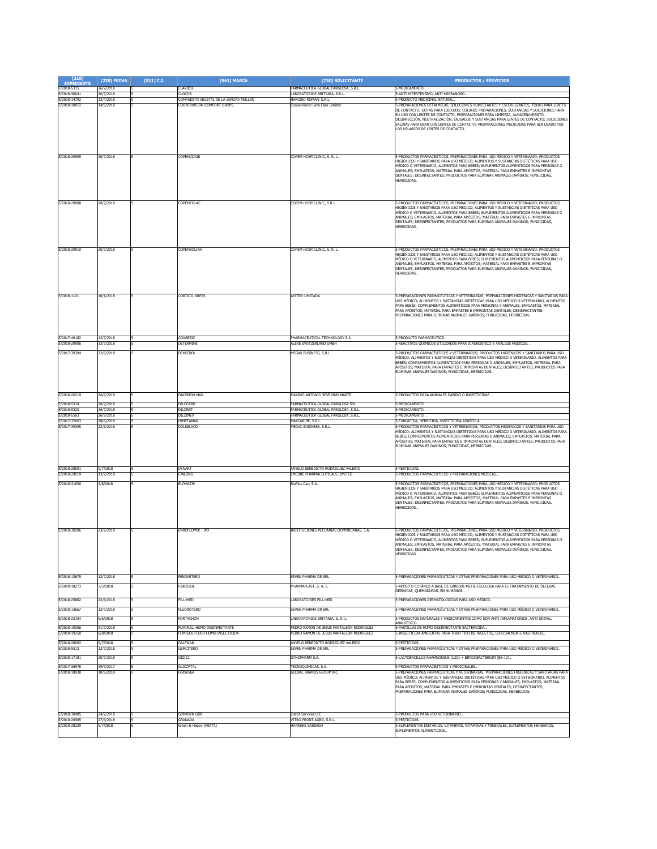| $[210]$<br><b>EXPEDIENTE</b> | [220] FECHA            | [511] C.I. | [561] MARCA                                                   | [730] SOLICITANTE                                                                     | <b>PRODUCTOS / SERVICIOS</b>                                                                                                                                                                                                                                                                                                                                                                                                                                                                                                               |
|------------------------------|------------------------|------------|---------------------------------------------------------------|---------------------------------------------------------------------------------------|--------------------------------------------------------------------------------------------------------------------------------------------------------------------------------------------------------------------------------------------------------------------------------------------------------------------------------------------------------------------------------------------------------------------------------------------------------------------------------------------------------------------------------------------|
| E/2018-5315<br>E/2018-30041  | 26/7/2018<br>20/7/2018 |            | CLARIDIL<br>CLOCOR                                            | FARMACÉUTICA GLOBAL FARGLOSA, S.R.L.<br>ABORATORIOS BRITANIA, S.R.L.                  | 5-MEDICAMENTO<br>-ANTI HIPERTENSIVO, ANTI-MIGRAÑOSO                                                                                                                                                                                                                                                                                                                                                                                                                                                                                        |
| E/2018-14792                 | 13/4/2018              |            | COMPUESTO VEGETAL DE LA SEÑORA MULLER                         | NARCISO ROMAN, S.R.L.                                                                 | 5-PRODUCTO MEDICINAL NATURAL.                                                                                                                                                                                                                                                                                                                                                                                                                                                                                                              |
| E/2018-10872                 | 14/5/2018              |            | COOPERVISION COMFORT DROPS                                    | CooperVision Lens Care Limited                                                        | 5-PREPARACIONES OFTÁLMICAS; SOLUCIONES HUMECTANTES Y ESTERILIZANTES, TODAS PARA LENTES<br>DE CONTACTO; GOTAS PARA LOS OJOS; COLIRIO; PREPARACIONES, SUSTANCIAS Y SOLUCIONES PARA<br>SU USO CON LENTES DE CONTACTO; PREPARACIONES PARA LIMPIEZA, ALMACENAMIENTO,<br>DESINFECCIÓN, NEUTRALIZACIÓN, ENJUAGUE Y SUSTANCIAS PARA LENTES DE CONTACTO; SOLUCIONES<br>SALINAS PARA USAR CON LENTES DE CONTACTO; PREPARACIONES MEDICADAS PARA SER USADO POR<br>LOS USUARIOS DE LENTES DE CONTACTO                                                   |
| E/2018-29909                 | 20/7/2018              |            | COPEMCOXIB                                                    | COPEM HOSPICLINIC, S. R. L.                                                           | 5-PRODUCTOS FARMACÉUTICOS, PREPARACIONES PARA USO MÉDICO Y VETERINARIO; PRODUCTOS<br>HIGIÉNICOS Y SANITARIOS PARA USO MÉDICO; ALIMENTOS Y SUSTANCIAS DIETÉTICAS PARA USO<br>MÉDICO O VETERINARIO, ALIMENTOS PARA BEBÉS; SUPLEMENTOS ALIMENTICIOS PARA PERSONAS O<br>ANIMALES; EMPLASTOS, MATERIAL PARA APÓSITOS; MATERIAL PARA EMPASTES E IMPRONTAS<br>DENTALES; DESINFECTANTES; PRODUCTOS PARA ELIMINAR ANIMALES DAÑINOS; FUNGICIDAS,<br>HERBICIDAS.                                                                                      |
| E/2018-29908                 | 20/7/2018              |            | COPEMTOLAC                                                    | COPEM HOSPICLINIC, S.R.L.                                                             | 5-PRODUCTOS FARMACÉUTICOS, PREPARACIONES PARA USO MÉDICO Y VETERINARIO; PRODUCTOS<br>HIGIÉNICOS Y SANITARIOS PARA USO MÉDICO; ALIMENTOS Y SUSTANCIAS DIETÉTICAS PARA USO<br>MÉDICO O VETERINARIO, ALIMENTOS PARA BEBÉS; SUPLEMENTOS ALIMENTICIOS PARA PERSONAS O<br>ANIMALES; EMPLASTOS, MATERIAL PARA APÓSITOS; MATERIAL PARA EMPASTES E IMPRONTAS<br>DENTALES; DESINFECTANTES; PRODUCTOS PARA ELIMINAR ANIMALES DAÑINOS; FUNGICIDAS,<br>HERBICIDAS.                                                                                      |
| E/2018-29910                 | 20/7/2018              |            | COPEMZOLINA                                                   | COPEM HOSPICLINIC, S. R. L.                                                           | 5-PRODUCTOS FARMACÉUTICOS, PREPARACIONES PARA USO MÉDICO Y VETERINARIO; PRODUCTOS<br>HIGIÉNICOS Y SANITARIOS PARA USO MÉDICO; ALIMENTOS Y SUSTANCIAS DIETÉTICAS PARA USO<br>MÉDICO O VETERINARIO, ALIMENTOS PARA BEBÉS; SUPLEMENTOS ALIMENTICIOS PARA PERSONAS O<br>ANIMALES: EMPLASTOS, MATERIAL PARA APÓSITOS; MATERIAL PARA EMPASTES E IMPRONTAS<br>DENTALES; DESINFECTANTES; PRODUCTOS PARA ELIMINAR ANIMALES DAÑINOS; FUNGICIDAS,<br><b>IFRBICIDAS</b>                                                                                |
| E/2018-1121                  | 10/1/2018              |            | CORTICO-DRESS                                                 | <b>APITER I IMITADA</b>                                                               | 5-PREPARACIONES FARMACÉUTICAS Y VETERINARIAS; PREPARACIONES HIGIÉNICAS Y SANITARIAS PARA<br>JSO MÉDICO; ALIMENTOS Y SUSTANCIAS DIETÉTICAS PARA USO MÉDICO O VETERINARIO, ALIMENTOS<br>PARA BEBÉS; COMPLEMENTOS ALIMENTICIOS PARA PERSONAS Y ANIMALES; EMPLASTOS, MATERIAL<br>PARA APÓSITOS; MATERIAL PARA EMPASTES E IMPRONTAS DENTALES; DESINFECTANTES;<br>PREPARACIONES PARA ELIMINAR ANIMALES DAÑINOS; FUNGICIDAS, HERBICIDAS.                                                                                                          |
| E/2017-46182<br>E/2018-29006 | 12/7/2018<br>13/7/2018 |            | COXGESIC<br>DETERMINE                                         | PHARMACEUTICAL TECHNOLOGY S A<br><b>LERE SWITZERLAND GMBH</b>                         | -PRODUCTO FARMACÉUTICO.<br>-REACTIVOS QUÍMICOS UTILIZADOS PARA DIAGNÓSTICO Y ANÁLISIS MÉDICOS.                                                                                                                                                                                                                                                                                                                                                                                                                                             |
| E/2017-39394                 | 22/6/2018              |            | DEXKEDOL                                                      | MEGAX BUSINESS, S.R.L.                                                                | -PRODUCTOS FARMACÉUTICOS Y VETERINARIOS; PRODUCTOS HIGIÉNICOS Y SANITARIOS PARA USO<br>AÉDICO; ALIMENTOS Y SUSTANCIAS DIETÉTICAS PARA USO MÉDICO O VETERINARIO, ALIMENTOS PARA<br>BEBÉS; COMPLEMENTOS ALIMENTICIOS PARA PERSONAS O ANIMALES; EMPLASTOS, MATERIAL PARA<br>PÓSITOS; MATERIAL PARA EMPASTES E IMPRONTAS DENTALES; DESINFECTANTES; PRODUCTOS PARA<br>ELIMINAR ANIMALES DAÑINOS; FUNGICIDAS, HERBICIDAS                                                                                                                         |
| E/2018-26219                 | 26/6/2018              |            | DIAZINON-MAX                                                  | MAXIMO ANTONIO SEVERINO MARTE                                                         | 5-PRODUCTOS PARA ANIMALES DAÑINO O INSECTICIDAS.                                                                                                                                                                                                                                                                                                                                                                                                                                                                                           |
| E/2018-5314                  | 26/7/2018              |            | <b>DILOCARD</b>                                               | FARMACEUTICA GLOBAL FARGLOSA SRL                                                      | S-MEDICAMENTO.                                                                                                                                                                                                                                                                                                                                                                                                                                                                                                                             |
| E/2018-5320<br>E/2018-5563   | 26/7/2018<br>26/7/2018 |            | <b>DILORET</b><br>DILZIMEX                                    | ARMACÉUTICA GLOBAL FARGLOSA, S.R.L<br>ARMACÉUTICA GLOBAL FARGLOSA, S.R.L.             | -MEDICAMENTO.<br>-MEDICAMENTO.                                                                                                                                                                                                                                                                                                                                                                                                                                                                                                             |
| E/2017-32663                 | 28/6/2018              |            | <b>DIMETAMAX</b>                                              | MAXCARIBE, S.R.L                                                                      | 5-FUNGICIDA, HERBICIDA, INSECTICIDA AGRÍCOLA                                                                                                                                                                                                                                                                                                                                                                                                                                                                                               |
| E/2017-39395                 | 22/6/2018              |            | <b>DOLKELACO</b>                                              | MEGAX BUSINESS, S.R.L.                                                                | 5-PRODUCTOS FARMACÉUTICOS Y VETERINARIOS; PRODUCTOS HIGIÉNICOS Y SANITARIOS PARA USO<br>MÉDICO; ALIMENTOS Y SUSTANCIAS DIETÉTICAS PARA USO MÉDICO O VETERINARIO, ALIMENTOS PARA<br>BEBÉS; COMPLEMENTOS ALIMENTICIOS PARA PERSONAS O ANIMALES; EMPLASTOS, MATERIAL PARA<br>APÓSITOS; MATERIAL PARA EMPASTES E IMPRONTAS DENTALES; DESINFECTANTES; PRODUCTOS PARA<br>ELIMINAR ANIMALES DAÑINOS; FUNGICIDAS, HERBICIDAS                                                                                                                       |
| E/2018-28091<br>E/2018-24519 | 9/7/2018<br>13/7/2018  |            | <b>DYNART</b><br>EJALONG                                      | ANYELO BENEDICTO RODRÍGUEZ VALERIO<br>EMCURE PHARMACEUTICALS LIMITED                  | 5-PESTICIDAS.<br>5-PRODUCTOS FARMACÉUTICOS Y PREPARACIONES MÉDICAS                                                                                                                                                                                                                                                                                                                                                                                                                                                                         |
| E/2018-31826<br>E/2018-30206 | 2/8/2018<br>23/7/2018  |            | ELOMAZIV<br>ENROFLOMIX - IPD                                  | <b>BioPlus Care S.A.</b><br>INSTITUCIONES PECUARIAS DOMINICANAS, S.A.                 | 5-PRODUCTOS FARMACÉUTICOS, PREPARACIONES PARA USO MÉDICO Y VETERINARIO; PRODUCTOS<br>HIGIÉNICOS Y SANITARIOS PARA USO MÉDICO; ALIMENTOS Y SUSTANCIAS DIETÉTICAS PARA USO<br>MÉDICO O VETERINARIO, ALIMENTOS PARA BEBÉS; SUPLEMENTOS ALIMENTICIOS PARA PERSONAS O<br>ANIMALES; EMPLASTOS, MATERIAL PARA APÓSITOS; MATERIAL PARA EMPASTES E IMPRONTAS<br>DENTALES; DESINFECTANTES; PRODUCTOS PARA ELIMINAR ANIMALES DAÑINOS; FUNGICIDAS,<br>HERBICIDAS.<br>5-PRODUCTOS FARMACÉUTICOS, PREPARACIONES PARA USO MÉDICO Y VETERINARIO: PRODUCTOS |
|                              |                        |            |                                                               |                                                                                       | HIGIÉNICOS Y SANITARIOS PARA USO MÉDICO; ALIMENTOS Y SUSTANCIAS DIETÉTICAS PARA USO<br>MÉDICO O VETERINARIO, ALIMENTOS PARA BEBÉS: SUPLEMENTOS ALIMENTICIOS PARA PERSONAS O<br>ANIMALES; EMPLASTOS, MATERIAL PARA APÓSITOS; MATERIAL PARA EMPASTES E IMPRONTAS<br>DENTALES; DESINFECTANTES; PRODUCTOS PARA ELIMINAR ANIMALES DAÑINOS; FUNGICIDAS,<br>HERBICIDAS.                                                                                                                                                                           |
| F/2018-13670                 | 12/7/2018              |            | <b>FENOXETERO</b>                                             | SEVEN PHARMA DR SRI                                                                   | -PREPARACIONES FARMACÉUTICAS Y OTRAS PREPARACIONES PARA USO MÉDICO O VETERINARIO                                                                                                                                                                                                                                                                                                                                                                                                                                                           |
| E/2018-18273<br>E/2018-25882 | 7/5/2018<br>22/6/2018  |            | FIBROSOL<br>FILL-MED                                          | HARMAPLAST, S. A. E.<br>LABORATOIRES FILL-MED                                         | 5-APÓSITO CUTÁNEO A BASE DE CARBOXI-METIL-CELULOSA PARA EL TRATAMIENTO DE ÚLCERAS<br>DÉRMICAS, QUEMADURAS, EN HUMANOS<br>5-PREPARACIONES DERMATOLÓGICAS PARA USO MÉDICO.                                                                                                                                                                                                                                                                                                                                                                   |
| E/2018-13667                 | 12/7/2018              |            | <b>FLUOROTERO</b>                                             | SEVEN PHARMA DR SRL                                                                   | 5-PREPARACIONES FARMACÉUTICAS Y OTRAS PREPARACIONES PARA USO MÉDICO O VETERINARIO                                                                                                                                                                                                                                                                                                                                                                                                                                                          |
| E/2018-23104                 | 6/6/2018               |            | FORTACHON                                                     | ABORATORIOS BRITANIA, S. R. L.                                                        | -PRODUCTOS NATURALES Y MEDICAMENTOS COMO SON ANTI INFLAMATORIOS, ANTI GRIPAL,                                                                                                                                                                                                                                                                                                                                                                                                                                                              |
|                              |                        |            |                                                               |                                                                                       | <b>ANALGÉSICO</b>                                                                                                                                                                                                                                                                                                                                                                                                                                                                                                                          |
| E/2018-19256<br>E/2018-19258 | 31/7/2018<br>8/8/2018  |            | FUMIFULL HUMO DESINFECTANTE<br>FUMIGOL FLUSH HUMO INSECTICIDA | PEDRO RAMÓN DE JESÚS PANTALEÓN RODRÍGUEZ<br>PEDRO RAMÓN DE 1ESLIS PANTALEÓN RODRÍGUEZ | PASTILLAS DE HUMO DESINFECTANTE BACTERICIDA.<br>5-INSECTICIDA AMBIENTAL PARA TODO TIPO DE INSECTOS. ESPECIALMENTE RASTREROS                                                                                                                                                                                                                                                                                                                                                                                                                |
| E/2018-28092                 | 9/7/2018               |            | <b>GALFILAN</b>                                               | ANYELO BENEDICTO RODRÍGUEZ VALERIO                                                    | 5-PESTICIDAS.                                                                                                                                                                                                                                                                                                                                                                                                                                                                                                                              |
| E/2018-5513                  | 12/7/2018              |            | GEMCITERO                                                     | Seven Pharma Dr Srl                                                                   | 5-PREPARACIONES FARMACÉUTICAS Y OTRAS PREPARACIONES PARA USO MÉDICO O VETERINARIO                                                                                                                                                                                                                                                                                                                                                                                                                                                          |
| E/2018-17181                 | 20/7/2018              |            | GIGI12                                                        | <b>GYNOPHARM S.A.</b>                                                                 | 5-LACTOBACILLUS RHAMNOSSUS (LGG) + BIFIDOBACTERIUM (BB-12)                                                                                                                                                                                                                                                                                                                                                                                                                                                                                 |
| E/2017-36978<br>E/2018-18938 | 29/9/2017<br>10/5/2018 |            | <b>GLICOFTAL</b><br>Slybandyl                                 | <b>FECNOQUIMICAS, S.A.</b><br>GLOBAL BRANDS GROUP INC                                 | 5-PRODUCTOS FARMACÉUTICOS Y MEDICINALES<br>5-PREPARACIONES FARMACÉUTICAS Y VETERINARIAS; PREPARACIONES HIGIÉNICAS Y SANITARIAS PARA                                                                                                                                                                                                                                                                                                                                                                                                        |
|                              |                        |            |                                                               |                                                                                       | JSO MÉDICO; ALIMENTOS Y SUSTANCIAS DIETÉTICAS PARA USO MÉDICO O VETERINARIO, ALIMENTOS<br>PARA BEBÉS; COMPLEMENTOS ALIMENTICIOS PARA PERSONAS Y ANIMALES; EMPLASTOS, MATERIAL<br>PARA APÓSITOS: MATERIAL PARA EMPASTES E IMPRONTAS DENTALES: DESINFECTANTES:<br>PREPARACIONES PARA ELIMINAR ANIMALES DAÑINOS; FUNGICIDAS, HERBICIDAS.                                                                                                                                                                                                      |
| E/2018-30485<br>E/2018-26585 | 24/7/2018<br>27/6/2018 |            | <b>GONASYN GDR</b><br><b>GRANADA</b>                          | Zoetis Services LLC<br>VITRO FRONT AGRO, S.R.L.                                       | -PRODUCTOS PARA USO VETERINARIO<br>5-PESTICIDAS.                                                                                                                                                                                                                                                                                                                                                                                                                                                                                           |
| E/2018-28229                 | 9/7/2018               |            | Sreen & Happy (MIXTA)                                         | <b>HANNEKE SABBAGH</b>                                                                | 5-SUPLEMENTOS DIETARIOS, VITAMINAS, VITAMINAS Y MINERALES, SUPLEMENTOS HERBARIOS,<br>SUPLEMENTOS ALIMENTICIOS                                                                                                                                                                                                                                                                                                                                                                                                                              |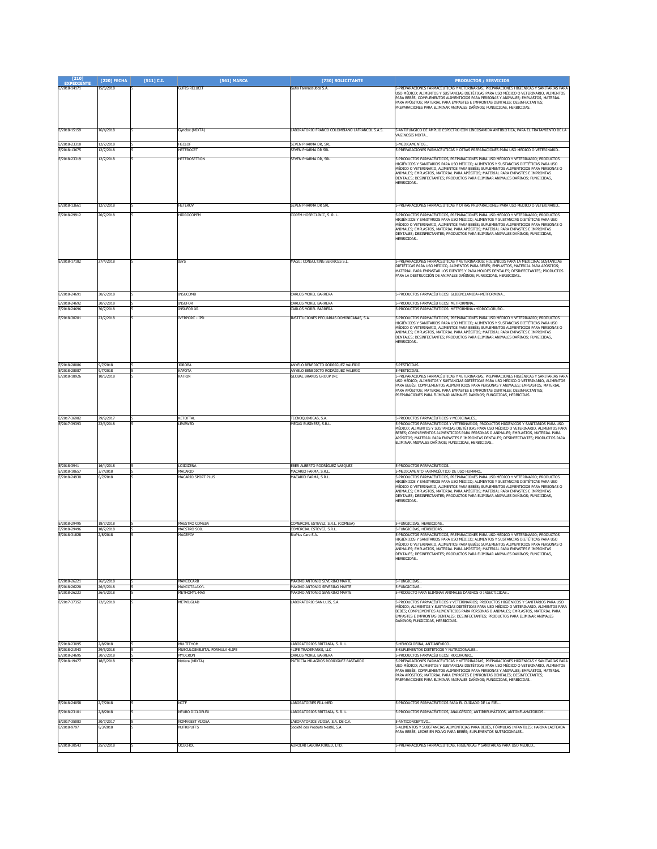| $[210]$<br><b>EXPEDIENTE</b> | [220] FECHA            | $[511]$ C.I. | [561] MARCA                               | [730] SOLICITANTE                                                        | <b>PRODUCTOS / SERVICIOS</b>                                                                                                                                                                                                                                                                                                                                                                                                                                                                         |
|------------------------------|------------------------|--------------|-------------------------------------------|--------------------------------------------------------------------------|------------------------------------------------------------------------------------------------------------------------------------------------------------------------------------------------------------------------------------------------------------------------------------------------------------------------------------------------------------------------------------------------------------------------------------------------------------------------------------------------------|
| E/2018-14171                 | 15/5/2018              |              | <b>GUTIS RELUCIT</b>                      | Gutis Farmaceutica S.A.                                                  | 5-PREPARACIONES FARMACÉUTICAS Y VETERINARIAS; PREPARACIONES HIGIÉNICAS Y SANITARIAS PARA<br>USO MÉDICO: ALIMENTOS Y SUSTANCIAS DIETÉTICAS PARA USO MÉDICO O VETERINARIO, ALIMENTOS<br>PARA BEBÉS; COMPLEMENTOS ALIMENTICIOS PARA PERSONAS Y ANIMALES; EMPLASTOS, MATERIAL<br>PARA APÓSITOS; MATERIAL PARA EMPASTES E IMPRONTAS DENTALES; DESINFECTANTES;<br>PREPARACIONES PARA ELIMINAR ANIMALES DAÑINOS; FUNGICIDAS, HERBICIDAS                                                                     |
| F/2018-15159                 | 16/4/2018              |              | Gynclox (MIXTA)                           | LABORATORIO FRANCO COLOMBIANO LAFRANCOL S.A.S.                           | 5-ANTIFÚNGICO DE AMPLIO ESPECTRO CON LINCOSAMIDA ANTIBIÓTICA, PARA EL TRATAMIENTO DE LA<br><b>AGINOSIS MIXTA.</b>                                                                                                                                                                                                                                                                                                                                                                                    |
| E/2018-23310<br>E/2018-13675 | 12/7/2018<br>12/7/2018 |              | HECLOF<br><b>IETEROCET</b>                | SEVEN PHARMA DR. SRL<br>SEVEN PHARMA DR SRI                              | 5-MEDICAMENTOS.<br>5-PREPARACIONES FARMACÉUTICAS Y OTRAS PREPARACIONES PARA USO MÉDICO O VETERINARIO                                                                                                                                                                                                                                                                                                                                                                                                 |
| E/2018-23319                 | 12/7/2018              |              | HETEROSETRON                              | SEVEN PHARMA DR. SRL                                                     | 5-PRODUCTOS FARMACÉUTICOS, PREPARACIONES PARA USO MÉDICO Y VETERINARIO; PRODUCTOS<br>HIGIÉNICOS Y SANITARIOS PARA USO MÉDICO; ALIMENTOS Y SUSTANCIAS DIETÉTICAS PARA USO<br>IÉDICO O VETERINARIO, ALIMENTOS PARA BEBÉS; SUPLEMENTOS ALIMENTICIOS PARA PERSONAS O<br>ANIMALES; EMPLASTOS, MATERIAL PARA APÓSITOS; MATERIAL PARA EMPASTES E IMPRONTAS<br>DENTALES; DESINFECTANTES; PRODUCTOS PARA ELIMINAR ANIMALES DAÑINOS; FUNGICIDAS,<br>HERBICIDAS                                                 |
| E/2018-13661                 | 12/7/2018              |              | HETEROV                                   | SEVEN PHARMA DR SRL                                                      | 5-PREPARACIONES FARMACÉUTICAS Y OTRAS PREPARACIONES PARA USO MÉDICO O VETERINARIO                                                                                                                                                                                                                                                                                                                                                                                                                    |
| E/2018-29912                 | 20/7/2018              |              | <b>IIDROCOPEM</b>                         | COPEM HOSPICLINIC, S. R. L.                                              | 5-PRODUCTOS FARMACÉUTICOS, PREPARACIONES PARA USO MÉDICO Y VETERINARIO; PRODUCTOS<br>HIGIÉNICOS Y SANITARIOS PARA USO MÉDICO; ALIMENTOS Y SUSTANCIAS DIETÉTICAS PARA USO<br>MÉDICO O VETERINARIO, ALIMENTOS PARA BEBÉS; SUPLEMENTOS ALIMENTICIOS PARA PERSONAS O<br>ANIMALES; EMPLASTOS, MATERIAL PARA APÓSITOS; MATERIAL PARA EMPASTES E IMPRONTAS<br>DENTALES; DESINFECTANTES; PRODUCTOS PARA ELIMINAR ANIMALES DAÑINOS; FUNGICIDAS,<br>HERBICIDAS.                                                |
| E/2018-17182                 | 27/4/2018              |              | <b>BYS</b>                                | MAGUI CONSULTING SERVICES S.L.                                           | 5-PREPARACIONES FARMACÉUTICAS Y VETERINARIOS; HIGIÉNICOS PARA LA MEDICINA; SUSTANCIAS<br>DIETÉTICAS PARA USO MÉDICO, ALIMENTOS PARA BEBÉS; EMPLASTOS, MATERIAL PARA APÓSITOS;<br>MATERIAL PARA EMPASTAR LOS DIENTES Y PARA MOLDES DENTALES; DESINFECTANTES; PRODUCTOS<br>PARA LA DESTRUCCIÓN DE ANIMALES DAÑINOS; FUNGICIDAS, HERBICIDAS                                                                                                                                                             |
| E/2018-24691                 | 30/7/2018              |              | INSUCOMB                                  | CARLOS MOREL BARRERA                                                     | 5-PRODUCTOS FARMACÉUTICOS: GLIBENCLAMIDA+METFORMINA                                                                                                                                                                                                                                                                                                                                                                                                                                                  |
| E/2018-24692                 | 30/7/2018              |              | <b>INSUFOR</b>                            | <b>ARLOS MOREL BARRERA</b>                                               | -PRODUCTOS FARMACÉUTICOS: METFORMINA.                                                                                                                                                                                                                                                                                                                                                                                                                                                                |
| E/2018-24696                 | 30/7/2018              |              | <b>INSUFOR XF</b>                         | <b>CARLOS MOREL BARRERA</b>                                              | -PRODUCTOS FARMACÉLITICOS: METEORMINA+HIDROCLORURO.                                                                                                                                                                                                                                                                                                                                                                                                                                                  |
| E/2018-30201                 | 23/7/2018              |              | <b>IVERPORC - IPD</b>                     | INSTITUCIONES PECUARIAS DOMINICANAS, S.A.                                | 5-PRODUCTOS FARMACÉUTICOS, PREPARACIONES PARA USO MÉDICO Y VETERINARIO; PRODUCTOS<br>HIGIÉNICOS Y SANITARIOS PARA USO MÉDICO: ALIMENTOS Y SUSTANCIAS DIETÉTICAS PARA USO<br>MÉDICO O VETERINARIO, ALIMENTOS PARA BEBÉS; SUPLEMENTOS ALIMENTICIOS PARA PERSONAS O<br>ANIMALES; EMPLASTOS, MATERIAL PARA APÓSITOS; MATERIAL PARA EMPASTES E IMPRONTAS<br>DENTALES; DESINFECTANTES; PRODUCTOS PARA ELIMINAR ANIMALES DAÑINOS; FUNGICIDAS,<br><b>IERBICIDAS.</b>                                         |
| E/2018-28086<br>(2018-2808)  | 9/7/2018<br>9/7/2018   |              | <b>IOROBA</b><br>KAPOTA                   | ANYELO BENEDICTO RODRÍGUEZ VALERIO<br>ANYELO BENEDICTO RODRÍGUEZ VALERIO | 5-PESTICIDAS.<br>5-PESTICIDAS.                                                                                                                                                                                                                                                                                                                                                                                                                                                                       |
| E/2018-18926                 | 10/5/2018              |              | <b>CATRIN</b>                             | GLOBAL BRANDS GROUP INC                                                  | 5-PREPARACIONES FARMACÉUTICAS Y VETERINARIAS; PREPARACIONES HIGIÉNICAS Y SANITARIAS PARA<br>USO MÉDICO; ALIMENTOS Y SUSTANCIAS DIETÉTICAS PARA USO MÉDICO O VETERINARIO, ALIMENTOS<br>PARA BEBÉS: COMPLEMENTOS ALIMENTICIOS PARA PERSONAS Y ANIMALES: EMPLASTOS, MATERIAL<br>PARA APÓSITOS; MATERIAL PARA EMPASTES E IMPRONTAS DENTALES; DESINFECTANTES;<br>PREPARACIONES PARA ELIMINAR ANIMALES DAÑINOS; FUNGICIDAS, HERBICIDAS                                                                     |
| E/2017-36982<br>E/2017-39393 | 29/9/2017<br>22/6/2018 |              | KETOFTAL<br>EVEWED                        | TECNOQUIMICAS, S.A.<br>MEGAX BUSINESS, S.R.L                             | 5-PRODUCTOS FARMACÉUTICOS Y MEDICINALES<br>-PRODUCTOS FARMACÉUTICOS Y VETERINARIOS; PRODUCTOS HIGIÉNICOS Y SANITARIOS PARA USO<br>4ÉDICO; ALIMENTOS Y SUSTANCIAS DIETÉTICAS PARA USO MÉDICO O VETERINARIO, ALIMENTOS PARA<br>BEBÉS; COMPLEMENTOS ALIMENTICIOS PARA PERSONAS O ANIMALES; EMPLASTOS, MATERIAL PARA<br>APÓSITOS; MATERIAL PARA EMPASTES E IMPRONTAS DENTALES; DESINFECTANTES; PRODUCTOS PARA<br>ELIMINAR ANIMALES DAÑINOS; FUNGICIDAS, HERBICIDAS                                       |
| E/2018-3941                  | 16/4/2018              |              | LOIDIZENA                                 | EBER ALBERTO RODRÍGUEZ VÁSQUEZ                                           | 5-PRODUCTOS FARMACÉUTICOS                                                                                                                                                                                                                                                                                                                                                                                                                                                                            |
| E/2018-10657<br>E/2018-24930 | 3/7/2018<br>5/7/2018   |              | MACARIO<br><b>MACARIO SPORT PLUS</b>      | MACARIO FARMA, S.R.L.<br>MACARIO FARMA, S.R.L                            | 5-MEDICAMENTO FARMACÉUTICO DE USO HUMANO.<br>-<br>PRODUCTOS FARMACÉUTICOS, PREPARACIONES PARA USO MÉDICO Y VETERINARIO; PRODUCTOS<br>HIGIÉNICOS Y SANITARIOS PARA USO MÉDICO; ALIMENTOS Y SUSTANCIAS DIETÉTICAS PARA USO<br>IÉDICO O VETERINARIO, ALIMENTOS PARA BEBÉS; SUPLEMENTOS ALIMENTICIOS PARA PERSONAS O<br>ANIMALES; EMPLASTOS, MATERIAL PARA APÓSITOS; MATERIAL PARA EMPASTES E IMPRONTAS<br>DENTALES; DESINFECTANTES; PRODUCTOS PARA ELIMINAR ANIMALES DAÑINOS; FUNGICIDAS,<br>HERBICIDAS |
| E/2018-29495<br>E/2018-29496 | 18/7/2018<br>18/7/2018 |              | MAESTRO COMESA<br>MAESTRO SOIL            | COMERCIAL ESTEVEZ, S.R.L. (COMESA)<br>COMERCIAL ESTEVEZ, S.R.L.          | 5-FUNGICIDAS, HERBICIDAS,<br>5-FUNGICIDAS, HERBICIDAS,                                                                                                                                                                                                                                                                                                                                                                                                                                               |
| E/2018-31828<br>E/2018-26221 | 2/8/2018<br>26/6/2018  |              | <b>IAGEMIV</b><br><b>MANCOCARB</b>        | <b>SioPlus Care S.A</b><br>MAXIMO ANTONIO SEVERINO MARTE                 | -PRODUCTOS FARMACÉUTICOS, PREPARACIONES PARA USO MÉDICO Y VETERINARIO; PRODUCTOS<br>HIGIÉNICOS Y SANITARIOS PARA USO MÉDICO; ALIMENTOS Y SUSTANCIAS DIETÉTICAS PARA USO<br>IÉDICO O VETERINARIO, ALIMENTOS PARA BEBÉS; SUPLEMENTOS ALIMENTICIOS PARA PERSONAS O<br>ANIMALES; EMPLASTOS, MATERIAL PARA APÓSITOS; MATERIAL PARA EMPASTES E IMPRONTAS<br>DENTALES; DESINFECTANTES; PRODUCTOS PARA ELIMINAR ANIMALES DAÑINOS; FUNGICIDAS,<br>HERBICIDAS.<br>5-FUNGICIDAS.                                |
| E/2018-26220                 | 26/6/2018              |              | MANCOTAL AXYL                             | MAXIMO ANTONIO SEVERINO MARTE                                            | <b>5-FUNGICIDAS</b>                                                                                                                                                                                                                                                                                                                                                                                                                                                                                  |
| E/2018-26223                 | 16/6/2018              |              | IETHOMYL-MAX                              | MAXIMO ANTONIO SEVERINO MARTE                                            | -PRODUCTO PARA ELIMINAR ANIMALES DAÑINOS O INSECTICIDAS.                                                                                                                                                                                                                                                                                                                                                                                                                                             |
| E/2017-37352                 | 22/6/2018              |              | <b>METVILGLAD</b>                         | LABORATORIO SAN LUIS, S.A.                                               | 5-PRODUCTOS FARMACÉUTICOS Y VETERINARIOS; PRODUCTOS HIGIÉNICOS Y SANITARIOS PARA USO<br>MÉDICO; ALIMENTOS Y SUSTANCIAS DIETÉTICAS PARA USO MÉDICO O VETERINARIO, ALIMENTOS PARA<br>BEBÉS; COMPLEMENTOS ALIMENTICIOS PARA PERSONAS O ANIMALES; EMPLASTOS, MATERIAL PARA<br>EMPASTES E IMPRONTAS DENTALES; DESINFECTANTES; PRODUCTOS PARA ELIMINAR ANIMALES<br>DAÑINOS: FUNGICIDAS, HERBICIDAS                                                                                                         |
| E/2018-23095                 | 2/8/2018               |              | <b>MULTITHOM</b>                          | LABORATORIOS BRITANIA, S. R. L.<br>4LIFE TRADEMARKS, LLC                 | 5-HEMOGLOBINA, ANTIANÉMICO<br>5-SUPLEMENTOS DIETÉTICOS Y NUTRICIONALES.                                                                                                                                                                                                                                                                                                                                                                                                                              |
| E/2018-21543<br>E/2018-24695 | 29/6/2018<br>30/7/2018 |              | MUSCULOSKELETAL FORMULA 4LIFE<br>MYOCRON  | CARLOS MOREL BARRERA                                                     | 5-PRODUCTOS FARMACÉUTICOS: ROCURONIO.                                                                                                                                                                                                                                                                                                                                                                                                                                                                |
| E/2018-19477                 | 18/6/2018              |              | Vatiera (MIXTA)                           | PATRICIA MILAGROS RODRIGUEZ BASTARDO                                     | 5-PREPARACIONES FARMACÉUTICAS Y VETERINARIAS; PREPARACIONES HIGIÉNICAS Y SANITARIAS PARA<br>.<br>USO MÉDICO; ALIMENTOS Y SUSTANCIAS DIETÉTICAS PARA USO MÉDICO O VETERINARIO, ALIMENTOS<br>PARA BEBÉS; COMPLEMENTOS ALIMENTICIOS PARA PERSONAS Y ANIMALES; EMPLASTOS, MATERIAL<br>PARA APÓSITOS; MATERIAL PARA EMPASTES E IMPRONTAS DENTALES; DESINFECTANTES;<br>PREPARACIONES PARA ELIMINAR ANIMALES DAÑINOS; FUNGICIDAS, HERBICIDAS                                                                |
| E/2018-24058                 | 2/7/2018               |              | NCTF                                      | LABORATOIRES FILL-MED                                                    | 5-PRODUCTOS FARMACÉUTICOS PARA EL CUIDADO DE LA PIEL                                                                                                                                                                                                                                                                                                                                                                                                                                                 |
| E/2018-23101<br>E/2017-35083 | 2/8/2018<br>20/7/2017  |              | NEURO DICLOPLEX<br><b>IOMAGEST VIJOSA</b> | ABORATORIOS BRITANIA, S. R. L.<br>ABORATORIOS VIJOSA, S.A. DE C.V.       | 5-PRODUCTOS FARMACÉUTICOS, ANALGÉSICO, ANTIRREUMÁTICOS, ANTIINFLAMATORIOS<br>-ANTICONCEPTIVO.                                                                                                                                                                                                                                                                                                                                                                                                        |
| E/2018-9797                  | 8/3/2018               |              | <b>NUTRIPUFFS</b>                         | Société des Produits Nestlé, S.A                                         | PARA BEBÉS; LECHE EN POLVO PARA BEBÉS; SUPLEMENTOS NUTRICIONALES                                                                                                                                                                                                                                                                                                                                                                                                                                     |
| E/2018-30543                 | 25/7/2018              |              | OCUCHOL                                   | AUROLAB LABORATORIED, LTD.                                               | -PREPARACIONES FARMACÉUTICAS, HIGIÉNICAS Y SANITARIAS PARA USO MÉDICO.                                                                                                                                                                                                                                                                                                                                                                                                                               |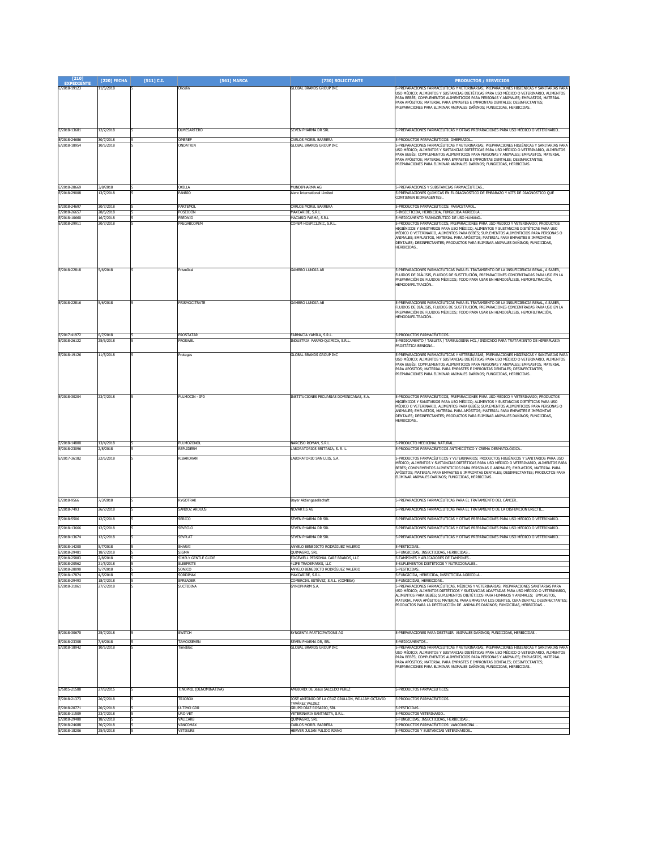| $[210]$<br><b>EXPEDIENTE</b> | [220] FECHA            | [511] C.I. | [561] MARCA                           | [730] SOLICITANTE                                                  | <b>PRODUCTOS / SERVICIOS</b>                                                                                                                                                                                                                                                                                                                                                                                                                                               |
|------------------------------|------------------------|------------|---------------------------------------|--------------------------------------------------------------------|----------------------------------------------------------------------------------------------------------------------------------------------------------------------------------------------------------------------------------------------------------------------------------------------------------------------------------------------------------------------------------------------------------------------------------------------------------------------------|
| E/2018-19123                 | 11/5/2018              |            | Olicolin                              | <b>GLOBAL BRANDS GROUP INC</b>                                     | -PREPARACIONES FARMACÉUTICAS Y VETERINARIAS; PREPARACIONES HIGIÉNICAS Y SANITARIAS PARA<br>USO MÉDICO; ALIMENTOS Y SUSTANCIAS DIETÉTICAS PARA USO MÉDICO O VETERINARIO, ALIMENTOS<br>PARA BEBÉS; COMPLEMENTOS ALIMENTICIOS PARA PERSONAS Y ANIMALES; EMPLASTOS, MATERIAL<br>PARA APÓSITOS; MATERIAL PARA EMPASTES E IMPRONTAS DENTALES; DESINFECTANTES;<br>PREPARACIONES PARA ELIMINAR ANIMALES DAÑINOS; FUNGICIDAS, HERBICIDAS                                            |
| E/2018-13681                 | 12/7/2018              |            | <b>OLMESARTERO</b>                    | SEVEN PHARMA DR SRI                                                | 5-PREPARACIONES FARMACÉUTICAS Y OTRAS PREPARACIONES PARA USO MÉDICO O VETERINARIO                                                                                                                                                                                                                                                                                                                                                                                          |
| E/2018-24686<br>E/2018-18954 | 30/7/2018<br>10/5/2018 |            | OMERER<br>ONDATRIN                    | CARLOS MOREL BARRERA<br>GLOBAL BRANDS GROUP INC                    | -- PRODUCTOS FARMACÉUTICOS: OMEPRAZOL.<br>5-PREPARACIONES FARMACÉUTICAS Y VETERINARIAS; PREPARACIONES HIGIÉNICAS Y SANITARIAS PARA<br>USO MÉDICO; ALIMENTOS Y SUSTANCIAS DIETÉTICAS PARA USO MÉDICO O VETERINARIO, ALIMENTOS<br>PARA BEBÉS: COMPLEMENTOS ALIMENTICIOS PARA PERSONAS Y ANIMALES: EMPLASTOS, MATERIAL<br>PARA APÓSITOS; MATERIAL PARA EMPASTES E IMPRONTAS DENTALES; DESINFECTANTES;<br>PREPARACIONES PARA ELIMINAR ANIMALES DAÑINOS; FUNGICIDAS, HERBICIDAS |
| E/2018-28669<br>E/2018-29008 | 3/8/2018<br>13/7/2018  |            | OXILLA<br>PANBIO                      | MUNDIPHARMA AG<br>Alere International Limited                      | 5-PREPARACIONES Y SUBSTANCIAS FARMACÉUTICAS.<br>5-PREPARACIONES QUÍMICAS EN EL DIAGNÓSTICO DE EMBARAZO Y KITS DE DIAGNÓSTICO QUE<br>CONTIENEN BIOREAGENTES.                                                                                                                                                                                                                                                                                                                |
| E/2018-24697<br>E/2018-26657 | 30/7/2018<br>28/6/2018 |            | PARTEMOL<br>POSEIDON                  | CARLOS MOREL BARRERA<br>MAXCARIBE, S.R.L.                          | 5-PRODUCTOS FARMACÉUTICOS: PARACETAMOL.<br>5-INSECTICIDA, HERBICIDA, FUNGICIDA AGRÍCOLA,                                                                                                                                                                                                                                                                                                                                                                                   |
| E/2018-10660                 | 16/7/2018              |            | PREDNIO                               | MACARIO FARMA, S.R.L                                               | 5-MEDICAMENTO FARMACÉUTICO DE USO HUMANO.                                                                                                                                                                                                                                                                                                                                                                                                                                  |
| E/2018-29911                 | 20/7/2018              |            | PREGABCOPEM                           | COPEM HOSPICLINIC, S.R.L.                                          | 5-PRODUCTOS FARMACÉUTICOS, PREPARACIONES PARA USO MÉDICO Y VETERINARIO; PRODUCTOS<br>HIGIÉNICOS Y SANITARIOS PARA USO MÉDICO: ALIMENTOS Y SUSTANCIAS DIFTÉTICAS PARA USO<br>MÉDICO O VETERINARIO, ALIMENTOS PARA BEBÉS; SUPLEMENTOS ALIMENTICIOS PARA PERSONAS O<br>ANIMALES; EMPLASTOS, MATERIAL PARA APÓSITOS; MATERIAL PARA EMPASTES E IMPRONTAS<br>DENTALES; DESINFECTANTES; PRODUCTOS PARA ELIMINAR ANIMALES DAÑINOS; FUNGICIDAS,<br>HERBICIDAS.                      |
| E/2018-22818                 | 5/6/2018               |            | Prism0ca                              | <b>GAMBRO LUNDIA AB</b>                                            | 5-PREPARACIONES FARMACÉUTICAS PARA EL TRATAMIENTO DE LA INSUFICIENCIA RENAL, A SABER,<br>FLUIDOS DE DIÁLISIS, FLUIDOS DE SUSTITUCIÓN, PREPARACIONES CONCENTRADAS PARA USO EN LA<br>PREPARACIÓN DE FLUIDOS MÉDICOS; TODO PARA USAR EN HEMODIÁLISIS, HEMOFILTRACIÓN,<br>HEMODIAFILTRACIÓN                                                                                                                                                                                    |
| E/2018-22816                 | 5/6/2018               |            | PRISMOCITRATE                         | <b>GAMBRO LUNDIA AB</b>                                            | 5-PREPARACIONES FARMACÉUTICAS PARA EL TRATAMIENTO DE LA INSUFICIENCIA RENAL, A SABER,<br>FLUIDOS DE DIÁLISIS, FLUIDOS DE SUSTITUCIÓN, PREPARACIONES CONCENTRADAS PARA USO EN LA<br>PREPARACIÓN DE FLUIDOS MÉDICOS; TODO PARA USAR EN HEMODIÁLISIS, HEMOFILTRACIÓN,<br>HEMODIAFILTRACIÓN                                                                                                                                                                                    |
| E/2017-41972                 | 6/7/2018               |            | PROSTATAR                             | FARMACIA YAMILA, S.R.L                                             | 5-PRODUCTOS FARMACÉUTICOS.                                                                                                                                                                                                                                                                                                                                                                                                                                                 |
| E/2018-26122                 | 25/6/2018              |            | PROSWEI                               | INDUSTRIA FARMO-OUIMICA, S.R.L.                                    | 5-MEDICAMENTO / TABLETA / TAMSULOSINA HCL / INDICADO PARA TRATAMIENTO DE HIPERPLASIA<br>PROSTÁTICA BENIGNA                                                                                                                                                                                                                                                                                                                                                                 |
| E/2018-19126                 | 11/5/2018              |            | rotegas                               | <b>GLOBAL BRANDS GROUP INC</b>                                     | 5-PREPARACIONES FARMACÉUTICAS Y VETERINARIAS; PREPARACIONES HIGIÉNICAS Y SANITARIAS PARA<br>USO MÉDICO; ALIMENTOS Y SUSTANCIAS DIETÉTICAS PARA USO MÉDICO O VETERINARIO, ALIMENTOS<br>PARA BEBÉS; COMPLEMENTOS ALIMENTICIOS PARA PERSONAS Y ANIMALES; EMPLASTOS, MATERIAL<br>PARA APÓSITOS; MATERIAL PARA EMPASTES E IMPRONTAS DENTALES; DESINFECTANTES;<br>PREPARACIONES PARA ELIMINAR ANIMALES DAÑINOS; FUNGICIDAS, HERBICIDAS                                           |
| E/2018-30204                 | 23/7/2018              |            | PULMOCIN - IPD                        | INSTITUCIONES PECUARIAS DOMINICANAS, S.A.                          | 5-PRODUCTOS FARMACÉUTICOS, PREPARACIONES PARA USO MÉDICO Y VETERINARIO; PRODUCTOS<br>HIGIÉNICOS Y SANITARIOS PARA USO MÉDICO; ALIMENTOS Y SUSTANCIAS DIETÉTICAS PARA USO<br>MÉDICO O VETERINARIO, ALIMENTOS PARA BEBÉS; SUPLEMENTOS ALIMENTICIOS PARA PERSONAS O<br>ANIMALES; EMPLASTOS, MATERIAL PARA APÓSITOS; MATERIAL PARA EMPASTES E IMPRONTAS<br>DENTALES; DESINFECTANTES; PRODUCTOS PARA ELIMINAR ANIMALES DAÑINOS; FUNGICIDAS,<br>HERBICIDAS.                      |
| E/2018-14800<br>E/2018-23096 | 13/4/2018<br>2/8/2018  |            | PULMOZONOI<br>REPLIDERM               | NARCISO ROMAN, S.R.L.<br>LABORATORIOS BRITANIA, S. R. L.           | 5-PRODUCTO MEDICINAL NATURAL.<br>5-PRODUCTOS FARMACÉUTICOS ANTIMICÓTICO Y CREMA DERMATOLÓGICA                                                                                                                                                                                                                                                                                                                                                                              |
| E/2017-36182                 | 22/6/2018              |            | RIBAROXAN                             | LABORATORIO SAN LUIS, S.A.                                         | 5-PRODUCTOS FARMACÉUTICOS Y VETERINARIOS; PRODUCTOS HIGIÉNICOS Y SANITARIOS PARA USO<br>MÉDICO; ALIMENTOS Y SUSTANCIAS DIETÉTICAS PARA USO MÉDICO O VETERINARIO, ALIMENTOS PARA<br>BEBÉS; COMPLEMENTOS ALIMENTICIOS PARA PERSONAS O ANIMALES; EMPLASTOS, MATERIAL PARA<br>APÓSITOS; MATERIAL PARA EMPASTES E IMPRONTAS DENTALES; DESINFECTANTES; PRODUCTOS PARA<br>ELIMINAR ANIMALES DAÑINOS; FUNGICIDAS, HERBICIDAS                                                       |
| E/2018-9566                  | 7/3/2018               |            | RYGOTRAK                              | Bayer Aktiengesellschaft                                           | 5-PREPARACIONES FARMACÉUTICAS PARA EL TRATAMIENTO DEL CÁNCER                                                                                                                                                                                                                                                                                                                                                                                                               |
| E/2018-7493                  | 26/7/2018              |            | SANDOZ ARDUUS                         | NOVARTIS AG                                                        | 5-PREPARACIONES FARMACÉUTICAS PARA EL TRATAMIENTO DE LA DISFUNCIÓN ERÉCTIL                                                                                                                                                                                                                                                                                                                                                                                                 |
| E/2018-5506<br>E/2018-13666  | 2/7/2018<br>12/7/2018  |            | SERICO<br><b>SEVECLO</b>              | seven pharma Dr Srl<br>SEVEN PHARMA DR SRL                         | 5-PREPARACIONES FARMACÉUTICAS Y OTRAS PREPARACIONES PARA USO MÉDICO O VETERINARIO. .<br>5-PREPARACIONES FARMACÉUTICAS Y OTRAS PREPARACIONES PARA USO MÉDICO O VETERINARIO.                                                                                                                                                                                                                                                                                                 |
| E/2018-13674                 | 12/7/2018              |            | <b>SEVPLAT</b>                        | SEVEN PHARMA DR SRL                                                | 5-PREPARACIONES FARMACÉUTICAS Y OTRAS PREPARACIONES PARA USO MÉDICO O VETERINARIO                                                                                                                                                                                                                                                                                                                                                                                          |
| E/2018-14200                 | 5/7/2018               |            | SHARAI                                | ANYELO BENEDICTO RODRÍGUEZ VALERIO                                 | 5-PESTICIDAS.                                                                                                                                                                                                                                                                                                                                                                                                                                                              |
| E/2018-29481                 | 18/7/2018              |            | <b>SIGMA</b><br>IMPLY GENTLE GLIDE    | QUIMAGRO, SRL                                                      | 5-FUNGICIDAS, INSECTICIDAS, HERBICIDAS.                                                                                                                                                                                                                                                                                                                                                                                                                                    |
| E/2018-25883<br>E/2018-20562 | /8/2018<br>21/5/2018   |            | <b>SLEEPRITE</b>                      | EDGEWELL PERSONAL CARE BRANDS, LLC<br>4LIFE TRADEMARKS, LLC        | -TAMPONES Y APLICADORES DE TAMPONES<br>5-SUPLEMENTOS DIETÉTICOS Y NUTRICIONALES.                                                                                                                                                                                                                                                                                                                                                                                           |
| E/2018-28090<br>E/2018-17874 | 9/7/2018<br>4/5/2018   |            | SONICO<br>SORDIMAX                    | ANYELO BENEDICTO RODRÍGUEZ VALERIO<br>MAXCARIBE, S.R.L.            | 5-PESTICIDAS.<br>5-FUNGICIDA, HERBICIDA, INSECTICIDA AGRÍCOLA                                                                                                                                                                                                                                                                                                                                                                                                              |
| E/2018-29493<br>E/2018-31061 | 18/7/2018<br>27/7/2018 |            | SPREADER<br>SUCTIDINA                 | COMERCIAL ESTÉVEZ, S.R.L. (COMESA)<br>GYNOPHARM S.A                | 5-FUNGICIDAS, HERBICIDAS.<br>5-PREPARACIONES FARMACÉUTICAS, MÉDICAS Y VETERINARIAS; PREPARACIONES SANITARIAS PARA<br>USO MÉDICO; ALIMENTOS DIETÉTICOS Y SUSTANCIAS ADAPTADAS PARA USO MÉDICO O VETERINARIO,<br>ALIMENTOS PARA BEBÉS; SUPLEMENTOS DIETÉTICOS PARA HUMANOS Y ANIMALES; EMPLASTOS,<br>MATERIAL PARA APÓSITOS; MATERIAL PARA EMPASTAR LOS DIENTES, CERA DENTAL; DESINFECTANTES;<br>PRODUCTOS PARA LA DESTRUCCIÓN DE ANIMALES DAÑINOS: FUNGICIDAS, HERBICIDAS,  |
| E/2018-30670                 | 25/7/2018              |            | <b>SWITCH</b>                         | SYNGENTA PARTICIPATIONS AG                                         | 5-PREPARACIONES PARA DESTRUIR ANIMALES DAÑINOS; FUNGICIDAS, HERBICIDAS.                                                                                                                                                                                                                                                                                                                                                                                                    |
| E/2018-23308<br>E/2018-18942 | 7/6/2018<br>0/5/2018   |            | <b>TAMOXSEVEN</b><br><b>l</b> imebloc | SEVEN PHARMA DR. SRL<br><b>GLOBAL BRANDS GROUP INC</b>             | 5-MEDICAMENTOS.<br>5-PREPARACIONES FARMACÉUTICAS Y VETERINARIAS; PREPARACIONES HIGIÉNICAS Y SANITARIAS PARA<br>USO MÉDICO; ALIMENTOS Y SUSTANCIAS DIETÉTICAS PARA USO MÉDICO O VETERINARIO, ALIMENTOS<br>PARA BEBÉS; COMPLEMENTOS ALIMENTICIOS PARA PERSONAS Y ANIMALES; EMPLASTOS, MATERIAL<br>PARA APÓSITOS; MATERIAL PARA EMPASTES E IMPRONTAS DENTALES; DESINFECTANTES;<br>PREPARACIONES PARA ELIMINAR ANIMALES DAÑINOS; FUNGICIDAS, HERBICIDAS                        |
| E/5015-21588                 | 27/8/2015              |            | TINOPRIL (DENOMINATIVA)               | AMBIORIX DE Jesús SALCEDO PEREZ                                    | 5-PRODUCTOS FARMACEUTICOS.                                                                                                                                                                                                                                                                                                                                                                                                                                                 |
| E/2018-21373                 | 26/7/2018              |            | <b>TRIOBOX</b>                        | JOSÉ ANTONIO DE LA CRUZ GRULLÓN, WILLIAM OCTAVIO<br>TAVÁREZ VALDEZ | 5-PRODUCTOS FARMACÉUTICOS.                                                                                                                                                                                                                                                                                                                                                                                                                                                 |
| E/2018-20771<br>E/2018-11509 | 20/7/2018<br>23/7/2018 |            | ÚLTIMO GDR<br>URO-VET                 | GRUPO DÍAZ ROSARIO, SRL<br>VETERINARIA SANTANITA, S.R.L.           | 5-PESTICIDAS<br>5-PRODUCTOS VETERINARIO.                                                                                                                                                                                                                                                                                                                                                                                                                                   |
| E/2018-29480                 | 18/7/2018              |            | VAI ICARE                             | OUIMAGRO, SRL                                                      | 5-FUNGICIDAS, INSECTICIDAS, HERBICIDAS                                                                                                                                                                                                                                                                                                                                                                                                                                     |
| E/2018-24688<br>E/2018-18206 | 30/7/2018<br>25/6/2018 |            | VANCOMAX<br><b>VETISURE</b>           | CARLOS MOREL BARRERA<br>HERVER JULIAN PULIDO RIAÑO                 | -PRODUCTOS FARMACÉUTICOS: VANCOMICINA<br>5-PRODUCTOS Y SUSTANCIAS VETERINARIOS.                                                                                                                                                                                                                                                                                                                                                                                            |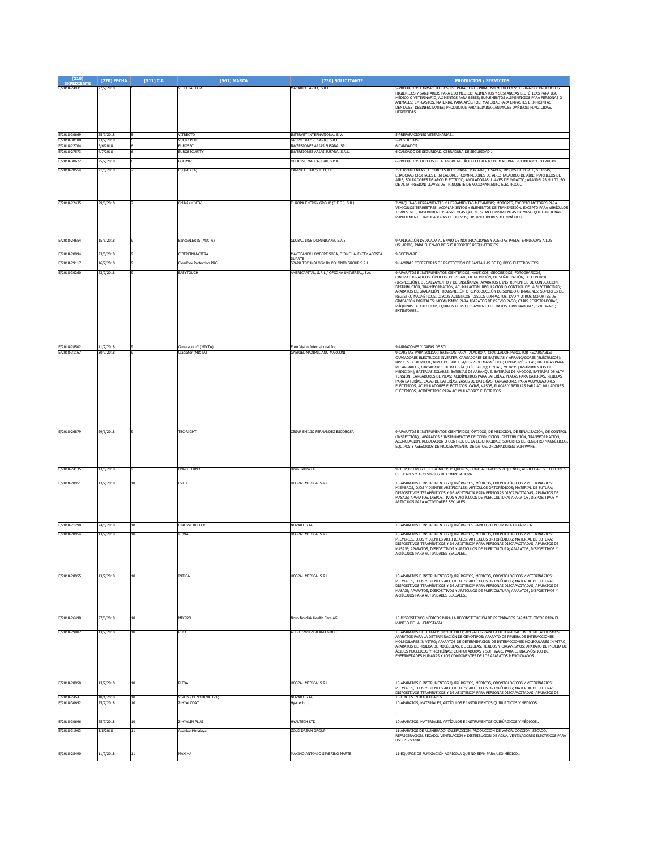| $[210]$<br>PEDIEI            | [220] FECHA            | $[511]$ C.I. | [561] MARCA                               | [730] SOLICITANTE                                            | <b>PRODUCTOS / SERVICIOS</b>                                                                                                                                                                                                                                                                                                                                                                                                                                                                                                                                                                                                                                                                                        |
|------------------------------|------------------------|--------------|-------------------------------------------|--------------------------------------------------------------|---------------------------------------------------------------------------------------------------------------------------------------------------------------------------------------------------------------------------------------------------------------------------------------------------------------------------------------------------------------------------------------------------------------------------------------------------------------------------------------------------------------------------------------------------------------------------------------------------------------------------------------------------------------------------------------------------------------------|
| E/2018-24931                 | 27/7/2018              |              | VIOLETA FLOR                              | MACARIO FARMA, S.R.L.                                        | 5-PRODUCTOS FARMACÉUTICOS, PREPARACIONES PARA USO MÉDICO Y VETERINARIO; PRODUCTOS<br>HIGIÉNICOS Y SANITARIOS PARA USO MÉDICO; ALIMENTOS Y SUSTANCIAS DIETÉTICAS PARA USO<br>MÉDICO O VETERINARIO, ALIMENTOS PARA BEBÉS; SUPLEMENTOS ALIMENTICIOS PARA PERSONAS O<br>ANIMALES; EMPLASTOS, MATERIAL PARA APÓSITOS; MATERIAL PARA EMPASTES E IMPRONTAS<br>DENTALES; DESINFECTANTES; PRODUCTOS PARA ELIMINAR ANIMALES DAÑINOS; FUNGICIDAS,<br>HERBICIDAS.                                                                                                                                                                                                                                                               |
| E/2018-30669                 | 25/7/2018              |              | VITRECTO                                  | INTERVET INTERNATIONAL B.V.                                  | 5-PREPARACIONES VETERINARIAS                                                                                                                                                                                                                                                                                                                                                                                                                                                                                                                                                                                                                                                                                        |
| E/2018-30108<br>E/2018-22704 | 23/7/2018<br>5/6/2018  |              | <b>VUELO PLUS</b><br><b>FUROSEC</b>       | GRUPO DIAZ ROSARIO, S.R.L.<br>INVERSIONES ARIAS SUSANA, SRL  | 5-PESTICIDAS.<br><b>6.CANDADOS</b>                                                                                                                                                                                                                                                                                                                                                                                                                                                                                                                                                                                                                                                                                  |
| E/2018-27573                 | 17/2018                |              | EUROSECURITY                              | INVERSIONES ARIAS SUSANA, S.R.L.                             | -CANDADO DE SEGURIDAD, CERRADURA DE SEGURIDAD.                                                                                                                                                                                                                                                                                                                                                                                                                                                                                                                                                                                                                                                                      |
| E/2018-30672                 | 25/7/2018              |              | POLIMAC                                   | OFFICINE MACCAFERRI S.P.A                                    | 5-PRODUCTOS HECHOS DE ALAMBRE METÁLICO CUBIERTO DE MATERIAL POLIMÉRICO EXTRUIDO                                                                                                                                                                                                                                                                                                                                                                                                                                                                                                                                                                                                                                     |
| E/2018-20554                 | 21/5/2018              |              | CH (MIXTA)                                | CAMPBELL HAUSFELD, LLC                                       | 7-HERRAMIENTAS ELÉCTRICAS ACCIONADAS POR AIRE, A SABER, DISCOS DE CORTE, SIERRAS,<br>LIJADORAS ORBITALES E INFLADORES; COMPRESORES DE AIRE; TALADROS DE AIRE; MARTILLOS DE<br>AIRE; SOLDADORES DE ARCO ELÉCTRICO; AMOLADORAS; LLAVES DE IMPACTO; ARANDELAS MULTIUSO<br>DE ALTA PRESIÓN; LLAVES DE TRINQUETE DE ACCIONAMIENTO ELÉCTRICO                                                                                                                                                                                                                                                                                                                                                                              |
| E/2018-22435                 | 29/6/2018              |              | olibrí (MIXTA)                            | EUROPA ENERGY GROUP (E.E.G.), S.R.L                          | MÁQUINAS HERRAMIENTAS Y HERRAMIENTAS MECÁNICAS; MOTORES, EXCEPTO MOTORES PAR<br>VEHÍCULOS TERRESTRES; ACOPLAMIENTOS Y ELEMENTOS DE TRANSMISIÓN, EXCEPTO PARA VEHÍCULOS<br>TERRESTRES; INSTRUMENTOS AGRÍCOLAS QUE NO SEAN HERRAMIENTAS DE MANO QUE FUNCIONAN<br>MANUALMENTE; INCUBADORAS DE HUEVOS; DISTRIBUIDORES AUTOMÁTICOS                                                                                                                                                                                                                                                                                                                                                                                       |
| E/2018-24654                 | 15/6/2018              |              | BancoALERTS (MIXTA)                       | GLOBAL ITSS DOMINICANA, S.A.S                                | 9-APLICACIÓN DEDICADA AL ENVIÓ DE NOTIFICACIONES Y ALERTAS PREDETERMINADAS A LOS<br>USUARIOS, PARA EL ENVÍO DE SUS REPORTES REGULATORIOS.                                                                                                                                                                                                                                                                                                                                                                                                                                                                                                                                                                           |
| E/2018-20994                 | 23/5/2018              |              | CIBERFINANCIERA                           | MAYOBANEX LOMBERT SOSA, DIONEL ALEKCEY ACOSTA                | 9-SOFTWARE                                                                                                                                                                                                                                                                                                                                                                                                                                                                                                                                                                                                                                                                                                          |
| E/2018-29117                 | 16/7/2018              |              | <b>ClearPlex Protection PRO</b>           | DUARTE<br>SPARK TECHNOLOGY BY POLONIO GROUP S.R.L.           | 9-LÁMINAS COBERTORAS DE PROTECCIÓN DE PANTALLAS DE EQUIPOS ELECTRÓNICOS. .                                                                                                                                                                                                                                                                                                                                                                                                                                                                                                                                                                                                                                          |
| E/2018-30260                 | 23/7/2018              |              | <b>EASYTOUCH</b>                          | AMERICAPITAL, S.R.L / OFICINA UNIVERSAL, S.A.                | 9-APARATOS E INSTRUMENTOS CIENTÍFICOS, NÁUTICOS, GEODÉSICOS, FOTOGRÁFICOS,<br>CINEMATOGRÁFICOS, ÓPTICOS, DE PESAJE, DE MEDICIÓN, DE SEÑALIZACIÓN, DE CONTROL<br>(INSPECCIÓN), DE SALVAMENTO Y DE ENSEÑANZA; APARATOS E INSTRUMENTOS DE CONDUCCIÓN,<br>DISTRIBUCIÓN, TRANSFORMACIÓN, ACUMULACIÓN, REGULACIÓN O CONTROL DE LA ELECTRICIDAD;<br>APARATOS DE GRABACIÓN, TRANSMISIÓN O REPRODUCCIÓN DE SONIDO O IMÁGENES; SOPORTES DE<br>REGISTRO MAGNÉTICOS, DISCOS ACÚSTICOS; DISCOS COMPACTOS, DVD Y OTROS SOPORTES DE<br>GRABACIÓN DIGITALES; MECANISMOS PARA APARATOS DE PREVIO PAGO; CAJAS REGISTRADORAS,<br>MÁQUINAS DE CALCULAR, EQUIPOS DE PROCESAMIENTO DE DATOS, ORDENADORES; SOFTWARE;<br><b>EXTINTORES.</b> |
| E/2018-28502<br>E/2018-31167 | 11/7/2018<br>30/7/2018 |              | Generation-Y (MIXTA)<br>Sladiator (MIXTA) | Euro Vision International Inc<br>GABRIEL MAXIMILIANO MARCONI | 9-ARMAZONES Y GAFAS DE SOL.<br>9-CARETAS PARA SOLDAR; BATERÍAS PARA TALADRO ATORNILLADOR PERCUTOR RECARGABLE;                                                                                                                                                                                                                                                                                                                                                                                                                                                                                                                                                                                                       |
|                              |                        |              |                                           |                                                              | CARGADORES ELÉCTRICOS INVERTER, CARGADORES DE BATERÍAS Y ARRANCADORES (ELÉCTRICOS);<br>NIVELES DE BURBUJA, NIVEL DE BURBUJA/TORPEDO MAGNÉTICO; CINTAS MÉTRICAS; BATERÍAS PARA<br>RECARGABLES, CARGADORES DE BATERÍA (ELÉCTRICO); CINTAS, METROS [INSTRUMENTOS DE<br>MEDICIÓN]; BATERÍAS SOLARES, BATERÍAS DE ARRANQUE, BATERÍAS DE ÁNODOS, BATERÍAS DE ALTA<br>TENSIÓN; CARGADORES DE PILAS; ACIDÍMETROS PARA BATERÍAS, PLACAS PARA BATERÍAS, REJILLAS<br>PARA BATERÍAS, CAJAS DE BATERÍAS, VASOS DE BATERÍAS; CARGADORES PARA ACUMULADORES<br>ELÉCTRICOS, ACUMULADORES ELÉCTRICOS, CAJAS, VASOS, PLACAS Y REJILLAS PARA ACUMULADORES<br>ELÉCTRICOS, ACIDÍMETROS PARA ACUMULADORES ELÉCTRICOS                       |
| E/2018-26879                 | 29/6/2018              |              | <b>TEC-RIGHT</b>                          | CESAR EMILIO FERNANDEZ ESCOBOSA                              | 9-APARATOS E INSTRUMENTOS CIENTÍFICOS, ÓPTICOS, DE MEDICIÓN, DE SEÑALIZACIÓN, DE CONTROL<br>(INSPECCIÓN), APARATOS E INSTRUMENTOS DE CONDUCCIÓN, DISTRIBUCIÓN, TRANSFORMACIÓN,<br>ACUMULACIÓN, REGULACIÓN O CONTROL DE LA ELECTRICIDAD; SOPORTES DE REGISTRO MAGNÉTICOS,<br>EQUIPOS Y ASESORIOS DE PROCESAMIENTO DE DATOS, ORDENADORES; SOFTWARE.                                                                                                                                                                                                                                                                                                                                                                   |
| E/2018-24135                 | 13/6/2018              |              | <b>UNNO TEKNO</b>                         | Unno Tekno LLC                                               | 9-DISPOSITIVOS ELECTRÓNICOS PEQUEÑOS, COMO ALTAVOCES PEQUEÑOS, AURICULARES, TELÉFONOS<br>CELULARES Y ACCESORIOS DE COMPUTADORA                                                                                                                                                                                                                                                                                                                                                                                                                                                                                                                                                                                      |
| E/2018-28951                 | 13/7/2018              | 10           | <b>EVITY</b>                              | HOSPAL MEDICA, S.R.L.                                        | 10-APARATOS E INSTRUMENTOS QUIRÚRGICOS, MÉDICOS, ODONTOLÓGICOS Y VETERINARIOS;<br>MIEMBROS, OJOS Y DIENTES ARTIFICIALES; ARTÍCULOS ORTOPÉDICOS; MATERIAL DE SUTURA;<br>DISPOSITIVOS TERAPÉUTICOS Y DE ASISTENCIA PARA PERSONAS DISCAPACITADAS; APARATOS DE<br>MASAJE; APARATOS, DISPOSITIVOS Y ARTÍCULOS DE PUERICULTURA; APARATOS, DISPOSITIVOS Y<br>ARTÍCULOS PARA ACTIVIDADES SEXUALES                                                                                                                                                                                                                                                                                                                           |
| E/2018-21298                 | 24/5/2018              | 10           | FINESSE REFLEX                            | NOVARTIS AG                                                  | 10-APARATOS E INSTRUMENTOS QUIRÚRGICOS PARA USO EN CIRUGÍA OFTÁLMICA                                                                                                                                                                                                                                                                                                                                                                                                                                                                                                                                                                                                                                                |
| E/2018-28954                 | 3/7/2018               | 10           | <b>ILIVIA</b>                             | HOSPAL MEDICA, S.R.L.                                        | 10-APARATOS E INSTRUMENTOS QUIRÚRGICOS, MÉDICOS, ODONTOLÓGICOS Y VETERINARIOS;<br>MIEMBROS, OJOS Y DIENTES ARTIFICIALES; ARTÍCULOS ORTOPÉDICOS; MATERIAL DE SUTURA;<br>DISPOSITIVOS TERAPÉUTICOS Y DE ASISTENCIA PARA PERSONAS DISCAPACITADAS; APARATOS DE<br>MASAJE; APARATOS, DISPOSITIVOS Y ARTÍCULOS DE PUERICULTURA; APARATOS, DISPOSITIVOS Y<br>ARTÍCULOS PARA ACTIVIDADES SEXUALES                                                                                                                                                                                                                                                                                                                           |
| E/2018-28955                 | 13/7/2018              | 10           | INTICA                                    | HOSPAL MEDICA, S.R.L.                                        | 10-APARATOS E INSTRUMENTOS QUIRÚRGICOS, MÉDICOS, ODONTOLÓGICOS Y VETERINARIOS;<br>MIEMBROS, OJOS Y DIENTES ARTIFICIALES; ARTÍCULOS ORTOPÉDICOS; MATERIAL DE SUTURA;<br>DISPOSITIVOS TERAPÉUTICOS Y DE ASISTENCIA PARA PERSONAS DISCAPACITADAS; APARATOS DE<br>MASAJE; APARATOS, DISPOSITIVOS Y ARTÍCULOS DE PUERICULTURA; APARATOS, DISPOSITIVOS Y<br>ARTÍCULOS PARA ACTIVIDADES SEXUALES                                                                                                                                                                                                                                                                                                                           |
| E/2018-26498                 | 27/6/2018              | 10           | MIXPRO                                    | Novo Nordisk Health Care AG                                  | 10-DISPOSITIVOS MÉDICOS PARA LA RECONSTITUCIÓN DE PREPARADOS FARMACÉUTICOS PARA EL<br>MANEJO DE LA HEMOSTASIA.                                                                                                                                                                                                                                                                                                                                                                                                                                                                                                                                                                                                      |
| E/2018-29007                 | 13/7/2018              | 10           | PIMA                                      | ALERE SWITZERLAND GMBH                                       | 10-APARATOS DE DIAGNÓSTICO MÉDICO; APARATOS PARA LA DETERMINACIÓN DE METABOLISMOS;<br>APARATOS PARA LA DETERMINACIÓN DE GENOTIPOS; APARATO DE PRUEBA DE INTERACCIONES<br>MOLECULARES IN VITRO; APARATOS DE DETERMINACIÓN DE INTERACCIONES MOLECULARES IN VITRO;<br>APARATOS DE PRUEBA DE MOLÉCULAS, DE CÉLULAS, TEJIDOS Y ORGANISMOS; APARATO DE PRUEBA DE<br>ÁCIDOS NUCLEICOS Y PROTEÍNAS; COMPUTADORAS Y SOFTWARE PARA EL DIAGNÓSTICO DE<br>ENFERMEDADES HUMANAS Y LOS COMPONENTES DE LOS APARATOS MENCIONADOS                                                                                                                                                                                                    |
| E/2018-28950                 | 13/7/2018              | 10           | PLEXA                                     | HOSPAL MEDICA, S.R.L.                                        | 10-APARATOS E INSTRUMENTOS QUIRÚRGICOS, MÉDICOS, ODONTOLÓGICOS Y VETERINARIOS;<br>MIEMBROS, OJOS Y DIENTES ARTIFICIALES; ARTÍCULOS ORTOPÉDICOS; MATERIAL DE SUTURA;                                                                                                                                                                                                                                                                                                                                                                                                                                                                                                                                                 |
| E/2018-2454                  | 18/1/2018              | 10           | VIVITY (DENOMINATIVA)                     | <b>NOVARTIS AG</b>                                           | <u>DISPOSITIVOS TERAPÉUTICOS Y DE ASISTENCIA PARA PERSONAS DISCAPACITADAS; APARATOS DE</u><br>10-LENTES INTRAOCULARES.                                                                                                                                                                                                                                                                                                                                                                                                                                                                                                                                                                                              |
| E/2018-30692                 | 25/7/2018              | 10           | Z-HYALCOAT                                | lyaltech Ltd                                                 | 10-APARATOS, MATERIALES, ARTÍCULOS E INSTRUMENTOS QUIRÚRGICOS Y MÉDICOS.                                                                                                                                                                                                                                                                                                                                                                                                                                                                                                                                                                                                                                            |
|                              |                        |              |                                           |                                                              |                                                                                                                                                                                                                                                                                                                                                                                                                                                                                                                                                                                                                                                                                                                     |
| E/2018-30696                 | 25/7/2018              | 10           | Z-HYALIN PLUS                             | <b>HYALTECH LTD</b>                                          | 10-APARATOS, MATERIALES, ARTÍCULOS E INSTRUMENTOS QUIRÚRGICOS Y MÉDICOS                                                                                                                                                                                                                                                                                                                                                                                                                                                                                                                                                                                                                                             |
| E/2018-31903                 | 3/8/2018               | 11           | Abanico Himalava                          | <b>GOLD DREAM GROUF</b>                                      | 11-APARATOS DE ALUMBRADO, CALEFACCIÓN, PRODUCCIÓN DE VAPOR, COCCIÓN, SECADO,<br>REFRIGERACIÓN, SECADO, VENTILACIÓN Y DISTRIBUCIÓN DE AGUA, VENTILADORES ELÉCTRICOS PARA<br>USO PERSONAL.                                                                                                                                                                                                                                                                                                                                                                                                                                                                                                                            |
| E/2018-28490                 | 11/7/2018              | $11\,$       | MAXIMA                                    | MAXIMO ANTONIO SEVERINO MARTE                                | 11-EQUIPOS DE FUMIGACIÓN AGRÍCOLA QUE NO SEAN PARA USO MÉDICO                                                                                                                                                                                                                                                                                                                                                                                                                                                                                                                                                                                                                                                       |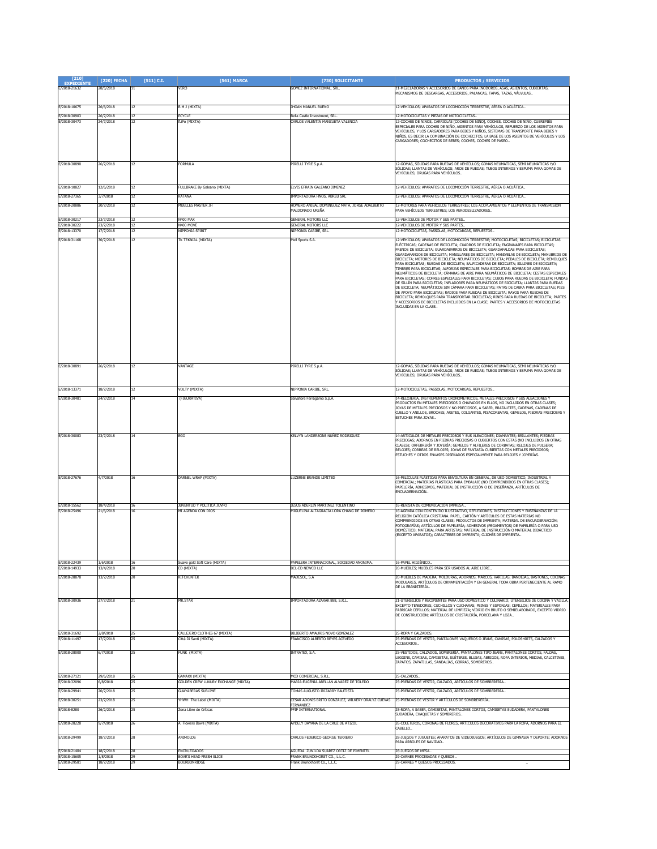| $[210]$<br><b>EXPEDIENTE</b> | [220] FECHA            | $[511]$ C.I. | [561] MARCA                                            | [730] SOLICITANTE                                                             | <b>PRODUCTOS / SERVICIOS</b>                                                                                                                                                                                                                                                                                                                                                                                                                                                                                                                                                                                                                                                                                                                                                                                                                                                                                                                                                                                                                                                                                                                                                                                                                                                                                              |
|------------------------------|------------------------|--------------|--------------------------------------------------------|-------------------------------------------------------------------------------|---------------------------------------------------------------------------------------------------------------------------------------------------------------------------------------------------------------------------------------------------------------------------------------------------------------------------------------------------------------------------------------------------------------------------------------------------------------------------------------------------------------------------------------------------------------------------------------------------------------------------------------------------------------------------------------------------------------------------------------------------------------------------------------------------------------------------------------------------------------------------------------------------------------------------------------------------------------------------------------------------------------------------------------------------------------------------------------------------------------------------------------------------------------------------------------------------------------------------------------------------------------------------------------------------------------------------|
| E/2018-21632                 | 28/5/2018              | 11           | <b>VERO</b>                                            | GOMEZ INTERNATIONAL, SRL.                                                     | 11-MEZCLADORAS Y ACCESORIOS DE BAÑOS PARA INODOROS. ASAS, ASIENTOS, CUBIERTAS,<br>MECANISMOS DE DESCARGAS, ACCESORIOS, PALANCAS, TAPAS, TAZAS, VÁLVULAS,                                                                                                                                                                                                                                                                                                                                                                                                                                                                                                                                                                                                                                                                                                                                                                                                                                                                                                                                                                                                                                                                                                                                                                  |
|                              |                        |              |                                                        |                                                                               |                                                                                                                                                                                                                                                                                                                                                                                                                                                                                                                                                                                                                                                                                                                                                                                                                                                                                                                                                                                                                                                                                                                                                                                                                                                                                                                           |
| E/2018-10675                 | 26/6/2018              | 12           | B M J (MIXTA)                                          | <b>HOAN MANUEL BUENO</b>                                                      | 12-VEHÍCULOS; APARATOS DE LOCOMOCIÓN TERRESTRE, AÉREA O ACUÁTICA                                                                                                                                                                                                                                                                                                                                                                                                                                                                                                                                                                                                                                                                                                                                                                                                                                                                                                                                                                                                                                                                                                                                                                                                                                                          |
| E/2018-30903<br>E/2018-30473 | 26/7/2018<br>24/7/2018 | 12<br>12     | ECYCLE<br>fLiPo (MIXTA)                                | Bella Castle Investment, SRL<br>CARLOS VALENTIN MANZUETA VALENCIA             | 12-MOTOCICLETAS Y PIEZAS DE MOTOCICLETAS.<br>12-COCHES DE NIÑOS, CARRIOLAS [COCHES DE NIÑO], COCHES, COCHES DE NIÑO, CUBREPIÉS                                                                                                                                                                                                                                                                                                                                                                                                                                                                                                                                                                                                                                                                                                                                                                                                                                                                                                                                                                                                                                                                                                                                                                                            |
|                              |                        |              |                                                        |                                                                               | ESPECIALES PARA COCHES DE NIÑO, ASIENTOS PARA VEHÍCULOS, REFUERZO DE LOS ASIENTOS PARA<br>VEHÍCULOS, Y LOS CARGADORES PARA BEBES Y NIÑOS, SISTEMAS DE TRANSPORTE PARA BEBES Y<br>NIÑOS, ES DECIR LA COMBINACIÓN DE COCHECITOS, LA BASE DE LOS ASIENTOS DE VEHÍCULOS Y LOS<br>CARGADORES; COCHECITOS DE BEBES; COCHES, COCHES DE PASEO                                                                                                                                                                                                                                                                                                                                                                                                                                                                                                                                                                                                                                                                                                                                                                                                                                                                                                                                                                                     |
| E/2018-30890                 | 26/7/2018              | 12           | FORMULA                                                | PIRELLI TYRE S.p.A.                                                           | 12-GOMAS, SÓLIDAS PARA RUEDAS DE VEHÍCULOS; GOMAS NEUMÁTICAS, SEMI NEUMÁTICAS Y/O<br>SÓLIDAS; LLANTAS DE VEHÍCULOS; AROS DE RUEDAS; TUBOS INTERNOS Y ESPUMA PARA GOMAS DE<br>VEHÍCULOS: ORUGAS PARA VEHÍCULOS.                                                                                                                                                                                                                                                                                                                                                                                                                                                                                                                                                                                                                                                                                                                                                                                                                                                                                                                                                                                                                                                                                                            |
| E/2018-10827                 | 12/6/2018              |              | FULLBRAKE By Galeano (MIXTA)                           | ELVIS EFRAIN GALEANO JIMENEZ                                                  | 12-VEHÍCULOS; APARATOS DE LOCOMOCIÓN TERRESTRE, AÉREA O ACUÁTICA                                                                                                                                                                                                                                                                                                                                                                                                                                                                                                                                                                                                                                                                                                                                                                                                                                                                                                                                                                                                                                                                                                                                                                                                                                                          |
| E/2018-27365<br>E/2018-20886 | 3/7/2018<br>30/7/2018  | 12           | KATANA<br>MUELLES MASTER JH                            | IMPORTADORA HNOS, ABREU SRI<br>HOMERO ANIBAL DOMINGUEZ MATA, JORGE ADALBERTO  | 12-VEHÍCULOS; APARATOS DE LOCOMOCIÓN TERRESTRE, AÉREA O ACUÁTICA<br>12-MOTORES PARA VEHÍCULOS TERRESTRES: LOS ACOPLAMIENTOS Y ELEMENTOS DE TRANSMISIÓN                                                                                                                                                                                                                                                                                                                                                                                                                                                                                                                                                                                                                                                                                                                                                                                                                                                                                                                                                                                                                                                                                                                                                                    |
| E/2018-30217                 |                        |              |                                                        | MALDONADO UREÑA<br><b>GENERAL MOTORS LLC</b>                                  | PARA VEHÍCULOS TERRESTRES: LOS AERODESLIZADORES.<br>12-VEHÍCULOS DE MOTOR Y SUS PARTES.                                                                                                                                                                                                                                                                                                                                                                                                                                                                                                                                                                                                                                                                                                                                                                                                                                                                                                                                                                                                                                                                                                                                                                                                                                   |
| E/2018-30222                 | 23/7/2018<br>23/7/2018 | 12<br>12     | <b>N400 MAX</b><br>N400 MOVE                           | <b>GENERAL MOTORS LLC</b>                                                     | 12-VEHÍCULOS DE MOTOR Y SUS PARTES.                                                                                                                                                                                                                                                                                                                                                                                                                                                                                                                                                                                                                                                                                                                                                                                                                                                                                                                                                                                                                                                                                                                                                                                                                                                                                       |
| E/2018-13370                 | 17/7/2018              | 12           | NIPPONIA SPIRIT                                        | NIPPONIA CARIBE, SRL                                                          | 12-MOTOCICLETAS, PASSOLAS, MOTOCARGAS, REPUESTOS,                                                                                                                                                                                                                                                                                                                                                                                                                                                                                                                                                                                                                                                                                                                                                                                                                                                                                                                                                                                                                                                                                                                                                                                                                                                                         |
| E/2018-31168                 | 30/7/2018              | 12           | TK TEKNIAL (MIXTA)                                     | Mell Sports S.A.                                                              | 12-VEHÍCULOS; APARATOS DE LOCOMOCIÓN TERRESTRE; MOTOCICLETAS; BICICLETAS; BICICLETAS<br>ELÉCTRICAS; CADENAS DE BICICLETA; CUADROS DE BICICLETA; ENGRANAJES PARA BICICLETAS;<br>FRENOS DE BICICLETA; GUARDABARROS DE BICICLETA; GUARDAFALDAS PARA BICICLETAS;<br>GUARDAFANGOS DE BICICLETA; MANILLARES DE BICICLETA; MANIVELAS DE BICICLETA; MANUBRIOS DE<br>BICICLETA; MOTORES DE BICICLETA; NEUMÁTICOS DE BICICLETA; PEDALES DE BICICLETA; REMOLQUES<br>PARA BICICLETAS; RUEDAS DE BICICLETA; SALPICADERAS DE BICICLETA; SILLINES DE BICICLETA;<br>TIMBRES PARA BICICLETAS; ALFORJAS ESPECIALES PARA BICICLETAS; BOMBAS DE AIRE PARA<br>NEUMÁTICOS DE BICICLETA; CÁMARAS DE AIRE PARA NEUMÁTICOS DE BICICLETA; CESTAS ESPECIALES<br>PARA BICICLETAS; COFRES ESPECIALES PARA BICICLETAS; CUBOS PARA RUEDAS DE BICICLETA; FUNDAS<br>DE SILLÍN PARA BICICLETAS; INFLADORES PARA NEUMÁTICOS DE BICICLETA; LLANTAS PARA RUEDAS<br>DE BICICLETA; NEUMÁTICOS SIN CÁMARA PARA BICICLETAS; PATAS DE CABRA PARA BICICLETAS; PIES<br>DE APOYO PARA BICICLETAS; RADIOS PARA RUEDAS DE BICICLETA; RAYOS PARA RUEDAS DE<br>BICICLETA; REMOLQUES PARA TRANSPORTAR BICICLETAS; RINES PARA RUEDAS DE BICICLETA; PARTES<br>Y ACCESORIOS DE BICICLETAS INCLUIDOS EN LA CLASE; PARTES Y ACCESORIOS DE MOTOCICLETAS<br>INCLUIDAS EN LA CLASE. |
| E/2018-30891                 | 26/7/2018              | 12           | VANTAGE                                                | PIRELLI TYRE S.p.A.                                                           | 12-GOMAS, SÓLIDAS PARA RUEDAS DE VEHÍCULOS; GOMAS NEUMÁTICAS, SEMI NEUMÁTICAS Y/O<br>SÓLIDAS; LLANTAS DE VEHÍCULOS; AROS DE RUEDAS; TUBOS INTERNOS Y ESPUMA PARA GOMAS DE<br>VEHÍCULOS; ORUGAS PARA VEHÍCULOS                                                                                                                                                                                                                                                                                                                                                                                                                                                                                                                                                                                                                                                                                                                                                                                                                                                                                                                                                                                                                                                                                                             |
| E/2018-13371                 | 18/7/2018              | 12           | VOLTY (MIXTA)                                          | NIPPONIA CARIBE, SRL                                                          | 12-MOTOCICLETAS, PASSOLAS, MOTOCARGAS, REPUESTOS                                                                                                                                                                                                                                                                                                                                                                                                                                                                                                                                                                                                                                                                                                                                                                                                                                                                                                                                                                                                                                                                                                                                                                                                                                                                          |
| E/2018-30481                 | 24/7/2018              |              | (FIGURATIVA)                                           | Salvatore Ferragamo S.p.A.                                                    | 14-RELOJERÍA, INSTRUMENTOS CRONOMÉTRICOS, METALES PRECIOSOS Y SUS ALEACIONES Y<br>PRODUCTOS EN METALES PRECIOSOS O CHAPADOS EN ELLOS, NO INCLUIDOS EN OTRAS CLASES;<br>JOYAS DE METALES PRECIOSOS Y NO PRECIOSOS, A SABER, BRAZALETES, CADENAS, CADENAS DE<br>CUELLO Y ANILLOS, BROCHES, ARETES, COLGANTES, PISACORBATAS, GEMELOS, PIEDRAS PRECIOSAS Y<br>ESTUCHES PARA JOYAS.                                                                                                                                                                                                                                                                                                                                                                                                                                                                                                                                                                                                                                                                                                                                                                                                                                                                                                                                            |
| E/2018-30083                 | 23/7/2018              | 14           | EGO                                                    | KELVYN LANDERSONS NUÑEZ RODRIGUEZ                                             | 14-ARTÍCULOS DE METALES PRECIOSOS Y SUS ALEACIONES: DIAMANTES: BRILLANTES: PIEDRAS<br>PRECIOSAS; ADORNOS EN PIEDRAS PRECIOSAS O CUBIERTOS CON ESTAS (NO INCLUIDOS EN OTRAS<br>CLASES); ORFEBRERÍA Y JOYERÍA; GEMELOS Y ALFILERES DE CORBATAS; RELOJES DE PULSERA;<br>RELOJES; CORREAS DE RELOJES; JOYAS DE FANTASÍA CUBIERTAS CON METALES PRECIOSOS;<br>ESTUCHES Y OTROS ENVASES DISEÑADOS ESPECIALMENTE PARA RELOJES Y JOYERÍAS.                                                                                                                                                                                                                                                                                                                                                                                                                                                                                                                                                                                                                                                                                                                                                                                                                                                                                         |
| E/2018-27676                 | 4/7/2018               | 16           | DARNEL WRAP (MIXTA)                                    | <b>LUZERNE BRANDS LIMITED</b>                                                 | 16-PELÍCULAS PLÁSTICAS PARA ENVOLTURA EN GENERAL. DE USO DOMESTICO. INDUSTRIAL Y<br>COMERCIAL: MATERIAS PLÁSTICAS PARA EMBALAJE (NO COMPRENDIDOS EN OTRAS CLASES);<br>PAPELERÍA, ADHESIVOS, MATERIAL DE INSTRUCCIÓN O DE ENSEÑANZA, ARTÍCULOS DE<br>ENCUADERNACIÓN                                                                                                                                                                                                                                                                                                                                                                                                                                                                                                                                                                                                                                                                                                                                                                                                                                                                                                                                                                                                                                                        |
| E/2018-15562<br>E/2018-25496 | 18/4/2018<br>21/6/2018 | 16           | JUVENTUD Y POLITICA JUVPO<br>MI AGENDA CON DIOS        | JESUS ADERLIN MARTINEZ TOLENTINO<br>MIGUELINA ALTAGRACIA LORA CHANG DE ROMERO | 16-REVISTA DE COMUNICACIÓN IMPRESA<br>16-AGENDA CON CONTENIDO ILUSTRATIVO, REFLEXIONES, INSTRUCCIONES Y ENSEÑANZAS DE LA<br>RELIGIÓN CATÓLICA CRISTIANA. PAPEL, CARTÓN Y ARTÍCULOS DE ESTAS MATERIAS NO<br>COMPRENDIDOS EN OTRAS CLASES; PRODUCTOS DE IMPRENTA; MATERIAL DE ENCUADERNACIÓN;<br>FOTOGRAFÍAS: ARTÍCULOS DE PAPELERÍA: ADHESIVOS (PEGAMENTOS) DE PAPELERÍA O PARA USO<br>DOMÉSTICO; MATERIAL PARA ARTISTAS; MATERIAL DE INSTRUCCIÓN O MATERIAL DIDÁCTICO<br>(EXCEPTO APARATOS); CARACTERES DE IMPRENTA; CLICHÉS DE IMPRENTA.                                                                                                                                                                                                                                                                                                                                                                                                                                                                                                                                                                                                                                                                                                                                                                                 |
| E/2018-22439<br>E/2018-14933 | 1/6/2018<br>13/4/2018  | 16<br>20     | Suave gold Soft Care (MIXTA)<br>ED (MIXTA)             | PAPELERA INTERNACIONAL, SOCIEDAD ANONIMA.<br>BCL-ED NEWCO LLC                 | 16-PAPEL HIGIÉNICO<br>20-MUEBLES; MUEBLES PARA SER USADOS AL AIRE LIBRE                                                                                                                                                                                                                                                                                                                                                                                                                                                                                                                                                                                                                                                                                                                                                                                                                                                                                                                                                                                                                                                                                                                                                                                                                                                   |
| E/2018-28878                 | 13/7/2018              | 20           | KITCHENTEK                                             | MADESOL, S.A.                                                                 | 20-MUEBLES DE MADERA, MOLDURAS, ADORNOS, MARCOS, VARILLAS, BANDEJAS, BASTONES, COCINAS<br>MODULARES, ARTÍCULOS DE ORNAMENTACIÓN Y EN GENERAL TODA OBRA PERTENECIENTE AL RAMO<br>DE LA EBANISTERÍA                                                                                                                                                                                                                                                                                                                                                                                                                                                                                                                                                                                                                                                                                                                                                                                                                                                                                                                                                                                                                                                                                                                         |
| E/2018-30936                 | 27/7/2018              | 21           | MR.STAR                                                | IMPORTADORA AZARAK 888, S.R.L.                                                | 21-UTENSILIOS Y RECIPIENTES PARA USO DOMÉSTICO Y CULINARIO; UTENSILIOS DE COCINA Y VAJILLA<br>EXCEPTO TENEDORES, CUCHILLOS Y CUCHARAS; PEINES Y ESPONJAS; CEPILLOS; MATERIALES PARA<br>FABRICAR CEPILLOS; MATERIAL DE LIMPIEZA; VIDRIO EN BRUTO O SEMIELABORADO, EXCEPTO VIDRIO<br>DE CONSTRUCCIÓN; ARTÍCULOS DE CRISTALERÍA, PORCELANA Y LOZA                                                                                                                                                                                                                                                                                                                                                                                                                                                                                                                                                                                                                                                                                                                                                                                                                                                                                                                                                                            |
| E/2018-31692<br>E/2018-11497 | 2/8/2018<br>17/7/2018  | 25<br>25     | CALLEJERO CLOTHES 67 (MIXTA)<br>Città Di Santi (MIXTA) | BILIBERTO AMAURIS NOVO GONZALEZ<br>FRANCISCO ALBERTO REYES ACEVEDO            | 25-ROPA Y CALZADOS.<br>25-PRENDAS DE VESTIR, PANTALONES VAQUEROS O JEANS, CAMISAS, POLOSHIRTS, CALZADOS Y                                                                                                                                                                                                                                                                                                                                                                                                                                                                                                                                                                                                                                                                                                                                                                                                                                                                                                                                                                                                                                                                                                                                                                                                                 |
| E/2018-28000                 | 6/7/2018               |              | FUNK (MIXTA)                                           | INTRATEX, S.A.                                                                | ACCESORIOS                                                                                                                                                                                                                                                                                                                                                                                                                                                                                                                                                                                                                                                                                                                                                                                                                                                                                                                                                                                                                                                                                                                                                                                                                                                                                                                |
| E/2018-27121                 | 29/6/2018              |              | GAMAXX (MIXTA)                                         | MCD COMERCIAL, S.R.L.                                                         | 25-VESTIDOS, CALZADOS, SOMBRERÍA, PANTALONES TIPO JEANS, PANTALONES CORTOS, FALDAS,<br>LEGGINS, CAMISAS, CAMISETAS, SUÉTERES, BLUSAS, ABRIGOS, ROPA INTERIOR, MEDIAS, CALCETINES,<br>ZAPATOS, ZAPATILLAS, SANDALIAS, GORRAS, SOMBREROS<br>25-CALZADOS                                                                                                                                                                                                                                                                                                                                                                                                                                                                                                                                                                                                                                                                                                                                                                                                                                                                                                                                                                                                                                                                     |
| E/2018-32096                 | 6/8/2018               |              | GOLDEN CREW LUXURY EXCHANGE (MIXTA)                    | MARIA-EUGENIA ABELLÁN ALVAREZ DE TOLEDO                                       | 25-PRENDAS DE VESTIR, CALZADO, ARTÍCULOS DE SOMBRERERÍA                                                                                                                                                                                                                                                                                                                                                                                                                                                                                                                                                                                                                                                                                                                                                                                                                                                                                                                                                                                                                                                                                                                                                                                                                                                                   |
| E/2018-29941                 | 20/7/2018              |              | <b>GUAYABERAS SUBLIME</b>                              | TOMAS AUGUSTO IRIZARRY BAUTISTA                                               | 25-PRENDAS DE VESTIR, CALZADO, ARTÍCULOS DE SOMBRERERÍA.                                                                                                                                                                                                                                                                                                                                                                                                                                                                                                                                                                                                                                                                                                                                                                                                                                                                                                                                                                                                                                                                                                                                                                                                                                                                  |
| E/2018-30251                 | 23/7/2018              | 25           | YHWH The Label (MIXTA)                                 | CESAR ADONIS BRITO GONZALEZ, WILKERY ORALYZ CUEVAS<br>FERNANDEZ               | 25-PRENDAS DE VESTIR Y ARTÍCULOS DE SOMBRERERÍA.                                                                                                                                                                                                                                                                                                                                                                                                                                                                                                                                                                                                                                                                                                                                                                                                                                                                                                                                                                                                                                                                                                                                                                                                                                                                          |
| E/2018-8280                  | 26/2/2018              |              | Zona Libre de Críticas                                 | PFIP INTERNATIONAL                                                            | 25-ROPA, A SABER, CAMISETAS, PANTALONES CORTOS, CAMISETAS SUDADERA, PANTALONES<br>SUDADERA, CHAQUETAS Y SOMBREROS                                                                                                                                                                                                                                                                                                                                                                                                                                                                                                                                                                                                                                                                                                                                                                                                                                                                                                                                                                                                                                                                                                                                                                                                         |
| E/2018-28228                 | 9/7/2018               |              | A. Flowers Bows (MIXTA)                                | AYDELY DAYANA DE LA CRUZ DE ATIZOL                                            | 26-COLETEROS, CORONAS DE FLORES, ARTICULOS DECORATIVOS PARA LA ROPA, ADORNOS PARA EL<br>CABELLO                                                                                                                                                                                                                                                                                                                                                                                                                                                                                                                                                                                                                                                                                                                                                                                                                                                                                                                                                                                                                                                                                                                                                                                                                           |
| E/2018-29499                 | 18/7/2018              |              | ANIMOLDS                                               | CARLOS FEDERICO GEORGE TERRERO                                                | 28-JUEGOS Y JUGUETES; APARATOS DE VIDEOJUEGOS; ARTÍCULOS DE GIMNASIA Y DEPORTE; ADORNOS<br>PARA ÁRBOLES DE NAVIDAD.<br>28-JUEGOS DE MFSA                                                                                                                                                                                                                                                                                                                                                                                                                                                                                                                                                                                                                                                                                                                                                                                                                                                                                                                                                                                                                                                                                                                                                                                  |
| E/2018-21404<br>E/2018-15605 | 18/7/2018<br>1/8/2018  | 28<br>29     | ENCRUZIJADOS<br>BOAR'S HEAD FRESH SLICE                | AGUEDA ZUNILDA SUAREZ ORTIZ DE PIMENTEL<br>FRANK BRUNCKHORST CO., L.L.C.      | 29-CARNES PROCESADAS Y QUESOS.                                                                                                                                                                                                                                                                                                                                                                                                                                                                                                                                                                                                                                                                                                                                                                                                                                                                                                                                                                                                                                                                                                                                                                                                                                                                                            |
| E/2018-29581                 | 18/7/2018              |              | <b>BOLIRBONRIDGE</b>                                   | Frank Brunckhorst Co., L.L.C.                                                 | 29-CARNES Y OUESOS PROCESADOS                                                                                                                                                                                                                                                                                                                                                                                                                                                                                                                                                                                                                                                                                                                                                                                                                                                                                                                                                                                                                                                                                                                                                                                                                                                                                             |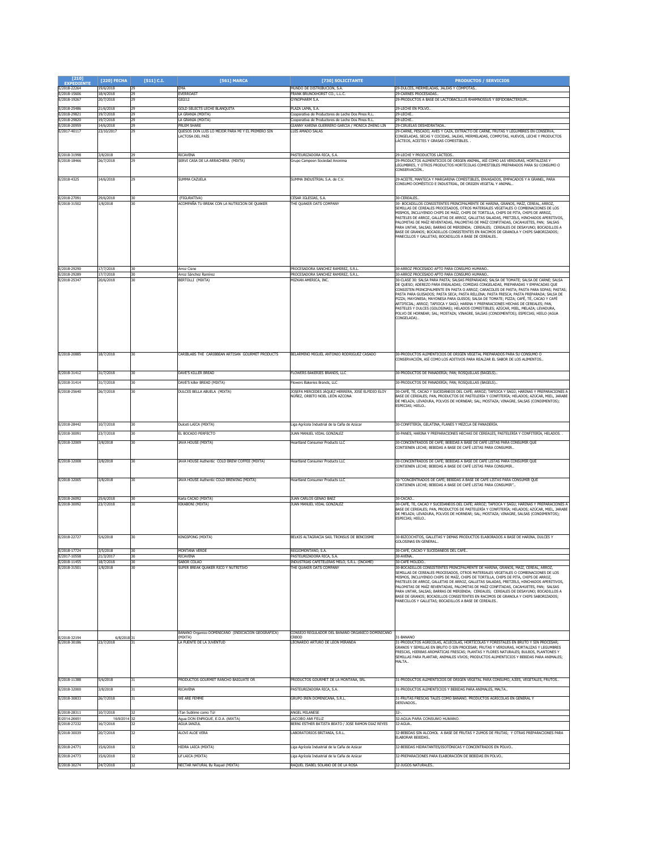| $[210]$<br><b>EXPEDIENTE</b> | [220] FECHA               | $[511]$ C.I. | [561] MARCA                                                           | [730] SOLICITANTE                                                                                      | <b>PRODUCTOS / SERVICIOS</b>                                                                                                                                                                                                                                                                                                                                                                                                                                                                                                                                                                                                                                                                                                                   |
|------------------------------|---------------------------|--------------|-----------------------------------------------------------------------|--------------------------------------------------------------------------------------------------------|------------------------------------------------------------------------------------------------------------------------------------------------------------------------------------------------------------------------------------------------------------------------------------------------------------------------------------------------------------------------------------------------------------------------------------------------------------------------------------------------------------------------------------------------------------------------------------------------------------------------------------------------------------------------------------------------------------------------------------------------|
| E/2018-22264<br>E/2018-15606 | 19/6/2018<br>18/4/2018    | 29<br>29     | EMA<br>EVERROAST                                                      | MUNDO DE DISTRIBUCION, S.A.<br>RANK BRUNCKHORST CO., L.L.C.                                            | 29-DULCES, MERMELADAS, JALEAS Y COMPOTAS<br>9-CARNES PROCESADAS.                                                                                                                                                                                                                                                                                                                                                                                                                                                                                                                                                                                                                                                                               |
| E/2018-19267                 | 20/7/2018                 | 29           | GIGI12                                                                | <b>SYNOPHARM S.A.</b>                                                                                  | 29-PRODUCTOS A BASE DE LACTOBACILLUS RHAMNOSSUS Y BIFIDOBACTERIUM.                                                                                                                                                                                                                                                                                                                                                                                                                                                                                                                                                                                                                                                                             |
| E/2018-25486                 | 21/6/2018                 | 29           | GOLD SELECTS LECHE BLANQUITA                                          | PLAZA LAMA, S.A.                                                                                       | 29-LECHE EN POLVO.                                                                                                                                                                                                                                                                                                                                                                                                                                                                                                                                                                                                                                                                                                                             |
| E/2018-29821                 | 19/7/2018                 | 29           | LA GRANJA (MIXTA)                                                     | ooperativa de Productores de Leche Dos Pinos R.L                                                       | 29-LECHE.                                                                                                                                                                                                                                                                                                                                                                                                                                                                                                                                                                                                                                                                                                                                      |
| E/2018-29820<br>:/2018-20959 | 19/7/2018<br>14/6/2018    | 29<br>29     | LA GRANJA (MIXTA)<br>PRUIM SHARE                                      | Cooperativa de Productores de Leche Dos Pinos R.L.<br>SIANNY KARINA GUERRERO GARCIA / MONICA ZHENG LIN | 29-LECHE.<br>9-CIRUELAS DESHIDRATADA                                                                                                                                                                                                                                                                                                                                                                                                                                                                                                                                                                                                                                                                                                           |
| E/2017-40117                 | 23/10/2017                | 29           | QUESOS DON LUIS LO MEJOR PARA MI Y EL PRIMERO SIN<br>LACTOSA DEL PAÍS | LUIS AMADO SALAS                                                                                       | 29-CARNE, PESCADO, AVES Y CAZA, EXTRACTO DE CARNE, FRUTAS Y LEGUMBRES EN CONSERVA.<br>CONGELADAS, SECAS Y COCIDAS, JALEAS, MERMELADAS, COMPOTAS, HUEVOS, LECHE Y PRODUCTOS<br>ÁCTEOS, ACEITES Y GRASAS COMESTIBLES.                                                                                                                                                                                                                                                                                                                                                                                                                                                                                                                            |
| /2018-31998<br>E/2018-18466  | 3/8/2018<br>26/7/2018     | 29<br>29     | <b>RICAVENA</b><br>SERVI CASA DE LA ARRACHERA (MIXTA)                 | ASTEURIZADORA RICA, S.A<br>Grupo Campeon Sociedad Anonima                                              | 19-LECHE Y PRODUCTOS LÁCTEOS.<br>29-PRODUCTOS ALIMENTICIOS DE ORIGEN ANIMAL, ASÍ COMO LAS VERDURAS, HORTALIZAS Y<br>EGUMBRES, Y OTROS PRODUCTOS HORTÍCOLAS COMESTIBLES PREPARADOS PARA SU CONSUMO O<br>CONSERVACIÓN.                                                                                                                                                                                                                                                                                                                                                                                                                                                                                                                           |
| E/2018-4325                  | 14/6/2018                 | 29           | SUMMA CAZUELA                                                         | SUMMA INDUSTRIAL S.A. de C.V.                                                                          | 29-ACEITE, MANTECA Y MARGARINA COMESTIBLES, ENVASADOS, EMPACADOS Y A GRANEL, PARA<br>CONSUMO DOMÉSTICO E INDUSTRIAL, DE ORIGEN VEGETAL Y ANIMAL                                                                                                                                                                                                                                                                                                                                                                                                                                                                                                                                                                                                |
| E/2018-27091                 | 29/6/2018                 | 30           | (FIGURATIVA)                                                          | CÉSAR IGLESIAS. S.A.                                                                                   | 30-CEREALES                                                                                                                                                                                                                                                                                                                                                                                                                                                                                                                                                                                                                                                                                                                                    |
| E/2018-31502                 | 1/8/2018                  | 30           | (COMPAÑA TU BREAK CON LA NUTRICION DE QUAKER                          | <b>HE QUAKER OATS COMPANY</b>                                                                          | 80- BOCADILLOS CONSISTENTES PRINCIPALMENTE DE HARINA, GRANOS, MAÍZ, CEREAL, ARROZ,<br>SEMILLAS DE CEREALES PROCESADOS, OTROS MATERIALES VEGETALES O COMBINACIONES DE LOS<br>VISMOS, INCLUYENDO CHIPS DE MAÍZ, CHIPS DE TORTILLA, CHIPS DE PITA, CHIPS DE ARROZ,<br>PASTELES DE ARROZ, GALLETAS DE ARROZ, GALLETAS SALADAS, PRETZELS, HINCHADOS APERITIVOS,<br>PALOMITAS DE MAÍZ REVENTADAS, PALOMITAS DE MAÍZ CONFITADAS, CACAHUETES, PAN; SALSAS<br>PARA UNTAR, SALSAS; BARRAS DE MERIENDA; CEREALES; CEREALES DE DESAYUNO; BOCADILLOS A<br>BASE DE GRANOS; BOCADILLOS CONSISTENTES EN RACIMOS DE GRANOLA Y CHIPS SABORIZADOS;<br>PANECILLOS Y GALLETAS; BOCADILLOS A BASE DE CEREALES                                                        |
| E/2018-29290<br>E/2018-29289 | 17/7/2018<br>17/7/2018    | 30<br>30     | Arroz Cisne<br>Arroz Sánchez Ramírez                                  | ROCESADORA SANCHEZ RAMIREZ, S.R.L.<br>ROCESADORA SANCHEZ RAMIREZ, S.R.L                                | 30-ARROZ PROCESADO APTO PARA CONSUMO HUMANO.<br>0-ARROZ PROCESADO APTO PARA CONSUMO HUMANO.                                                                                                                                                                                                                                                                                                                                                                                                                                                                                                                                                                                                                                                    |
| E/2018-25347                 | 20/6/2018                 |              | BERTOLLI (MIXTA)                                                      | <b>IIZKAN AMERICA, INC</b>                                                                             | 30-CLASE 30: SALSA PARA PASTA: SALSAS PREPARADAS: SALSA DE TOMATE: SALSA DE CARNE: SALSA<br>DE QUESO; ADEREZO PARA ENSALADAS; COMIDAS CONGELADAS, PREPARADAS Y EMPACADAS QUE<br>CONSISTEN PRINCIPALMENTE EN PASTA O ARROZ; CARACOLES DE PASTA; PASTA PARA SOPAS; PASTAS;<br>PASTA PARA GUISADOS; PASTA SECA; PASTA RELLENA; PASTA FRESCA; PASTA PREPARADA; SALSA DE<br>PIZZA; MAYONESA; MAYONESA PARA GUISOS; SALSA DE TOMATE; PIZZA; CAFÉ, TÉ, CACAO Y CAFÉ<br>ARTIFICIAL; ARROZ; TAPIOCA Y SAGÚ; HARINA Y PREPARACIONES HECHAS DE CEREALES; PAN,<br>PASTELES Y DULCES (GOLOSINAS); HELADOS COMESTIBLES; AZÚCAR, MIEL, MELAZA; LEVADURA,<br>OLVO DE HORNEAR; SAL; MOSTAZA; VINAGRE, SALSAS (CONDIMENTOS); ESPECIAS; HIELO (AGUA<br>CONGELADA) |
| E/2018-20885                 | 18/7/2018                 | 30           | CARIBLABS THE CARIBBEAN ARTISAN GOURMET PRODUCTS                      | BELARMINO MIGUEL ANTONIO RODRIGUEZ CASADO                                                              | 30-PRODUCTOS ALIMENTICIOS DE ORIGEN VEGETAL PREPARADOS PARA SU CONSUMO O<br>CONSERVACIÓN, ASÍ COMO LOS ADITIVOS PARA REALZAR EL SABOR DE LOS ALIMENTOS                                                                                                                                                                                                                                                                                                                                                                                                                                                                                                                                                                                         |
| E/2018-31412                 | 31/7/2018                 | 30           | DAVE'S KILLER BREAD                                                   | FLOWERS BAKERIES BRANDS, LLC                                                                           | 30-PRODUCTOS DE PANADERÍA; PAN; ROSQUILLAS (BAGELS)                                                                                                                                                                                                                                                                                                                                                                                                                                                                                                                                                                                                                                                                                            |
| E/2018-31414                 | 31/7/2018                 | 30           | DAVE'S killer BREAD (MIXTA)                                           | lowers Bakeries Brands, LLC                                                                            | 30-PRODUCTOS DE PANADERÍA; PAN; ROSQUILLAS (BAGELS)                                                                                                                                                                                                                                                                                                                                                                                                                                                                                                                                                                                                                                                                                            |
| E/2018-25640                 | 26/7/2018                 | 30           | DULCES BELLA ABUELA (MIXTA)                                           | OSEFA MERCEDES JÁQUEZ HERRERA, JOSÉ ELPIDIO ELOY<br>NÚÑEZ, ORBITO NOEL LEÓN AZCONA                     | 80-CAFÉ, TÉ, CACAO Y SUCEDÁNEOS DEL CAFÉ; ARROZ; TAPIOCA Y SAGÚ; HARINAS Y PREPARACIONES A<br>BASE DE CEREALES; PAN, PRODUCTOS DE PASTELERÍA Y CONFITERÍA; HELADOS; AZÚCAR, MIEL, JARABE<br>DE MELAZA; LEVADURA, POLVOS DE HORNEAR; SAL; MOSTAZA; VINAGRE, SALSAS (CONDIMENTOS);<br>ESPECIAS; HIELO                                                                                                                                                                                                                                                                                                                                                                                                                                            |
| E/2018-28442                 | 10/7/2018                 | 30           | Dulceti LAICA (MIXTA)                                                 | iga Agrícola Industrial de la Caña de Azúcar.                                                          | 30-CONFITERÍA, GELATINA, FLANES Y MEZCLA DE PANADERÍA.                                                                                                                                                                                                                                                                                                                                                                                                                                                                                                                                                                                                                                                                                         |
| E/2018-30091                 | 23/7/2018                 | 30           | EL BOCADO PERFECTO                                                    | IUAN MANUEL VIDAL GONZALEZ                                                                             | 30-PANES, HARINA Y PREPARACIONES HECHAS DE CEREALES, PASTELERÍA Y CONFITERÍA, HELADOS. .                                                                                                                                                                                                                                                                                                                                                                                                                                                                                                                                                                                                                                                       |
| E/2018-32009                 | 3/8/2018                  | 30           | JAVA HOUSE (MIXTA)                                                    | eartland Consumer Products LLC                                                                         | 30-CONCENTRADOS DE CAFÉ; BEBIDAS A BASE DE CAFÉ LISTAS PARA CONSUMIR QUE<br>CONTIENEN LECHE; BEBIDAS A BASE DE CAFÉ LISTAS PARA CONSUMIR                                                                                                                                                                                                                                                                                                                                                                                                                                                                                                                                                                                                       |
| E/2018-32008                 | 3/8/2018                  | 30           | JAVA HOUSE Authentic COLD BREW COFFEE (MIXTA)                         | <b>Heartland Consumer Products LLC</b>                                                                 | 30-CONCENTRADOS DE CAFÉ; BEBIDAS A BASE DE CAFÉ LISTAS PARA CONSUMIR QUE<br>CONTIENEN LECHE; BEBIDAS A BASE DE CAFÉ LISTAS PARA CONSUMIR                                                                                                                                                                                                                                                                                                                                                                                                                                                                                                                                                                                                       |
| E/2018-32005                 | 3/8/2018                  |              | JAVA HOUSE Authentic COLD BREWING (MIXTA)                             | leartland Consumer Products LLC                                                                        | 30-"CONCENTRADOS DE CAFÉ; BEBIDAS A BASE DE CAFÉ LISTAS PARA CONSUMIR QUE<br>CONTIENEN LECHE; BEBIDAS A BASE DE CAFÉ LISTAS PARA CONSUMIR"                                                                                                                                                                                                                                                                                                                                                                                                                                                                                                                                                                                                     |
| E/2018-26092                 | 25/6/2018                 | l30          | Karla CACAO (MIXTA)                                                   | JUAN CARLOS GENAO BAEZ                                                                                 | 30-CACAO                                                                                                                                                                                                                                                                                                                                                                                                                                                                                                                                                                                                                                                                                                                                       |
| E/2018-30092                 | 23/7/2018                 | 30           | KIKABONI (MIXTA)                                                      | UAN MANUEL VIDAL GONZALEZ                                                                              | 30-CAFÉ, TÉ, CACAO Y SUCEDÁNEOS DEL CAFÉ; ARROZ; TAPIOCA Y SAGÚ; HARINAS Y PREPARACIONES A<br>BASE DE CEREALES; PAN, PRODUCTOS DE PASTELERÍA Y CONFITERÍA; HELADOS; AZÚCAR, MIEL, JARABE<br>DE MELAZA; LEVADURA, POLVOS DE HORNEAR; SAL; MOSTAZA; VINAGRE, SALSAS (CONDIMENTOS);<br>SPECIAS; HIELO.                                                                                                                                                                                                                                                                                                                                                                                                                                            |
| E/2018-22727                 | 5/6/2018                  | 30           | KINGSPONG (MIXTA)                                                     | BELKIS ALTAGRACIA SAIL TRONSUS DE BENCOSME                                                             | 30-BIZCOCHITOS, GALLETAS Y DEMAS PRODUCTOS ELABORADOS A BASE DE HARINA, DULCES Y<br>GOLOSINAS EN GENERAL.                                                                                                                                                                                                                                                                                                                                                                                                                                                                                                                                                                                                                                      |
| E/2018-17724                 | 3/5/2018                  | 30           | MONTAÑA VERDE                                                         | REGIOMONTANO, S.A.                                                                                     | 30-CAFÉ, CACAO Y SUCEDÁNEOS DEL CAFÉ                                                                                                                                                                                                                                                                                                                                                                                                                                                                                                                                                                                                                                                                                                           |
| E/2018-11455<br>E/2018-31501 | 18/7/2018<br>1/8/2018     | 30<br>30     | SABOR COLAO<br>SUPER BREAK QUAKER RICO Y NUTRITIVO                    | INDUSTRIAS CAFETELERAS MELO, S.R.L. (INCAME)<br>THE QUAKER OATS COMPANY                                | 30-CAFÉ MOI IDO.<br>30-BOCADILLOS CONSISTENTES PRINCIPALMENTE DE HARINA, GRANOS, MAÍZ, CEREAL, ARROZ,                                                                                                                                                                                                                                                                                                                                                                                                                                                                                                                                                                                                                                          |
|                              |                           |              | ANANO Organico DOMINICANO (INDICACION GEOGRAFICA)                     | CONSEJO REGULADOR DEL BANANO ORGANICO DOMINICANO                                                       | SEMILLAS DE CEREALES PROCESADOS, OTROS MATERIALES VEGETALES O COMBINACIONES DE LOS<br>⁄IISMOS, INCLUYENDO CHIPS DE MAÍZ, CHIPS DE TORTILLA, CHIPS DE PITA, CHIPS DE ARROZ,<br>.<br>PASTELES DE ARROZ, GALLETAS DE ARROZ, GALLETAS SALADAS, PRETZELS, HINCHADOS APERITIVOS,<br>PALOMITAS DE MAÍZ REVENTADAS, PALOMITAS DE MAÍZ CONFITADAS, CACAHUETES, PAN; SALSAS<br>PARA UNTAR, SALSAS; BARRAS DE MERIENDA; CEREALES; CEREALES DE DESAYUNO; BOCADILLOS A<br>BASE DE GRANOS; BOCADILLOS CONSISTENTES EN RACIMOS DE GRANOLA Y CHIPS SABORIZADOS;<br>PANECILLOS Y GALLETAS: BOCADILLOS A BASE DE CEREALES                                                                                                                                        |
| E/2018-32194<br>E/2018-30186 | 6/8/2018<br>23/7/2018     |              | (MIXTA)<br>LA FUENTE DE LA JUVENTUD                                   | RBOD<br>EONARDO ARTURO DE LEON MIRANDA                                                                 | 1-BANANO<br>31-PRODUCTOS AGRÍCOLAS, ACUÍCOLAS, HORTÍCOLAS Y FORESTALES EN BRUTO Y SIN PROCESAR;<br>SRANOS Y SEMILLAS EN BRUTO O SIN PROCESAR; FRUTAS Y VERDURAS, HORTALIZAS Y LEGUMBRES<br>RESCAS, HIERBAS AROMÁTICAS FRESCAS; PLANTAS Y FLORES NATURALES; BULBOS, PLANTONES Y<br>SEMILLAS PARA PLANTAR; ANIMALES VIVOS; PRODUCTOS ALIMENTICIOS Y BEBIDAS PARA ANIMALES;<br>MALTA                                                                                                                                                                                                                                                                                                                                                              |
| E/2018-11388                 | 5/6/2018                  | 31           | PRODUCTOS GOURMET RANCHO BAIGUATE OR                                  | PRODUCTOS GOURMET DE LA MONTAÑA, SRL                                                                   | 31-PRODUCTOS ALIMENTICIOS DE ORIGEN VEGETAL PARA CONSUMO, AJÍES, VEGETALES, FRUTOS                                                                                                                                                                                                                                                                                                                                                                                                                                                                                                                                                                                                                                                             |
| E/2018-32000                 | 3/8/2018                  |              | RICAVENA                                                              | ASTEURIZADORA RICA, S.A.                                                                               | 1-PRODUCTOS ALIMENTICIOS Y BEBIDAS PARA ANIMALES, MALTA                                                                                                                                                                                                                                                                                                                                                                                                                                                                                                                                                                                                                                                                                        |
| E/2018-30833                 | 26/7/2018                 |              | WE ARE FEMME                                                          | GRUPO IREN DOMINICANA, S.R.L.                                                                          | 31-FRUTAS FRESCAS TALES COMO BANANO. PRODUCTOS AGRÍCOLAS EN GENERAL Y<br>DERIVADOS.                                                                                                                                                                                                                                                                                                                                                                                                                                                                                                                                                                                                                                                            |
| E/2018-28311                 | 10/7/2018                 | 32           | iTan Sublime como Tú!                                                 | ANGEL MILANESE                                                                                         |                                                                                                                                                                                                                                                                                                                                                                                                                                                                                                                                                                                                                                                                                                                                                |
| E/2014-26651<br>E/2018-27232 | 16/9/2014 32<br>16/7/2018 |              | Agua DON ENRIQUE, E.D.A. (MIXTA)<br><b>AGUA IANZUL</b>                | JACOBO AMI FELIZ<br>BERNI ESTHER BATISTA BEATO / JOSE RAMON DIAZ REYES                                 | 32-AGUA PARA CONSUMO HUMANO.<br>32-AGLIA.                                                                                                                                                                                                                                                                                                                                                                                                                                                                                                                                                                                                                                                                                                      |
| E/2018-30039                 | 20/7/2018                 | 32           | ALOVI ALOE VERA                                                       | ABORATORIOS BRITANIA, S.R.L.                                                                           | 32-BEBIDAS SIN ALCOHOL A BASE DE FRUTAS Y ZUMOS DE FRUTAS; Y OTRAS PREPARACIONES PARA<br>ELABORAR BEBIDAS.                                                                                                                                                                                                                                                                                                                                                                                                                                                                                                                                                                                                                                     |
| E/2018-24771<br>E/2018-24773 | 15/6/2018<br>15/6/2018    |              | HIDRA LAICA (MIXTA)<br>Lif LAICA (MIXTA)                              | iga Agrícola Industrial de la Caña de Azúcar.<br>iga Agrícola Industrial de la Caña de Azúca           | 32-BEBIDAS HIDRATANTES/ISOTÓNICAS Y CONCENTRADOS EN POLVO<br>32-PREPARACIONES PARA ELABORACIÓN DE BEBIDAS EN POLVO                                                                                                                                                                                                                                                                                                                                                                                                                                                                                                                                                                                                                             |
| E/2018-30274                 | 24/7/2018                 | 32           | NECTAR NATURAL By Raquel (MIXTA)                                      | RAQUEL ISABEL SOLANO DE DE LA ROSA                                                                     | 32-JUGOS NATURALES                                                                                                                                                                                                                                                                                                                                                                                                                                                                                                                                                                                                                                                                                                                             |
|                              |                           |              |                                                                       |                                                                                                        |                                                                                                                                                                                                                                                                                                                                                                                                                                                                                                                                                                                                                                                                                                                                                |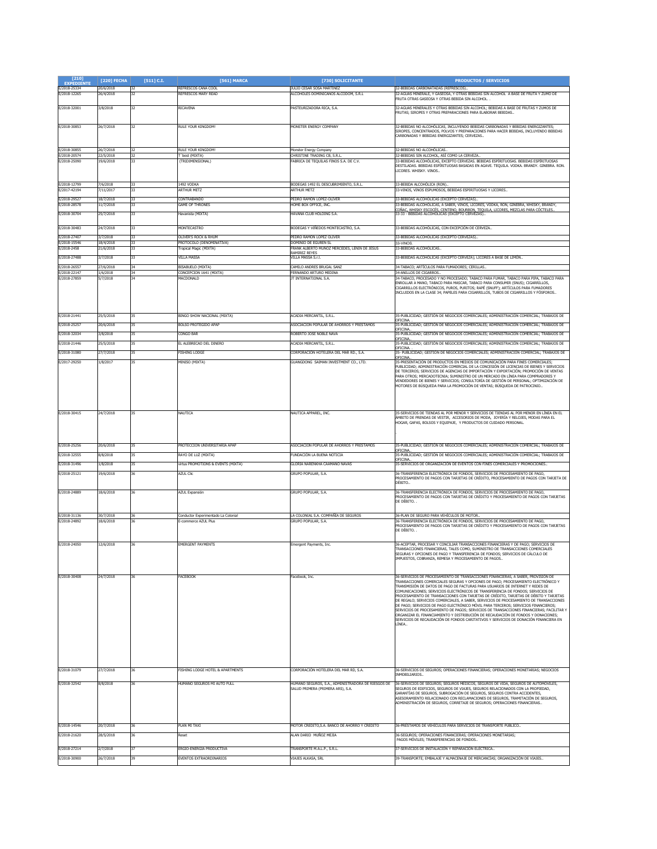| $[210]$<br><b>FYPEDTENTE</b> | [220] FECHA            | $[511]$ C.I. | [561] MARCA                                                | [730] SOLICITANTE                                                                       | <b>PRODUCTOS / SERVICIOS</b>                                                                                                                                                                                                                                                                                                                                                                                                                                                                                                                                                                                                                                                                                                                                                                                                                                                                        |
|------------------------------|------------------------|--------------|------------------------------------------------------------|-----------------------------------------------------------------------------------------|-----------------------------------------------------------------------------------------------------------------------------------------------------------------------------------------------------------------------------------------------------------------------------------------------------------------------------------------------------------------------------------------------------------------------------------------------------------------------------------------------------------------------------------------------------------------------------------------------------------------------------------------------------------------------------------------------------------------------------------------------------------------------------------------------------------------------------------------------------------------------------------------------------|
| E/2018-25334<br>E/2018-12265 | 20/6/2018<br>26/4/2018 | 32           | REFRESCOS CANA COOL<br>REERESCOS MARY READ                 | JULIO CESAR SOSA MARTINEZ<br>ALCOHOLES DOMINICANOS ALCODOM, S.R.L                       | 32-BEBIDAS CARBONATADAS (REFRESCOS).<br>2-AGUAS MINERALE, Y GASEOSA, Y OTRAS BEBIDAS SIN ALCOHOL A BASE DE FRUTA Y ZUMO DE                                                                                                                                                                                                                                                                                                                                                                                                                                                                                                                                                                                                                                                                                                                                                                          |
|                              |                        |              |                                                            |                                                                                         | FRUTA OTRAS GASEOSA Y OTRAS BEBIDA SIN ALCOHOL. .                                                                                                                                                                                                                                                                                                                                                                                                                                                                                                                                                                                                                                                                                                                                                                                                                                                   |
| E/2018-32001                 | 3/8/2018               | 32           | RICAVENA                                                   | PASTEURIZADORA RICA, S.A.                                                               | 32-AGUAS MINERALES Y OTRAS BEBIDAS SIN ALCOHOL: BEBIDAS A BASE DE ERUTAS Y ZUMOS DE<br>FRUTAS: SIROPES Y OTRAS PREPARACIONES PARA ELABORAR BEBIDAS                                                                                                                                                                                                                                                                                                                                                                                                                                                                                                                                                                                                                                                                                                                                                  |
| E/2018-30853                 | 26/7/2018              |              | RULE YOUR KINGDOM                                          | <b>MONSTER ENERGY COMPANY</b>                                                           | 32-BEBIDAS NO ALCOHÓLICAS, INCLUYENDO BEBIDAS CARBONADAS Y BEBIDAS ENERGIZANTES;                                                                                                                                                                                                                                                                                                                                                                                                                                                                                                                                                                                                                                                                                                                                                                                                                    |
|                              |                        |              |                                                            |                                                                                         | SIROPES, CONCENTRADOS, POLVOS Y PREPARACIONES PARA HACER BEBIDAS, INCLUYENDO BEBIDAS<br>ARBONADAS Y BEBIDAS ENERGIZANTES; CERVEZAS                                                                                                                                                                                                                                                                                                                                                                                                                                                                                                                                                                                                                                                                                                                                                                  |
|                              |                        |              |                                                            |                                                                                         |                                                                                                                                                                                                                                                                                                                                                                                                                                                                                                                                                                                                                                                                                                                                                                                                                                                                                                     |
| E/2018-30855<br>E/2018-20574 | 26/7/2018<br>22/5/2018 |              | RULE YOUR KINGDOM!<br>'best (MIXTA)                        | Monster Energy Company<br>CHRISTINE TRADING CB, S.R.L                                   | 32-BEBIDAS NO ALCOHÓLICAS.<br>2-BEBIDAS SIN ALCOHOL, ASÍ COMO LA CERVEZA.                                                                                                                                                                                                                                                                                                                                                                                                                                                                                                                                                                                                                                                                                                                                                                                                                           |
| E/2018-25090                 | 19/6/2018              |              | (TRIDIMENSIONAL)                                           | FABRICA DE TEQUILAS FINOS S.A. DE C.V.                                                  | 33-BEBIDAS ALCOHÓLICAS. EXCEPTO CERVEZAS. BEBIDAS ESPÍRITUOSAS. BEBIDAS ESPÍRITUOSAS<br>DESTILADAS. BEBIDAS ESPÍRITUOSAS BASADAS EN AGAVE. TEQUILA. VODKA. BRANDY. GINEBRA. RON.                                                                                                                                                                                                                                                                                                                                                                                                                                                                                                                                                                                                                                                                                                                    |
|                              |                        |              |                                                            |                                                                                         | <b>ICORES. WHISKY. VINOS.</b>                                                                                                                                                                                                                                                                                                                                                                                                                                                                                                                                                                                                                                                                                                                                                                                                                                                                       |
| E/2018-12799                 | 7/6/2018               |              | 1492 VODKA                                                 | BODEGAS 1492 EL DESCUBRIMIENTO, S.R.L.                                                  | 33-BEBIDA ALCOHÓLICA (RON).                                                                                                                                                                                                                                                                                                                                                                                                                                                                                                                                                                                                                                                                                                                                                                                                                                                                         |
| E/2017-42194                 | /11/201                |              | <b>ARTHUR METZ</b>                                         | <b>ARTHUR METZ</b>                                                                      | 3-VINOS, VINOS ESPUMOSOS, BEBIDAS ESPIRITUOSAS Y LICORES.                                                                                                                                                                                                                                                                                                                                                                                                                                                                                                                                                                                                                                                                                                                                                                                                                                           |
| E/2018-29527<br>E/2018-28578 | 18/7/2018<br>11/7/2018 |              | CONTRABANDO<br><b>SAME OF THRONES</b>                      | PEDRO RAMON LOPEZ-OLIVER<br><b>IOME BOX OFFICE, INC</b>                                 | 33-BEBIDAS ALCOHÓLICAS (EXCEPTO CERVEZAS)<br>3-BEBIDAS ALCOHÓLICAS, A SABER, VINOS, LICORES, VODKA, RON, GINEBRA, WHISKY, BRANDY,                                                                                                                                                                                                                                                                                                                                                                                                                                                                                                                                                                                                                                                                                                                                                                   |
| E/2018-30704                 | 25/7/2018              | 33           | Havanista (MIXTA)                                          | HAVANA CLUB HOLDING S.A.                                                                | COÑAC, WHISKY ESCOCÉS, CENTENO, BOURBON, TEQUILA, LICORES, MEZCLAS PARA COCTELES<br>33-33 - BEBIDAS ALCOHÓLICAS (EXCEPTO CERVEZAS)                                                                                                                                                                                                                                                                                                                                                                                                                                                                                                                                                                                                                                                                                                                                                                  |
|                              |                        |              |                                                            |                                                                                         |                                                                                                                                                                                                                                                                                                                                                                                                                                                                                                                                                                                                                                                                                                                                                                                                                                                                                                     |
| E/2018-30483<br>E/2018-27407 | 24/7/2018<br>3/7/2018  | 33           | MONTECASTRO<br>OLIVER'S ROCK & RHUM                        | BODEGAS Y VIÑEDOS MONTECASTRO, S.A.<br>PEDRO RAMON LOPEZ OLIVER                         | 33-BEBIDAS ALCOHÓLICAS, CON EXCEPCIÓN DE CERVEZA<br>33-BEBIDAS ALCOHÓLICAS (EXCEPTO CERVEZAS).                                                                                                                                                                                                                                                                                                                                                                                                                                                                                                                                                                                                                                                                                                                                                                                                      |
| E/2018-15546                 | 18/4/2018              | 33           | PROTOCOLO (DENOMINATIVA)                                   | DOMINIO DE EGUREN SL                                                                    | 33-VINOS                                                                                                                                                                                                                                                                                                                                                                                                                                                                                                                                                                                                                                                                                                                                                                                                                                                                                            |
| E/2018-2458                  | 21/6/2018              |              | ropical Magic (MIXTA)                                      | RANK ALBERTO MUÑOZ MERCEDES, LENIN DE JESUS<br><b>RAMIREZ REYES</b>                     | 33-BEBIDAS ALCOHÓLICAS                                                                                                                                                                                                                                                                                                                                                                                                                                                                                                                                                                                                                                                                                                                                                                                                                                                                              |
| E/2018-27488<br>E/2018-26557 | 3/7/2018<br>27/6/2018  | 34           | VILLA MASSA<br>BISABUELO (MIXTA)                           | <b>ILLA MASSA S.r.l.</b><br>CAMILO ANDRES BRUGAL SANZ                                   | 33-BEBIDAS ALCOHÓLICAS (EXCEPTO CERVEZA); LICORES A BASE DE LIMÓN<br>34-TABACO; ARTÍCULOS PARA FUMADORES; CERILLAS                                                                                                                                                                                                                                                                                                                                                                                                                                                                                                                                                                                                                                                                                                                                                                                  |
| E/2018-22147                 | 1/6/2018               | 34           | CONCEPCION 1641 (MIXTA)                                    | FERNANDO ARTURO MEDINA                                                                  | 34-ANILLOS DE CIGARROS.                                                                                                                                                                                                                                                                                                                                                                                                                                                                                                                                                                                                                                                                                                                                                                                                                                                                             |
| E/2018-27859                 | 5/7/2018               |              | MACDONALD                                                  | IT INTERNATIONAL S.A.                                                                   | 34-TABACO, PROCESADO Y NO PROCESADO: TABACO PARA FUMAR, TABACO PARA PIPA, TABACO PARA<br>ENROLLAR A MANO, TABACO PARA MASCAR, TABACO PARA CONSUMIR (SNUS); CIGARRILLOS,<br>CIGARRILLOS ELECTRÓNICOS, PUROS, PURITOS; RAPÉ (SNUFF); ARTÍCULOS PARA FUMADORES<br>INCLUIDOS EN LA CLASE 34; PAPELES PARA CIGARRILLOS, TUBOS DE CIGARRILLOS Y FÓSFOROS.                                                                                                                                                                                                                                                                                                                                                                                                                                                                                                                                                 |
| E/2018-21441                 | 25/5/2018              |              | BINGO SHOW NACIONAL (MIXTA)                                | <b>ACADIA MERCANTIL, S.R.L.</b>                                                         | 35-PUBLICIDAD; GESTIÓN DE NEGOCIOS COMERCIALES; ADMINISTRACIÓN COMERCIAL; TRABAJOS DE                                                                                                                                                                                                                                                                                                                                                                                                                                                                                                                                                                                                                                                                                                                                                                                                               |
| E/2018-25257                 | 20/6/2018              |              | <b>BOLSO PROTEGIDO APAP</b>                                | ASOCIACION POPULAR DE AHORROS Y PRESTAMOS                                               | DFICINA<br>35-PUBLICIDAD; GESTIÓN DE NEGOCIOS COMERCIALES; ADMINISTRACIÓN COMERCIAL; TRABAJOS DE                                                                                                                                                                                                                                                                                                                                                                                                                                                                                                                                                                                                                                                                                                                                                                                                    |
| E/2018-32034                 | 3/8/2018               |              | CONGO BAR                                                  | ROBERTO JOSE NOBLE NAVA                                                                 | JFICINA<br>.<br>35-PUBLICIDAD: GESTIÓN DE NEGOCIOS COMERCIALES: ADMINISTRACIÓN COMERCIAL: TRABAJOS DE<br>OFICINA                                                                                                                                                                                                                                                                                                                                                                                                                                                                                                                                                                                                                                                                                                                                                                                    |
| E/2018-21446                 | 25/5/2018              |              | EL ALEBRECAO DEL DINERO                                    | ACADIA MERCANTIL, S.R.L.                                                                | OFICINA.                                                                                                                                                                                                                                                                                                                                                                                                                                                                                                                                                                                                                                                                                                                                                                                                                                                                                            |
| E/2018-31080                 | 27/7/2018              |              | <b>ESHING LODGE</b>                                        | CORPORACIÓN HOTELERA DEL MAR RD., S.A                                                   | 35- PUBLICIDAD; GESTIÓN DE NEGOCIOS COMERCIALES; ADMINISTRACIÓN COMERCIAL; TRABAJOS DE<br><b>DFICINA</b>                                                                                                                                                                                                                                                                                                                                                                                                                                                                                                                                                                                                                                                                                                                                                                                            |
| E/2017-29250                 | 1/8/2017               |              | MINISO (MIXTA)                                             | GUANGDONG SAIMAN INVESTMENT CO., LTD.                                                   | 35-PRESENTACIÓN DE PRODUCTOS EN MEDIOS DE COMUNICACIÓN PARA FINES COMERCIALES;<br>PUBLICIDAD; ADMINISTRACIÓN COMERCIAL DE LA CONCESIÓN DE LICENCIAS DE BIENES Y SERVICIOS<br>DE TERCEROS: SERVICIOS DE AGENCIAS DE IMPORTACIÓN Y EXPORTACIÓN: PROMOCIÓN DE VENTAS<br>PARA OTROS: MERCADOTECNIA: SUMINISTRO DE UN MERCADO EN LÍNEA PARA COMPRADORES Y<br>VENDEDORES DE BIENES Y SERVICIOS; CONSULTORÍA DE GESTIÓN DE PERSONAL; OPTIMIZACIÓN DE<br>MOTORES DE BÚSQUEDA PARA LA PROMOCIÓN DE VENTAS; BÚSQUEDA DE PATROCINIO.                                                                                                                                                                                                                                                                                                                                                                           |
| E/2018-30415                 | 24/7/2018              | 35           | NAUTICA                                                    | NAUTICA APPAREL, INC.                                                                   | 35-SERVICIOS DE TIENDAS AL POR MENOR Y SERVICIOS DE TIENDAS AL POR MENOR EN LÍNEA EN EL<br>ÁMBITO DE PRENDAS DE VESTIR. ACCESORIOS DE MODA. JOYERÍA Y RELOJES. MODAS PARA EL<br>HOGAR, GAFAS, BOLSOS Y EQUIPAJE, Y PRODUCTOS DE CUIDADO PERSONAL.                                                                                                                                                                                                                                                                                                                                                                                                                                                                                                                                                                                                                                                   |
| E/2018-25256                 | 20/6/2018              |              | PROTECCION UNIVERSITARIA APAP                              | ASOCIACION POPULAR DE AHORROS Y PRESTAMOS                                               | 35-PUBLICIDAD; GESTIÓN DE NEGOCIOS COMERCIALES; ADMINISTRACIÓN COMERCIAL; TRABAJOS DE                                                                                                                                                                                                                                                                                                                                                                                                                                                                                                                                                                                                                                                                                                                                                                                                               |
| E/2018-32555                 | 8/8/2018               | 35           | RAYO DE LUZ (MIXTA)                                        | FUNDACIÓN LA BUENA NOTICIA                                                              | <b>DFICINA</b><br>5-PUBLICIDAD; GESTIÓN DE NEGOCIOS COMERCIALES; ADMINISTRACIÓN COMERCIAL; TRABAJOS DE<br>DFICINA                                                                                                                                                                                                                                                                                                                                                                                                                                                                                                                                                                                                                                                                                                                                                                                   |
| E/2018-31496                 | 1/8/2018               |              | virtus PROMOTIONS & EVENTS (MIXTA)                         | SLORIA NARENKHA CAAMAÑO NAVAS                                                           | 35-SERVICIOS DE ORGANIZACIÓN DE EVENTOS CON FINES COMERCIALES Y PROMOCIONES.                                                                                                                                                                                                                                                                                                                                                                                                                                                                                                                                                                                                                                                                                                                                                                                                                        |
| E/2018-25121                 | 19/6/2018              |              | <b>AZUL Clic</b>                                           | GRUPO POPULAR, S.A.                                                                     | 36-TRANSFERENCIA ELECTRÓNICA DE FONDOS, SERVICIOS DE PROCESAMIENTO DE PAGO,<br>PROCESAMIENTO DE PAGOS CON TARJETAS DE CRÉDITO, PROCESAMIENTO DE PAGOS CON TARJETA DE<br>DÉBITO                                                                                                                                                                                                                                                                                                                                                                                                                                                                                                                                                                                                                                                                                                                      |
| E/2018-24889                 | 18/6/2018              |              | AZUL Expansión                                             | GRUPO POPULAR, S.A                                                                      | 36-TRANSFERENCIA ELECTRÓNICA DE FONDOS, SERVICIOS DE PROCESAMIENTO DE PAGO,<br>PROCESAMIENTO DE PAGOS CON TARJETAS DE CRÉDITO Y PROCESAMIENTO DE PAGOS CON TARJETAS<br>DE DÉBITO. .                                                                                                                                                                                                                                                                                                                                                                                                                                                                                                                                                                                                                                                                                                                 |
| E/2018-31136<br>E/2018-24892 | 30/7/2018<br>18/6/2018 |              | Conductor Experimentado La Colonial<br>-commerce AZUL Plus | LA COLONIAL S.A. COMPAÑÍA DE SEGUROS<br>GRUPO POPULAR, S.A.                             | 6-PLAN DE SEGURO PARA VEHÍCULOS DE MOTOR.<br>86-TRANSFERENCIA ELECTRÓNICA DE FONDOS. SERVICIOS DE PROCESAMIENTO DE PAGO.                                                                                                                                                                                                                                                                                                                                                                                                                                                                                                                                                                                                                                                                                                                                                                            |
|                              |                        |              |                                                            |                                                                                         | PROCESAMIENTO DE PAGOS CON TARJETAS DE CRÉDITO Y PROCESAMIENTO DE PAGOS CON TARJETAS<br>DE DÉBITO. .                                                                                                                                                                                                                                                                                                                                                                                                                                                                                                                                                                                                                                                                                                                                                                                                |
| E/2018-24050                 | 12/6/2018              |              | <b>EMERGENT PAYMENTS</b>                                   | Emergent Payments, Inc.                                                                 | 36-ACEPTAR, PROCESAR Y CONCILIAR TRANSACCIONES FINANCIERAS Y DE PAGO; SERVICIOS DE<br>TRANSACCIONES FINANCIERAS, TALES COMO, SUMINISTRO DE TRANSACCIONES COMERCIALES<br>SEGURAS Y OPCIONES DE PAGO Y TRANSFERENCIA DE FONDOS; SERVICIOS DE CÁLCULO DE<br>MPUESTOS, COBRANZA, REMESA Y PROCESAMIENTO DE PAGOS.                                                                                                                                                                                                                                                                                                                                                                                                                                                                                                                                                                                       |
| E/2018-30408                 | 24/7/2018              | 36           | <b>ACEBOOK</b>                                             | Facebook, Inc.                                                                          | 6-SERVICIOS DE PROCESAMIENTO DE TRANSACCIONES FINANCIERAS. A SABER, PROVISIÓN DE<br>TRANSACCIONES COMERCIALES SEGURAS Y OPCIONES DE PAGO; PROCESAMIENTO ELECTRÓNICO Y<br>TRANSMISIÓN DE DATOS DE PAGO DE FACTURAS PARA USUARIOS DE INTERNET Y REDES DE<br>COMUNICACIONES; SERVICIOS ELECTRÓNICOS DE TRANSFERENCIA DE FONDOS; SERVICIOS DE<br>ROCESAMIENTO DE TRANSACCIONES CON TARJETAS DE CRÉDITO, TARJETAS DE DÉBITO Y TARJETAS<br>DE REGALO; SERVICIOS COMERCIALES, A SABER, SERVICIOS DE PROCESAMIENTO DE TRANSACCIONES<br>DE PAGO; SERVICIOS DE PAGO ELECTRÓNICO MÓVIL PARA TERCEROS; SERVICIOS FINANCIEROS;<br>SERVICIOS DE PROCESAMIENTO DE PAGOS; SERVICIOS DE TRANSACCIONES FINANCIERAS; FACILITAR Y<br>DRGANIZAR EL FINANCIAMIENTO Y DISTRIBUCIÓN DE RECAUDACIÓN DE FONDOS Y DONACIONES;<br>SERVICIOS DE RECAUDACIÓN DE FONDOS CARITATIVOS Y SERVICIOS DE DONACIÓN FINANCIERA EN<br>LÍNEA |
| E/2018-31079                 | 27/7/2018              |              | FISHING LODGE HOTEL & APARTMENTS                           | CORPORACIÓN HOTELERA DEL MAR RD. S.A.                                                   | 6-SERVICIOS DE SEGUROS; OPERACIONES FINANCIERAS; OPERACIONES MONETARIAS; NEGOCIOS<br>INMOBILIARIOS.                                                                                                                                                                                                                                                                                                                                                                                                                                                                                                                                                                                                                                                                                                                                                                                                 |
| E/2018-32542                 | 8/8/2018               |              | HUMANO SEGUROS MI AUTO FULL                                | HUMANO SEGUROS, S.A., ADMINISTRADORA DE RIESGOS DE<br>SALUD PRIMERA (PRIMERA ARS), S.A. | 36-SERVICIOS DE SEGUROS; SEGUROS MÉDICOS, SEGUROS DE VIDA, SEGUROS DE AUTOMÓVILES,<br>SEGUROS DE EDIFICIOS, SEGUROS DE VIAJES, SEGUROS RELACIONADOS CON LA PROPIEDAD,<br>GARANTÍAS DE SEGUROS, SUBROGACIÓN DE SEGUROS, SEGUROS CONTRA ACCIDENTES,<br>ASESORAMIENTO RELACIONADO CON RECLAMACIONES DE SEGUROS, TRAMITACIÓN DE SEGUROS,<br>ADMINISTRACIÓN DE SEGUROS, CORRETAJE DE SEGUROS; OPERACIONES FINANCIERAS                                                                                                                                                                                                                                                                                                                                                                                                                                                                                    |
| E/2018-14546<br>E/2018-21620 | 20/7/2018              |              | PLAN MI TAXI                                               | MOTOR CREDITO, S.A. BANCO DE AHORRO Y CREDITO<br>ALAN DARIO MUÑOZ MEJIA                 | 36-PRÉSTAMOS DE VEHÍCULOS PARA SERVICIOS DE TRANSPORTE PÚBLICO<br>6-SEGUROS: OPERACIONES FINANCIERAS: OPERACIONES MONETARIAS:                                                                                                                                                                                                                                                                                                                                                                                                                                                                                                                                                                                                                                                                                                                                                                       |
|                              | 28/5/2018              |              | Reset                                                      |                                                                                         | PAGOS MÓVILES; TRANSFERENCIAS DE FONDOS.                                                                                                                                                                                                                                                                                                                                                                                                                                                                                                                                                                                                                                                                                                                                                                                                                                                            |
| E/2018-27214                 | 2/7/2018               |              | ERGIO-ENERGIA PRODUCTIVA                                   | FRANSPORTE M.A.L.P., S.R.L.                                                             | 37-SERVICIOS DE INSTALACIÓN Y REPARACIÓN ELÉCTRICA                                                                                                                                                                                                                                                                                                                                                                                                                                                                                                                                                                                                                                                                                                                                                                                                                                                  |
| E/2018-30900                 | 26/7/2018              |              | EVENTOS EXTRAORDINARIOS                                    | VIAJES ALKASA, SRL                                                                      | 9-TRANSPORTE; EMBALAJE Y ALMACENAJE DE MERCANCÍAS; ORGANIZACIÓN DE VIAJES                                                                                                                                                                                                                                                                                                                                                                                                                                                                                                                                                                                                                                                                                                                                                                                                                           |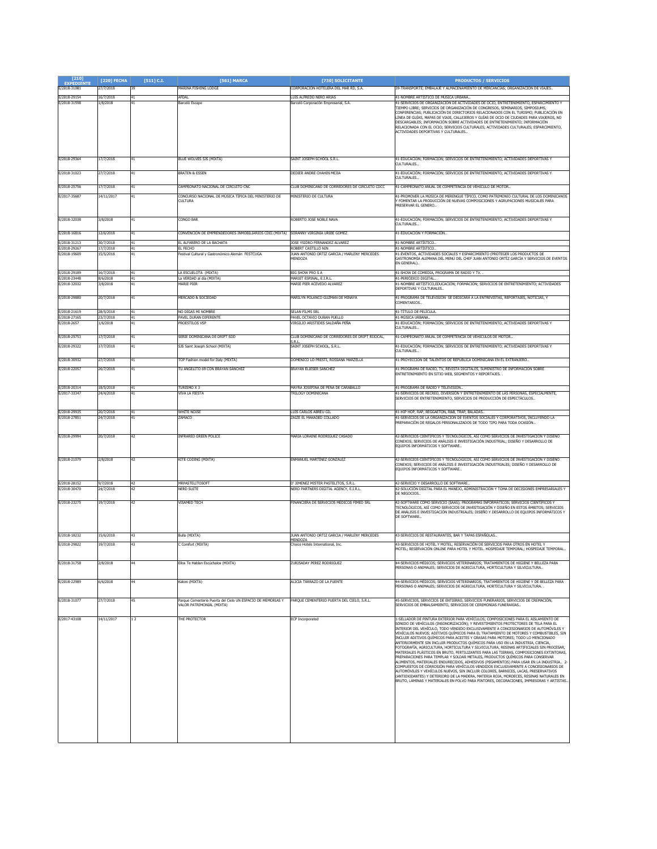| $[210]$<br><b>EXPEDIENT</b>  | [220] FECHA            | $[511]$ C.I. | <b>F5611 MARCA</b>                                                                       | [730] SOLICITANTE                                                                            | <b>PRODUCTOS / SERVICIOS</b>                                                                                                                                                                                                                                                                                                                                                                                                                                                                                                                                                                                                                                                                                                                                                                                                                                                                                                                                                                                                                                                                  |
|------------------------------|------------------------|--------------|------------------------------------------------------------------------------------------|----------------------------------------------------------------------------------------------|-----------------------------------------------------------------------------------------------------------------------------------------------------------------------------------------------------------------------------------------------------------------------------------------------------------------------------------------------------------------------------------------------------------------------------------------------------------------------------------------------------------------------------------------------------------------------------------------------------------------------------------------------------------------------------------------------------------------------------------------------------------------------------------------------------------------------------------------------------------------------------------------------------------------------------------------------------------------------------------------------------------------------------------------------------------------------------------------------|
| E/2018-31081                 | 27/7/2018              | 39           | MARINA FISHING LODGE                                                                     | CORPORACIÓN HOTELERA DEL MAR RD, S.A.                                                        | 39-TRANSPORTE; EMBALAJE Y ALMACENAMIENTO DE MERCANCÍAS; ORGANIZACIÓN DE VIAJES                                                                                                                                                                                                                                                                                                                                                                                                                                                                                                                                                                                                                                                                                                                                                                                                                                                                                                                                                                                                                |
| E/2018-29154<br>E/2018-31598 | 16/7/2018<br>1/8/2018  | 41           | AFDAI<br><b>Barceló Escape</b>                                                           | LUIS ALEREDO NERO ARTAS<br>Barceló Corporación Empresarial, S.A.                             | 41-NOMBRE ARTÍSTICO DE MÚSICA URBANA.<br>41-SERVICIOS DE ORGANIZACIÓN DE ACTIVIDADES DE OCIO, ENTRETENIMIENTO, ESPARCIMIENTO Y<br>TIEMPO LIBRE; SERVICIOS DE ORGANIZACIÓN DE CONGRESOS, SEMINARIOS, SIMPOSIUMS,<br>CONFERENCIAS; PUBLICACIÓN DE DIRECTORIOS RELACIONADOS CON EL TURISMO; PUBLICACIÓN EN<br>LÍNEA DE GUÍAS, MAPAS DE VIAJE, CALLEJEROS Y GUÍAS DE OCIO DE CIUDADES PARA VIAJEROS, NO<br>DESCARGABLES; INFORMACIÓN SOBRE ACTIVIDADES DE ENTRETENIMIENTO; INFORMACIÓN<br>RELACIONADA CON EL OCIO; SERVICIOS CULTURALES; ACTIVIDADES CULTURALES; ESPARCIMIENTO,<br>ACTIVIDADES DEPORTIVAS Y CULTURALES                                                                                                                                                                                                                                                                                                                                                                                                                                                                            |
| E/2018-29364                 | 17/7/2018              | 41           | BLUE WOLVES SJS (MIXTA)                                                                  | SAINT JOSEPH SCHOOL S.R.L.                                                                   | 41-EDUCACIÓN; FORMACIÓN; SERVICIOS DE ENTRETENIMIENTO; ACTIVIDADES DEPORTIVAS Y<br>CULTURALES.                                                                                                                                                                                                                                                                                                                                                                                                                                                                                                                                                                                                                                                                                                                                                                                                                                                                                                                                                                                                |
| E/2018-31023                 | 27/7/2018              | 41           | <b>BRATEN &amp; ESSEN</b>                                                                | DEDIER ANDRE CHAHIN MEJIA                                                                    | 41-EDUCACIÓN; FORMACIÓN; SERVICIOS DE ENTRETENIMIENTO; ACTIVIDADES DEPORTIVAS Y<br>CULTURALES.                                                                                                                                                                                                                                                                                                                                                                                                                                                                                                                                                                                                                                                                                                                                                                                                                                                                                                                                                                                                |
| E/2018-25756                 | 17/7/2018              | 41           | AMPEONATO NACIONAL DE CIRCUITO CNC                                                       | LLUB DOMINICANO DE CORREDORES DE CIRCUITO CDCC                                               | 41-CAMPEONATO ANUAL DE COMPETENCIA DE VEHÍCULO DE MOTOR                                                                                                                                                                                                                                                                                                                                                                                                                                                                                                                                                                                                                                                                                                                                                                                                                                                                                                                                                                                                                                       |
| E/2017-35687                 | 14/11/2017             |              | CONCURSO NACIONAL DE MÚSICA TÍPICA DEL MINISTERIO DE<br>CULTURA                          | MINISTERIO DE CULTURA                                                                        | 41-PROMOVER LA MÚSICA DE MERENGUE TÍPICO, COMO PATRIMONIO CULTURAL DE LOS DOMINICANOS<br>Y FOMENTAR LA PRODUCCIÓN DE NUEVAS COMPOSICIONES Y AGRUPACIONES MUSICALES PARA<br>PRESERVAR EL GENERO                                                                                                                                                                                                                                                                                                                                                                                                                                                                                                                                                                                                                                                                                                                                                                                                                                                                                                |
| E/2018-32038                 | 3/8/2018               | 41           | Congo Bar                                                                                | ROBERTO JOSE NOBLE NAVA                                                                      | 41-EDUCACIÓN; FORMACIÓN; SERVICIOS DE ENTRETENIMIENTO; ACTIVIDADES DEPORTIVAS Y<br>CULTURALES.                                                                                                                                                                                                                                                                                                                                                                                                                                                                                                                                                                                                                                                                                                                                                                                                                                                                                                                                                                                                |
| E/2018-16816                 | 12/6/2018              | 41           | CONVENCIÓN DE EMPRENDEDORES INMOBILIARIOS CDEI (MIXTA) SORANNY VIRGINIA URIBE GOMEZ      |                                                                                              | 41-EDUCACIÓN Y FORMACIÓN                                                                                                                                                                                                                                                                                                                                                                                                                                                                                                                                                                                                                                                                                                                                                                                                                                                                                                                                                                                                                                                                      |
| E/2018-31213<br>E/2018-29267 | 30/7/2018<br>17/7/2018 | 41<br>41     | EL ALFARERO DE LA BACHATA<br>EL FECHO                                                    | JOSE YSIDRO FERNANDEZ ALVAREZ<br>ROBERT CASTILLO NIN                                         | 41-NOMBRE ARTÍSTICO.<br>41-NOMBRE ARTÍSTICO                                                                                                                                                                                                                                                                                                                                                                                                                                                                                                                                                                                                                                                                                                                                                                                                                                                                                                                                                                                                                                                   |
| E/2018-19609                 | 15/5/2018              |              | estival Cultural y Gastronómico Alemán FESTCUGA                                          | JUAN ANTONIO ORTIZ GARCIA / MARLENY MERCEDES<br>MENDOZA                                      | 41-EVENTOS, ACTIVIDADES SOCIALES Y ESPARCIMIENTO (PROTEGER LOS PRODUCTOS DE<br>GASTRONOMÍA ALEMANA DEL MENÚ DEL CHEF JUAN ANTONIO ORTÍZ GARCÍA Y SERVICIOS DE EVENTOS<br>EN GENERAL)                                                                                                                                                                                                                                                                                                                                                                                                                                                                                                                                                                                                                                                                                                                                                                                                                                                                                                          |
| E/2018-29189<br>E/2018-23448 | 16/7/2018<br>8/6/2018  | 41<br>41     | LA ESCUELOTA (MIXTA)<br>La VERDAD al día (MIXTA)                                         | BIG SHOW PRO S A<br>MARIET ESPINAL, E.I.R.L                                                  | 41-SHOW DE COMEDIA, PROGRAMA DE RADIO Y TV. .<br>41-PERIÓDICO DIGITAL.                                                                                                                                                                                                                                                                                                                                                                                                                                                                                                                                                                                                                                                                                                                                                                                                                                                                                                                                                                                                                        |
| F/2018-32032                 | 3/8/2018               | 41           | MARTE PIER                                                                               | MARIE PIER ACEVEDO ALVAREZ                                                                   | 41-NOMBRE ARTÍSTICO, EDUCACIÓN; FORMACIÓN; SERVICIOS DE ENTRETENIMIENTO; ACTIVIDADES<br>DEPORTIVAS Y CULTURALES.                                                                                                                                                                                                                                                                                                                                                                                                                                                                                                                                                                                                                                                                                                                                                                                                                                                                                                                                                                              |
| E/2018-29880<br>E/2018-21619 | 20/7/2018              | 41           | MERCADO & SOCIEDAD                                                                       | MARILYN POLANCO GUZMAN DE MINAYA                                                             | 41-PROGRAMA DE TELEVISIÓN SE DEDICARÁ A LA ENTREVISTAS, REPORTAJES, NOTICIAS, Y<br>COMENTARIOS.                                                                                                                                                                                                                                                                                                                                                                                                                                                                                                                                                                                                                                                                                                                                                                                                                                                                                                                                                                                               |
| E/2018-27165                 | 28/5/2018<br>23/7/2018 | 41           | no digas mi nombre<br>PAVEL DURAN DIFERENTE                                              | SELAN FILMS SRL<br>PAVEL OCTAVIO DURAN PUELLO                                                | 41-TÍTULO DE PELÍCULA<br>41-MÚSICA URBANA.                                                                                                                                                                                                                                                                                                                                                                                                                                                                                                                                                                                                                                                                                                                                                                                                                                                                                                                                                                                                                                                    |
| E/2018-2657                  | 1/6/2018               | 41           | <b>PROESTILOS VSP</b>                                                                    | VIRGILIO ARISTIDES SALDAÑA PEÑA                                                              | 41-EDUCACIÓN; FORMACIÓN; SERVICIOS DE ENTRETENIMIENTO; ACTIVIDADES DEPORTIVAS Y<br>CULTURALES.                                                                                                                                                                                                                                                                                                                                                                                                                                                                                                                                                                                                                                                                                                                                                                                                                                                                                                                                                                                                |
| E/2018-25753                 | 17/7/2018              |              | SERIE DOMINICANA DE DRIFT SDD                                                            | CLUB DOMINICANO DE CORREDORES DE DRIFT RIJOCAL,<br>i R.I                                     | 41-CAMPEONATO ANHAL DE COMPETENCIA DE VEHÍCHLOS DE MOTOR.                                                                                                                                                                                                                                                                                                                                                                                                                                                                                                                                                                                                                                                                                                                                                                                                                                                                                                                                                                                                                                     |
| E/2018-29322                 | 17/7/2018              | 41           | SJS Saint Joseph School (MIXTA)                                                          | SAINT JOSEPH SCHOOL, S.R.L.                                                                  | 41-EDUCACIÓN: FORMACIÓN: SERVICIOS DE ENTRETENIMIENTO: ACTIVIDADES DEPORTIVAS Y<br>CULTURALES.                                                                                                                                                                                                                                                                                                                                                                                                                                                                                                                                                                                                                                                                                                                                                                                                                                                                                                                                                                                                |
| E/2018-30932                 | 27/7/2018              | 41           | TOP Fashion model for Italy (MIXTA)                                                      | DOMENICO LO PRESTI, ROSSANA MARZELLA                                                         | 41-PROYECCIÓN DE TALENTOS DE REPÚBLICA DOMINICANA EN EL EXTRANJERO                                                                                                                                                                                                                                                                                                                                                                                                                                                                                                                                                                                                                                                                                                                                                                                                                                                                                                                                                                                                                            |
| E/2018-22057                 | 26/7/2018              |              | TH ANGELITO 69 CON RRAYAN SANCHEZ                                                        | <b>RRAYAN ELTESER SANCHEZ</b>                                                                | 41-PROGRAMA DE RADIO. TV. REVISTA DIGITALES, SUMINISTRO DE INFORMACIÓN SOBRE<br>ENTRETENIMIENTO EN SITIO WEB, SEGMENTOS Y REPORTAJES.                                                                                                                                                                                                                                                                                                                                                                                                                                                                                                                                                                                                                                                                                                                                                                                                                                                                                                                                                         |
| E/2018-20314                 | 18/5/2018              | 41           | TURISMO X 3                                                                              | MAYRA JOSEFINA DE PEÑA DE CARABALLO                                                          | 41-PROGRAMA DE RADIO Y TELEVISIÓN                                                                                                                                                                                                                                                                                                                                                                                                                                                                                                                                                                                                                                                                                                                                                                                                                                                                                                                                                                                                                                                             |
| E/2017-33347                 | 24/4/2018              | 41           | VIVA LA FIESTA                                                                           | FRILOGY DOMINICANA                                                                           | 41-SERVICIOS DE RECREO, DIVERSIÓN Y ENTRETENIMIENTO DE LAS PERSONAS, ESPECIALMENTE.<br>SERVICIOS DE ENTRETENIMIENTO, SERVICIOS DE PRODUCCIÓN DE ESPECTÁCULOS                                                                                                                                                                                                                                                                                                                                                                                                                                                                                                                                                                                                                                                                                                                                                                                                                                                                                                                                  |
| E/2018-29935                 | 20/7/2018              | 41           | <b>WHITE NOISE</b>                                                                       | LUIS CARLOS ABREU GIL                                                                        | 41-HIP HOP, RAP, REGGAETON, R&B, TRAP, BALADAS.                                                                                                                                                                                                                                                                                                                                                                                                                                                                                                                                                                                                                                                                                                                                                                                                                                                                                                                                                                                                                                               |
| E/2018-27851                 | 24/7/2018              |              | ZAMACO                                                                                   | ZAIZE EL MAKADED COLLADO                                                                     | 41-SERVICIOS DE LA ORGANIZACIÓN DE EVENTOS SOCIALES Y CORPORATIVOS, INCLUYENDO LA<br>PREPARACIÓN DE REGALOS PERSONALIZADOS DE TODO TIPO PARA TODA OCASIÓN                                                                                                                                                                                                                                                                                                                                                                                                                                                                                                                                                                                                                                                                                                                                                                                                                                                                                                                                     |
| E/2018-29994                 | 20/7/2018              |              | <b>INFRARED GREEN POLICE</b>                                                             | MARIA LORAINE RODRIGUEZ CASADO                                                               | 42-SERVICIOS CIENTÍFICOS Y TECNOLÓGICOS. ASÍ COMO SERVICIOS DE INVESTIGACIÓN Y DISEÑO<br>CONEXOS: SERVICIOS DE ANÁLISIS E INVESTIGACIÓN INDUSTRIAL: DISEÑO Y DESARROLLO DE<br>EQUIPOS INFORMÁTICOS Y SOFTWARE                                                                                                                                                                                                                                                                                                                                                                                                                                                                                                                                                                                                                                                                                                                                                                                                                                                                                 |
| E/2018-21079                 | 2/8/2018               |              | KITE CODING (MIXTA)                                                                      | ENMANUEL MARTÍNEZ GONZÁLEZ                                                                   | 42-SERVICIOS CIENTÍFICOS Y TECNOLÓGICOS, ASÍ COMO SERVICIOS DE INVESTIGACIÓN Y DISEÑO<br>CONEXOS; SERVICIOS DE ANÁLISIS E INVESTIGACIÓN INDUSTRIALES; DISEÑO Y DESARROLLO DE<br>EQUIPOS INFORMÁTICOS Y SOFTWARE.                                                                                                                                                                                                                                                                                                                                                                                                                                                                                                                                                                                                                                                                                                                                                                                                                                                                              |
| E/2018-28152                 | 9/7/2018               | 42           | MRPASTELITOSOFT                                                                          | D' JIMENEZ MISTER PASTELITOS, S.R.L.                                                         | 42-SERVICIO Y DESARROLLO DE SOFTWARE.                                                                                                                                                                                                                                                                                                                                                                                                                                                                                                                                                                                                                                                                                                                                                                                                                                                                                                                                                                                                                                                         |
| E/2018-30470                 | 4/7/2018               |              | NERD SUITE                                                                               | VERD PARTNERS DIGITAL AGENCY, E.I.R.L.                                                       | 42-SOLUCIÓN DIGITAL PARA EL MANEJO, ADMINISTRACIÓN Y TOMA DE DECISIONES EMPRESARIALES Y<br>DE NEGOCIOS.                                                                                                                                                                                                                                                                                                                                                                                                                                                                                                                                                                                                                                                                                                                                                                                                                                                                                                                                                                                       |
| F/2018-23275                 | 19/7/2018              |              | <b>VISAMED TECH</b>                                                                      | FINANCIERA DE SERVICIOS MEDICOS FIMED SRL                                                    | 42-SOFTWARE COMO SERVICIO (SAAS); PROGRAMAS INFORMÁTICOS; SERVICIOS CIENTÍFICOS Y<br>TECNOLÓGICOS, ASÍ COMO SERVICIOS DE INVESTIGACIÓN Y DISEÑO EN ESTOS ÁMBITOS: SERVICIOS<br>DE ANÁLISIS E INVESTIGACIÓN INDUSTRIALES; DISEÑO Y DESARROLLO DE EQUIPOS INFORMÁTICOS Y<br>DE SOFTWARE.                                                                                                                                                                                                                                                                                                                                                                                                                                                                                                                                                                                                                                                                                                                                                                                                        |
|                              |                        | 43           |                                                                                          |                                                                                              |                                                                                                                                                                                                                                                                                                                                                                                                                                                                                                                                                                                                                                                                                                                                                                                                                                                                                                                                                                                                                                                                                               |
| E/2018-18232<br>E/2018-29822 | 15/6/2018<br>19/7/2018 | 43           | Bulla (MIXTA)<br>C Comfort (MIXTA)                                                       | JUAN ANTONIO ORTIZ GARCIA / MARLENY MERCEDES<br>MENDOZA<br>Choice Hotels International. Inc. | 43-SERVICIOS DE RESTAURANTES, BAR Y TAPAS ESPAÑOLAS<br>43-SERVICIOS DE HOTEL Y MOTEL: RESERVACIÓN DE SERVICIOS PARA OTROS EN HOTEL Y                                                                                                                                                                                                                                                                                                                                                                                                                                                                                                                                                                                                                                                                                                                                                                                                                                                                                                                                                          |
|                              |                        |              |                                                                                          |                                                                                              | MOTEL; RESERVACIÓN ONLINE PARA HOTEL Y MOTEL. HOSPEDAJE TEMPORAL; HOSPEDAJE TEMPORAL                                                                                                                                                                                                                                                                                                                                                                                                                                                                                                                                                                                                                                                                                                                                                                                                                                                                                                                                                                                                          |
| E/2018-31758                 | 2/8/2018               |              | Ellos Te Hablan Escúchalos (MIXTA)                                                       | ZURISADAY PEREZ RODRIGUEZ                                                                    | 44-SERVICIOS MÉDICOS; SERVICIOS VETERINARIOS; TRATAMIENTOS DE HIGIENE Y BELLEZA PARA<br>PERSONAS O ANIMALES; SERVICIOS DE AGRICULTURA, HORTICULTURA Y SILVICULTURA                                                                                                                                                                                                                                                                                                                                                                                                                                                                                                                                                                                                                                                                                                                                                                                                                                                                                                                            |
| E/2018-22989                 | 6/6/2018               |              | (aloni (MIXTA)                                                                           | ALICIA TARRAZO DE LA FUENTE                                                                  | 44-SERVICIOS MÉDICOS; SERVICIOS VETERINARIOS; TRATAMIENTOS DE HIGIENE Y DE BELLEZA PARA<br>PERSONAS O ANIMALES; SERVICIOS DE AGRICULTURA, HORTICULTURA Y SILVICULTURA. .                                                                                                                                                                                                                                                                                                                                                                                                                                                                                                                                                                                                                                                                                                                                                                                                                                                                                                                      |
| E/2018-31077                 | 27/7/2018              | 45           | Parque Cementerio Puerta del Cielo UN ESPACIO DE MEMORIAS Y<br>VALOR PATRIMONIAL (MIXTA) | PARQUE CEMENTERIO PUERTA DEL CIELO, S.R.L.                                                   | 45-SERVICIOS, SERVICIOS DE ENTIERRO, SERVICIOS FUNERARIOS, SERVICIOS DE CREMACIÓN,<br>SERVICIOS DE EMBALSAMIENTO, SERVICIOS DE CEREMONIAS FUNERARIAS.                                                                                                                                                                                                                                                                                                                                                                                                                                                                                                                                                                                                                                                                                                                                                                                                                                                                                                                                         |
| E/2017-43108                 | 14/11/2017             | 12           | THE PROTECTOR                                                                            | <b>ECP</b> Incorporated                                                                      | 1-SELLADOR DE PINTURA EXTERIOR PARA VEHÍCULOS; COMPOSICIONES PARA EL AISLAMIENTO DE<br>SONIDO DE VEHÍCULOS (INSONORIZACIÓN); Y REVESTIMIENTOS PROTECTORES DE TELA PARA EL                                                                                                                                                                                                                                                                                                                                                                                                                                                                                                                                                                                                                                                                                                                                                                                                                                                                                                                     |
|                              |                        |              |                                                                                          |                                                                                              | INTERIOR DEL VEHÍCULO, TODO VENDIDO EXCLUSIVAMENTE A CONCESIONARIOS DE AUTOMÓVILES Y<br>VEHÍCULOS NUEVOS; ADITIVOS QUÍMICOS PARA EL TRATAMIENTO DE MOTORES Y COMBUSTIBLES, SIN<br>INCLUIR ADITIVOS QUÍMICOS PARA ACEITES Y GRASAS PARA MOTORES; TODO LO MENCIONADO<br>ANTERIORMENTE SIN INCLUIR PRODUCTOS QUÍMICOS PARA USO EN LA INDUSTRIA, CIENCIA,<br>FOTOGRAFÍA, AGRICULTURA, HORTICULTURA Y SILVICULTURA, RESINAS ARTIFICIALES SIN PROCESAR,<br>MATERIALES PLÁSTICOS EN BRUTO, FERTILIZANTES PARA LAS TIERRAS, COMPOSICIONES EXTINTORAS,<br>PREPARACIONES PARA TEMPLAR Y SOLDAR METALES, PRODUCTOS QUÍMICOS PARA CONSERVAR<br>ALIMENTOS, MATERIALES ENDURECIDOS, ADHESIVOS (PEGAMENTOS) PARA USAR EN LA INDUSTRIA 2-<br>COMPLIESTOS DE CORROSIÓN PARA VEHÍCULOS VENDIDOS EXCLUSIVAMENTE A CONCESIONARIOS DE<br>AUTOMÓVILES Y VEHÍCULOS NUEVOS. SIN INCLUIR COLORES. BARNICES. LACAS. PRESERVATIVOS<br>(ANTIOXIDANTES) Y DETERIORO DE LA MADERA, MATERIA ROJA, MORDECES, RESINAS NATURALES EN<br>BRUTO, LÁMINAS Y MATERIALES EN POLVO PARA PINTORES, DECORACIONES, IMPRESORAS Y ARTISTAS. |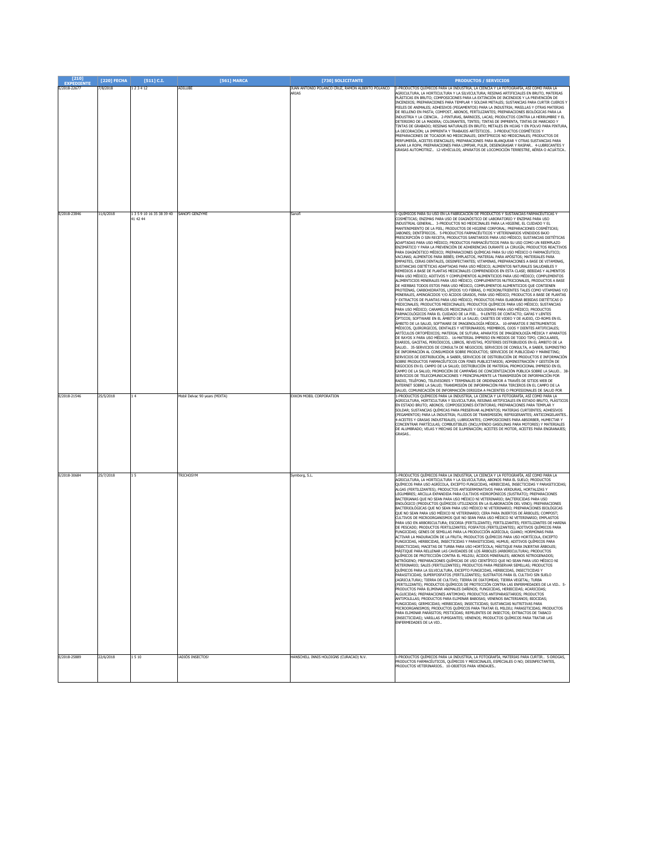| [210]<br><b>EXPEDIENTE</b>   | [220] FECHA            | [511] C.I.                                           | [561] MARCA                   | [730] SOLICITANTE                                         | <b>PRODUCTOS / SERVICIOS</b>                                                                                                                                                                                                                                                                                                                                                                                                                                                                                                                                                                                                                                                                                                                                                                                                                                                                                                                                                                                                                                                                                                                                                                                                                                                                                                                                                                                                                                                                                                                                                                                                                                                                                                                                                                                                                                                                                                                                                                                                                                                                                                                                                                                                                                                                                                                                                                                                                                                                                                                                                                                                                                                                                                                                                                                                                                                                                                                                                                                                                                                                                                                                                                                                                                                                                                                                                                                                                                                                                    |
|------------------------------|------------------------|------------------------------------------------------|-------------------------------|-----------------------------------------------------------|-----------------------------------------------------------------------------------------------------------------------------------------------------------------------------------------------------------------------------------------------------------------------------------------------------------------------------------------------------------------------------------------------------------------------------------------------------------------------------------------------------------------------------------------------------------------------------------------------------------------------------------------------------------------------------------------------------------------------------------------------------------------------------------------------------------------------------------------------------------------------------------------------------------------------------------------------------------------------------------------------------------------------------------------------------------------------------------------------------------------------------------------------------------------------------------------------------------------------------------------------------------------------------------------------------------------------------------------------------------------------------------------------------------------------------------------------------------------------------------------------------------------------------------------------------------------------------------------------------------------------------------------------------------------------------------------------------------------------------------------------------------------------------------------------------------------------------------------------------------------------------------------------------------------------------------------------------------------------------------------------------------------------------------------------------------------------------------------------------------------------------------------------------------------------------------------------------------------------------------------------------------------------------------------------------------------------------------------------------------------------------------------------------------------------------------------------------------------------------------------------------------------------------------------------------------------------------------------------------------------------------------------------------------------------------------------------------------------------------------------------------------------------------------------------------------------------------------------------------------------------------------------------------------------------------------------------------------------------------------------------------------------------------------------------------------------------------------------------------------------------------------------------------------------------------------------------------------------------------------------------------------------------------------------------------------------------------------------------------------------------------------------------------------------------------------------------------------------------------------------------------------------|
| E/2018-22677                 | 7/8/2018               | 123412                                               | ADILUBE                       | JUAN ANTONIO POLANCO CRUZ. RAMON ALBERTO POLANCO<br>ARIAS | 1-PRODUCTOS OUÍMICOS PARA LA INDUSTRIA. LA CIENCIA Y LA FOTOGRAFÍA, ASÍ COMO PARA LA<br>AGRICULTURA, LA HORTICULTURA Y LA SILVICULTURA: RESINAS ARTIFICIALES EN BRUTO, MATERIAS<br>PLÁSTICAS EN BRUTO; COMPOSICIONES PARA LA EXTINCIÓN DE INCENDIOS Y LA PREVENCIÓN DE<br>INCENDIOS; PREPARACIONES PARA TEMPLAR Y SOLDAR METALES; SUSTANCIAS PARA CURTIR CUEROS Y<br>PIELES DE ANIMALES; ADHESIVOS (PEGAMENTOS) PARA LA INDUSTRIA; MASILLAS Y OTRAS MATERIAS<br>DE RELLENO EN PASTA; COMPOST, ABONOS, FERTILIZANTES; PREPARACIONES BIOLÓGICAS PARA LA<br>INDUSTRIA Y LA CIENCIA 2-PINTURAS, BARNICES, LACAS; PRODUCTOS CONTRA LA HERRUMBRE Y EL<br>DETERIORO DE LA MADERA; COLORANTES, TINTES; TINTAS DE IMPRENTA, TINTAS DE MARCADO Y<br>TINTAS DE GRABADO; RESINAS NATURALES EN BRUTO; METALES EN HOJAS Y EN POLVO PARA PINTURA,<br>LA DECORACIÓN; LA IMPRENTA Y TRABAJOS ARTÍSTICOS 3-PRODUCTOS COSMÉTICOS Y<br>PREPARACIONES DE TOCADOR NO MEDICINALES; DENTÍFRICOS NO MEDICINALES; PRODUCTOS DE<br>PERFUMERÍA, ACEITES ESENCIALES; PREPARACIONES PARA BLANQUEAR Y OTRAS SUSTANCIAS PARA<br>AVAR LA ROPA; PREPARACIONES PARA LIMPIAR, PULIR, DESENGRASAR Y RASPAR 4-LUBRICANTES Y<br>GRASAS AUTOMOTRIZ 12-VEHÍCULOS; APARATOS DE LOCOMOCIÓN TERRESTRE, AÉREA O ACUÁTICA                                                                                                                                                                                                                                                                                                                                                                                                                                                                                                                                                                                                                                                                                                                                                                                                                                                                                                                                                                                                                                                                                                                                                                                                                                                                                                                                                                                                                                                                                                                                                                                                                                                                                                                                                                                                                                                                                                                                                                                                                                                                                                                                                                                                                                     |
| E/2018-23846<br>E/2018-21546 | 11/6/2018<br>25/5/2018 | 1 3 5 9 10 16 35 38 39 40 SANOFI GENZYME<br>41 42 44 | Mobil Delvac 90 years (MIXTA) | Sanofi<br>EXXON MOBIL CORPORATION                         | 1-OUÍMICOS PARA SU USO EN LA FABRICACIÓN DE PRODUCTOS Y SUSTANCIAS FARMACÉUTICAS Y<br>COSMÉTICAS: ENZIMAS PARA USO DE DIAGNÓSTICO DE LABORATORIO Y ENZIMAS PARA USO<br>INDUSTRIAL GENERAL 3-PRODUCTOS NO MEDICINALES PARA LA HIGIENE. EL CUIDADO Y EL<br>MANTENIMIENTO DE LA PIEL; PRODUCTOS DE HIGIENE CORPORAL; PREPARACIONES COSMÉTICAS;<br>ABONES; DENTÍFRICOS  5-PRODUCTOS FARMACÉUTICOS Y VETERINARIOS VENDIDOS BAJO<br>PRESCRIPCIÓN O SIN RECETA: PRODUCTOS SANITARIOS PARA USO MÉDICO: SUSTANCIAS DIETÉTICAS<br>DAPTADAS PARA USO MÉDICO; PRODUCTOS FARMACÉUTICOS PARA SU USO COMO UN REEMPLAZO<br>ENZIMÁTICO Y PARA LA PREVENCIÓN DE ADHERENCIAS DURANTE LA CIRUGÍA; PRODUCTOS REACTIVOS<br>PARA DIAGNÓSTICO MÉDICO; PREPARACIONES QUÍMICAS PARA SU USO MÉDICO O FARMACÉUTICO;<br>VACUNAS; ALIMENTOS PARA BEBÉS; EMPLASTOS, MATERIAL PARA APÓSITOS; MATERIALES PARA<br>EMPASTES, CERAS DENTALES, DESINFECTANTES; VITAMINAS, PREPARACIONES A BASE DE VITAMINAS,<br>SUSTANCIAS DIETÉTICAS ADAPTADAS PARA USO MÉDICO; ALIMENTOS NATURALES SALUDABLES Y<br>REMEDIOS A BASE DE PLANTAS MEDICINALES COMPRENDIDOS EN ESTA CLASE; BEBIDAS Y ALIMENTOS<br>PARA USO MÉDICO; ADITIVOS Y COMPLEMENTOS ALIMENTICIOS PARA USO MÉDICO; COMPLEMENTOS<br>ALIMENTICIOS MINERALES PARA USO MÉDICO; COMPLEMENTOS NUTRICIONALES, PRODUCTOS A BASE<br>DE HIERBAS TODOS ESTOS PARA USO MÉDICO, COMPLEMENTOS ALIMENTICIOS QUE CONTIENEN<br>PROTEÍNAS, CARBOHIDRATOS, LIPIDOS Y/O FIBRAS, O MICRONUTRIENTES TALES COMO VITAMINAS Y/O<br>MINERALES, AMINOÁCIDOS Y/O ÁCIDOS GRASOS, PARA USO MÉDICO; PRODUCTOS A BASE DE PLANTAS<br>EXTRACTOS DE PLANTAS PARA USO MÉDICO; PRODUCTOS PARA ELABORAR BEBIDAS DIETÉTICAS O<br>MEDICINALES; PRODUCTOS MEDICINALES; PRODUCTOS QUÍMICOS PARA USO MÉDICO; SUSTANCIAS<br>PARA USO MÉDICO; CARAMELOS MEDICINALES Y GOLOSINAS PARA USO MÉDICO; PRODUCTOS<br>FARMACOLÓGICOS PARA EL CUIDADO DE LA PIEL 9-LENTES DE CONTACTO; GAFAS Y LENTES<br>ÓPTICOS; SOFTWARE EN EL ÁMBITO DE LA SALUD; CASETES DE VIDEO Y DE AUDIO, CD-ROMS EN EL<br>ÁMBITO DE LA SALUD, SOFTWARE DE IMAGENOLOGÍA MÉDICA 10-APARATOS E INSTRUMENTOS<br>MÉDICOS, QUIRÚRGICOS, DENTALES Y VETERINARIOS; MIEMBROS, OJOS Y DIENTES ARTIFICIALES;<br>ARTÍCULOS ORTOPÉDICOS; MATERIAL DE SUTURA; APARATOS DE IMAGENOLOGÍA MÉDICA Y APARATOS<br>DE RAYOS X PARA USO MÉDICO 16-MATERIAL IMPRESO EN MEDIOS DE TODO TIPO; CIRCULARES,<br>DIARIOS, GACETAS, PERIÓDICOS, LIBROS, REVISTAS, PÓSTERES DISTRIBUIDOS EN EL ÁMBITO DE LA<br>SALUD 35-SERVICIOS DE CONSULTA DE NEGOCIOS; SERVICIOS DE CONSULTA, A SABER, SUMINISTRO<br>DE INFORMACIÓN AL CONSUMIDOR SOBRE PRODUCTOS; SERVICIOS DE PUBLICIDAD Y MARKETING;<br>SERVICIOS DE DISTRIBUCIÓN, A SABER, SERVICIOS DE DISTRIBUCIÓN DE PRODUCTOS E INFORMACIÓN<br>OBRE PRODUCTOS FARMACÉUTICOS CON FINES PUBLICITARIOS; ADMINISTRACIÓN Y GESTIÓN DE<br>NEGOCIOS EN EL CAMPO DE LA SALUD: DISTRIBUCIÓN DE MATERIAL PROMOCIONAL IMPRESO EN EL<br>CAMPO DE LA SALUD; PROMOCIÓN DE CAMPAÑAS DE CONCIENTIZACIÓN PÚBLICA SOBRE LA SALUD 38<br>SERVICIOS DE TELECOMUNICACIONES Y PRINCIPALMENTE LA TRANSMISIÓN DE INFORMACIÓN POR<br>RADIO, TELÉFONO, TELEVISORES Y TERMINALES DE ORDENADOR A TRAVÉS DE SITIOS WEB DE<br>INTERNET SOBRE LA SALUD: TRANSMISIÓN DE INFORMACIÓN PARA TERCEROS EN EL CAMPO DE LA<br>ALUD, COMUNICACIÓN DE INFORMACIÓN DIRIGIDA A PACIENTES O PROFESIONALES DE SALUD POR<br>1-PRODUCTOS QUÍMICOS PARA LA INDUSTRIA, LA CIENCIA Y LA FOTOGRAFÍA, ASÍ COMÓ PARA LA |
|                              |                        |                                                      |                               |                                                           | AGRICULTURA, HORTICULTURA Y SILVICULTURA; RESINAS ARTIFICIALES EN ESTADO BRUTO, PLÁSTICOS<br>EN ESTADO BRUTO; ABONOS; COMPOSICIONES EXTINTORAS; PREPARACIONES PARA TEMPLAR Y<br>SOLDAR; SUSTANCIAS QUÍMICAS PARA PRESERVAR ALIMENTOS; MATERIAS CURTIENTES; ADHESIVOS<br>(PEGAMENTOS) PARA LA INDUSTRIA; FLUIDOS DE TRANSMISIÓN; REFRIGERANTES; ANTICONGELANTES.<br>I-ACEITES Y GRASAS INDUSTRIALES; LUBRICANTES; COMPOSICIONES PARA ABSORBER, HUMECTAR Y<br>CONCENTRAR PARTÍCULAS; COMBUSTIBLES (INCLUYENDO GASOLINAS PARA MOTORES) Y MATERIALES<br>DE ALUMBRADO; VELAS Y MECHAS DE ILUMINACIÓN; ACEITES DE MOTOR, ACEITES PARA ENGRANAJES;<br>GRASAS                                                                                                                                                                                                                                                                                                                                                                                                                                                                                                                                                                                                                                                                                                                                                                                                                                                                                                                                                                                                                                                                                                                                                                                                                                                                                                                                                                                                                                                                                                                                                                                                                                                                                                                                                                                                                                                                                                                                                                                                                                                                                                                                                                                                                                                                                                                                                                                                                                                                                                                                                                                                                                                                                                                                                                                                                                                           |
| E/2018-30684                 | 25/7/2018              | 15                                                   | <b>RICHOSYM</b>               | Symborg, S.L                                              | 1-PRODUCTOS QUÍMICOS PARA LA INDUSTRIA, LA CIENCIA Y LA FOTOGRAFÍA, ASÍ COMO PARA LA<br>GRICULTURA, LA HORTICULTURA Y LA SILVICULTURA; ABONOS PARA EL SUELO; PRODUCTOS<br>QUÍMICOS PARA USO AGRÍCOLA, EXCEPTO FUNGICIDAS, HERBICIDAS, INSECTICIDAS Y PARASITICIDAS;<br>ALGAS (FERTILIZANTES); PRODUCTOS ANTIGERMINATIVOS PARA VERDURAS, HORTALIZAS Y<br>LEGUMBRES; ARCILLA EXPANDIDA PARA CULTIVOS HIDROPÓNICOS (SUSTRATO); PREPARACIONES<br>BACTERIANAS QUE NO SEAN PARA USO MÉDICO NI VETERINARIO; BACTERICIDAS PARA USO<br>ENOLÓGICO (PRODUCTOS QUÍMICOS UTILIZADOS EN LA ELABORACIÓN DEL VINO); PREPARACIONES<br>BACTERIOLÓGICAS QUE NO SEAN PARA USO MÉDICO NI VETERINARIO; PREPARACIONES BIOLÓGICAS<br>QUE NO SEAN PARA USO MÉDICO NI VETERINARIO; CERA PARA INJERTOS DE ÁRBOLES; COMPOST;<br>CULTIVOS DE MICROORGANISMOS QUE NO SEAN PARA USO MÉDICO NI VETERINARIO; EMPLASTOS<br>PARA USO EN ARBORICULTURA; ESCORIA (FERTILIZANTE); FERTILIZANTES; FERTILIZANTES DE HARINA<br>DE PESCADO; PRODUCTOS FERTILIZANTES; FOSFATOS (FERTILIZANTES); ADITIVOS QUÍMICOS PARA<br>FUNGICIDAS; GENES DE SEMILLAS PARA LA PRODUCCIÓN AGRÍCOLA; GUANO; HORMONAS PARA<br><b>ICTIVAR LA MADURACIÓN DE LA FRUTA; PRODUCTOS QUÍMICOS PARA USO HORTÍCOLA, EXCEPTO</b><br>UNGICIDAS, HERBICIDAS, INSECTICIDAS Y PARASITICIDAS; HUMUS; ADITIVOS QUÍMICOS PARA<br>INSECTICIDAS; MACETAS DE TURBA PARA USO HORTÍCOLA; MÁSTIQUE PARA INJERTAR ÁRBOLES;<br>MÁSTIOUE PARA RELLENAR LAS CAVIDADES DE LOS ÁRBOLES (ARBORICULTURA): PRODUCTOS<br>IÍMICOS DE PROTECCIÓN CONTRA EL MILDIU: ÁCIDOS MINERALES: ARONOS<br>NITRÓGENO; PREPARACIONES QUÍMICAS DE USO CIENTÍFICO QUE NO SEAN PARA USO MÉDICO NI<br>VETERINARIO; SALES (FERTILIZANTES); PRODUCTOS PARA PRESERVAR SEMILLAS; PRODUCTOS<br>QUÍMICOS PARA LA SILVICULTURA, EXCEPTO FUNGICIDAS, HERBICIDAS, INSECTICIDAS Y<br>PARASITICIDAS; SUPERFOSFATOS (FERTILIZANTES); SUSTRATOS PARA EL CULTIVO SIN SUELO<br>(AGRICULTURA); TIERRA DE CULTIVO; TIERRA DE DIATOMEAS; TIERRA VEGETAL; TURBA<br>(FERTILIZANTE); PRODUCTOS QUÍMICOS DE PROTECCIÓN CONTRA LAS ENFERMEDADES DE LA VID 5-<br>PRODUCTOS PARA ELIMINAR ANIMALES DAÑINOS; FUNGICIDAS, HERBICIDAS; ACARICIDAS;<br>ALGUICIDAS; PREPARACIONES ANTIMOHO; PRODUCTOS ANTIPARASITARIOS; PRODUCTOS<br>ANTIPOLILLAS; PRODUCTOS PARA ELIMINAR BABOSAS; VENENOS BACTERIANOS; BIOCIDAS;<br>FUNGICIDAS; GERMICIDAS; HERBICIDAS; INSECTICIDAS; SUSTANCIAS NUTRITIVAS PARA<br>MICROORGANISMOS; PRODUCTOS QUÍMICOS PARA TRATAR EL MILDIU; PARASITICIDAS; PRODUCTOS<br>PARA ELIMINAR PARÁSITOS; PESTICIDAS; REPELENTES DE INSECTOS; EXTRACTOS DE TABACO<br>INSECTICIDAS); VARILLAS FUMIGANTES; VENENOS; PRODUCTOS QUÍMICOS PARA TRATAR LAS<br>ENFERMEDADES DE LA VID                                                                                                                                                                                                                                                                                                                                                                                                                                                                                                                                                                                                                                                                                                                                                                    |
| E/2018-25889                 | 22/6/2018              | 1510                                                 | ADIÓS INSECTOS!               | HANSCHELL INNIS HOLDIGNS (CURACAO) N.V.                   | -PRODUCTOS QUÍMICOS PARA LA INDUSTRIA, LA FOTOGRAFÍA, MATERIAS PARA CURTIR 5-DROGAS,<br>PRODUCTOS FARMACÉUTICOS, QUÍMICOS Y MEDICINALES, ESPECIALES O NO; DESINFECTANTES,<br>RODUCTOS VETERINARIOS 10-OBJETOS PARA VENDAJES                                                                                                                                                                                                                                                                                                                                                                                                                                                                                                                                                                                                                                                                                                                                                                                                                                                                                                                                                                                                                                                                                                                                                                                                                                                                                                                                                                                                                                                                                                                                                                                                                                                                                                                                                                                                                                                                                                                                                                                                                                                                                                                                                                                                                                                                                                                                                                                                                                                                                                                                                                                                                                                                                                                                                                                                                                                                                                                                                                                                                                                                                                                                                                                                                                                                                     |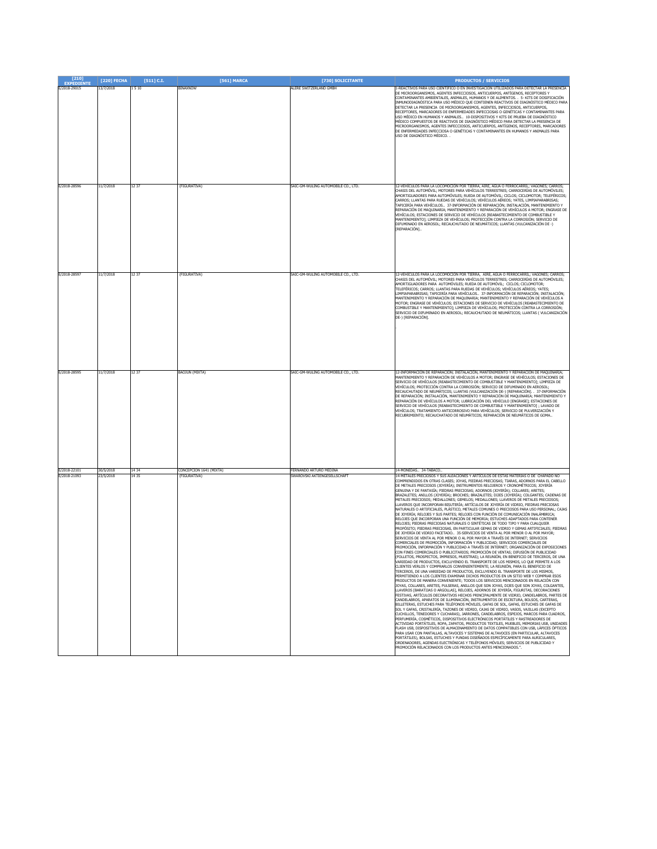| [210]<br><b>EXPEDIENTE</b>   | [220] FECHA            | $[511]$ C.I.   | [561] MARCA                             | [730] SOLICITANTE                                           | <b>PRODUCTOS / SERVICIOS</b>                                                                                                                                                                                                                                                                                                                                                                                                                                                                                                                                                                                                                                                                                                                                                                                                                                                                                                                                                                                                                                                                                                                                                                                                                                                                                                                                                                                                                                                                                                                                                                                                                                                                                                                                                                                                                                                                                                                                                                                                                                                                                                                                                                                                                                                                                                                                                                                                                                                                                                                                                                                                                                                                                                                                                                                                                                                                                                                                                                                                                                                                                                                                                                                                                                                                                                                     |
|------------------------------|------------------------|----------------|-----------------------------------------|-------------------------------------------------------------|--------------------------------------------------------------------------------------------------------------------------------------------------------------------------------------------------------------------------------------------------------------------------------------------------------------------------------------------------------------------------------------------------------------------------------------------------------------------------------------------------------------------------------------------------------------------------------------------------------------------------------------------------------------------------------------------------------------------------------------------------------------------------------------------------------------------------------------------------------------------------------------------------------------------------------------------------------------------------------------------------------------------------------------------------------------------------------------------------------------------------------------------------------------------------------------------------------------------------------------------------------------------------------------------------------------------------------------------------------------------------------------------------------------------------------------------------------------------------------------------------------------------------------------------------------------------------------------------------------------------------------------------------------------------------------------------------------------------------------------------------------------------------------------------------------------------------------------------------------------------------------------------------------------------------------------------------------------------------------------------------------------------------------------------------------------------------------------------------------------------------------------------------------------------------------------------------------------------------------------------------------------------------------------------------------------------------------------------------------------------------------------------------------------------------------------------------------------------------------------------------------------------------------------------------------------------------------------------------------------------------------------------------------------------------------------------------------------------------------------------------------------------------------------------------------------------------------------------------------------------------------------------------------------------------------------------------------------------------------------------------------------------------------------------------------------------------------------------------------------------------------------------------------------------------------------------------------------------------------------------------------------------------------------------------------------------------------------------------|
| E/2018-29015                 | 13/7/2018              | 1510           | BINAXNOW                                | <b>ILERE SWITZERLAND GMBH</b>                               | -REACTIVOS PARA USO CIENTÍFICO O EN INVESTIGACIÓN UTILIZADOS PARA DETECTAR LA PRESENCIA<br>DE MICROORGANISMOS, AGENTES INFECCIOSOS, ANTICUERPOS, ANTÍGENOS, RECEPTORES Y<br>CONTAMINANTES AMBIENTALES, ANIMALES, HUMANOS Y DE ALIMENTOS. . 5- KITS DE DOSIFICACIÓN<br>INMUNODIAGNÓSTICA PARA USO MÉDICO QUE CONTIENEN REACTIVOS DE DIAGNÓSTICO MÉDICO PARA<br>DETECTAR LA PRESENCIA DE MICROORGANISMOS, AGENTES, INFECCIOSOS, ANTICUERPOS,<br>RECEPTORES, MARCADORES DE ENFERMEDADES INFECCIOSAS O GENÉTICAS Y CONTAMINANTES PARA<br>JSO MÉDICO EN HUMANOS Y ANIMALES 10-DISPOSITIVOS Y KITS DE PRUEBA DE DIAGNÓSTICO<br>AÉDICO COMPUESTOS DE REACTIVOS DE DIAGNÓSTICO MÉDICO PARA DETECTAR LA PRESENCIA DE<br>IICROORGANISMOS, AGENTES INFECCIOSOS, ANTICUERPOS, ANTÍGENOS, RECEPTORES, MARCADORES<br>DE ENFERMEDADES INFECCIOSA O GENÉTICAS Y CONTAMINANTES EN HUMANOS Y ANIMALES PARA<br>JSO DE DIAGNÓSTICO MÉDICO. .                                                                                                                                                                                                                                                                                                                                                                                                                                                                                                                                                                                                                                                                                                                                                                                                                                                                                                                                                                                                                                                                                                                                                                                                                                                                                                                                                                                                                                                                                                                                                                                                                                                                                                                                                                                                                                                                                                                                                                                                                                                                                                                                                                                                                                                                                                                                                                                                                         |
| E/2018-28596                 | 11/7/2018              | 12 37          | (FIGURATIVA)                            | SAIC-GM-WULING AUTOMOBILE CO., LTD.                         | 12-VEHÍCULOS PARA LA LOCOMOCIÓN POR TIERRA, AIRE, AGUA O FERROCARRIL; VAGONES; CARROS;<br>HASIS DEL AUTOMÓVIL; MOTORES PARA VEHÍCULOS TERRESTRES; CARROCERÍAS DE AUTOMÓVILES;<br>AMORTIGUADORES PARA AUTOMÓVILES; RUEDA DE AUTOMÓVIL; CICLOS; CICLOMOTOR; TELEFÉRICOS;<br>ARROS; LLANTAS PARA RUEDAS DE VEHÍCULOS; VEHÍCULOS AÉREOS; YATES, LIMPIAPARABRISAS;<br>APICERÍA PARA VEHÍCULOS 37-INFORMACIÓN DE REPARACIÓN; INSTALACIÓN, MANTENIMIENTO Y<br>REPARACIÓN DE MAQUINARIA; MANTENIMIENTO Y REPARACIÓN DE VEHÍCULOS A MOTOR; ENGRASE DE<br>VEHÍCULOS; ESTACIONES DE SERVICIO DE VEHÍCULOS [REABASTECIMIENTO DE COMBUSTIBLE Y<br>MANTENIMIENTO]; LIMPIEZA DE VEHÍCULOS; PROTECCIÓN CONTRA LA CORROSIÓN; SERVICIO DE<br>DIFUMINADO EN AEROSOL; RECAUCHUTADO DE NEUMÁTICOS; LLANTAS (VULCANIZACIÓN DE -)<br>REPARACIÓN].                                                                                                                                                                                                                                                                                                                                                                                                                                                                                                                                                                                                                                                                                                                                                                                                                                                                                                                                                                                                                                                                                                                                                                                                                                                                                                                                                                                                                                                                                                                                                                                                                                                                                                                                                                                                                                                                                                                                                                                                                                                                                                                                                                                                                                                                                                                                                                                                                                                                                                                       |
| E/2018-28597                 | 11/7/2018              | 12 37          | (FIGURATIVA)                            | SAIC-GM-WULING AUTOMOBILE CO., LTD.                         | 12-VEHÍCULOS PARA LA LOCOMOCIÓN POR TIERRA, AIRE, AGUA O FERROCARRIL; VAGONES; CARROS;<br>CHASIS DEL AUTOMÓVIL; MOTORES PARA VEHÍCULOS TERRESTRES; CARROCERÍAS DE AUTOMÓVILES;<br>MORTIGUADORES PARA AUTOMÓVILES; RUEDA DE AUTOMÓVIL; CICLOS; CICLOMOTOR;<br>TELEFÉRICOS; CARROS; LLANTAS PARA RUEDAS DE VEHÍCULOS; VEHÍCULOS AÉREOS; YATES;<br>IMPIAPARABRISAS; TAPICERÍA PARA VEHÍCULOS 37-INFORMACIÓN DE REPARACIÓN; INSTALACIÓN;<br>AANTENIMIENTO Y REPARACIÓN DE MAQUINARIA; MANTENIMIENTO Y REPARACIÓN DE VEHÍCULOS A<br>OTOR; ENGRASE DE VEHÍCULOS; ESTACIONES DE SERVICIO DE VEHÍCULOS [REABASTECIMIENTO DE<br>COMBUSTIBLE Y MANTENIMIENTO]; LIMPIEZA DE VEHÍCULOS; PROTECCIÓN CONTRA LA CORROSIÓN;<br>SERVICIO DE DIFUMINADO EN AEROSOL; RECAUCHUTADO DE NEUMÁTICOS; LLANTAS (VULCANIZACIÓN<br>)E-) [REPARACIÓN].                                                                                                                                                                                                                                                                                                                                                                                                                                                                                                                                                                                                                                                                                                                                                                                                                                                                                                                                                                                                                                                                                                                                                                                                                                                                                                                                                                                                                                                                                                                                                                                                                                                                                                                                                                                                                                                                                                                                                                                                                                                                                                                                                                                                                                                                                                                                                                                                                                                                                                                       |
| E/2018-28595                 | 11/7/2018              | 12 37          | BAOJUN (MIXTA)                          | SAIC-GM-WULING AUTOMOBILE CO., LTD.                         | 12-INFORMACIÓN DE REPARACIÓN; INSTALACIÓN, MANTENIMIENTO Y REPARACIÓN DE MAQUINARIA;<br>MANTENIMIENTO Y REPARACIÓN DE VEHÍCULOS A MOTOR; ENGRASE DE VEHÍCULOS; ESTACIONES DE<br>SERVICIO DE VEHÍCULOS [REABASTECIMIENTO DE COMBUSTIBLE Y MANTENIMIENTO]; LIMPIEZA DE<br>VEHÍCULOS; PROTECCIÓN CONTRA LA CORROSIÓN; SERVICIO DE DIFUMINADO EN AEROSOL;<br>RECAUCHUTADO DE NEUMÁTICOS; LLANTAS (VULCANIZACIÓN DE-) [REPARACIÓN]. . 37-INFORMACIÓN<br>DE REPARACIÓN; INSTALACIÓN, MANTENIMIENTO Y REPARACIÓN DE MAQUINARIA; MANTENIMIENTO Y<br>REPARACIÓN DE VEHÍCULOS A MOTOR; LUBRICACIÓN DEL VEHÍCULO [ENGRASE]; ESTACIONES DE<br>SERVICIO DE VEHÍCULOS [REABASTECIMIENTO DE COMBUSTIBLE Y MANTENIMIENTO] ; LAVADO DE<br>VEHÍCULOS; TRATAMIENTO ANTICORROSIVO PARA VEHÍCULOS; SERVICIO DE PULVERIZACIÓN Y<br>RECUBRIMIENTO; RECAUCHATADO DE NEUMÁTICOS; REPARACIÓN DE NEUMÁTICOS DE GOMA                                                                                                                                                                                                                                                                                                                                                                                                                                                                                                                                                                                                                                                                                                                                                                                                                                                                                                                                                                                                                                                                                                                                                                                                                                                                                                                                                                                                                                                                                                                                                                                                                                                                                                                                                                                                                                                                                                                                                                                                                                                                                                                                                                                                                                                                                                                                                                                                                                                         |
| E/2018-22101<br>E/2018-21093 | 30/5/2018<br>23/5/2018 | 14 34<br>14 35 | CONCEPCION 1641 (MIXTA)<br>(FIGURATIVA) | ERNANDO ARTURO MEDINA<br><b>SWAROVSKI AKTIENGESELLSCHAF</b> | 4-MONEDAS., 34-TABACO.<br>14-METALES PRECIOSOS Y SUS ALEACIONES Y ARTÍCULOS DE ESTAS MATERIAS O DE CHAPADO NO<br>OMPRENDIDOS EN OTRAS CLASES; JOYAS, PIEDRAS PRECIOSAS; TIARAS, ADORNOS PARA EL CABELLO<br>DE METALES PRECIOSOS (JOYERÍA); INSTRUMENTOS RELOJEROS Y CRONOMÉTRICOS; JOYERÍA<br>SENUINA Y DE FANTASÍA; PIEDRAS PRECIOSAS; ADORNOS (JOYERÍA); COLLARES; ARETES;<br>BRAZALETES; ANILLOS (JOYERIA); BROCHES; BRAZALETES; DIJES (JOYERIA); COLGANTES; CADENAS DE<br>METALES PRECIOSOS; MEDALLONES; GEMELOS; MEDALLONES; LLAVEROS DE METALES PRECIOSOS;<br>LAVEROS QUE INCORPORAN BISUTERÍA; ARTÍCULOS DE JOYERÍA DE VIDRIO, PIEDRAS PRECIOSAS<br>NATURALES O ARTIFICIALES, PLÁSTICO, METALES COMUNES O PRECIOSOS PARA USO PERSONAL; CAJAS<br>DE JOYERÍA; RELOJES Y SUS PARTES; RELOJES CON FUNCIÓN DE COMUNICACIÓN INALÁMBRICA;<br>RELOJES QUE INCORPORAN UNA FUNCIÓN DE MEMORIA; ESTUCHES ADAPTADOS PARA CONTENER<br>RELOJES; PIEDRAS PRECIOSAS NATURALES O SINTÉTICAS DE TODO TIPO Y PARA CUALQUIER<br>ROPÓSITO; PIEDRAS PRECIOSAS, EN PARTICULAR GEMAS DE VIDRIO Y GEMAS ARTIFICIALES; PIEDRAS<br>DE JOYERÍA DE VIDRIO FACETADO 35-SERVICIOS DE VENTA AL POR MENOR O AL POR MAYOR;<br>SERVICIOS DE VENTA AL POR MENOR O AL POR MAYOR A TRAVÉS DE INTERNET; SERVICIOS<br>COMERCIALES DE PROMOCIÓN, INFORMACIÓN Y PUBLICIDAD; SERVICIOS COMERCIALES DE<br>ROMOCIÓN, INFORMACIÓN Y PUBLICIDAD A TRAVÉS DE INTERNET; ORGANIZACIÓN DE EXPOSICIONES<br>CON FINES COMERCIALES O PUBLICITARIOS; PROMOCIÓN DE VENTAS; DIFUSIÓN DE PUBLICIDAD<br>JLLETOS, PROSPECTOS, IMPRESOS, MUESTRAS); LA REUNION, EN BENEFICIO DE TERCEROS, DE UI<br>VARIEDAD DE PRODUCTOS, EXCLUYENDO EL TRANSPORTE DE LOS MISMOS, LO QUE PERMITE A LOS<br>CLIENTES VERLOS Y COMPRARLOS CONVENIENTEMENTE; LA REUNIÓN, PARA EL BENEFICIO DE<br>TERCEROS, DE UNA VARIEDAD DE PRODUCTOS, EXCLUYENDO EL TRANSPORTE DE LOS MISMOS,<br>PERMITIENDO A LOS CLIENTES EXAMINAR DICHOS PRODUCTOS EN UN SITIO WEB Y COMPRAR ESOS<br>PRODUCTOS DE MANERA CONVENIENTE; TODOS LOS SERVICIOS MENCIONADOS EN RELACIÓN CON<br>JOYAS, COLLARES, ARETES, PULSERAS, ANILLOS QUE SON JOYAS, DIJES QUE SON JOYAS, COLGANTES,<br>LAVEROS [BARATIJAS O ARGOLLAS], RELOJES, ADORNOS DE JOYERÍA, FIGURITAS, DECORACIONES<br>FESTIVAS, ARTÍCULOS DECORATIVOS HECHOS PRINCIPALMENTE DE VIDRIO, CANDELABROS, PARTES DE<br>CANDELABROS, APARATOS DE ILUMINACIÓN, INSTRUMENTOS DE ESCRITURA, BOLSOS, CARTERAS,<br>BILLETERAS, ESTUCHES PARA TELÉFONOS MÓVILES, GAFAS DE SOL, GAFAS, ESTUCHES DE GAFAS DE<br>SOL Y GAFAS, CRISTALERÍA, TAZONES DE VIDRIO, CAJAS DE VIDRIO, VASOS, VAJILLAS (EXCEPTO<br>CUCHILLOS, TENEDORES Y CUCHARAS), JARRONES, CANDELABROS, ESPEJOS, MARCOS PARA CUADROS,<br>PERFUMERÍA, COSMÉTICOS, DISPOSITIVOS ELECTRÓNICOS PORTÁTILES Y RASTREADORES DE<br>ACTIVIDAD PORTÁTILES, ROPA, ZAPATOS, PRODUCTOS TEXTILES, MUEBLES, MEMORIAS USB, UNIDADES<br>FLASH USB, DISPOSITIVOS DE ALMACENAMIENTO DE DATOS COMPATIBLES CON USB, LÁPICES ÓPTICOS<br>PARA USAR CON PANTALLAS, ALTAVOCES Y SISTEMAS DE ALTAVOCES (EN PARTICULAR, ALTAVOCES<br>PORTÁTILES), BOLSAS, ESTUCHES Y FUNDAS DISEÑADOS ESPECÍFICAMENTE PARA AURICULARES,<br>ORDENADORES, AGENDAS ELECTRÓNICAS Y TELÉFONOS MÓVILES; SERVICIOS DE PUBLICIDAD Y<br>ROMOCIÓN RELACIONADOS CON LOS PRODUCTOS ANTES MENCIONADOS.". |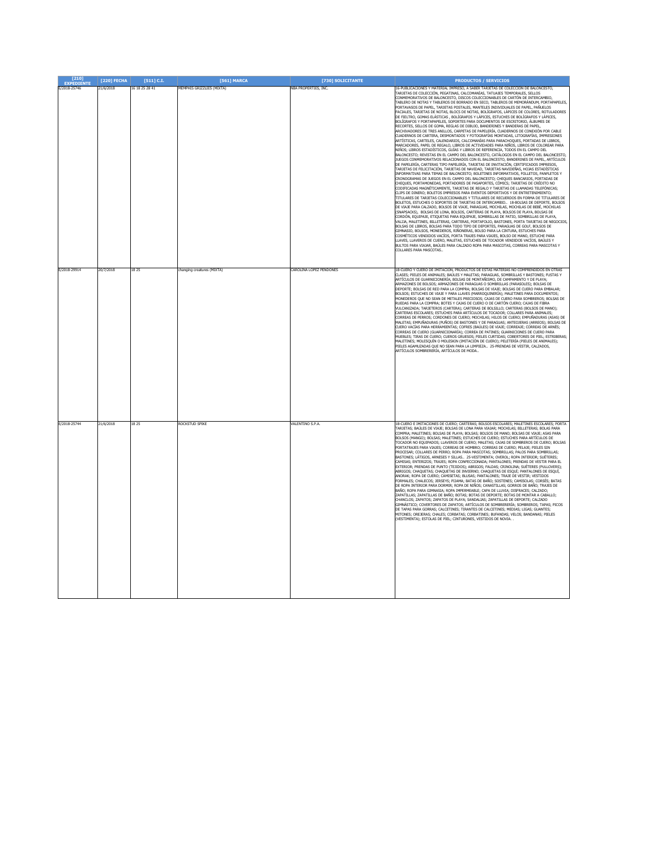| [210]<br><b>EXPEDIENTE</b>   | [220] FECHA            | $[511]$ C.I.   | [561] MARCA                                | [730] SOLICITANTE                                 | <b>PRODUCTOS / SERVICIOS</b>                                                                                                                                                                                                                                                                                                                                                                                                                                                                                                                                                                                                                                                                                                                                                                                                                                                                                                                                                                                                                                                                                                                                                                                                                                                                                                                                                                                                                                                                                                                                                                                                                                                                                                                                                                                                                                                                                                                                                                                                                                                                                                                                                                                                                                                                                                                                                                                                                                                                                                                                                                                                                                                                                                                                                                                                                                                                                                                                                                                                                                         |
|------------------------------|------------------------|----------------|--------------------------------------------|---------------------------------------------------|----------------------------------------------------------------------------------------------------------------------------------------------------------------------------------------------------------------------------------------------------------------------------------------------------------------------------------------------------------------------------------------------------------------------------------------------------------------------------------------------------------------------------------------------------------------------------------------------------------------------------------------------------------------------------------------------------------------------------------------------------------------------------------------------------------------------------------------------------------------------------------------------------------------------------------------------------------------------------------------------------------------------------------------------------------------------------------------------------------------------------------------------------------------------------------------------------------------------------------------------------------------------------------------------------------------------------------------------------------------------------------------------------------------------------------------------------------------------------------------------------------------------------------------------------------------------------------------------------------------------------------------------------------------------------------------------------------------------------------------------------------------------------------------------------------------------------------------------------------------------------------------------------------------------------------------------------------------------------------------------------------------------------------------------------------------------------------------------------------------------------------------------------------------------------------------------------------------------------------------------------------------------------------------------------------------------------------------------------------------------------------------------------------------------------------------------------------------------------------------------------------------------------------------------------------------------------------------------------------------------------------------------------------------------------------------------------------------------------------------------------------------------------------------------------------------------------------------------------------------------------------------------------------------------------------------------------------------------------------------------------------------------------------------------------------------------|
| E/2018-25746                 | 21/6/2018              | 16 18 25 28 41 | MEMPHIS GRIZZLIES (MIXTA)                  | <b>NBA PROPERTIES, INC.</b>                       | 6-PUBLICACIONES Y MATERIAL IMPRESO, A SABER TARJETAS DE COLECCIÓN DE BALONCESTO,<br>ARJETAS DE COLECCIÓN, PEGATINAS, CALCOMANÍAS, TATUAJES TEMPORALES, SELLOS<br>CONMEMORATIVOS DE BALONCESTO, DISCOS COLECCIONABLES DE CARTÓN DE INTERCAMBIO,<br>TABLERO DE NOTAS Y TABLEROS DE BORRADO EN SECO, TABLEROS DE MEMORÁNDUM, PORTAPAPELES,<br>PORTAVASOS DE PAPEL, TARJETAS POSTALES, MANTELES INDIVIDUALES DE PAPEL, PAÑUELOS<br>FACIALES, TARJETAS DE NOTAS, BLOCS DE NOTAS, BOLÍGRAFOS, LÁPICES DE COLORES, ROTULADORES<br>DE FIELTRO, GOMAS ELÁSTICAS, BOLÍGRAFOS Y LÁPICES, ESTUCHES DE BOLÍGRAFOS Y LÁPICES,<br>BOLÍGRAEOS Y PORTAPAPELES, SOPORTES PARA DOCUMENTOS DE ESCRITORIO, ÁLBUMES DE<br>RECORTES, SELLOS DE GOMA, REGLAS DE DIBUJO, BANDERINES Y BANDERAS DE PAPEL<br>ARCHIVADORES DE TRES ANILLOS, CARPETAS DE PAPELERÍA, CUADERNOS DE CONEXIÓN POR CABLE<br>CUADERNOS DE CARTERA, DESMONTADOS Y FOTOGRAFÍAS MONTADAS, LITOGRAFÍAS, IMPRESIONES<br>ARTÍSTICAS, CARTELES, CALENDARIOS, CALCOMANÍAS PARA PARACHOQUES, PORTADAS DE LIBROS<br>MARCADORES, PAPEL DE REGALO, LIBROS DE ACTIVIDADES PARA NIÑOS, LIBROS DE COLOREAR PARA<br>NIÑOS; LIBROS ESTADÍSTICOS, GUÍAS Y LIBROS DE REFERENCIA, TODOS EN EL CAMPO DEL<br>BALONCESTO; REVISTAS EN EL CAMPO DEL BALONCESTO, CATÁLOGOS EN EL CAMPO DEL BALONCESTO,<br>ILIEGOS CONMEMORATIVOS RELACIONADOS CON EL BALONCESTO, BANDERINES DE PAPEL, ARTÍCULOS<br>DE PAPELERÍA, CARTERAS TIPO PAPELERÍA, TARJETAS DE INVITACIÓN, CERTIFICADOS IMPRESOS,<br>ARJETAS DE FELICITACIÓN, TARJETAS DE NAVIDAD, TARJETAS NAVIDEÑAS, HOJAS ESTADÍSTICAS<br>INFORMATIVAS PARA TEMAS DE BALONCESTO; BOLETINES INFORMATIVOS, FOLLETOS, PANFLETOS Y<br>CRONOGRAMAS DE JUEGOS EN EL CAMPO DEL BALONCESTO; CHEQUES BANCARIOS, PORTADAS DE<br>CHEQUES, PORTAMONEDAS, PORTADORES DE PASAPORTES, CÓMICS; TARJETAS DE CRÉDITO NO<br>CODIFICADAS MAGNÉTICAMENTE, TARJETAS DE REGALO Y TARJETAS DE LLAMADAS TELEFÓNICAS;<br>CLIPS DE DINERO; BOLETOS IMPRESOS PARA EVENTOS DEPORTIVOS Y DE ENTRETENIMIENTO;<br>TTULARES DE TARJETAS COLECCIONABLES Y TITULARES DE RECUERDOS EN FORMA DE TITULARES DE<br>BOLETOS, ESTUCHES O SOPORTES DE TARJETAS DE INTERCAMBIO 18-BOLSAS DE DEPORTE, BOLSOS<br>DE VIAJE PARA CALZADO, BOLSOS DE VIAJE, PARAGUAS, MOCHILAS, MOCHILAS DE BEBÉ, MOCHILAS<br>SNAPSACKS). BOLSAS DE LONA, BOLSOS, CARTERAS DE PLAYA, BOLSOS DE PLAYA, BOLSAS DE<br>.<br>CORDÓN, EQUIPAJE, ETIQUETAS PARA EQUIPAJE, SOMBRILLAS DE PATIO, SOMBRILLAS DE PLAYA,<br>VALIJA, MALETINES, BILLETERAS, CARTERAS, PORTAFOLIO, BASTONES, PORTA TARJETAS DE NEGOCIOS,<br>BOLSAS DE LIBROS, BOLSAS PARA TODO TIPO DE DEPORTES, PARAGUAS DE GOLF, BOLSOS DE<br>GIMNASIO, BOLSOS, MONEDEROS, RIÑONERAS, BOLSO PARA LA CINTURA, ESTUCHES PARA<br>OSMÉTICOS VENDIDOS VACÍOS, PORTA TRAJES PARA VIAJES, BOLSO DE MANO, ESTUCHE PARA<br>LAVES, LLAVEROS DE CUERO, MALETAS, ESTUCHES DE TOCADOR VENDIDOS VACÍOS, BAÚLES Y<br>BULTOS PARA VIAJAR, BAÚLES PARA CALZADO ROPA PARA MASCOTAS, CORREAS PARA MASCOTAS Y<br>COLLARES PARA MASCOTAS |
| E/2018-29914<br>E/2018-25744 | 20/7/2018<br>21/6/2018 | 18 25<br>18 25 | anging creatures (MIXTA)<br>ROCKSTUD SPIKE | <b>AROLINA LOPEZ PENDONES</b><br>VALENTINO S.P.A. | 18-CUERO Y CUERO DE IMITACIÓN, PRODUCTOS DE ESTAS MATERIAS NO COMPRENDIDOS EN OTRAS<br>CLASES: PIELES DE ANIMALES: BAÚLES Y MALETAS: PARAGUAS, SOMBRILLAS Y BASTONES: FUSTAS Y<br>ARTÍCULOS DE GUARNICIONERÍA: BOLSAS DE MONTAÑISMO. DE CAMPAMENTO Y DE PLAYA:<br>ARMAZONES DE BOLSOS; ARMAZONES DE PARAGUAS O SOMBRILLAS (PARASOLES); BOLSAS DE<br>DEPORTE; BOLSAS DE RED PARA LA COMPRA; BOLSAS DE VIAJE; BOLSAS DE CUERO PARA EMBALAR;<br>BOLSOS; ESTUCHES DE VIAJE Y PARA LLAVES (MARROQUINERÍA); MALETINES PARA DOCUMENTOS;<br>JONEDEROS OUE NO SEAN DE METALES PRECIOSOS: CA1AS DE CUERO PARA SOMBREROS: BOLSAS DE<br>RUEDAS PARA LA COMPRA; BOTES Y CAJAS DE CUERO O DE CARTÓN CUERO; CAJAS DE FIBRA<br>VULCANIZADA; TARJETEROS (CARTERA); CARTERAS DE BOLSILLO; CARTERAS (BOLSOS DE MANO);<br>.<br>CARTERAS ESCOLARES; ESTUCHES PARA ARTÍCULOS DE TOCADOR; COLLARES PARA ANIMALES;<br>CORREAS DE PERROS; CORDONES DE CUERO; MOCHILAS; HILOS DE CUERO; EMPUÑADURAS (ASAS) DE<br>MALETAS; EMPUÑADURAS (PUÑOS) DE BASTONES Y DE PARAGUAS; ANTEOJERAS (ARREOS); BOLSAS DE<br>CUERO VACÍAS PARA HERRAMIENTAS; COFRES (BAÚLES) DE VIAJE; CORREAJE; CORREAS DE ARNÉS;<br>CORREAS DE CUERO (GUARNICIONARÍA); CORREA DE PATINES; GUARNICIONES DE CUERO PARA<br>IUEBLES; TIRAS DE CUERO; CUEROS GRUESOS; PIELES CURTIDAS; COBERTORES DE PIEL; ESTRIBERAS;<br>MALETINES; MOLESQUÍN O MOLESKIN (IMITACIÓN DE CUERO); PELETERÍA (PIELES DE ANIMALES);<br>PIELES AGAMUZADAS QUE NO SEAN PARA LA LIMPIEZA 25-PRENDAS DE VESTIR, CALZADOS<br><b>IRTÍCULOS SOMBRERERÍA, ARTÍCULOS DE MODA</b><br>18-CUERO E IMITACIONES DE CUERO: CARTERAS: BOLSOS ESCOLARES: MALETINES ESCOLARES: PORTA                                                                                                                                                                                                                                                                                                                                                                                                                                                                                                                                                                                                                                                                                                                                                                                                                                                                                                                                                                                                                                                                                                                                                                                                                                                                                                                                                                                      |
|                              |                        |                |                                            |                                                   | TARJETAS; BAÚLES DE VIAJE; BOLSAS DE LONA PARA VIAJAR; MOCHILAS; BILLETERAS; BOLAS PARA<br>OMPRA; MALETINES; BOLSAS DE PLAYA; BOLSAS; BOLSOS DE MANO; BOLSAS DE VIAJE; ASAS PARA<br>BOLSOS (MANGO); BOLSAS; MALETINES; ESTUCHÉS DE CUERO; ESTUCHES PARA ARTÍCULOS DE<br>TOCADOR NO EQUIPADOS; LLAVEROS DE CUERO; MALETAS; CAJAS DE SOMBREROS DE CUERO; BOLSAS<br>PORTATRAJES PARA VIAJES; CORREAS DE HOMBRO; CORREAS DE CUERO; PELAJE; PIELES SIN<br>PROCESAR; COLLARES DE PERRO; ROPA PARA MASCOTAS; SOMBRILLAS; PALOS PARA SOMBRILLAS;<br>BASTONES: LÁTIGOS, ARNESES Y SILLAS., 25-VESTIMENTA: OVEROL: ROPA INTERIOR: SUÉTERES:<br>CAMISAS; ENTERIZOS; TRAJES; ROPA CONFECCIONADA; PANTALONES; PRENDAS DE VESTIR PARA EL<br>EXTERIOR; PRENDAS DE PUNTO (TEJIDOS); ABRIGOS; FALDAS; CRINOLINA; SUÉTERES (PULLOVERS);<br>ABRIGOS; CHAQUETAS; CHAQUETAS DE INVIERNO; CHAQUETAS DE ESQUÍ; PANTALONES DE ESQUÍ,<br>MORAK: ROPA DE CUERO: CAMISETAS: BLUSAS: PANTALONES: TRA1E DE VESTIR: VESTIDOS<br>FORMALES; CHALECOS; JERSEYS; PIJAMA; BATAS DE BAÑO; SOSTENES; CAMISOLAS; CORSÉS; BATAS<br>DE ROPA INTERIOR PARA DORMIR; ROPA DE NIÑOS; CANASTILLAS; GORROS DE BAÑO; TRAJES DE<br>BAÑO; ROPA PARA GIMNASIA; ROPA IMPERMEABLE; CAPA DE LLUVIA; DISFRACES; CALZADO;<br>ZAPATILLAS: ZAPATILLAS DE BAÑO: BOTAS: BOTAS DE DEPORTE: BOTAS DE MONTAR A CABALLO:<br>CHANCLOS; ZAPATOS; ZAPATOS DE PLAYA; SANDALIAS; ZAPATILLAS DE DEPORTE; CALZADO<br>SIMNÁSTICO; COVERTORES DE ZAPATOS; ARTÍCULOS DE SOMBRERERÍA; SOMBREROS; TAPAS; PICOS<br>DE TAPAS PARA GORRAS; CALCETINES; TIRANTES DE CALCETINES; MEDIAS; LIGAS; GUANTES;<br>VITONES: OREJERAS: CHALES; CORBATAS; CORBATINES; BUFANDAS; VELOS; BANDANAS; PIELES<br>VESTIMENTA); ESTOLAS DE PIEL; CINTURONES, VESTIDOS DE NOVIA.                                                                                                                                                                                                                                                                                                                                                                                                                                                                                                                                                                                                                                                                                                                                                                                                                                                                                                                                                                                                                                                                                                                                                                                                                                                                                       |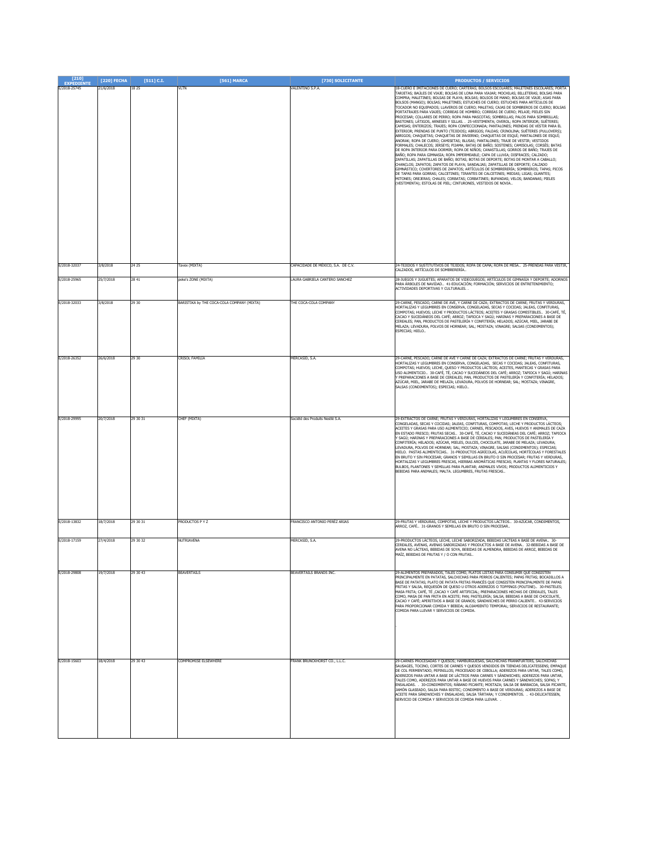| $[210]$<br><b>EXPEDIENTE</b> | $[220]$ FECHA | $[511]$ C.I. | [561] MARCA                                | [730] SOLICITANTE                  | <b>PRODUCTOS / SERVICIOS</b>                                                                                                                                                                                                                                                                                                                                                                                                                                                                                                                                                                                                                                                                                                                                                                                                                                                                                                                                                                                                                                                                                                                                                                                                                                                                                                                                                                                                                                                                                                                                                                                                                                                                                                                                                                                                                                                   |
|------------------------------|---------------|--------------|--------------------------------------------|------------------------------------|--------------------------------------------------------------------------------------------------------------------------------------------------------------------------------------------------------------------------------------------------------------------------------------------------------------------------------------------------------------------------------------------------------------------------------------------------------------------------------------------------------------------------------------------------------------------------------------------------------------------------------------------------------------------------------------------------------------------------------------------------------------------------------------------------------------------------------------------------------------------------------------------------------------------------------------------------------------------------------------------------------------------------------------------------------------------------------------------------------------------------------------------------------------------------------------------------------------------------------------------------------------------------------------------------------------------------------------------------------------------------------------------------------------------------------------------------------------------------------------------------------------------------------------------------------------------------------------------------------------------------------------------------------------------------------------------------------------------------------------------------------------------------------------------------------------------------------------------------------------------------------|
| E/2018-25745                 | 21/6/2018     | 18 25        | VLTN                                       | VALENTINO S.P.A.                   | 18-CUERO E IMITACIONES DE CUERO; CARTERAS; BOLSOS ESCOLARES; MALETINES ESCOLARES; PORTA<br>TARJETAS; BAÚLES DE VIAJE; BOLSAS DE LONA PARA VIAJAR; MOCHILAS; BILLETERAS; BOLSAS PARA<br>COMPRA; MALETINES; BOLSAS DE PLAYA; BOLSAS; BOLSOS DE MANO; BOLSAS DE VIAJE; ASAS PARA<br>BOLSOS (MANGO); BOLSAS; MALETINES; ESTUCHES DE CUERO; ESTUCHES PARA ARTÍCULOS DE<br>TOCADOR NO EQUIPADOS; LLAVEROS DE CUERO; MALETAS; CAJAS DE SOMBREROS DE CUERO; BOLSAS<br>PORTATRAJES PARA VIAJES; CORREAS DE HOMBRO; CORREAS DE CUERO; PELAJE; PIELES SIN<br>PROCESAR; COLLARES DE PERRO; ROPA PARA MASCOTAS; SOMBRILLAS; PALOS PARA SOMBRILLAS;<br>BASTONES; LÁTIGOS, ARNESES Y SILLAS. .  25-VESTIMENTA; OVEROL; ROPA INTERIOR; SUÉTERES;<br>'AMISAS; ENTERIZOS; TRAJES; ROPA CONFECCIONADA; PANTALONES; PRENDAS DE VESTIR PARA EL<br>EXTERIOR; PRENDAS DE PUNTO (TEJIDOS); ABRIGOS; FALDAS; CRINOLINA; SUÉTERES (PULLOVERS);<br>ABRIGOS; CHAQUETAS; CHAQUETAS DE INVIERNO; CHAQUETAS DE ESQUÍ; PANTALONES DE ESQUÍ;<br>ANORAK; ROPA DE CUERO; CAMISETAS; BLUSAS; PANTALONES; TRAJE DE VESTIR; VESTIDOS<br>FORMALES; CHALECOS; JERSEYS; PIJAMA; BATAS DE BAÑO; SOSTENES; CAMISOLAS; CORSÉS; BATAS<br>DE ROPA INTERIOR PARA DORMIR; ROPA DE NIÑOS; CANASTILLAS; GORROS DE BAÑO; TRAJES DE<br>BAÑO; ROPA PARA GIMNASIA; ROPA IMPERMEABLE; CAPA DE LLUVIA; DISFRACES; CALZADO;<br>ZAPATILLAS; ZAPATILLAS DE BAÑO; BOTAS; BOTAS DE DEPORTE; BOTAS DE MONTAR A CABALLO;<br>CHANCLOS; ZAPATOS; ZAPATOS DE PLAYA; SANDALIAS; ZAPATILLAS DE DEPORTE; CALZADO<br>GIMNÁSTICO; COVERTORES DE ZAPATOS; ARTÍCULOS DE SOMBRERERÍA; SOMBREROS; TAPAS; PICOS<br>DE TAPAS PARA GORRAS; CALCETINES; TIRANTES DE CALCETINES; MEDIAS; LIGAS; GUANTES;<br>MITONES; OREJERAS; CHALES; CORBATAS; CORBATINES; BUFANDAS; VELOS; BANDANAS; PIELES<br>VESTIMENTA); ESTOLAS DE PIEL; CINTURONES, VESTIDOS DE NOVIA. |
| E/2018-32037                 | 3/8/2018      | 24 25        | Tavex (MIXTA)                              | CAPACIDADE DE MÉXICO, S.A. DE C.V. | 4-TEJIDOS Y SUSTITUTIVOS DE TEJIDOS; ROPA DE CAMA; ROPA DE MESA 25-PRENDAS PARA VESTIR,<br>ALZADOS, ARTÍCULOS DE SOMBRERERÍA.                                                                                                                                                                                                                                                                                                                                                                                                                                                                                                                                                                                                                                                                                                                                                                                                                                                                                                                                                                                                                                                                                                                                                                                                                                                                                                                                                                                                                                                                                                                                                                                                                                                                                                                                                  |
| E/2018-25965                 | 25/7/2018     | 28 41        | eke's ZONE (MIXTA)                         | AURA GABRIELA CANTERO SANCHEZ      | 28-JUEGOS Y JUGUETES; APARATOS DE VIDEOJUEGOS; ARTÍCULOS DE GIMNASIA Y DEPORTE; ADORNOS<br>PARA ÁRBOLES DE NAVIDAD  41-EDUCACIÓN; FORMACIÓN; SERVICIOS DE ENTRETENIMIENTO;<br><b>ACTIVIDADES DEPORTIVAS Y CULTURALES</b>                                                                                                                                                                                                                                                                                                                                                                                                                                                                                                                                                                                                                                                                                                                                                                                                                                                                                                                                                                                                                                                                                                                                                                                                                                                                                                                                                                                                                                                                                                                                                                                                                                                       |
| E/2018-32033                 | 3/8/2018      | 29 30        | BARISTIKA by THE COCA-COLA COMPANY (MIXTA) | THE COCA-COLA COMPANY              | 29-CARNE, PESCADO, CARNE DE AVE, Y CARNE DE CAZA; EXTRACTOS DE CARNE; FRUTAS Y VERDURAS,<br>HORTALIZAS Y LEGUMBRES EN CONSERVA, CONGELADAS, SECAS Y COCIDAS; JALEAS, CONFITURAS,                                                                                                                                                                                                                                                                                                                                                                                                                                                                                                                                                                                                                                                                                                                                                                                                                                                                                                                                                                                                                                                                                                                                                                                                                                                                                                                                                                                                                                                                                                                                                                                                                                                                                               |
|                              |               |              |                                            |                                    | COMPOTAS; HUEVOS; LECHE Y PRODUCTOS LÁCTEOS; ACEITES Y GRASAS COMESTIBLES 30-CAFÉ, TÉ,<br>ACAO Y SUCEDÁNEOS DEL CAFÉ; ARROZ; TAPIOCA Y SAGÚ; HARINAS Y PREPARACIONES A BASE DE<br>CEREALES; PAN, PRODUCTOS DE PASTELERÍA Y CONFITERÍA; HELADOS; AZÚCAR, MIEL, JARABE DE<br>MELAZA; LEVADURA, POLVOS DE HORNEAR; SAL; MOSTAZA; VINAGRE; SALSAS (CONDIMENTOS);<br>SPECIAS; HIELO.                                                                                                                                                                                                                                                                                                                                                                                                                                                                                                                                                                                                                                                                                                                                                                                                                                                                                                                                                                                                                                                                                                                                                                                                                                                                                                                                                                                                                                                                                                |
| E/2018-26352                 | 26/6/2018     | 29 30        | CRISOL FAMILIA                             | MERCASID, S.A.                     | 29-CARNE, PESCADO, CARNE DE AVE Y CARNE DE CAZA; EXTRACTOS DE CARNE; FRUTAS Y VERDURAS,<br>HORTALIZAS Y LEGUMBRES EN CONSERVA, CONGELADAS, SECAS Y COCIDAS; JALEAS, CONFITURAS,<br>COMPOTAS; HUEVOS; LECHE, QUESO Y PRODUCTOS LÁCTEOS; ACEITES, MANTECAS Y GRASAS PARA<br>JSO ALIMENTICIO 30-CAFÉ, TÉ, CACAO Y SUCEDÁNEOS DEL CAFÉ; ARROZ; TAPIOCA Y SAGÚ; HARINAS<br>PREPARACIONES A BASE DE CEREALES; PAN, PRODUCTOS DE PASTELERÍA Y CONFITERÍA; HELADOS;<br>VZÚCAR, MIEL, JARABE DE MELAZA; LEVADURA, POLVOS DE HORNEAR; SAL; MOSTAZA; VINAGRE,<br>SALSAS (CONDIMENTOS); ESPECIAS; HIELO                                                                                                                                                                                                                                                                                                                                                                                                                                                                                                                                                                                                                                                                                                                                                                                                                                                                                                                                                                                                                                                                                                                                                                                                                                                                                    |
| E/2018-29995                 | 20/7/2018     | 29 30 31     | CHEF (MIXTA)                               | Société des Produits Nestlé S.A.   | 29-EXTRACTOS DE CARNE; FRUTAS Y VERDURAS, HORTALIZAS Y LEGUMBRES EN CONSERVA,<br>CONGELADAS, SECAS Y COCIDAS; JALEAS, CONFITURAS, COMPOTAS; LECHE Y PRODUCTOS LÁCTEOS;<br>CEITES Y GRASAS PARA USO ALIMENTICIO; CARNES, PESCADOS, AVES, HUEVOS Y ANIMALES DE CAZA<br>EN ESTADO FRESCO; FRUTAS SECAS 30-CAFÉ, TÉ, CACAO Y SUCEDÁNEAS DEL CAFÉ; ARROZ; TAPIOCA<br>Y SAGÚ; HARINAS Y PREPARACIONES A BASE DE CEREALES; PAN, PRODUCTOS DE PASTELERÍA Y<br>CONFITERÍA; HELADOS; AZÚCAR, MIELES, DULCES, CHOCOLATE, JARABE DE MELAZA; LEVADURA;<br>EVADURA, POLVOS DE HORNEAR; SAL; MOSTAZA; VINAGRE, SALSAS (CONDIMENTOS); ESPECIAS;<br>HIELO. PASTAS ALIMENTICIAS 31-PRODUCTOS AGRÍCOLAS, ACUÍCOLAS, HORTÍCOLAS Y FORESTALES<br>EN BRUTO Y SIN PROCESAR; GRANOS Y SEMILLAS EN BRUTO O SIN PROCESAR; FRUTAS Y VERDURAS,<br>HORTALIZAS Y LEGUMBRES FRESCAS, HIERBAS AROMÁTICAS FRESCAS; PLANTAS Y FLORES NATURALES;<br>BULBOS, PLANTONES Y SEMILLAS PARA PLANTAR; ANIMALES VIVOS; PRODUCTOS ALIMENTICIOS Y<br>BEBIDAS PARA ANIMALES; MALTA. LEGUMBRES, FRUTAS FRESCAS                                                                                                                                                                                                                                                                                                                                                                                                                                                                                                                                                                                                                                                                                                                                                                                                                |
| E/2018-13832                 | 18/7/2018     | 29 30 31     | PRODUCTOS P Y Z                            | FRANCISCO ANTONIO PERÉZ ARIAS      | 29-FRUTAS Y VERDURAS, COMPOTAS, LECHE Y PRODUCTOS LÁCTEOS 30-AZÚCAR, CONDIMENTOS,<br>ARROZ, CAFÉ 31-GRANOS Y SEMILLAS EN BRUTO O SIN PROCESAR                                                                                                                                                                                                                                                                                                                                                                                                                                                                                                                                                                                                                                                                                                                                                                                                                                                                                                                                                                                                                                                                                                                                                                                                                                                                                                                                                                                                                                                                                                                                                                                                                                                                                                                                  |
| E/2018-17159                 | 27/4/2018     | 29 30 32     | NUTRIAVENA                                 | <b>IERCASID, S.A.</b>              | 29-PRODUCTOS LÁCTEOS, LECHE, LECHE SABORIZADA, BEBIDAS LÁCTEAS A BASE DE AVENA 30-<br>CEREALES, AVENAS, AVENAS SABORIZADAS Y PRODUCTOS A BASE DE AVENA 32-BEBIDAS A BASE DE<br>AVENA NO LÁCTEAS, BEBIDAS DE SOYA, BEBIDAS DE ALMENDRA, BEBIDAS DE ARROZ, BEBIDAS DE<br>MAÍZ, BEBIDAS DE FRUTAS Y / O CON FRUTAS                                                                                                                                                                                                                                                                                                                                                                                                                                                                                                                                                                                                                                                                                                                                                                                                                                                                                                                                                                                                                                                                                                                                                                                                                                                                                                                                                                                                                                                                                                                                                                |
| E/2018-29808                 | 19/7/2018     | 29 30 43     | BEAVERTAILS                                | BEAVERTAILS BRANDS INC.            | 29-ALIMENTOS PREPARADOS, TALES COMO, PLATOS LISTAS PARA CONSUMIR QUE CONSISTEN<br>PRINCIPALMENTE EN PATATAS, SALCHICHAS PARA PERROS CALIENTES; PAPAS FRITAS; BOCADILLOS A<br>BASE DE PATATAS; PLATO DE PATATA FRITAS FRANCÉS QUE CONSISTEN PRINCIPALMENTE DE PAPAS<br>FRITAS Y SALSA, REQUESÓN DE QUESO U OTROS ADEREZOS O TOPPINGS (POUTINE) 30-PASTELES;<br>MASA FRITA; CAFÉ, TÉ ,CACAO Y CAFÉ ARTIFICIAL; PREPARACIONES HECHAS DE CEREALES, TALES<br>COMO, MASA DE PAN FRITA EN ACEITE; PAN; PASTELERÍA; SALSA; BEBIDAS A BASE DE CHOCOLATE,<br>ACAO Y CAFÉ; APERITIVOS A BASE DE GRANOS; SÁNDWICHES DE PERRO CALIENTE 43-SERVICIOS<br>PARA PROPORCIONAR COMIDA Y BEBIDA; ALOJAMIENTO TEMPORAL; SERVICIOS DE RESTAURANTE;<br>COMIDA PARA LLEVAR Y SERVICIOS DE COMIDA.                                                                                                                                                                                                                                                                                                                                                                                                                                                                                                                                                                                                                                                                                                                                                                                                                                                                                                                                                                                                                                                                                                      |
| E/2018-15603                 | 18/4/2018     | 29 30 43     | COMPROMISE ELSEWHERE                       | FRANK BRUNCKHORST CO., L.L.C.      | 29-CARNES PROCESADAS Y OUESOS: HAMBURGUESAS, SALCHICHAS FRANKFURTERS, SALCHICHAS<br>SAUSAGES, TOCINO, CORTES DE CARNES Y QUESOS VENDIDOS EN TIENDAS DELICATESSENS; EMPAQUE<br>DE COL FERMENTADO; PEPINILLOS; PROCESADO DE CEBOLLA; ADEREZOS PARA UNTAR, TALES COMO,<br>ADEREZOS PARA UNTAR A BASE DE LÁCTEOS PARA CARNES Y SÁNDWICHES; ADEREZOS PARA UNTAR,<br>TALES COMO, ADEREZOS PARA UNTAR A BASE DE HUEVOS PARA CARNES Y SÁNDWICHES; SOPAS; Y<br>ENSALADAS. . 30-CONDIMENTOS; RÁBANO PICANTE; MOSTAZA; SALSA DE BARBACOA, SALSA PICANTE,<br>JAMÓN GLASEADO, SALSA PARA BISTEC; CONDIMENTO A BASE DE VERDURAS; ADEREZOS A BASE DE<br>ACEITE PARA SÁNDWICHES Y ENSALADAS; SALSA TÁRTARA; Y CONDIMENTOS. . 43-DELICATESSEN,<br>SERVICIO DE COMIDA Y SERVICIOS DE COMIDA PARA LLEVAR. .                                                                                                                                                                                                                                                                                                                                                                                                                                                                                                                                                                                                                                                                                                                                                                                                                                                                                                                                                                                                                                                                                       |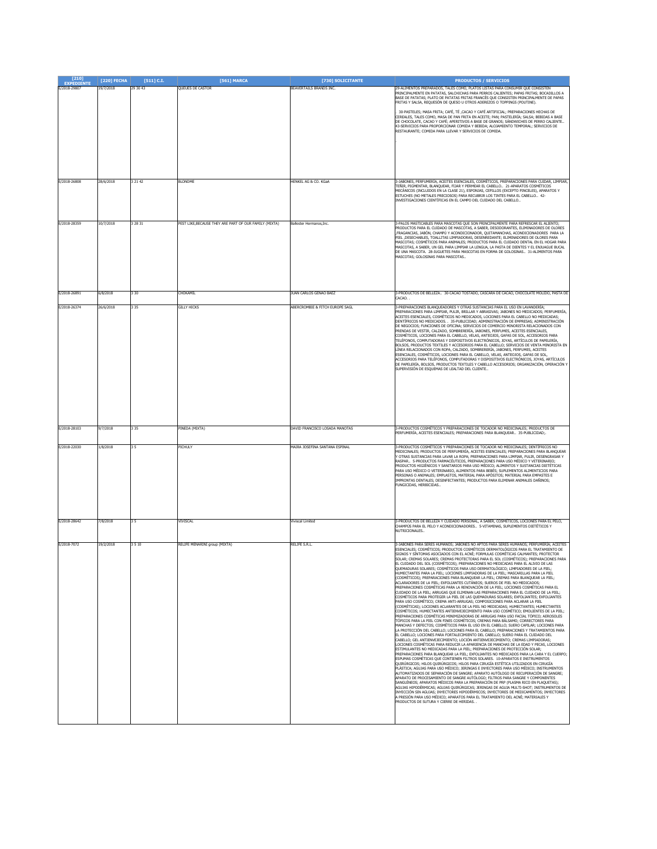| $[210]$      | [220] FECHA | $[511]$ C.I. | [561] MARCA                                            | [730] SOLICITANTE               | <b>PRODUCTOS / SERVICIOS</b>                                                                                                                                                                                                                                                                                                                                                                                                                                                                                                                                                                                                                                                                                                                                                                                                                                                                                                                                                                                                                                                                                                                                                                                                                                                                                                                                                                                                                                                                                                                                                                                                                                                                                                                                                                                                                                                                                                                                                                                                                                                                                                                                                                                                                                                                                                                                                                                                                                                                                                                                                                                                                                                                                                                                                                                                                                                                                                                                                                       |
|--------------|-------------|--------------|--------------------------------------------------------|---------------------------------|----------------------------------------------------------------------------------------------------------------------------------------------------------------------------------------------------------------------------------------------------------------------------------------------------------------------------------------------------------------------------------------------------------------------------------------------------------------------------------------------------------------------------------------------------------------------------------------------------------------------------------------------------------------------------------------------------------------------------------------------------------------------------------------------------------------------------------------------------------------------------------------------------------------------------------------------------------------------------------------------------------------------------------------------------------------------------------------------------------------------------------------------------------------------------------------------------------------------------------------------------------------------------------------------------------------------------------------------------------------------------------------------------------------------------------------------------------------------------------------------------------------------------------------------------------------------------------------------------------------------------------------------------------------------------------------------------------------------------------------------------------------------------------------------------------------------------------------------------------------------------------------------------------------------------------------------------------------------------------------------------------------------------------------------------------------------------------------------------------------------------------------------------------------------------------------------------------------------------------------------------------------------------------------------------------------------------------------------------------------------------------------------------------------------------------------------------------------------------------------------------------------------------------------------------------------------------------------------------------------------------------------------------------------------------------------------------------------------------------------------------------------------------------------------------------------------------------------------------------------------------------------------------------------------------------------------------------------------------------------------------|
| E/2018-29807 | 19/7/2018   | 29 30 43     | QUEUES DE CASTOR                                       | BEAVERTAILS BRANDS INC.         | 29-ALIMENTOS PREPARADOS, TALES COMO, PLATOS LISTAS PARA CONSUMIR QUE CONSISTEN<br>PRINCIPALMENTE EN PATATAS. SALCHICHAS PARA PERROS CALIENTES: PAPAS ERITAS: BOCADILLOS A<br>BASE DE PATATAS: PLATO DE PATATAS FRITAS FRANCÉS OUE CONSISTEN PRINCIPALMENTE DE PAPAS<br>FRITAS Y SALSA, REQUESÓN DE QUESO U OTROS ADEREZOS O TOPPINGS (POUTINE).                                                                                                                                                                                                                                                                                                                                                                                                                                                                                                                                                                                                                                                                                                                                                                                                                                                                                                                                                                                                                                                                                                                                                                                                                                                                                                                                                                                                                                                                                                                                                                                                                                                                                                                                                                                                                                                                                                                                                                                                                                                                                                                                                                                                                                                                                                                                                                                                                                                                                                                                                                                                                                                    |
|              |             |              |                                                        |                                 | .<br>190-PASTELES; MASA FRITA; CAFÉ, TÉ ,CACAO Y CAFÉ ARTIFICIAL; PREPARACIONES HECHAS DE .<br>CEREALES, TALES COMO, MASA DE PAN FRITA EN ACEITE; PAN; PASTELERÍA; SALSA; BEBIDAS A BASE<br>DE CHOCOLATE, CACAO Y CAFÉ; APERITIVOS A BASE DE GRANOS; SÁNDWICHES DE PERRO CALIENTE<br>43-SERVICIOS PARA PROPORCIONAR COMIDA Y BEBIDA; ALOJAMIENTO TEMPORAL; SERVICIOS DE<br>RESTAURANTE; COMIDA PARA LLEVAR Y SERVICIOS DE COMIDA.                                                                                                                                                                                                                                                                                                                                                                                                                                                                                                                                                                                                                                                                                                                                                                                                                                                                                                                                                                                                                                                                                                                                                                                                                                                                                                                                                                                                                                                                                                                                                                                                                                                                                                                                                                                                                                                                                                                                                                                                                                                                                                                                                                                                                                                                                                                                                                                                                                                                                                                                                                  |
|              |             |              |                                                        |                                 |                                                                                                                                                                                                                                                                                                                                                                                                                                                                                                                                                                                                                                                                                                                                                                                                                                                                                                                                                                                                                                                                                                                                                                                                                                                                                                                                                                                                                                                                                                                                                                                                                                                                                                                                                                                                                                                                                                                                                                                                                                                                                                                                                                                                                                                                                                                                                                                                                                                                                                                                                                                                                                                                                                                                                                                                                                                                                                                                                                                                    |
| E/2018-26808 | 28/6/2018   | 3 21 42      | <b>BLONDME</b>                                         | HENKEL AG & CO. KGaA            | 3-JABONES, PERFUMERÍA, ACEITES ESENCIALES, COSMÉTICOS, PREPARACIONES PARA CUIDAR, LIMPIAR,<br>TEÑIR, PIGMENTAR, BLANQUEAR, FIJAR Y PERMEAR EL CABELLO 21-APARATOS COSMÉTICOS<br>MECÁNICOS (INCLUIDOS EN LA CLASE 21), ESPONJAS, CEPILLOS (EXCEPTO PINCELES), APARATOS Y<br>ESTUCHES (NO METALES PRECIOSOS) PARA RECUBRIR LOS TINTES PARA EL CABELLO 42-<br>INVESTIGACIONES CIENTÍFICAS EN EL CAMPO DEL CUIDADO DEL CABELLO                                                                                                                                                                                                                                                                                                                                                                                                                                                                                                                                                                                                                                                                                                                                                                                                                                                                                                                                                                                                                                                                                                                                                                                                                                                                                                                                                                                                                                                                                                                                                                                                                                                                                                                                                                                                                                                                                                                                                                                                                                                                                                                                                                                                                                                                                                                                                                                                                                                                                                                                                                         |
| E/2018-28359 | 10/7/2018   | 3 28 31      | PEST LIKE, BECAUSE THEY ARE PART OF OUR FAMILY (MIXTA) | <b>Ballester Hermanns Inc.</b>  | 3-PALOS MASTICABLES PARA MASCOTAS QUE SON PRINCIPALMENTE PARA REFRESCAR EL ALIENTO;<br>PRODUCTOS PARA EL CUIDADO DE MASCOTAS, A SABER, DESODORANTES, ELIMINADORES DE OLORES<br>FRAGANCIAS, JABÓN, CHAMPÚ Y ACONDICIONADOR, QUITAMANCHAS, ACONDICIONADORES PARA LA<br>PIEL , DESECHABLES, TOALLITAS LIMPIADORAS, DESENREDANTE; ELIMINADORES DE OLORES PARA<br>MASCOTAS: COSMÉTICOS PARA ANIMALES: PRODUCTOS PARA EL CUIDADO DENTAL EN EL HOGAR PARA<br>MASCOTAS, A SABER, UN GEL PARA LIMPIAR LA LENGUA, LA PASTA DE DIENTES Y EL ENJUAGUE BUCAL<br>DE UNA MASCOTA. 28-JUGUETES PARA MASCOTAS EN FORMA DE GOLOSINAS  31-ALIMENTOS PARA<br>MASCOTAS; GOLOSINAS PARA MASCOTAS                                                                                                                                                                                                                                                                                                                                                                                                                                                                                                                                                                                                                                                                                                                                                                                                                                                                                                                                                                                                                                                                                                                                                                                                                                                                                                                                                                                                                                                                                                                                                                                                                                                                                                                                                                                                                                                                                                                                                                                                                                                                                                                                                                                                                                                                                                                         |
| E/2018-26891 | 5/8/2018    | 3 3 0        | CHOKAMIL                                               | <b>UAN CARLOS GENAO BAEZ</b>    | 3-PRODUCTOS DE BELLEZA 30-CACAO TOSTADO, CASCARA DE CACAO, CHOCOLATE MOLIDO, PASTA DE                                                                                                                                                                                                                                                                                                                                                                                                                                                                                                                                                                                                                                                                                                                                                                                                                                                                                                                                                                                                                                                                                                                                                                                                                                                                                                                                                                                                                                                                                                                                                                                                                                                                                                                                                                                                                                                                                                                                                                                                                                                                                                                                                                                                                                                                                                                                                                                                                                                                                                                                                                                                                                                                                                                                                                                                                                                                                                              |
|              |             |              |                                                        |                                 | CACAO.                                                                                                                                                                                                                                                                                                                                                                                                                                                                                                                                                                                                                                                                                                                                                                                                                                                                                                                                                                                                                                                                                                                                                                                                                                                                                                                                                                                                                                                                                                                                                                                                                                                                                                                                                                                                                                                                                                                                                                                                                                                                                                                                                                                                                                                                                                                                                                                                                                                                                                                                                                                                                                                                                                                                                                                                                                                                                                                                                                                             |
| E/2018-26374 | 26/6/2018   | 3 3 5        | <b>GILLY HICKS</b>                                     | ABERCROMBIE & FITCH EUROPE SAGL | 3-PREPARACIONES BLANQUEADORES Y OTRAS SUSTANCIAS PARA EL USO EN LAVANDERÍA<br>PREPARACIONES PARA LIMPIAR, PULIR, BRILLAR Y ABRASIVAS; JABONES NO MEDICADOS; PERFUMERÍA,<br>ACEITES ESENCIALES, COSMÉTICOS NO MEDICADOS, LOCIONES PARA EL CABELLO NO MEDICADAS;<br>DENTÍFRICOS NO MEDICADOS. . 35-PUBLICIDAD; ADMINISTRACIÓN DE EMPRESAS; ADMINISTRACIÓN<br>DE NEGOCIOS; FUNCIONES DE OFICINA; SERVICIOS DE COMERCIO MINORISTA RELACIONADOS CON<br>PRENDAS DE VESTIR, CALZADO, SOMBRERERÍA, JABONES, PERFUMES, ACEITES ESENCIALES,<br>COSMÉTICOS, LOCIONES PARA EL CABELLO, VELAS, ANTEOJOS, GAFAS DE SOL, ACCESORIOS PARA<br>TELÉFONOS, COMPUTADORAS Y DISPOSITIVOS ELECTRÓNICOS, JOYAS, ARTÍCULOS DE PAPELERÍA,<br>BOLSOS, PRODUCTOS TEXTILES Y ACCESORIOS PARA EL CABELLO; SERVICIOS DE VENTA MINORISTA EN<br>LÍNEA RELACIONADOS CON ROPA, CALZADO, SOMBRERERÍA, JABONES, PERFUMES, ACEITES<br>ESENCIALES, COSMÉTICOS, LOCIONES PARA EL CABELLO, VELAS, ANTEOJOS, GAFAS DE SOL,<br>ACCESORIOS PARA TELÉFONOS, COMPUTADORAS Y DISPOSITIVOS ELECTRÓNICOS, JOYAS, ARTÍCULOS<br>DE PAPELERÍA, BOLSOS, PRODUCTOS TEXTILES Y CABELLO ACCESORIOS; ORGANIZACIÓN, OPERACIÓN Y<br>SUPERVISIÓN DE ESQUEMAS DE LEALTAD DEL CLIENTE                                                                                                                                                                                                                                                                                                                                                                                                                                                                                                                                                                                                                                                                                                                                                                                                                                                                                                                                                                                                                                                                                                                                                                                                                                                                                                                                                                                                                                                                                                                                                                                                                                                                                                                                                                           |
| E/2018-28103 | 9/7/2018    | 3 3 5        | PINEDA (MIXTA)                                         | DAVID FRANCISCO LOSADA MANOTAS  | 3-PRODUCTOS COSMÉTICOS Y PREPARACIONES DE TOCADOR NO MEDICINALES; PRODUCTOS DE<br>ERFUMERÍA, ACEITES ESENCIALES; PREPARACIONES PARA BLANQUEAR 35-PUBLICIDAD;.                                                                                                                                                                                                                                                                                                                                                                                                                                                                                                                                                                                                                                                                                                                                                                                                                                                                                                                                                                                                                                                                                                                                                                                                                                                                                                                                                                                                                                                                                                                                                                                                                                                                                                                                                                                                                                                                                                                                                                                                                                                                                                                                                                                                                                                                                                                                                                                                                                                                                                                                                                                                                                                                                                                                                                                                                                      |
| E/2018-22030 | 1/8/2018    |              | PICHULY                                                | MAIRA JOSEFINA SANTANA ESPINAL  | 3-PRODUCTOS COSMÉTICOS Y PREPARACIONES DE TOCADOR NO MEDICINALES; DENTÍFRICOS NO<br>AEDICINALES; PRODUCTOS DE PERFUMERÍA, ACEITES ESENCIALES; PREPARACIONES PARA BLANQUEAR<br>Y OTRAS SUSTANCIAS PARA LAVAR LA ROPA; PREPARACIONES PARA LIMPIAR, PULIR, DESENGRASAR Y<br>ASPAR 5-PRODUCTOS FARMACÉUTICOS, PREPARACIONES PARA USO MÉDICO Y VETERINARIO;<br>PRODUCTOS HIGIÉNICOS Y SANITARIOS PARA USO MÉDICO; ALIMENTOS Y SUSTANCIAS DIETÉTICAS<br>ARA USO MÉDICO O VETERINARIO, ALIMENTOS PARA BEBÉS; SUPLEMENTOS ALIMENTICIOS PARA<br>PERSONAS O ANIMALES: EMPLASTOS, MATERIAL PARA APÓSITOS: MATERIAL PARA EMPASTES E<br>MPRONTAS DENTALES; DESINFECTANTES; PRODUCTOS PARA ELIMINAR ANIMALES DAÑINOS;<br>UNGICIDAS, HERBICIDAS                                                                                                                                                                                                                                                                                                                                                                                                                                                                                                                                                                                                                                                                                                                                                                                                                                                                                                                                                                                                                                                                                                                                                                                                                                                                                                                                                                                                                                                                                                                                                                                                                                                                                                                                                                                                                                                                                                                                                                                                                                                                                                                                                                                                                                                                   |
| E/2018-28642 | 7/8/2018    | 35           | VIVISCAL                                               | Viviscal Limited                | 3-PRODUCTOS DE BELLEZA Y CUIDADO PERSONAL, A SABER, COSMÉTICOS, LOCIONES PARA EL PELO,<br>CHAMPÚS PARA EL PELO Y ACONDICIONADORES 5-VITAMINAS, SUPLEMENTOS DIETÉTICOS Y<br><b>ILITRICIONALES</b>                                                                                                                                                                                                                                                                                                                                                                                                                                                                                                                                                                                                                                                                                                                                                                                                                                                                                                                                                                                                                                                                                                                                                                                                                                                                                                                                                                                                                                                                                                                                                                                                                                                                                                                                                                                                                                                                                                                                                                                                                                                                                                                                                                                                                                                                                                                                                                                                                                                                                                                                                                                                                                                                                                                                                                                                   |
| E/2018-7072  | 19/2/2018   | 3510         | RELIFE MENARINI group (MIXTA)                          | RELIFE S.R.L.                   | 3-JABONES PARA SERES HUMANOS; JABONES NO APTOS PARA SERES HUMANOS; PERFUMERÍA; ACEITES<br>ESENCIALES; COSMÉTICOS; PRODUCTOS COSMÉTICOS DERMATOLÓGICOS PARA EL TRATAMIENTO DE<br>SIGNOS Y SÍNTOMAS ASOCIADOS CON EL ACNÉ; FORMULAS COSMÉTICAS CALMANTES; PROTECTOR<br>SOLAR; CREMAS SOLARES; CREMAS PROTECTORAS PARA EL SOL (COSMÉTICOS); PREPARACIONES PARA<br>EL CUIDADO DEL SOL (COSMÉTICOS); PREPARACIONES NO MEDICADAS PARA EL ALIVIO DE LAS<br>OUEMADURAS SOLARES: COSMÉTICOS PARA USO DERMATOLÓGICO: LIMPIADORES DE LA PIEL:<br>.<br>HUMECTANTES PARA LA PIEL; LOCIONES LIMPIADORAS DE LA PIEL; MASCARILLAS PARA LA PIEL<br>(COSMÉTICOS); PREPARACIONES PARA BLANQUEAR LA PIEL; CREMAS PARA BLANQUEAR LA PIEL;<br>ACLARADORES DE LA PIEL; EXFOLIANTES CUTÁNEOS; SUEROS DE PIEL NO MEDICADOS;<br>PREPARACIONES COSMÉTICAS PARA LA RENOVACIÓN DE LA PIEL; LOCIONES COSMÉTICAS PARA EL<br>CUIDADO DE LA PIEL; ARRUGAS QUE ELIMINAN LAS PREPARACIONES PARA EL CUIDADO DE LA PIEL;<br>COSMÉTICOS PARA PROTEGER LA PIEL DE LAS QUEMADURAS SOLARES; EXFOLIANTES; EXFOLIANTES<br>PARA USO COSMÉTICO; CREMA ANTI-ARRUGAS; COMPOSICIONES PARA ACLARAR LA PIEL<br>(COSMÉTICAS); LOCIONES ACLARANTES DE LA PIEL NO MEDICADAS; HUMECTANTES; HUMECTANTES<br>COSMÉTICOS; HUMECTANTES ANTIENVEJECIMIENTO PARA USO COSMÉTICO; EMOLIENTES DE LA PIEL;<br>PREPARACIONES COSMÉTICAS MINIMIZADORAS DE ARRUGAS PARA USO FACIAL TÓPICO; AEROSOLES<br>TÓPICOS PARA LA PIEL CON FINES COSMÉTICOS; CREMAS PARA BÁLSAMO; CORRECTORES PARA<br>MANCHAS Y DEFECTOS; COSMÉTICOS PARA EL USO EN EL CABELLO; SUERO CAPILAR; LOCIONES PARA<br>LA PROTECCIÓN DEL CABELLO; LOCIONES PARA EL CABELLO; PREPARACIONES Y TRATAMIENTOS PARA<br>EL CABELLO; LOCIONES PARA FORTALECIMIENTO DEL CABELLO; SUERO PARA EL CUIDADO DEL<br>CABELLO; GEL ANTIENVEJECIMIENTO; LOCIÓN ANTIENVEJECIMIENTO; CREMAS LIMPIADORAS;<br>LOCIONES COSMÉTICAS PARA REDUCIR LA APARIENCIA DE MANCHAS DE LA EDAD Y PECAS, LOCIONES<br>ESTIMULANTES NO MEDICADAS PARA LA PIEL: PREPARACIONES DE PROTECCIÓN SOLAR:<br>PREPARACIONES PARA BLANQUEAR LA PIEL; EXFOLIANTES NO MEDICADOS PARA LA CARA Y EL CUERPO;<br>ESPUMAS COSMÉTICAS QUE CONTIENEN FILTROS SOLARES. 10-APARATOS E INSTRUMENTOS<br>OUIRÚRGICOS: HILOS OUIRÚRGICOS: HILOS PARA CIRUGÍA ESTÉTICA UTILIZADOS EN CIRUGÍA<br>PLÁSTICA: AGUJAS PARA USO MÉDICO: JERINGAS E INYECTORES PARA USO MÉDICO: INSTRUMENTOS<br>AUTOMATIZADOS DE SEPARACIÓN DE SANGRE: APARATO AUTÓLOGO DE RECUPERACIÓN DE SANGRE:<br>APARATO DE PROCESAMIENTO DE SANGRE AUTÓLOGO; FILTROS PARA SANGRE Y COMPONENTES<br>SANGUÍNEOS; APARATOS MÉDICOS PARA LA PREPARACIÓN DE PRP (PLASMA RICO EN PLAQUETAS);<br>AGUJAS HIPODÉRMICAS; AGUJAS QUIRÚRGICAS; JERINGAS DE AGUJA MULTI-SHOT; INSTRUMENTOS DE<br>INYECCIÓN SIN AGUJAS: INYECTORES HIPODÉRMICOS: INYECTORES DE MEDICAMENTOS: INYECTORES<br>A PRESIÓN PARA USO MÉDICO; APARATOS PARA EL TRATAMIENTO DEL ACNÉ; MATERIALES Y<br>RODUCTOS DE SUTURA Y CIERRE DE HERIDAS. . |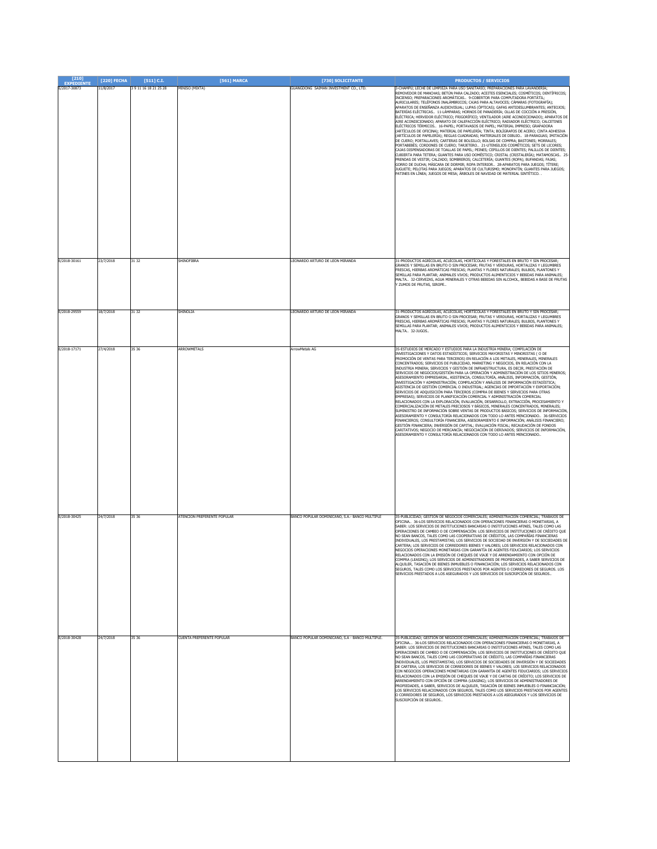| [210]<br><b>EXPEDIENTE</b> | [220] FECHA | $[511]$ C.I.   | [561] MARCA                 | [730] SOLICITANTE                               | <b>PRODUCTOS / SERVICIOS</b>                                                                                                                                                                                                                                                                                                                                                                                                                                                                                                                                                                                                                                                                                                                                                                                                                                                                                                                                                                                                                                                                                                                                                                                                                                                                                                                                                                                                                                                                                                                                                                                                                                                                                             |
|----------------------------|-------------|----------------|-----------------------------|-------------------------------------------------|--------------------------------------------------------------------------------------------------------------------------------------------------------------------------------------------------------------------------------------------------------------------------------------------------------------------------------------------------------------------------------------------------------------------------------------------------------------------------------------------------------------------------------------------------------------------------------------------------------------------------------------------------------------------------------------------------------------------------------------------------------------------------------------------------------------------------------------------------------------------------------------------------------------------------------------------------------------------------------------------------------------------------------------------------------------------------------------------------------------------------------------------------------------------------------------------------------------------------------------------------------------------------------------------------------------------------------------------------------------------------------------------------------------------------------------------------------------------------------------------------------------------------------------------------------------------------------------------------------------------------------------------------------------------------------------------------------------------------|
| E/2017-30873               | 11/8/2017   | 39111618212528 | MINISO (MIXTA)              | GUANGDONG SAIMAN INVESTMENT CO., LTD.           | 3-CHAMPÚ; LECHE DE LIMPIEZA PARA USO SANITARIO; PREPARACIONES PARA LAVANDERÍA;<br>REMOVEDOR DE MANCHAS; BETÚN PARA CALZADO; ACEITES ESENCIALES; COSMÉTICOS; DENTÍFRICOS;<br>INCIENSO; PREPARACIONES AROMÁTICAS 9-COBERTOR PARA COMPUTADORA PORTÁTIL;<br>AURICULARES; TELÉFONOS INALÁMBRICOS; CAJAS PARA ALTAVOCES; CÁMARAS (FOTOGRAFÍA);<br>APARATOS DE ENSEÑANZA AUDIOVISUAL; LUPAS (ÓPTICAS); GAFAS ANTIDESLUMBRANTES; ANTEOJOS;<br>BATERÍAS ELÉCTRICAS 11-LÁMPARAS; HORNOS DE PANADERÍA; OLLAS DE COCCIÓN A PRESIÓN,<br>ELÉCTRICA; HERVIDOR ELÉCTRICO; FRIGORÍFICO; VENTILADOR (AIRE ACONDICIONADO); APARATOS DE<br>AIRE ACONDICIONADO; APARATO DE CALEFACCIÓN ELÉCTRICO; RADIADOR ELÉCTRICO; CALCETINES<br>ELÉCTRICOS TÉRMICOS 16-PAPEL; PORTAVASOS DE PAPEL; MATERIAL IMPRESO; GRAPADORA<br>(ARTÍCULOS DE OFICINA); MATERIAL DE PAPELERÍA; TINTA; BOLÍGRAFOS DE ACERO; CINTA ADHESIVA<br>(ARTÍCULOS DE PAPELERÍA); REGLAS CUADRADAS; MATERIALES DE DIBUJO  18-PARAGUAS; IMITACIÓN<br>.<br>DE CUERO; PORTALLAVES; CARTERAS DE BOLSILLO; BOLSAS DE COMPRA; BASTONES; MORRALES;<br>PORTABEBÉS; CORDONES DE CUERO; TARJETERO  21-UTENSILIOS COSMÉTICOS; SETS DE LICORES;<br>CAJAS DISPENSADORAS DE TOALLAS DE PAPEL; PEINES; CEPILLOS DE DIENTES; PALILLOS DE DIENTES;<br>CUBIERTA PARA TETERA; GUANTES PARA USO DOMÉSTICO; CRISTAL (CRISTALERÍA); MATAMOSCAS 25-<br>PRENDAS DE VESTIR; CALZADO; SOMBREROS; CALCETERÍA; GUANTES (ROPA); BUFANDAS; FAJAS;<br>SORRO DE DUCHA; MÁSCARA DE DORMIR; ROPA INTERIOR 28-APARATOS PARA JUEGOS; TÍTERE;<br>JUGUETE; PELOTAS PARA JUEGOS; APARATOS DE CULTURISMO; MONOPATÍN; GUANTES PARA JUEGOS;<br>PATINES EN LÍNEA; JUEGOS DE MESA; ÁRBOLES DE NAVIDAD DE MATERIAL SINTÉTICO. . |
| E/2018-30161               | 23/7/2018   | 31 32          | SHINOFIBRA                  | LEONARDO ARTURO DE LEON MIRANDA                 | 31-PRODUCTOS AGRÍCOLAS, ACUÍCOLAS, HORTÍCOLAS Y FORESTALES EN BRUTO Y SIN PROCESAR;<br>GRANOS Y SEMILLAS EN BRUTO O SIN PROCESAR; FRUTAS Y VERDURAS, HORTALIZAS Y LEGUMBRES<br>FRESCAS, HIERBAS AROMÁTICAS FRESCAS; PLANTAS Y FLORES NATURALES; BULBOS, PLANTONES Y<br>SEMILLAS PARA PLANTAR; ANIMALES VIVOS; PRODUCTOS ALIMENTICIOS Y BEBIDAS PARA ANIMALES;<br>MALTA 32-CERVEZAS, AGUA MINERALES Y OTRAS BEBIDAS SIN ALCOHOL, BEBIDAS A BASE DE FRUTAS<br>ZUMOS DE FRUTAS, SIROPE                                                                                                                                                                                                                                                                                                                                                                                                                                                                                                                                                                                                                                                                                                                                                                                                                                                                                                                                                                                                                                                                                                                                                                                                                                      |
| F/2018-29559               | 18/7/2018   | 31 32          | SHINOLIA                    | LEONARDO ARTURO DE LEON MIRANDA                 | 31-PRODUCTOS AGRÍCOLAS, ACUÍCOLAS, HORTÍCOLAS Y FORESTALES EN BRUTO Y SIN PROCESAR:<br>GRANOS Y SEMILLAS EN BRUTO O SIN PROCESAR; FRUTAS Y VERDURAS, HORTALIZAS Y LEGUMBRES<br>FRESCAS, HIERBAS AROMÁTICAS FRESCAS; PLANTAS Y FLORES NATURALES; BULBOS, PLANTONES Y<br>SEMILLAS PARA PLANTAR; ANIMALES VIVOS; PRODUCTOS ALIMENTICIOS Y BEBIDAS PARA ANIMALES;<br>MALTA 32-JUGOS                                                                                                                                                                                                                                                                                                                                                                                                                                                                                                                                                                                                                                                                                                                                                                                                                                                                                                                                                                                                                                                                                                                                                                                                                                                                                                                                          |
| E/2018-17171               | 27/4/2018   | 35 36          | ARROWMETALS                 | ArrowMetals AG                                  | 35-ESTUDIOS DE MERCADO Y ESTUDIOS PARA LA INDUSTRIA MINERA: COMPILACIÓN DE<br>INVESTIGACIONES Y DATOS ESTADÍSTICOS: SERVICIOS MAYORISTAS Y MINORISTAS ( O DE<br>PROMOCIÓN DE VENTAS PARA TERCEROS) EN RELACIÓN A LOS METALES, MINERALES, MINERALES<br>CONCENTRADOS; SERVICIOS DE PUBLICIDAD, MARKETING Y NEGOCIOS, EN RELACIÓN CON LA<br>INDUSTRIA MINERA; SERVICIOS Y GESTIÓN DE INFRAESTRUCTURA, ES DECIR, PRESTACIÓN DE<br>SERVICIOS DE NEGOCIOS/GESTIÓN PARA LA OPERACIÓN Y ADMINISTRACIÓN DE LOS SITIOS MINEROS;<br>ASESORAMIENTO EMPRESARIAL, ASISTENCIA, CONSULTORÍA, ANÁLISIS, INFORMACIÓN, GESTIÓN,<br>INVESTIGACIÓN Y ADMINISTRACIÓN; COMPILACIÓN Y ANÁLISIS DE INFORMACIÓN ESTADÍSTICA;<br>ASISTENCIA DE GESTIÓN COMERCIAL O INDUSTRIAL; AGENCIAS DE IMPORTACIÓN Y EXPORTACIÓN;<br>SERVICIOS DE ADQUISICIÓN PARA TERCEROS (COMPRA DE BIENES Y SERVICIOS PARA OTRAS<br>EMPRESAS); SERVICIOS DE PLANIFICACIÓN COMERCIAL Y ADMINISTRACIÓN COMERCIAL<br>RELACIONADOS CON LA EXPLORACIÓN, EVALUACIÓN, DESARROLLO, EXTRACCIÓN, PROCESAMIENTO Y<br>COMERCIALIZACIÓN DE METALES PRECIOSOS Y BÁSICOS, MINERALES CONCENTRADOS, MINERALES;<br>SUMINISTRO DE INFORMACIÓN SOBRE VENTAS DE PRODUCTOS BÁSICOS; SERVICIOS DE INFORMACIÓN,<br>ASESORAMIENTO Y CONSULTORÍA RELACIONADOS CON TODO LO ANTES MENCIONADO 36-SERVICIOS<br>FINANCIEROS; CONSULTORÍA FINANCIERA, ASESORAMIENTO E INFORMACIÓN; ANÁLISIS FINANCIERO;<br>GESTIÓN FINANCIERA; INVERSIÓN DE CAPITAL; EVALUACIÓN FISCAL; RECAUDACIÓN DE FONDOS<br>CARITATIVOS; NEGOCIO DE MERCANCÍA; NEGOCIACIÓN DE DERIVADOS; SERVICIOS DE INFORMACIÓN,<br>SESORAMIENTO Y CONSULTORÍA RELACIONADOS CON TODO LO ANTES MENCIONADO.                                            |
| E/2018-30425               | 24/7/2018   | 35 36          | ATENCION PREFERENTE POPULAR | BANCO POPULAR DOMINICANO, S.A.- BANCO MULTIPLE  | 35-PUBLICIDAD; GESTIÓN DE NEGOCIOS COMERCIALES; ADMINISTRACIÓN COMERCIAL; TRABAJOS DE<br>OFICINA 36-LOS SERVICIOS RELACIONADOS CON OPERACIONES FINANCIERAS O MONETARIAS, A<br>SABER: LOS SERVICIOS DE INSTITUCIONES BANCARIAS O INSTITUCIONES AFINES, TALES COMO LAS<br>OPERACIONES DE CAMBIO O DE COMPENSACIÓN: LOS SERVICIOS DE INSTITUCIONES DE CRÉDITO QUE<br>NO SEAN BANCOS, TALES COMO LAS COOPERATIVAS DE CRÉDITOS, LAS COMPAÑÍAS FINANCIERAS<br>INDIVIDUALES. LOS PRESTAMISTAS: LOS SERVICIOS DE SOCIEDAD DE INVERSIÓN Y DE SOCIEDADES DE<br>CARTERA: LOS SERVICIOS DE CORREDORES BIENES Y VALORES: LOS SERVICIOS RELACIONADOS CON<br>VEGOCIOS OPERACIONES MONETARIAS CON GARANTÍA DE AGENTES FIDUCIARIOS; LOS SERVICIOS<br>ELACTONADOS CON LA EMISIÓN DE CHEQUES DE VIATE Y DE ARRENDAMIENTO CON OPCIÓN DE<br>COMPRA (LEASING); LOS SERVICIOS DE ADMINISTRADORES DE PROPIEDADES, A SABER SERVICIOS DE<br>ALOUILER. TASACIÓN DE BIENES INMUEBLES O FINANCIACIÓN: LOS SERVICIOS RELACIONADOS CON<br>SEGUROS, TALES COMO LOS SERVICIOS PRESTADOS POR AGENTES O CORREDORES DE SEGUROS. LOS<br>SERVICIOS PRESTADOS A LOS ASEGURADOS Y LOS SERVICIOS DE SUSCRIPCIÓN DE SEGUROS                                                                                                                                                                                                                                                                                                                                                                                                                                                                                                                                        |
| E/2018-30428               | 24/7/2018   | 35 36          | CUENTA PREFERENTE POPULAR   | BANCO POPULAR DOMINICANO, S.A - BANCO MULTIPLE. | 35-PUBLICIDAD; GESTIÓN DE NEGOCIOS COMERCIALES; ADMINISTRACIÓN COMERCIAL; TRABAJOS DE<br>OFICINA 36-LOS SERVICIOS RELACIONADOS CON OPERACIONES FINANCIERAS O MONETARIAS, A<br>SABER: LOS SERVICIOS DE INSTITUCIONES BANCARIAS O INSTITUCIONES AFINES, TALES COMO LAS<br>OPERACIONES DE CAMBIO O DE COMPENSACIÓN; LOS SERVICIOS DE INSTITUCIONES DE CRÉDITO QUE<br>NO SEAN BANCOS, TALES COMO LAS COOPERATIVAS DE CRÉDITO, LAS COMPAÑÍAS FINANCIERAS<br>INDIVIDUALES, LOS PRESTAMISTAS; LOS SERVICIOS DE SOCIEDADES DE INVERSIÓN Y DE SOCIEDADES<br>DE CARTERA; LOS SERVICIOS DE CORREDORES DE BIENES Y VALORES; LOS SERVICIOS RELACIONADOS<br>CON NEGOCIOS OPERACIONES MONETARIAS CON GARANTÍA DE AGENTES FIDUCIARIOS; LOS SERVICIOS<br>RELACIONADOS CON LA EMISIÓN DE CHEQUES DE VIAJE Y DE CARTAS DE CRÉDITO; LOS SERVICIOS DE<br>ARRENDAMIENTO CON OPCIÓN DE COMPRA (LEASING); LOS SERVICIOS DE ADMINISTRADORES DE<br>PROPIEDADES, A SABER, SERVICIOS DE ALQUILER, TASACIÓN DE BIENES INMUEBLES O FINANCIACIÓN;<br>LOS SERVICIOS RELACIONADOS CON SEGUROS, TALES COMO LOS SERVICIOS PRESTADOS POR AGENTES<br>O CORREDORES DE SEGUROS, LOS SERVICIOS PRESTADOS A LOS ASEGURADOS Y LOS SERVICIOS DE<br>SUSCRIPCIÓN DE SEGUROS                                                                                                                                                                                                                                                                                                                                                                                                                                                                                           |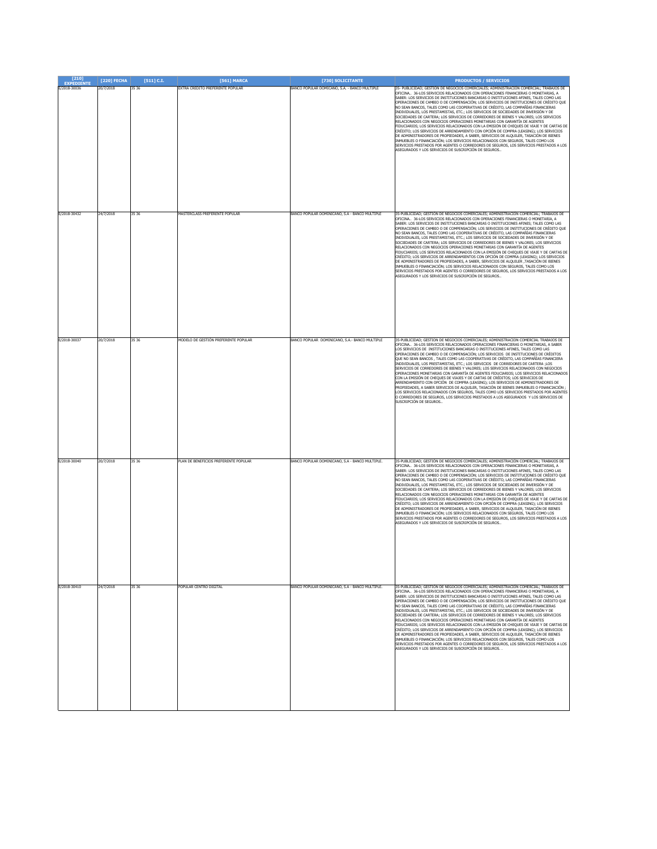| $[210]$<br><b>EXPEDIENTE</b> | [220] FECHA | $[511]$ C.I. | [561] MARCA                           | [730] SOLICITANTE                               | <b>PRODUCTOS / SERVICIOS</b>                                                                                                                                                                                                                                                                                                                                                                                                                                                                                                                                                                                                                                                                                                                                                                                                                                                                                                                                                                                                                                                                                                                                                                                                          |
|------------------------------|-------------|--------------|---------------------------------------|-------------------------------------------------|---------------------------------------------------------------------------------------------------------------------------------------------------------------------------------------------------------------------------------------------------------------------------------------------------------------------------------------------------------------------------------------------------------------------------------------------------------------------------------------------------------------------------------------------------------------------------------------------------------------------------------------------------------------------------------------------------------------------------------------------------------------------------------------------------------------------------------------------------------------------------------------------------------------------------------------------------------------------------------------------------------------------------------------------------------------------------------------------------------------------------------------------------------------------------------------------------------------------------------------|
| E/2018-30036                 | 20/7/2018   | 35 36        | EXTRA CREDITO PREFERENTE POPULAR      | BANCO POPULAR DOMICANO, S.A. - BANCO MULTIPLE   | 35- PUBLICIDAD; GESTIÓN DE NEGOCIOS COMERCIALES; ADMINISTRACIÓN COMERCIAL; TRABAJOS DE<br>PECINA 36-LOS SERVICIOS RELACIONADOS CON OPERACIONES FINANCIERAS O MONETARIAS, A<br>SABER: LOS SERVICIOS DE INSTITUCIONES BANCARIAS O INSTITUCIONES AFINES, TALES COMO LAS<br>OPERACIONES DE CAMBIO O DE COMPENSACIÓN; LOS SERVICIOS DE INSTITUCIONES DE CRÉDITO QUE<br>NO SEAN BANCOS, TALES COMO LAS COOPERATIVAS DE CRÉDITO, LAS COMPAÑÍAS FINANCIERAS<br>INDIVIDUALES, LOS PRESTAMISTAS, ETC.; LOS SERVICIOS DE SOCIEDADES DE INVERSIÓN Y DE<br>SOCIEDADES DE CARTERA; LOS SERVICIOS DE CORREDORES DE BIENES Y VALORES; LOS SERVICIOS<br>RELACIONADOS CON NEGOCIOS OPERACIONES MONETARIAS CON GARANTÍA DE AGENTES<br>FIDUCIARIOS; LOS SERVICIOS RELACIONADOS CON LA EMISIÓN DE CHEQUES DE VIAJE Y DE CARTAS DE<br>CRÉDITO; LOS SERVICIOS DE ARRENDAMIENTO CON OPCIÓN DE COMPRA (LEASING); LOS SERVICIOS<br>DE ADMINISTRADORES DE PROPIEDADES, A SABER, SERVICIOS DE ALQUILER, TASACIÓN DE BIENES<br>INMUEBLES O FINANCIACIÓN; LOS SERVICIOS RELACIONADOS CON SEGUROS, TALES COMO LOS<br>SERVICIOS PRESTADOS POR AGENTES O CORREDORES DE SEGUROS, LOS SERVICIOS PRESTADOS A LOS<br>ASEGURADOS Y LOS SERVICIOS DE SUSCRIPCIÓN DE SEGUROS  |
| E/2018-30432                 | 24/7/2018   | 35 36        | MASTERCLASS PREFERENTE POPULAR        | BANCO POPULAR DOMINICANO, S.A - BANCO MULTIPLE  | 35-PUBLICIDAD; GESTIÓN DE NEGOCIOS COMERCIALES; ADMINISTRACIÓN COMERCIAL; TRABAJOS DE<br>DFICINA 36-LOS SERVICIOS RELACIONADOS CON OPERACIONES FINANCIERAS O MONETARIA, A<br>SABER: LOS SERVICIOS DE INSTITUCIONES BANCARIAS O INSTITUCIONES AFINES; TALES COMO LAS<br>OPERACIONES DE CAMBIO O DE COMPENSACIÓN; LOS SERVICIOS DE INSTITUCIONES DE CRÉDITO QUE<br>NO SEAN BANCOS, TALES COMO LAS COOPERATIVAS DE CRÉDITO, LAS COMPAÑÍAS FINANCIERAS<br>INDIVIDUALES, LOS PRESTAMISTAS, ETC.; LOS SERVICIOS DE SOCIEDADES DE INVERSIÓN Y DE<br>SOCIEDADES DE CARTERA; LOS SERVICIOS DE CORREDORES DE BIENES Y VALORES; LOS SERVICIOS<br>RELACIONADOS CON NEGOCIOS OPERACIONES MONETARIAS CON GARANTÍA DE AGENTES<br>FIDUCIARIOS; LOS SERVICIOS RELACIONADOS CON LA EMISIÓN DE CHEQUES DE VIAJE Y DE CARTAS DE<br>CRÉDITO; LOS SERVICIOS DE ARRENDAMIENTOS CON OPCIÓN DE COMPRA (LEASING); LOS SERVICIOS<br>DE ADMINISTRADORES DE PROPIEDADES, A SABER, SERVICIOS DE ALQUILER ,TASACIÓN DE BIENES<br>INMUEBLES O FINANCIACIÓN; LOS SERVICIOS RELACIONADOS CON SEGUROS, TALES COMO LOS<br>SERVICIOS PRESTADOS POR AGENTES O CORREDORES DE SEGUROS, LOS SERVICIOS PRESTADOS A LOS<br>ASEGURADOS Y LOS SERVICIOS DE SUSCRIPCIÓN DE SEGUROS. |
| E/2018-30037                 | 20/7/2018   | 35 36        | MODELO DE GESTIÓN PREFERENTE POPULAR  | BANCO POPULAR DOMINICANO, S.A.- BANCO MULTIPLE  | 35-PUBLICIDAD: GESTION DE NEGOCIOS COMERCIALES: ADMINISTRACION COMERCIAL TRABAJOS DE<br>OFICINA 36-LOS SERVICIOS RELACIONADOS OPERACIONES FINANCIERAS O MONETARIAS, A SABER<br>LOS SERVICIOS DE INSTITUCIONES BANCARIAS O INSTITUCIONES AFINES. TALES COMO LAS<br>OPERACIONES DE CAMBIO O DE COMPENSACIÓN: LOS SERVICIOS DE INSTITUCIONES DE CRÉDITOS<br>QUE NO SEAN BANCOS , TALES COMO LAS COOPERATIVAS DE CRÉDITO, LAS COMPAÑÍAS FINANCIERA<br>INDIVIDUALES, LOS PRESTAMISTAS, ETC.; LOS SERVICIOS DE CORREDORES DE CARTERA ;LOS<br>SERVICIOS DE CORREDORES DE BIENES Y VALORES; LOS SERVICIOS RELACIONADOS CON NEGOCIOS<br>OPERACIONES MONETARIAS CON GARANTÍA DE AGENTES FIDUCIARIOS; LOS SERVICIOS RELACIONADOS<br>CON LA EMISIÓN DE CHEQUES DE VIAJES Y DE CARTAS DE CRÉDITOS; LOS SERVICIOS DE<br>ARRENDAMIENTO CON OPCIÓN DE COMPRA (LEASING); LOS SERVICIOS DE ADMINISTRADORES DE<br>PROPIEDADES, A SABER SERVICIOS DE ALQUILER, TASACIÓN DE BIENES INMUEBLES O FINANCIACIÓN ;<br>LOS SERVICIOS RELACIONADOS CON SEGUROS, TALES COMO LOS SERVICIOS PRESTADOS POR AGENTES<br>O CORREDORES DE SEGUROS, LOS SERVICIOS PRESTADOS A LOS ASEGURADOS Y LOS SERVICIOS DE<br>SUSCRIPCIÓN DE SEGUROS                                  |
| E/2018-30040                 | 20/7/2018   | 35 36        | PLAN DE BENEFICIOS PREFERENTE POPULAR | BANCO POPULAR DOMINICANO, S.A - BANCO MULTIPLE. | 35-PUBLICIDAD; GESTIÓN DE NEGOCIOS COMERCIALES; ADMINISTRACIÓN COMERCIAL; TRABAJOS DE<br>OFICINA 36-LOS SERVICIOS RELACIONADOS CON OPERACIONES FINANCIERAS O MONETARIAS, A<br>SABER: LOS SERVICIOS DE INSTITUCIONES BANCARIAS O INSTITUCIONES AFINES, TALES COMO LAS<br>OPERACIONES DE CAMBIO O DE COMPENSACIÓN; LOS SERVICIOS DE INSTITUCIONES DE CRÉDITO QUE<br>NO SEAN BANCOS, TALES COMO LAS COOPERATIVAS DE CRÉDITO, LAS COMPAÑÍAS FINANCIERAS<br>INDIVIDUALES, LOS PRESTAMISTAS, ETC.; LOS SERVICIOS DE SOCIEDADES DE INVERSIÓN Y DE<br>SOCIEDADES DE CARTERA; LOS SERVICIOS DE CORREDORES DE BIENES Y VALORES; LOS SERVICIOS<br>RELACIONADOS CON NEGÓCIOS OPERACIONES MONETARIAS CON GARANTÍA DE AGENTES<br>FIDUCIARIOS; LOS SERVICIOS RELACIONADOS CON LA EMISIÓN DE CHEQUES DE VIAJE Y DE CARTAS DE<br>CRÉDITO; LOS SERVICIOS DE ARRENDAMIENTO CON OPCIÓN DE COMPRA (LEASING); LOS SERVICIOS<br>DE ADMINISTRADORES DE PROPIEDADES, A SABER, SERVICIOS DE ALQUILER, TASACIÓN DE BIENES<br>INMUEBLES O FINANCIACIÓN; LOS SERVICIOS RELACIONADOS CON SEGUROS, TALES COMO LOS<br>SERVICIOS PRESTADOS POR AGENTES O CORREDORES DE SEGUROS, LOS SERVICIOS PRESTADOS A LOS<br>ASEGURADOS Y LOS SERVICIOS DE SUSCRIPCIÓN DE SEGUROS. |
| E/2018-30410                 | 24/7/2018   | 35 36        | POPULAR CENTRO DIGITAL                | BANCO POPULAR DOMINICANO, S.A - BANCO MULTIPLE. | 35-PUBLICIDAD: GESTIÓN DE NEGOCIOS COMERCIALES: ADMINISTRACIÓN COMERCIAL: TRABAJOS DE<br>OFICINA 36-LOS SERVICIOS RELACIONADOS CON OPERACIONES FINANCIERAS O MONETARIAS, A<br>SABER: LOS SERVICIOS DE INSTITUCIONES BANCARIAS O INSTITUCIONES AFINES, TALES COMO LAS<br>OPERACIONES DE CAMBIO O DE COMPENSACIÓN; LOS SERVICIOS DE INSTITUCIONES DE CRÉDITO QUE<br>NO SEAN BANCOS, TALES COMO LAS COOPERATIVAS DE CRÉDITO, LAS COMPAÑÍAS FINANCIERAS<br>INDIVIDUALES, LOS PRESTAMISTAS, ETC.; LOS SERVICIOS DE SOCIEDADES DE INVERSIÓN Y DE<br>SOCIEDADES DE CARTERA; LOS SERVICIOS DE CORREDORES DE BIENES Y VALORES; LOS SERVICIOS<br>RELACIONADOS CON NEGOCIOS OPERACIONES MONETARIAS CON GARANTÍA DE AGENTES<br>FIDUCIARIOS; LOS SERVICIOS RELACIONADOS CON LA EMISIÓN DE CHEQUES DE VIAJE Y DE CARTAS DE<br>CRÉDITO: LOS SERVICIOS DE ARRENDAMIENTO CON OPCIÓN DE COMPRA (LEASING): LOS SERVICIOS<br>DE ADMINISTRADORES DE PROPIEDADES, A SABER, SERVICIOS DE ALQUILER, TASACIÓN DE BIENES<br>INMUEBLES O FINANCIACIÓN: LOS SERVICIOS RELACIONADOS CON SEGUROS. TALES COMO LOS<br>SERVICIOS PRESTADOS POR AGENTES O CORREDORES DE SEGUROS, LOS SERVICIOS PRESTADOS A LOS<br>ASEGURADOS Y LOS SERVICIOS DE SUSCRIPCIÓN DE SEGUROS. |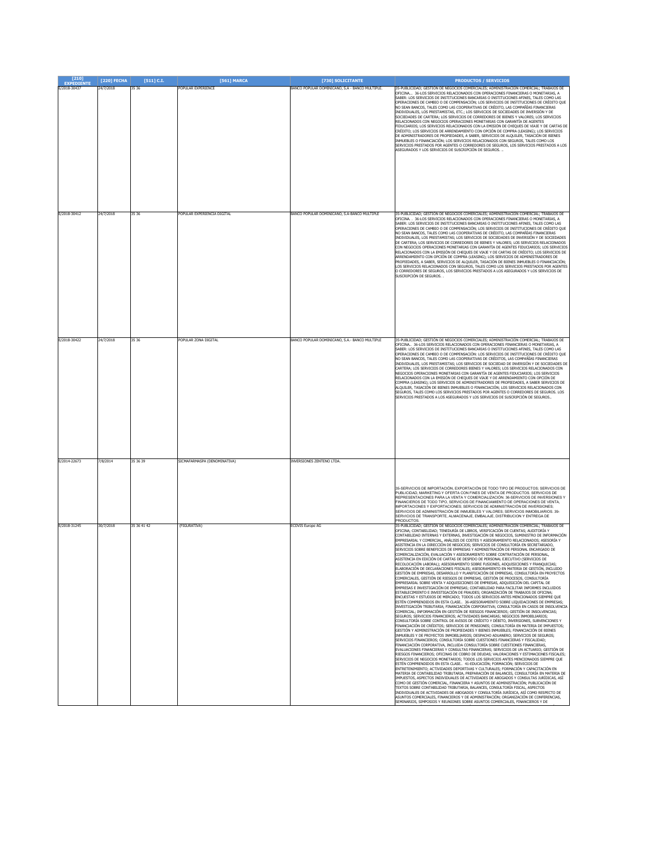| [210]<br><b>EXPEDIENTE</b> | [220] FECHA | $[511]$ C.I. | [561] MARCA                  | [730] SOLICITANTE                               | <b>PRODUCTOS / SERVICIOS</b>                                                                                                                                                                                                                                                                                                                                                                                                                                                                                                                                                                                                                                                                                                                                                                                                                                                                                                                                                                                                                                                                                                                                                                                                                                                                                                                                                                                                                                                                                                                                                                                                                                                                                                                                                                                                                                                                                                                                                                                                                                                                                                                                                                                                                                                                                                                                                                                                                                                                                                                                                                                                                                                                                                                                                                                                                                                                                                                                                                                                                                                                                                                                                                                                                                                                                                                                                |
|----------------------------|-------------|--------------|------------------------------|-------------------------------------------------|-----------------------------------------------------------------------------------------------------------------------------------------------------------------------------------------------------------------------------------------------------------------------------------------------------------------------------------------------------------------------------------------------------------------------------------------------------------------------------------------------------------------------------------------------------------------------------------------------------------------------------------------------------------------------------------------------------------------------------------------------------------------------------------------------------------------------------------------------------------------------------------------------------------------------------------------------------------------------------------------------------------------------------------------------------------------------------------------------------------------------------------------------------------------------------------------------------------------------------------------------------------------------------------------------------------------------------------------------------------------------------------------------------------------------------------------------------------------------------------------------------------------------------------------------------------------------------------------------------------------------------------------------------------------------------------------------------------------------------------------------------------------------------------------------------------------------------------------------------------------------------------------------------------------------------------------------------------------------------------------------------------------------------------------------------------------------------------------------------------------------------------------------------------------------------------------------------------------------------------------------------------------------------------------------------------------------------------------------------------------------------------------------------------------------------------------------------------------------------------------------------------------------------------------------------------------------------------------------------------------------------------------------------------------------------------------------------------------------------------------------------------------------------------------------------------------------------------------------------------------------------------------------------------------------------------------------------------------------------------------------------------------------------------------------------------------------------------------------------------------------------------------------------------------------------------------------------------------------------------------------------------------------------------------------------------------------------------------------------------------------------|
| E/2018-30437               | 24/7/2018   | 35 36        | OPULAR EXPERIENCE            | BANCO POPULAR DOMINICANO, S.A - BANCO MULTIPLE. | 35-PUBLICIDAD; GESTIÓN DE NEGOCIOS COMERCIALES; ADMINISTRACIÓN COMERCIAL; TRABAJOS DE<br>OFICINA 36-LOS SERVICIOS RELACIONADOS CON OPERACIONES FINANCIERAS O MONETARIAS, A<br>ABER: LOS SERVICIOS DE INSTITUCIONES BANCARIAS O INSTITUCIONES AFINES, TALES COMO LAS<br>OPERACIONES DE CAMBIO O DE COMPENSACIÓN; LOS SERVICIOS DE INSTITUCIONES DE CRÉDITO QUE<br>NO SEAN BANCOS, TALES COMO LAS COOPERATIVAS DE CRÉDITO, LAS COMPAÑÍAS FINANCIERAS<br>INDIVIDUALES, LOS PRESTAMISTAS, ETC.: LOS SERVICIOS DE SOCIEDADES DE INVERSIÓN Y DE<br>SOCIEDADES DE CARTERA; LOS SERVICIOS DE CORREDORES DE BIENES Y VALORES; LOS SERVICIOS<br>RELACIONADOS CON NEGOCIOS OPERACIONES MONETARIAS CON GARANTÍA DE AGENTES<br>FIDUCIARIOS; LOS SERVICIOS RELACIONADOS CON LA EMISIÓN DE CHEQUES DE VIAJE Y DE CARTAS DE<br>CRÉDITO; LOS SERVICIOS DE ARRENDAMIENTO CON OPCIÓN DE COMPRA (LEASING); LOS SERVICIOS<br>DE ADMINISTRADORES DE PROPIEDADES, A SABER, SERVICIOS DE ALQUILER, TASACIÓN DE BIENES<br>INMUEBLES O FINANCIACIÓN; LOS SERVICIOS RELACIONADOS CON SEGUROS, TALES COMO LOS<br>SERVICIOS PRESTADOS POR AGENTES O CORREDORES DE SEGUROS, LOS SERVICIOS PRESTADOS A LOS<br>ASEGURADOS Y LOS SERVICIOS DE SUSCRIPCIÓN DE SEGUROS.                                                                                                                                                                                                                                                                                                                                                                                                                                                                                                                                                                                                                                                                                                                                                                                                                                                                                                                                                                                                                                                                                                                                                                                                                                                                                                                                                                                                                                                                                                                                                                                                                                                                                                                                                                                                                                                                                                                                                                                                                                                                                                                                        |
| E/2018-30412               | 24/7/2018   | 35 36        | POPULAR EXPERIENCIA DIGITAL  | BANCO POPULAR DOMINICANO, S.A-BANCO MULTIPLE    | 35-PUBLICIDAD: GESTIÓN DE NEGOCIOS COMERCIALES: ADMINISTRACIÓN COMERCIAL: TRABAJOS DE<br>OFICINA. . 36-LOS SERVICIOS RELACIONADOS CON OPERACIONES FINANCIERAS O MONETARIAS. A<br>SABER: LOS SERVICIOS DE INSTITUCIONES BANCARIAS O INSTITUCIONES AFINES. TALES COMO LAS<br>OPERACIONES DE CAMBIO O DE COMPENSACIÓN; LOS SERVICIOS DE INSTITUCIONES DE CRÉDITO QUE<br>VO SEAN BANCOS, TALES COMO LAS COOPERATIVAS DE CRÉDITO, LAS COMPAÑÍAS FINANCIERAS<br>INDIVIDUALES, LOS PRESTAMISTAS; LOS SERVICIOS DE SOCIEDADES DE INVERSIÓN Y DE SOCIEDADES<br>DE CARTERA; LOS SERVICIOS DE CORREDORES DE BIENES Y VALORES; LOS SERVICIOS RELACIONADOS<br>CON NEGOCIOS OPERACIONES MONETARIAS CON GARANTÍA DE AGENTES FIDUCIARIOS; LOS SERVICIOS<br>RELACIONADOS CON LA EMISIÓN DE CHEQUES DE VIAJE Y DE CARTAS DE CRÉDITO; LOS SERVICIOS DE<br>ARRENDAMIENTO CON OPCIÓN DE COMPRA (LEASING); LOS SERVICIOS DE ADMINISTRADORES DE<br>PROPIEDADES, A SABER, SERVICIOS DE ALQUILER, TASACIÓN DE BIENES INMUEBLES O FINANCIACIÓN;<br>LOS SERVICIOS RELACIONADOS CON SEGUROS, TALES COMO LOS SERVICIOS PRESTADOS POR AGENTES<br>CORREDORES DE SEGUROS, LOS SERVICIOS PRESTADOS A LOS ASEGURADOS Y LOS SERVICIOS DE<br>SUSCRIPCIÓN DE SEGUROS.                                                                                                                                                                                                                                                                                                                                                                                                                                                                                                                                                                                                                                                                                                                                                                                                                                                                                                                                                                                                                                                                                                                                                                                                                                                                                                                                                                                                                                                                                                                                                                                                                                                                                                                                                                                                                                                                                                                                                                                                                                                                                                                                            |
| E/2018-30422               | 24/7/2018   | 35 36        | OPULAR ZONA DIGITAL          | BANCO POPULAR DOMINICANO, S.A.- BANCO MULTIPLE  | 85-PUBLICIDAD; GESTIÓN DE NEGOCIOS COMERCIALES; ADMINISTRACIÓN COMERCIAL; TRABAJOS DE<br>OFICINA 36-LOS SERVICIOS RELACIONADOS CON OPERACIONES FINANCIERAS O MONETARIAS, A<br>ABER: LOS SERVICIOS DE INSTITUCIONES BANCARIAS O INSTITUCIONES AFINES, TALES COMO LAS<br>OPERACIONES DE CAMBIO O DE COMPENSACIÓN: LOS SERVICIOS DE INSTITUCIONES DE CRÉDITO QUE<br>VO SEAN BANCOS, TALES COMO LAS COOPERATIVAS DE CRÉDITOS, LAS COMPAÑÍAS FINANCIERAS<br>INDIVIDUALES, LOS PRESTAMISTAS; LOS SERVICIOS DE SOCIEDAD DE INVERSIÓN Y DE SOCIEDADES DE<br>CARTERA: LOS SERVÍCIOS DE CORREDORES BIENES Y VALORES: LOS SERVÍCIOS RELACTONADOS CON<br>NEGOCIOS OPERACIONES MONETARIAS CON GARANTÍA DE AGENTES FIDUCIARIOS: LOS SERVICIOS<br>RELACIONADOS CON LA EMISIÓN DE CHEQUES DE VIAJE Y DE ARRENDAMIENTO CON OPCIÓN DE<br>COMPRA (LEASING); LOS SERVICIOS DE ADMINISTRADORES DE PROPIEDADES, A SABER SERVICIOS DE<br>ALQUILER, TASACIÓN DE BIENES INMUEBLES O FINANCIACIÓN; LOS SERVICIOS RELACIONADOS CON<br>SEGUROS. TALES COMO LOS SERVICIOS PRESTADOS POR AGENTES O CORREDORES DE SEGUROS. LOS<br>SERVICIOS PRESTADOS A LOS ASEGURADOS Y LOS SERVICIOS DE SUSCRIPCIÓN DE SEGUROS.                                                                                                                                                                                                                                                                                                                                                                                                                                                                                                                                                                                                                                                                                                                                                                                                                                                                                                                                                                                                                                                                                                                                                                                                                                                                                                                                                                                                                                                                                                                                                                                                                                                                                                                                                                                                                                                                                                                                                                                                                                                                                                                                                                                          |
| E/2014-22673               | 7/8/2014    | 35 36 39     | SICMAFARMASPA (DENOMINATIVA) | INVERSIONES ZENTENO LTDA.                       | 35-SERVICIOS DE IMPORTACIÓN, EXPORTACIÓN DE TODO TIPO DE PRODUCTOS; SERVICIOS DE<br>PUBLICIDAD, MARKETING Y OFERTA CON FINES DE VENTA DE PRODUCTOS. SERVICIOS DE<br>REPRESENTACIONES PARA LA VENTA Y COMERCIALIZACIÓN. 36-SERVICIOS DE INVERSIONES Y<br>INANCIEROS DE TODO TIPO, SERVICIOS DE FINANCIAMIENTO DE OPERACIONES DE VENTA,<br>MPORTACIONES Y EXPORTACIONES: SERVICIOS DE ADMINISTRACIÓN DE INVERSIONES<br>SERVICIOS DE ADMINISTRACIÓN DE INMUEBLES Y VALORES: SERVICIOS INMOBILIARIOS, 39-<br>SERVICIOS DE TRANSPORTE, ALMACENAJE, EMBALAJE, DISTRIBUCION Y ENTREGA DE<br><b>RODUCTOS.</b>                                                                                                                                                                                                                                                                                                                                                                                                                                                                                                                                                                                                                                                                                                                                                                                                                                                                                                                                                                                                                                                                                                                                                                                                                                                                                                                                                                                                                                                                                                                                                                                                                                                                                                                                                                                                                                                                                                                                                                                                                                                                                                                                                                                                                                                                                                                                                                                                                                                                                                                                                                                                                                                                                                                                                                       |
| F/2018-31245               | 30/7/2018   | 35 36 41 42  | (FIGURATIVA)                 | <b>ECOVIS Europe AG</b>                         | 35-PUBLICIDAD; GESTIÓN DE NEGOCIOS COMERCIALES; ADMINISTRACIÓN COMERCIAL; TRABAJOS DE<br>DFICINA: CONTABILIDAD: TENEDURÍA DE LIBROS. VERIFICACIÓN DE CUENTAS: AUDITORÍA Y<br>CONTABILIDAD INTERNAS Y EXTERNAS, INVESTIGACIÓN DE NEGOCIOS, SUMINISTRO DE INFORMACIÓN<br>EMPRESARIAL Y COMERCIAL, ANÁLISIS DE COSTES Y ASESORAMIENTO RELACIONADOS; ASESORÍA Y<br>ASISTENCIA EN LA DIRECCIÓN DE NEGOCIOS; SERVICIOS DE CONSULTORÍA EN SECRETARIADO,<br>SERVICIOS SOBRE BENEFICIOS DE EMPRESAS Y ADMINISTRACIÓN DE PERSONAL ENCARGADO DE<br>COMERCIALIZACIÓN, EVALUACIÓN Y ASESORAMIENTO SOBRE CONTRATACIÓN DE PERSONAL,<br>ASISTENCIA EN EDICIÓN DE CARTAS DE DESPIDO DE PERSONAL EJECUTIVO (SERVICIOS DE<br>RECOLOCACIÓN LABORAL); ASESORAMIENTO SOBRE FUSIONES, ADQUISICIONES Y FRANQUICIAS;<br>ELABORACIÓN DE DECLARACIONES FISCALES; ASESORAMIENTO EN MATERIA DE GESTIÓN, INCLUIDO<br>GESTIÓN DE EMPRESAS, DESARROLLO Y PLANIFICACIÓN DE EMPRESAS, CONSULTORÍA EN PROYECTOS<br>COMERCIALES, GESTIÓN DE RIESGOS DE EMPRESAS, GESTIÓN DE PROCESOS, CONSULTORÍA<br>EMPRESARIAL SOBRE VENTA Y ADQUISICIONES DE EMPRESAS, ADQUISICIÓN DEL CAPITAL DE<br>EMPRESAS E INVESTIGACIÓN DE EMPRESAS; CONTABILIDAD PARA FACILITAR INFORMES INCLUIDOS<br>ESTABLECIMIENTO E INVESTIGACIÓN DE FRAUDES; ORGANIZACIÓN DE TRABAJOS DE OFICINA;<br>ENCUESTAS Y ESTUDIOS DE MERCADO; TODOS LOS SERVICIOS ANTES MENCIONADOS SIEMPRE QUE<br>ESTÉN COMPRENDIDOS EN ESTA CLASE 36-ASESORAMIENTO SOBRE LIQUIDACIONES DE EMPRESAS;<br>INVESTIGACIÓN TRIBUTARIA; FINANCIACIÓN CORPORATIVA; CONSULTORÍA EN CASOS DE INSOLVENCIA<br>COMERCIAL; INFORMACIÓN EN GESTIÓN DE RIESGOS FINANCIEROS; GESTIÓN DE INSOLVENCIAS;<br>SEGUROS; SERVICIOS FINANCIEROS; ACTIVIDADES BANCARIAS; NEGOCIOS INMOBILIARIOS;<br>CONSULTORÍA SOBRE CONTROL DE AVISOS DE CRÉDITO Y DÉBITO, INVERSIONES, SUBVENCIONES Y<br>FINANCIACIÓN DE CRÉDITOS; SERVICIOS DE PENSIONES; CONSULTORÍA EN MATERIA DE IMPUESTOS;<br>GESTIÓN Y ADMINISTRACIÓN DE PROPIEDADES Y BIENES INMUEBLES; FINANCIACIÓN DE BIENES<br>INMUEBLES Y DE PROYECTOS INMOBILIARIOS; DESPACHO ADUANERO; SERVICIOS DE SEGUROS;<br>SERVICIOS FINANCIEROS; CONSULTORÍA SOBRE CUESTIONES FINANCIERAS Y FISCALIDAD;<br>FINANCIACIÓN CORPORATIVA. INCLUIDA CONSULTORÍA SOBRE CUESTIONES FINANCIERAS.<br>EVALUACIONES FINANCIERAS Y CONSULTAS FINANCIERAS; SERVICIOS DE UN ACTUARIO; GESTIÓN DE<br>RIESGOS FINANCIEROS; OFICINAS DE COBRO DE DEUDAS; VALORACIONES Y ESTIMACIONES FISCALES;<br>SERVICIOS DE NEGOCIOS MONETARIOS; TODOS LOS SERVICIOS ANTES MENCIONADOS SIEMPRE QUE<br>ESTÉN COMPRENDIDOS EN ESTA CLASE 41-EDUCACIÓN; FORMACIÓN; SERVICIOS DE<br>ENTRETENIMIENTO; ACTIVIDADES DEPORTIVAS Y CULTURALES; FORMACIÓN Y CAPACITACIÓN EN<br>MATERIA DE CONTABILIDAD TRIBUTARIA, PREPARACIÓN DE BALANCES, CONSULTORÍA EN MATERIA DE<br>IMPUESTOS, ASPECTOS INDIVIDUALES DE ACTIVIDADES DE ABOGADOS Y CONSULTAS JURÍDICAS, ASÍ<br>COMO DE GESTIÓN COMERCIAL, FINANCIERA Y ASUNTOS DE ADMINISTRACIÓN: PUBLICACIÓN DE<br>TEXTOS SOBRE CONTABILIDAD TRIBUTARIA, BALANCES, CONSULTORÍA FISCAL, ASPECTOS<br>INDIVIDUALES DE ACTIVIDADES DE ABOGADOS Y CONSULTORÍA JURÍDICA, ASÍ COMO RESPECTO DE<br>ASUNTOS COMERCIALES, FINANCIEROS Y DE ADMINISTRACIÓN; ORGANIZACIÓN DE CONFERENCIAS,<br>EMINARIOS, SIMPOSIOS Y REUNIONES SOBRE ASUNTOS COMERCIALES, FINANCIEROS Y DE |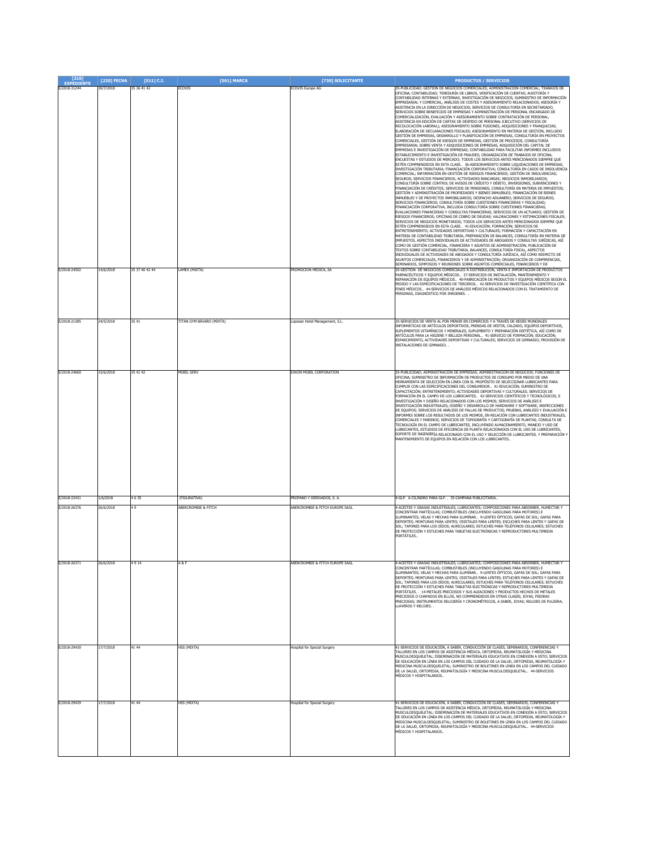| [210]<br><b>EXPEDIENTE</b>   | [220] FECHA            | [511] C.I.                    | [561] MARCA                            | [730] SOLICITANTE                                                  | <b>PRODUCTOS / SERVICIOS</b>                                                                                                                                                                                                                                                                                                                                                                                                                                                                                                                                                                                                                                                                                                                                                                                                                                                                                                                                                                                                                                                                                                                                                                                                                                                                                                                                                                                                                                                                                                                                                                                                                                                                                                                                                                                                                                                                                                                                                                                                                                                                                                                                                                                                                                                                                                                                                                                                                                                                                                                                                                                                                                                                                                                                                                                                                                                                                                                                                                                                                                                                                                                                                                                                                                                                                                                                                                                                                                             |
|------------------------------|------------------------|-------------------------------|----------------------------------------|--------------------------------------------------------------------|--------------------------------------------------------------------------------------------------------------------------------------------------------------------------------------------------------------------------------------------------------------------------------------------------------------------------------------------------------------------------------------------------------------------------------------------------------------------------------------------------------------------------------------------------------------------------------------------------------------------------------------------------------------------------------------------------------------------------------------------------------------------------------------------------------------------------------------------------------------------------------------------------------------------------------------------------------------------------------------------------------------------------------------------------------------------------------------------------------------------------------------------------------------------------------------------------------------------------------------------------------------------------------------------------------------------------------------------------------------------------------------------------------------------------------------------------------------------------------------------------------------------------------------------------------------------------------------------------------------------------------------------------------------------------------------------------------------------------------------------------------------------------------------------------------------------------------------------------------------------------------------------------------------------------------------------------------------------------------------------------------------------------------------------------------------------------------------------------------------------------------------------------------------------------------------------------------------------------------------------------------------------------------------------------------------------------------------------------------------------------------------------------------------------------------------------------------------------------------------------------------------------------------------------------------------------------------------------------------------------------------------------------------------------------------------------------------------------------------------------------------------------------------------------------------------------------------------------------------------------------------------------------------------------------------------------------------------------------------------------------------------------------------------------------------------------------------------------------------------------------------------------------------------------------------------------------------------------------------------------------------------------------------------------------------------------------------------------------------------------------------------------------------------------------------------------------------------------------|
| E/2018-31244<br>E/2018-24502 | 30/7/2018<br>14/6/2018 | 35 36 41 42<br>35 37 40 42 44 | ECOVIS<br>LAMEX (MIXTA)                | <b>ECOVIS Europe AG</b><br>PROMOCION MEDICA, SA                    | 35-PUBLICIDAD: GESTIÓN DE NEGOCIOS COMERCIALES: ADMINISTRACIÓN COMERCIAL: TRABAJOS DE<br>OFICINA; CONTABILIDAD; TENEDURÍA DE LIBROS, VERIFICACIÓN DE CUENTAS; AUDITORÍA Y<br>CONTABILIDAD INTERNAS Y EXTERNAS, INVESTIGACIÓN DE NEGOCIOS, SUMINISTRO DE INFORMACIÓN<br>EMPRESARIAL Y COMERCIAL, ANÁLISIS DE COSTES Y ASESORAMIENTO RELACIONADOS; ASESORÍA Y<br>ASISTENCIA EN LA DIRECCIÓN DE NEGOCIOS; SERVICIOS DE CONSULTORÍA EN SECRETARIADO,<br>SERVICIOS SOBRE BENEFICIOS DE EMPRESAS Y ADMINISTRACIÓN DE PERSONAL ENCARGADO DE<br>COMERCIALIZACIÓN, EVALUACIÓN Y ASESORAMIENTO SOBRE CONTRATACIÓN DE PERSONAL,<br>ASISTENCIA EN EDICIÓN DE CARTAS DE DESPIDO DE PERSONAL EJECUTIVO (SERVICIOS DE<br>RECOLOCACIÓN LABORAL); ASESORAMIENTO SOBRE FUSIONES, ADQUISICIONES Y FRANQUICIAS;<br>ELABORACIÓN DE DECLARACIONES FISCALES; ASESORAMIENTO EN MATERIA DE GESTIÓN, INCLUIDO<br>GESTIÓN DE EMPRESAS, DESARROLLO Y PLANIFICACIÓN DE EMPRESAS, CONSULTORÍA EN PROYECTOS<br>COMERCIALES, GESTIÓN DE RIESGOS DE EMPRESAS, GESTIÓN DE PROCESOS, CONSULTORÍA<br>EMPRESARIAL SOBRE VENTA Y ADQUISICIONES DE EMPRESAS, ADQUISICIÓN DEL CAPITAL DE<br>EMPRESAS E INVESTIGACIÓN DE EMPRESAS; CONTABILIDAD PARA FACILITAR INFORMES INCLUIDOS<br>ESTABLECIMIENTO E INVESTIGACIÓN DE FRAUDES; ORGANIZACIÓN DE TRABAJOS DE OFICINA;<br>ENCUESTAS Y ESTUDIOS DE MERCADO; TODOS LOS SERVICIOS ANTES MENCIONADOS SIEMPRE QUE<br>ESTÉN COMPRENDIDOS EN ESTA CLASE 36-ASESORAMIENTO SOBRE LIQUIDACIONES DE EMPRESAS;<br>INVESTIGACIÓN TRIBUTARIA; FINANCIACIÓN CORPORATIVA; CONSULTORÍA EN CASOS DE INSOLVENCIA<br>COMERCIAL; INFORMACIÓN EN GESTIÓN DE RIESGOS FINANCIEROS; GESTIÓN DE INSOLVENCIAS;<br>SEGUROS; SERVICIOS FINANCIEROS; ACTIVIDADES BANCARIAS; NEGOCIOS INMOBILIARIOS;<br>CONSULTORÍA SOBRE CONTROL DE AVISOS DE CRÉDITO Y DÉBITO, INVERSIONES, SUBVENCIONES Y<br>FINANCIACIÓN DE CRÉDITOS; SERVICIOS DE PENSIONES; CONSULTORÍA EN MATERIA DE IMPUESTOS;<br>GESTIÓN Y ADMINISTRACIÓN DE PROPIEDADES Y BIENES INMUEBLES; FINANCIACIÓN DE BIENES<br>INMUEBLES Y DE PROYECTOS INMOBILIARIOS; DESPACHO ADUANERO; SERVICIOS DE SEGUROS;<br>SERVICIOS FINANCIEROS; CONSULTORÍA SOBRE CUESTIONES FINANCIERAS Y FISCALIDAD;<br>.<br>FINANCIACIÓN CORPORATIVA, INCLUIDA CONSULTORÍA SOBRE CUESTIONES FINANCIERAS,<br>EVALUACIONES FINANCIERAS Y CONSULTAS FINANCIERAS; SERVICIOS DE UN ACTUARIO; GESTIÓN DE<br>RIESGOS FINANCIEROS; OFICINAS DE COBRO DE DEUDAS; VALORACIONES Y ESTIMACIONES FISCALES;<br>SERVICIOS DE NEGOCIOS MONETARIOS; TODOS LOS SERVICIOS ANTES MENCIONADOS SIEMPRE QUE<br>ESTÉN COMPRENDIDOS EN ESTA CLASE 41-EDUCACIÓN; FORMACIÓN; SERVICIOS DE<br>ENTRETENIMIENTO; ACTIVIDADES DEPORTIVAS Y CULTURALES; FORMACIÓN Y CAPACITACIÓN EN<br>MATERIA DE CONTABILIDAD TRIBUTARIA, PREPARACIÓN DE BALANCES, CONSULTORÍA EN MATERIA DE<br>IMPUESTOS, ASPECTOS INDIVIDUALES DE ACTIVIDADES DE ABOGADOS Y CONSULTAS JURÍDICAS, ASÍ<br>COMO DE GESTIÓN COMERCIAL, FINANCIERA Y ASUNTOS DE ADMINISTRACIÓN; PUBLICACIÓN DE<br>TEXTOS SOBRE CONTABILIDAD TRIBUTARIA, BALANCES, CONSULTORÍA FISCAL, ASPECTOS<br>INDIVIDUALES DE ACTIVIDADES DE ABOGADOS Y CONSULTORÍA JURÍDICA, ASÍ COMO RESPECTO DE<br>ASUNTOS COMERCIALES, FINANCIEROS Y DE ADMINISTRACIÓN; ORGANIZACIÓN DE CONFERENCIAS,<br>SEMINARIOS, SIMPOSIOS Y REUNIONES SOBRE ASUNTOS COMERCIALES, FINANCIEROS Y DE<br>35-GESTIÓN DE NEGOCIOS COMERCIALES N DISTRIBUCIÓN, VENTA E IMPORTACIÓN DE PRODUCTOS |
|                              |                        |                               |                                        |                                                                    | SA MATERIAL DE RESOLUTO DE MEDICOS 37-SERVICIOS DE INSTALACIÓN, MANTENIMIENTO Y<br>FARMACÉUTICOS Y EQUIPOS MÉDICOS 37-SERVICIOS DE INSTALACIÓN, MANTENIMIENTO Y<br>REPARACIÓN DE EQUIPOS MÉDICOS 40-FABRICACIÓN DE PRODUCTOS<br>PEDIDO Y LAS ESPECIFICACIONES DE TERCEROS 42-SERVICIOS DE INVESTIGACIÓN CIENTÍFICA CON<br>FINES MÉDICOS 44-SERVICIOS DE ANÁLISIS MÉDICOS RELACIONADOS CON EL TRATAMIENTO DE<br>PERSONAS, DIAGNÓSTICO POR IMÁGENES.                                                                                                                                                                                                                                                                                                                                                                                                                                                                                                                                                                                                                                                                                                                                                                                                                                                                                                                                                                                                                                                                                                                                                                                                                                                                                                                                                                                                                                                                                                                                                                                                                                                                                                                                                                                                                                                                                                                                                                                                                                                                                                                                                                                                                                                                                                                                                                                                                                                                                                                                                                                                                                                                                                                                                                                                                                                                                                                                                                                                                       |
| E/2018-21285                 | 24/5/2018              | 35 41                         | TITAN GYM BÁVARO (MIXTA)               | Lopesan Hotel Management, S.L.                                     | 35-SERVICIOS DE VENTA AL POR MENOR EN COMERCIOS Y A TRAVÉS DE REDES MUNDIALES<br>NFORMÁTICAS DE ARTÍCULOS DEPORTIVOS, PRENDAS DE VESTIR, CALZADO, EQUIPOS DEPORTIVOS,<br>SUPLEMENTOS VITAMÍNICOS Y MINERALES, SUPLEMENTO Y PREPARACIÓN DIETÉTICA, ASÍ COMO DE<br>ARTÍCULOS PARA LA HIGIENE Y BELLEZA PERSONAL 41-SERVICIO DE FORMACIÓN; EDUCACIÓN;<br>ESPARCIMIENTO, ACTIVIDADES DEPORTIVAS Y CULTURALES; SERVICIOS DE GIMNASIO; PROVISIÓN DE<br>NSTALACIONES DE GIMNASIO.                                                                                                                                                                                                                                                                                                                                                                                                                                                                                                                                                                                                                                                                                                                                                                                                                                                                                                                                                                                                                                                                                                                                                                                                                                                                                                                                                                                                                                                                                                                                                                                                                                                                                                                                                                                                                                                                                                                                                                                                                                                                                                                                                                                                                                                                                                                                                                                                                                                                                                                                                                                                                                                                                                                                                                                                                                                                                                                                                                                               |
| E/2018-24660                 | 15/6/2018              | 35 41 42                      | <b>10BIL SERV</b>                      | EXXON MOBIL CORPORATION                                            | 35-PUBLICIDAD; ADMINISTRACIÓN DE EMPRESAS; ADMINISTRACIÓN DE NEGOCIOS; FUNCIONES DE<br>OFICINA; SUMINISTRO DE INFORMACIÓN DE PRODUCTOS DE CONSUMO POR MEDIO DE UNA<br>HERRAMIENTA DE SELECCIÓN EN LÍNEA CON EL PROPÓSITO DE SELECCIONAR LUBRICANTES PARA<br>CUMPLIR CON LAS ESPECIFICACIONES DEL CONSUMIDOR 41-EDUCACIÓN; SUMINISTRO DE<br>CAPACITACIÓN; ENTRETENIMIENTO; ACTIVIDADES DEPORTIVAS Y CULTURALES; SERVICIOS DE<br>ORMACIÓN EN EL CAMPO DE LOS LUBRICANTES 42-SERVICIOS CIENTÍFICOS Y TECNOLÓGICOS, E<br>INVESTIGACIÓN Y DISEÑO RELACIONADOS CON LOS MISMOS; SERVICIOS DE ANÁLISIS E<br>INVESTIGACIÓN INDUSTRIALES; DISEÑO Y DESARROLLO DE HARDWARE Y SOFTWARE; INSPECCIONES<br>DE EQUIPOS; SERVICIOS DE ANÁLISIS DE FALLAS DE PRODUCTOS; PRUEBAS, ANÁLISIS Y EVALUACIÓN E<br>INFORMES SOBRE LOS RESULTADOS DE LOS MISMOS, EN RELACIÓN CON LUBRICANTES INDUSTRIALES,<br>COMERCIALES Y MARINOS; SERVICIOS DE TOPOGRAFÍA Y CARTOGRAFÍA DE PLANTAS; CONSULTA DE<br>TECNOLOGÍA EN EL CAMPO DE LUBRICANTES, INCLUYENDO ALMACENAMIENTO, MANEJO Y USO DE<br>LUBRICANTES, ESTUDIOS DE EFICIENCIA DE PLANTA RELACIONADOS CON EL USO DE LUBRICANTES,<br>SOPORTE DE INGENIERÍA RELACIONADO CON EL USO Y SELECCIÓN DE LUBRICANTES. Y PREPARACIÓN Y<br>MANTENIMIENTO DE EQUIPOS EN RELACIÓN CON LOS LUBRICANTES                                                                                                                                                                                                                                                                                                                                                                                                                                                                                                                                                                                                                                                                                                                                                                                                                                                                                                                                                                                                                                                                                                                                                                                                                                                                                                                                                                                                                                                                                                                                                                                                                                                                                                                                                                                                                                                                                                                                                                                                                                                                                                                                                           |
| E/2018-22431                 | 1/6/2018               | 4635                          | (FIGURATIVA)                           | PROPANO Y DERIVADOS, S. A.                                         | 4-GLP. 6-CILINDRO PARA GLP. . 35-CAMPAÑA PUBLICITARIA                                                                                                                                                                                                                                                                                                                                                                                                                                                                                                                                                                                                                                                                                                                                                                                                                                                                                                                                                                                                                                                                                                                                                                                                                                                                                                                                                                                                                                                                                                                                                                                                                                                                                                                                                                                                                                                                                                                                                                                                                                                                                                                                                                                                                                                                                                                                                                                                                                                                                                                                                                                                                                                                                                                                                                                                                                                                                                                                                                                                                                                                                                                                                                                                                                                                                                                                                                                                                    |
| E/2018-26376<br>E/2018-26371 | 26/6/2018<br>26/6/2018 | 49<br>4914                    | <b>BERCROMBIE &amp; FITCH</b><br>1 & I | ABERCROMBIE & FITCH EUROPE SAGL<br>ABERCROMBIE & FITCH EUROPE SAGL | 4-ACEITES Y GRASAS INDUSTRIALES; LUBRICANTES; COMPOSICIONES PARA ABSORBER, HUMECTAR Y<br>CONCENTRAR PARTÍCULAS; COMBUSTIBLES (INCLUYENDO GASOLINAS PARA MOTORES) E<br>ILUMINANTES; VELAS Y MECHAS PARA ILUMINAR 9-LENTES ÓPTICOS; GAFAS DE SOL; GAFAS PARA<br>DEPORTES; MONTURAS PARA LENTES; CRISTALES PARA LENTES; ESCUCHES PARA LENTES Y GAFAS DE<br>SOL; TAPONES PARA LOS OÍDOS; AURICULARES; ESTUCHES PARA TELÉFONOS CELULARES; ESTUCHES<br>DE PROTECCIÓN Y ESTUCHES PARA TABLETAS ELECTRÓNICAS Y REPRODUCTORES MULTIMEDIA<br>PORTÁTILES.<br>4-ACEITES Y GRASAS INDUSTRIALES; LUBRICANTES; COMPOSICIONES PARA ABSORBER, HUMECTAR Y                                                                                                                                                                                                                                                                                                                                                                                                                                                                                                                                                                                                                                                                                                                                                                                                                                                                                                                                                                                                                                                                                                                                                                                                                                                                                                                                                                                                                                                                                                                                                                                                                                                                                                                                                                                                                                                                                                                                                                                                                                                                                                                                                                                                                                                                                                                                                                                                                                                                                                                                                                                                                                                                                                                                                                                                                                  |
|                              |                        |                               |                                        |                                                                    | CONCENTRAR PARTÍCULAS; COMBUSTIBLES (INCLUYENDO GASOLINAS PARA MOTORES) E<br>ILUMINANTES; VELAS Y MECHAS PARA ILUMINAR 9-LENTES ÓPTICOS, GAFAS DE SOL; GAFAS PARA<br>DEPORTES; MONTURAS PARA LENTES; CRISTALES PARA LENTES; ESTUCHES PARA LENTES Y GAFAS DE<br>SOL: TAPONES PARA LOS OÍDOS: AURICULARES: ESTUCHES PARA TELÉFONOS CELULARES: ESTUCHES<br>DE PROTECCIÓN Y ESTUCHES PARA TABLETAS ELECTRÓNICAS Y REPRODUCTORES MULTIMEDIA<br>PORTÁTILES 14-METALES PRECIOSOS Y SUS ALEACIONES Y PRODUCTOS HECHOS DE METALES<br>PRECIOSOS O CHAPADOS EN ELLOS, NO COMPRENDIDOS EN OTRAS CLASES; JOYAS, PIEDRAS<br>PRECIOSAS; INSTRUMENTOS RELOJERÍA Y CRONOMÉTRICOS, A SABER, JOYAS; RELOJES DE PULSERA;<br>LLAVEROS Y RELOJES                                                                                                                                                                                                                                                                                                                                                                                                                                                                                                                                                                                                                                                                                                                                                                                                                                                                                                                                                                                                                                                                                                                                                                                                                                                                                                                                                                                                                                                                                                                                                                                                                                                                                                                                                                                                                                                                                                                                                                                                                                                                                                                                                                                                                                                                                                                                                                                                                                                                                                                                                                                                                                                                                                                                               |
| E/2018-29430                 | 17/7/2018              | 41 44                         | <b>ISS (MIXTA)</b>                     | Hospital for Special Surgery                                       | 41-SERVICIOS DE EDUCACIÓN, A SABER, CONDUCCIÓN DE CLASES, SEMINARIOS, CONFERENCIAS Y<br>TALLERES EN LOS CAMPOS DE ASISTENCIA MÉDICA, ORTOPEDIA, REUMATOLOGÍA Y MEDICINA<br>MUSCULOESQUELETAL; DISEMINACIÓN DE MATERIALES EDUCATIVOS EN CONEXIÓN A ESTO; SERVICIOS<br>DE EDUCACIÓN EN LÍNEA EN LOS CAMPOS DEL CUIDADO DE LA SALUD, ORTOPEDIA, REUMATOLOGÍA Y<br>MEDICINA MUSCULOESQUELETAL; SUMINISTRO DE BOLETINES EN LÍNEA EN LOS CAMPOS DEL CUIDADO<br>DE LA SALUD, ORTOPEDIA, REUMATOLOGÍA Y MEDICINA MUSCULOESQUELETAL 44-SERVICIOS<br>MÉDICOS Y HOSPITALARIOS                                                                                                                                                                                                                                                                                                                                                                                                                                                                                                                                                                                                                                                                                                                                                                                                                                                                                                                                                                                                                                                                                                                                                                                                                                                                                                                                                                                                                                                                                                                                                                                                                                                                                                                                                                                                                                                                                                                                                                                                                                                                                                                                                                                                                                                                                                                                                                                                                                                                                                                                                                                                                                                                                                                                                                                                                                                                                                       |
| E/2018-29429                 | 17/7/2018              | 41 44                         | HSS (MIXTA)                            | Hospital for Special Surgery                                       | 41-SERVICIOS DE EDUCACIÓN, A SABER, CONDUCCIÓN DE CLASES, SEMINARIOS, CONFERENCIAS Y<br>TALLERES EN LOS CAMPOS DE ASISTENCIA MÉDICA, ORTOPEDIA, REUMATOLOGÍA Y MEDICINA<br>MUSCULOESOUELETAL: DISEMINACIÓN DE MATERIALES EDUCATIVOS EN CONEXIÓN A ESTO: SERVICIOS<br>DE EDUCACIÓN EN LÍNEA EN LOS CAMPOS DEL CUIDADO DE LA SALUD, ORTOPEDIA, REUMATOLOGÍA Y<br>MEDICINA MUSCULOESOUELETAL: SUMINISTRO DE BOLETINES EN LÍNEA EN LOS CAMPOS DEL CUIDADO<br>DE LA SALUD, ORTOPEDIA, REUMATOLOGÍA Y MEDICINA MUSCULOESQUELETAL 44-SERVICIOS<br>MÉDICOS Y HOSPITALARIOS                                                                                                                                                                                                                                                                                                                                                                                                                                                                                                                                                                                                                                                                                                                                                                                                                                                                                                                                                                                                                                                                                                                                                                                                                                                                                                                                                                                                                                                                                                                                                                                                                                                                                                                                                                                                                                                                                                                                                                                                                                                                                                                                                                                                                                                                                                                                                                                                                                                                                                                                                                                                                                                                                                                                                                                                                                                                                                       |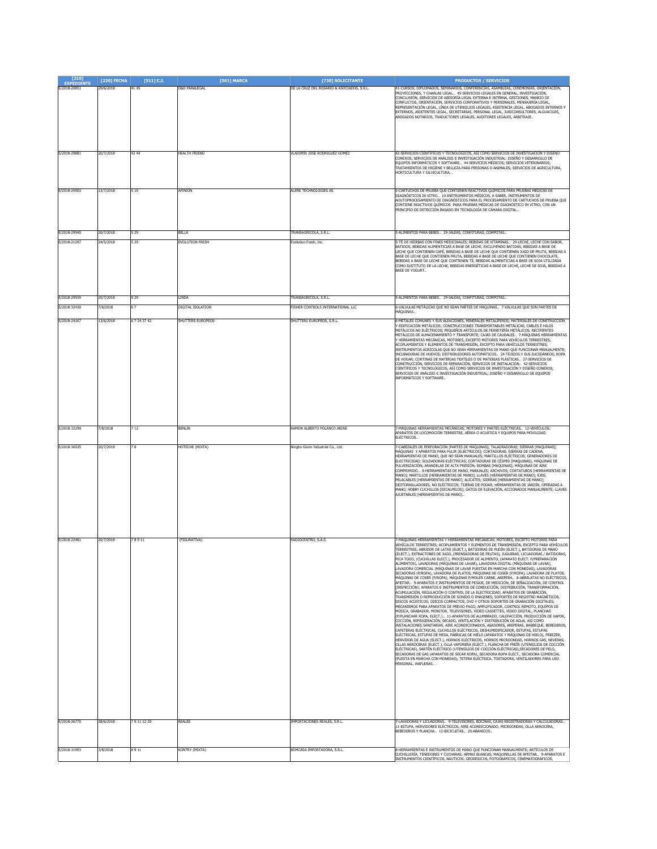| [210]<br><b>EXPEDIENTE</b>   | [220] FECHA           | $[511]$ C.I.     | [561] MARCA                     | [730] SOLICITANTE                                           | <b>PRODUCTOS / SERVICIOS</b>                                                                                                                                                                                                                                                                                                                                                                                                                                                                                                                                                                                                                                                                                                                                                                                                                                                                                                                                                                                                                                                                                                                                                                                                                                                                                                                                                                                                                                                                                                                                                                                                                                                                                                                                                                                                                                                                                                                                                                                                                                                                                                                                                                                                                                                                                                                                          |
|------------------------------|-----------------------|------------------|---------------------------------|-------------------------------------------------------------|-----------------------------------------------------------------------------------------------------------------------------------------------------------------------------------------------------------------------------------------------------------------------------------------------------------------------------------------------------------------------------------------------------------------------------------------------------------------------------------------------------------------------------------------------------------------------------------------------------------------------------------------------------------------------------------------------------------------------------------------------------------------------------------------------------------------------------------------------------------------------------------------------------------------------------------------------------------------------------------------------------------------------------------------------------------------------------------------------------------------------------------------------------------------------------------------------------------------------------------------------------------------------------------------------------------------------------------------------------------------------------------------------------------------------------------------------------------------------------------------------------------------------------------------------------------------------------------------------------------------------------------------------------------------------------------------------------------------------------------------------------------------------------------------------------------------------------------------------------------------------------------------------------------------------------------------------------------------------------------------------------------------------------------------------------------------------------------------------------------------------------------------------------------------------------------------------------------------------------------------------------------------------------------------------------------------------------------------------------------------------|
| E/2018-20851                 | 29/6/2018             | 41 45            | <b>D&amp;D PARALEGAL</b>        | DE LA CRUZ DEL ROSARIO & ASOCIADOS, S.R.L.                  | 41-CURSOS; DIPLOMADOS, SEMINARIOS, CONFERENCIAS, ASAMBLEAS, CEREMONIAS, ORIENTACIÓN,<br>PROYECCIONES, Y CHARLAS LEGAL 45-SERVICIOS LEGALES EN GENERAL, INVESTIGACIÓN,<br>CONCLUSIÓN, SERVICIOS DE ASESORÍA LEGAL EXTERNA E INTERNA, GESTIONES, MANEJO DE<br>CONFLICTOS, ORIENTACIÓN, SERVICIOS CORPORATIVOS Y PERSONALES, MENSAJERÍA LEGAL,<br>REPRESENTACIÓN LEGAL, LÍNEA DE UTENSILIOS LEGALES, ASISTENCIA LEGAL, ABOGADOS INTERNOS Y<br>EXTERNOS, ASISTENTES LEGAL, SECRETARIAS, PERSONAL LEGAL, JURICONSULTORES, ALGUACILES,<br>BOGADOS NOTARIOS, TRADUCTORES LEGALES, AUDITORES LEGALES, ARBITRAJE.                                                                                                                                                                                                                                                                                                                                                                                                                                                                                                                                                                                                                                                                                                                                                                                                                                                                                                                                                                                                                                                                                                                                                                                                                                                                                                                                                                                                                                                                                                                                                                                                                                                                                                                                                              |
|                              |                       | 42 44            | HEALTH FRIEND                   | VLADIMIR JOSE RODRIGUEZ GOMEZ                               | 42-SERVICIOS CIENTÍFICOS Y TECNOLÓGICOS, ASÍ COMO SERVICIOS DE INVESTIGACIÓN Y DISEÑO                                                                                                                                                                                                                                                                                                                                                                                                                                                                                                                                                                                                                                                                                                                                                                                                                                                                                                                                                                                                                                                                                                                                                                                                                                                                                                                                                                                                                                                                                                                                                                                                                                                                                                                                                                                                                                                                                                                                                                                                                                                                                                                                                                                                                                                                                 |
| E/2018-29881                 | 20/7/2018             |                  |                                 |                                                             | CONEXOS; SERVICIOS DE ANÁLISIS E INVESTIGACIÓN INDUSTRIAL: DISEÑO Y DESARROLLO DE<br>EQUIPOS INFORMÁTICOS Y SOFTWARE 44-SERVICIOS MÉDICOS; SERVICIOS VETERINARIOS;<br>TRATAMIENTOS DE HIGIENE Y BELLEZA PARA PERSONAS O ANIMALES; SERVICIOS DE AGRICULTURA,<br>HORTICULTURA Y SILVICULTURA                                                                                                                                                                                                                                                                                                                                                                                                                                                                                                                                                                                                                                                                                                                                                                                                                                                                                                                                                                                                                                                                                                                                                                                                                                                                                                                                                                                                                                                                                                                                                                                                                                                                                                                                                                                                                                                                                                                                                                                                                                                                            |
| E/2018-29003                 | 13/7/2018             | 510              | AFINION                         | <b>LERE TECHNOLOGIES AS</b>                                 | 5-CARTUCHOS DE PRUEBA QUE CONTIENEN REACTIVOS QUÍMICOS PARA PRUEBAS MÉDICAS DE<br>DIAGNÓSTICOS IN VITRO 10-INSTRUMENTOS MÉDICOS, A SABER, INSTRUMENTOS DE<br>AOUTOPROCESAMIENTO DE DIAGNÓSTICOS PARA EL PROCESAMIENTO DE CARTUCHOS DE PRUEBA QUE<br>CONTIENE REACTIVOS QUÍMICOS PARA PRUEBAS MÉDICAS DE DIAGNÓSTICO IN VITRO; CON UN<br>RINCIPIO DE DETECCIÓN BASADO EN TECNOLOGÍA DE CÁMARA DIGITAL.                                                                                                                                                                                                                                                                                                                                                                                                                                                                                                                                                                                                                                                                                                                                                                                                                                                                                                                                                                                                                                                                                                                                                                                                                                                                                                                                                                                                                                                                                                                                                                                                                                                                                                                                                                                                                                                                                                                                                                 |
| E/2018-29940                 | 20/7/2018             | 5 2 9            | BELLA                           | FRANSAGRICOLA, S.R.L.                                       | -SALIMENTOS PARA BEBÉS 29-JALEAS, CONFITURAS, COMPOTAS                                                                                                                                                                                                                                                                                                                                                                                                                                                                                                                                                                                                                                                                                                                                                                                                                                                                                                                                                                                                                                                                                                                                                                                                                                                                                                                                                                                                                                                                                                                                                                                                                                                                                                                                                                                                                                                                                                                                                                                                                                                                                                                                                                                                                                                                                                                |
| E/2018-21297                 | 24/5/2018             | 5 2 9            | EVOLUTION FRESH                 | Evolution Fresh, Inc.                                       | 5-TÉ DE HIERBAS CON FINES MEDICINALES; BEBIDAS DE VITAMINAS 29-LECHE, LECHE CON SABOR<br>BATIDOS, BEBIDAS ALIMENTICIAS A BASE DE LECHE, EXCLUYENDO BATIDAS, BEBIDAS A BASE DE<br>LECHE QUE CONTIENEN CAFÉ, BEBIDAS A BASE DE LECHE QUE CONTIENEN JUGO DE FRUTA, BEBIDAS A<br>BASE DE LECHE QUE CONTIENEN FRUTA, BEBIDAS A BASE DE LECHE QUE CONTIENEN CHOCOLATE,<br>BEBIDAS A BASE DE LECHE QUE CONTIENEN TÉ, BEBIDAS ALIMENTICIAS A BASE DE SOJA UTILIZADA<br>COMO SUSTITUTO DE LA LECHE, BEBIDAS ENERGÉTICAS A BASE DE LECHE, LECHE DE SOJA, BEBIDAS A<br>BASE DE YOGURT                                                                                                                                                                                                                                                                                                                                                                                                                                                                                                                                                                                                                                                                                                                                                                                                                                                                                                                                                                                                                                                                                                                                                                                                                                                                                                                                                                                                                                                                                                                                                                                                                                                                                                                                                                                            |
| E/2018-29939                 | 20/7/2018             | 5 2 9            | <b>INDA</b>                     | FRANSAGRICOLA, S.R.L.                                       | 5-ALIMENTOS PARA BEBES 29-JALEAS, CONFITURAS, COMPOTAS.                                                                                                                                                                                                                                                                                                                                                                                                                                                                                                                                                                                                                                                                                                                                                                                                                                                                                                                                                                                                                                                                                                                                                                                                                                                                                                                                                                                                                                                                                                                                                                                                                                                                                                                                                                                                                                                                                                                                                                                                                                                                                                                                                                                                                                                                                                               |
| E/2018-32430                 | 7/8/2018              | 67               | DIGITAL ISOLATION               | FISHER CONTROLS INTERNATIONAL LLC                           | 6-VÁLVULAS METÁLICAS QUE NO SEAN PARTES DE MÁQUINAS 7-VÁLVULAS QUE SON PARTES DE<br>4ÁOUINAS.                                                                                                                                                                                                                                                                                                                                                                                                                                                                                                                                                                                                                                                                                                                                                                                                                                                                                                                                                                                                                                                                                                                                                                                                                                                                                                                                                                                                                                                                                                                                                                                                                                                                                                                                                                                                                                                                                                                                                                                                                                                                                                                                                                                                                                                                         |
| E/2018-24167                 | 13/6/2018             | 67243742         | SHUTTERS EUROPEOS               | SHUTTERS EUROPEOS, S.R.L.                                   | -<br>METALES COMUNES Y SUS ALEACIONES, MINERALES METALÍFEROS; MATERIALES DE CONSTRUCCIÓN<br>EDIFICACIÓN METÁLICOS; CONSTRUCCIONES TRANSPORTABLES METÁLICAS; CABLES E HILOS<br>METÁLICOS NO ELÉCTRICOS; PEQUEÑOS ARTÍCULOS DE FERRETERÍA METÁLICOS; RECIPIENTES<br>METÁLICOS DE ALMACENAMIENTO Y TRANSPORTE; CAJAS DE CAUDALES 7-MÁQUINAS HERRAMIENTAS<br>Y HERRAMIENTAS MECÁNICAS, MOTORES, EXCEPTO MOTORES PARA VEHÍCULOS TERRESTRES;<br>COPLAMIENTOS Y ELEMENTOS DE TRANSMISIÓN, EXCEPTO PARA VEHÍCULOS TERRESTRES;<br>INSTRUMENTOS AGRÍCOLAS QUE NO SEAN HERRAMIENTAS DE MANO QUE FUNCIONAN MANUALMENTE;<br>INCUBADORAS DE HUEVOS; DISTRIBUIDORES AUTOMÁTICOS 24-TEJIDOS Y SUS SUCEDÁNEOS; ROPA<br>DE HOGAR; CORTINAS DE MATERIAS TEXTILES O DE MATERIAS PLÁSTICAS 37-SERVICIOS DE<br>CONSTRUCCIÓN, SERVICIOS DE REPARACIÓN, SERVICIOS DE INSTALACIÓN 42-SERVICIOS<br>CIENTÍFICOS Y TECNOLÓGICOS, ASÍ COMO SERVICIOS DE INVESTIGACIÓN Y DISEÑO CONEXOS;<br>SERVICIOS DE ANÁLISIS E INVESTIGACIÓN INDUSTRIAL; DISEÑO Y DESARROLLO DE EQUIPOS<br>INFORMÁTICOS Y SOFTWARE                                                                                                                                                                                                                                                                                                                                                                                                                                                                                                                                                                                                                                                                                                                                                                                                                                                                                                                                                                                                                                                                                                                                                                                                                                                                                             |
| E/2018-32290                 | 7/8/2018              | 712              | BENLIN                          | RAMON ALBERTO POLANCO ARIAS                                 | -MÁQUINAS HERRAMIENTAS MECÁNICAS; MOTORES Y PARTES ELÉCTRICAS 12-VEHÍCULOS;<br>PARATOS DE LOCOMOCIÓN TERRESTRE, AÉREA O ACUÁTICA Y EQUIPOS PARA MOVILIDAD<br>ELÉCTRICOS.                                                                                                                                                                                                                                                                                                                                                                                                                                                                                                                                                                                                                                                                                                                                                                                                                                                                                                                                                                                                                                                                                                                                                                                                                                                                                                                                                                                                                                                                                                                                                                                                                                                                                                                                                                                                                                                                                                                                                                                                                                                                                                                                                                                              |
| E/2018-30035                 | 20/7/2018             | 78               | HOTECHE (MIXTA)                 | Ningbo Genin Industrial Co., Ltd.                           | 7-CABEZALES DE PERFORACIÓN [PARTES DE MÁQUINAS]; TALADRADORAS; SIERRAS [MAQUINAS];<br>MÁQUINAS Y APARATOS PARA PULIR [ELÉCTRICOS]; CORTADORAS; SIERRAS DE CADENA;<br>HERRAMIENTAS DE MANO; QUE NO SEAN MANUALES; MARTILLOS ELÉCTRICOS; GENERADORES DE<br>ELECTRICIDAD; SOLDADORAS ELÉCTRICAS; CORTADORAS DE CÉSPED [MAQUINAS]; MÁQUINAS DE<br>PULVERIZACIÓN; ARANDELAS DE ALTA PRESIÓN; BOMBAS [MAQUINAS]; MÁQUINAS DE AIRE<br>COMPRIMIDO 8-HERRAMIENTAS DE MANO, MANUALES; ARCHIVOS; CORTATUBOS [HERRAMIENTAS DE<br>MANO]; MARTILLOS [HERRAMIENTAS DE MANO]; LLAVES [HERRAMIENTAS DE MANO]; EJES;<br>PELACABLES [HERRAMIENTAS DE MANO]; ALICATES; SIERRAS [HERRAMIENTAS DE MANO];<br>DESTORNILLADORES, NO ELÉCTRICOS; TIJERAS DE PODAR; HERRAMIENTAS DE JARDÍN, OPERADAS A<br>MANO; HOBBY CUCHILLOS [ESCALPELOS]; GATOS DE ELEVACIÓN, ACCIONADOS MANUALMENTE; LLAVES<br>AJUSTABLES [HERRAMIENTAS DE MANO].                                                                                                                                                                                                                                                                                                                                                                                                                                                                                                                                                                                                                                                                                                                                                                                                                                                                                                                                                                                                                                                                                                                                                                                                                                                                                                                                                                                                                                                           |
| F/2018-22481                 | 20/7/2018             | 78911            | (FIGURATIVA)                    | RADIOCENTRO, S.A.S.                                         | 7-MÁQUINAS HERRAMIENTAS Y HERRAMIENTAS MECÁNICAS; MOTORES, EXCEPTO MOTORES PARA<br>VEHÍCULOS TERRESTRES: ACOPLAMIENTOS Y ELEMENTOS DE TRANSMISIÓN, EXCEPTO PARA VEHÍCULOS<br>TERRESTRES; ABRIDOR DE LATAS (ELECT.), BATIDORAS DE PUDÍN (ELECT.), BATIDORAS DE MANO<br>ELECT.), EXTRACTORES DE JUGO, (PRENSADORAS DE FRUTAS), JUGUERAS, LICUADORAS / BATIDORAS,<br>PICA TODO, (CUCHILLAS ELECT.), PROCESADOR DE ALIMENTO, (APARATO ELECT. P/PREPARACIÓN<br>ALIMENTOS), LAVADORAS (MÁQUINAS DE LAVAR), LAVADORA DIGITAL (MÁQUINAS DE LAVAR),<br>LAVADORA COMERCIAL (MÁQUINAS DE LAVAR PUESTAS EN MARCHA CON MONEDAS), LAVADORAS<br>SECADORAS (P/ROPA), LAVADORA DE PLATOS, MÁQUINAS DE COSER (P/ROPA), LAVADORA DE PLATOS,<br>MÁQUINAS DE COSER (P/ROPA), MÁQUINAS P/MOLER CARNE, AREPERA 8-ABRELATAS NO ELÉCTRICOS,<br>AFEITAR 9-APARATOS E INSTRUMENTOS DE PESAJE, DE MÉDICIÓN, DE SEÑALIZACIÓN, DE CONTROL<br>(INSPECCIÓN); APARATOS E INSTRUMENTOS DE CONDUCCIÓN, DISTRIBUCIÓN, TRANSFORMACIÓN,<br>ACUMULACIÓN, REGULACIÓN O CONTROL DE LA ELECTRICIDAD; APARATOS DE GRABACIÓN,<br>TRANSMISIÓN O REPRODUCCIÓN DE SONIDO O IMÁGENES; SOPORTES DE REGISTRO MAGNÉTICOS,<br>DISCOS ACÚSTICOS; DISCOS COMPACTOS, DVD Y OTROS SOPORTES DE GRABACIÓN DIGITALES;<br>MECANISMOS PARA APARATOS DE PREVIO PAGO; AMPLIFICADOR, CONTROL REMOTO, EQUIPOS DE<br>MÚSICA, GRABADOR, MONITOR, TELEVISORES, VIDEO CASSETTES, VIDEO DIGITAL, PLANCHAS<br>(P/PLANCHAR ROPA, ELECT.)  11-APARATOS DE ALUMBRADO, CALEFACCIÓN, PRODUCCIÓN DE VAPOR,<br>COCCIÓN, REFRIGERACIÓN, SECADO, VENTILACIÓN Y DISTRIBUCIÓN DE AGUA, ASÍ COMO<br>INSTALACIONES SANITARIAS. AIRE ACONDICIONADOS, ASADORES, AREPERAS, BARBEQUE, BEBEDEROS,<br>CAFETERAS ELÉCTRICAS, CUCHILLOS ELÉCTRICOS, DESHUMIDIFICADOR, ESTUFAS, ESTUFAS<br>ELÉCTRICAS, ESTUFAS DE MESA, FÁBRICAS DE HIELO (APARATOS Y MÁQUINAS DE HIELO), FREEZER,<br>HERVIDOR DE AGUA (ELECT.), HORNOS ELÉCTRICOS, HORNOS MICROONDAS, HORNOS GAS, NEVERAS,<br>OLLAS ARROCERAS (ELECT.), OLLA VAPORERA (ELECT.), PLANCHA DE FREÎR (UTENSILIOS DE COCCIÓN<br>ELÉCTRICAS), SARTÉN ELÉCTRICO (UTENSILIOS DE COCCIÓN ELÉCTRICAS),SECADORES DE PELO,<br>SECADORAS DE GAS (APARATOS DE SECAR ROPA), SECADORA ROPA ELECT., SECADORA COMERCIAL<br>(PUESTA EN MARCHA CON MONEDAS), TETERA ELÉCTRICA, TOSTADORA, VENTILADORES PARA USO<br>PERSONAL, WAFLERAS |
| E/2018-26770<br>E/2018-31993 | 28/6/2018<br>3/8/2018 | 79111220<br>8911 | <b>REALES</b><br>KONTRY (MIXTA) | IMPORTACIONES REALES, S.R.L.<br>BOMCASA IMPORTADORA, S.R.L. | 7-LAVADORAS Y LICUADORAS 9-TELEVISORES, BOCINAS, CAJAS REGISTRADORAS Y CALCULADORAS<br>11-ESTUFA, HERVIDORES ELÉCTRICOS, AIRE ACONDICIONADO, MICROONDAS, OLLA ARROCERA,<br>BEBEDEROS Y PLANCHA 12-BICICLETAS 20-ABANICOS<br>3-HERRAMIENTAS E INSTRUMENTOS DE MANO QUE FUNCIONAN MANUALMENTE; ARTÍCULOS DE                                                                                                                                                                                                                                                                                                                                                                                                                                                                                                                                                                                                                                                                                                                                                                                                                                                                                                                                                                                                                                                                                                                                                                                                                                                                                                                                                                                                                                                                                                                                                                                                                                                                                                                                                                                                                                                                                                                                                                                                                                                             |
|                              |                       |                  |                                 |                                                             | CUCHILLERÍA, TENEDORES Y CUCHARAS; ARMAS BLANCAS; MAQUINILLAS DE AFEITAR  9-APARATOS E<br>INSTRUMENTOS CIENTÍFICOS, NÁUTICOS, GEODÉSICOS, FOTOGRÁFICOS, CINEMATOGRÁFICOS,                                                                                                                                                                                                                                                                                                                                                                                                                                                                                                                                                                                                                                                                                                                                                                                                                                                                                                                                                                                                                                                                                                                                                                                                                                                                                                                                                                                                                                                                                                                                                                                                                                                                                                                                                                                                                                                                                                                                                                                                                                                                                                                                                                                             |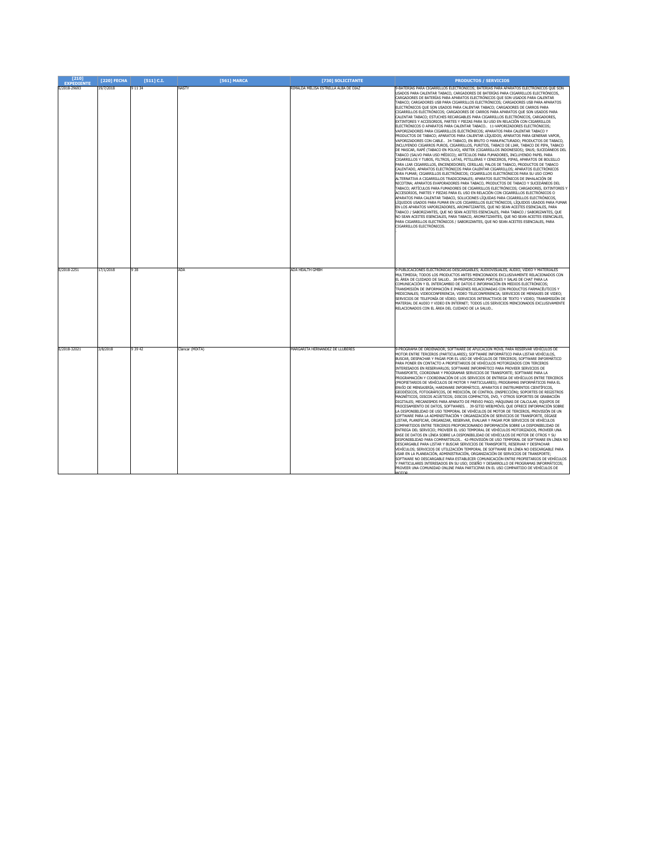| $[210]$<br><b>EXPEDIENTE</b> | [220] FECHA | $[511]$ C.I. | <b>[561] MARCA</b> | [730] SOLICITANTE                    | <b>PRODUCTOS / SERVICIOS</b>                                                                                                                                                                                                                                                                                                                                                                                                                                                                                                                                                                                                                                                                                                                                                                                                                                                                                                                                                                                                                                                                                                                                                                                                                                                                                                                                                                                                                                                                                                                                                                                                                                                                                                                                                                                                                                                                                                                                                                                                                                                                                                                                                                                                                                                                                                                                                                                                                                                                                                                                                                                      |
|------------------------------|-------------|--------------|--------------------|--------------------------------------|-------------------------------------------------------------------------------------------------------------------------------------------------------------------------------------------------------------------------------------------------------------------------------------------------------------------------------------------------------------------------------------------------------------------------------------------------------------------------------------------------------------------------------------------------------------------------------------------------------------------------------------------------------------------------------------------------------------------------------------------------------------------------------------------------------------------------------------------------------------------------------------------------------------------------------------------------------------------------------------------------------------------------------------------------------------------------------------------------------------------------------------------------------------------------------------------------------------------------------------------------------------------------------------------------------------------------------------------------------------------------------------------------------------------------------------------------------------------------------------------------------------------------------------------------------------------------------------------------------------------------------------------------------------------------------------------------------------------------------------------------------------------------------------------------------------------------------------------------------------------------------------------------------------------------------------------------------------------------------------------------------------------------------------------------------------------------------------------------------------------------------------------------------------------------------------------------------------------------------------------------------------------------------------------------------------------------------------------------------------------------------------------------------------------------------------------------------------------------------------------------------------------------------------------------------------------------------------------------------------------|
| E/2018-29693                 | 19/7/2018   | 9 11 34      | NASTY              | RIMALDA MELISA ESTRELLA ALBA DE DIAZ | -BATERÍAS PARA CIGARRILLOS ELECTRÓNICOS; BATERÍAS PARA APARATOS ELECTRÓNICOS QUE SON<br>JSADOS PARA CALENTAR TABACO, CARGADORES DE BATERÍAS PARA CIGARRILLOS ELECTRÓNICOS,<br>CARGADORES DE BATERÍAS PARA APARATOS ELECTRÓNICOS QUE SON USADOS PARA CALENTAR<br>TABACO; CARGADORES USB PARA CIGARRILLOS ELECTRÓNICOS; CARGADORES USB PARA APARATOS<br>ELECTRÓNICOS QUE SON USADOS PARA CALENTAR TABACO; CARGADORES DE CARROS PARA<br>CIGARRILLOS ELECTRÓNICOS; CARGADORES DE CARROS PARA APARATOS QUE SON USADOS PARA<br>CALENTAR TABACO; ESTUCHES RECARGABLES PARA CIGARRILLOS ELECTRÓNICOS, CARGADORES,<br>EXTINTORES Y ACCESORIOS, PARTES Y PIEZAS PARA SU USO EN RELACIÓN CON CIGARRILLOS<br>ELECTRÓNICOS O APARATOS PARA CALENTAR TABACO 11-VAPORIZADORES ELECTRÓNICOS:<br>VAPORIZADORES PARA CIGARRILLOS ELECTRÓNICOS; APARATOS PARA CALENTAR TABACO Y<br>PRODUCTOS DE TABACO; APARATOS PARA CALENTAR LÍQUIDOS; APARATOS PARA GENERAR VAPOR,<br>VAPORIZADORES CON CABLE 34-TABACO, EN BRUTO O MANUFACTURADO; PRODUCTOS DE TABACO,<br>INCLUYENDO CIGARROS PUROS, CIGARRILLOS, PURITOS, TABACO DE LIAR, TABACO DE PIPA, TABACO<br>DE MASCAR, RAPÉ (TABACO EN POLVO), KRETEK (CIGARRILLOS INDONESIOS); SNUS; SUCEDÁNEOS DEL<br>TABACO (SALVO PARA USO MÉDICO); ARTÍCULOS PARA FUMADORES, INCLUYENDO PAPEL PARA<br>CIGARRILLOS Y TUBOS, FILTROS, LATAS, PITILLERAS Y CENICEROS, PIPAS, APARATOS DE BOLSILLO<br>PARA LIAR CIGARRILLOS, ENCENDEDORES; CERILLAS; PALOS DE TABACO, PRODUCTOS DE TABACO<br>CALENTADO, APARATOS ELECTRÓNICOS PARA CALENTAR CIGARRILLOS: APARATOS ELECTRÓNICOS<br>PARA FUMAR; CIGARRILLOS ELECTRÓNICOS; CIGARRILLOS ELECTRÓNICOS PARA SU USO COMO<br>ALTERNATIVA A CIGARRILLOS TRADICIONALES; APARATOS ELECTRÓNICOS DE INHALACIÓN DE<br>NICOTINA; APARATOS EVAPORADORES PARA TABACO, PRODUCTOS DE TABACO Y SUCEDÁNEOS DEL<br>TABACO; ARTÍCULOS PARA FUMADORES DE CIGARRILLOS ELECTRÓNICOS; CARGADORES, EXTINTORES Y<br>ACCESORIOS, PARTES Y PIEZAS PARA EL USO EN RELACIÓN CON CIGARRILLOS ELECTRÓNICOS O<br>APARATOS PARA CALENTAR TABACO. SOLUCIONES LÍOUIDAS PARA CIGARRILLOS ELECTRÓNICOS.<br>LÍQUIDOS USADOS PARA FUMAR EN LOS CIGARRILLOS ELECTRÓNICOS, LÍQUIDOS USADOS PARA FUMAR<br>EN LOS APARATOS VAPORIZADORES, AROMATIZANTES, QUE NO SEAN ACEITES ESENCIALES, PARA<br>TABACO / SABORIZANTES, QUE NO SEAN ACEITES ESENCIALES, PARA TABACO / SABORIZANTES, QUE<br>NO SEAN ACEITES ESENCIALES, PARA TABACO, AROMATIZANTES, QUE NO SEAN ACEITES ESENCIALES,<br>PARA CIGARRILLOS ELECTRÓNICOS / SABORIZANTES, QUE NO SEAN ACEITES ESENCIALES, PARA<br>CIGARRILLOS ELECTRÓNICOS. |
| E/2018-2251                  | 17/1/2018   | 938          | ADA                | ADA HEALTH GMBH                      | 9-PUBLICACIONES ELECTRÓNICAS DESCARGABLES: AUDIOVISUALES, AUDIO, VIDEO Y MATERIALES<br>MULTIMEDIA; TODOS LOS PRODUCTOS ANTES MENCIONADOS EXCLUSIVAMENTE RELACIONADOS CON<br>EL ÁREA DE CUIDADO DE SALUD 38-PROPORCIONAR PORTALES Y SALAS DE CHAT PARA LA<br>COMUNICACIÓN Y EL INTERCAMBIO DE DATOS E INFORMACIÓN EN MEDIOS ELECTRÓNICOS;<br>TRANSMISIÓN DE INFORMACIÓN E IMÁGENES RELACIONADAS CON PRODUCTOS FARMACÉUTICOS Y<br>MEDICINALES; VIDEOCONFERENCIA; VIDEO TELECONFERENCIA; SERVICIOS DE MENSAJES DE VIDEO;<br>SERVICIOS DE TELEFONÍA DE VÍDEO; SERVICIOS INTERACTIVOS DE TEXTO Y VIDEO; TRANSMISIÓN DE<br>MATERIAL DE AUDIO Y VIDEO EN INTERNET; TODOS LOS SERVICIOS MENCIONADOS EXCLUSIVAMENTE<br>RELACIONADOS CON EL ÁREA DEL CUIDADO DE LA SALUD                                                                                                                                                                                                                                                                                                                                                                                                                                                                                                                                                                                                                                                                                                                                                                                                                                                                                                                                                                                                                                                                                                                                                                                                                                                                                                                                                                                                                                                                                                                                                                                                                                                                                                                                                                                                                                                    |
| E/2018-32021                 | 3/8/2018    | 9 3 9 4 2    | Clancar (MIXTA)    | MARGARITA HERNANDEZ DE LLUBERES      | 9-PROGRAMA DE ORDENADOR; SOFTWARE DE APLICACIÓN MÓVIL PARA RESERVAR VEHÍCULOS DE<br>MOTOR ENTRE TERCEROS (PARTICULARES); SOFTWARE INFORMÁTICO PARA LISTAR VEHÍCULOS,<br>BUSCAR, DESPACHAR Y PAGAR POR EL USO DE VEHÍCULOS DE TERCEROS; SOFTWARE INFORMÁTICO<br>PARA PONER EN CONTACTO A PROPIETARIOS DE VEHÍCULOS MOTORIZADOS CON TERCEROS<br>INTERESADOS EN RESERVARLOS; SOFTWARE INFORMÁTICO PARA PROVEER SERVICIOS DE<br>TRANSPORTE, COORDINAR Y PROGRAMAR SERVICIOS DE TRANSPORTE; SOFTWARE PARA LA<br>PROGRAMACIÓN Y COORDINACIÓN DE LOS SERVICIOS DE ENTREGA DE VEHÍCULOS ENTRE TERCEROS<br>(PROPIETARIOS DE VEHÍCULOS DE MOTOR Y PARTICULARES); PROGRAMAS INFORMÁTICOS PARA EL<br>.<br>ENVÍO DE MENSAJERÍA; HARDWARE INFORMÁTICO, APARATOS E INSTRUMENTOS CIENTÍFICOS,<br>GEODÉSICOS, FOTOGRÁFICOS, DE MEDICIÓN, DE CONTROL (INSPECCIÓN); SOPORTES DE REGISTROS<br>MAGNÉTICOS, DISCOS ACÚSTICOS; DISCOS COMPACTOS, DVD, Y OTROS SOPORTES DE GRABACIÓN<br>DIGITALES; MECANISMOS PARA APARATO DE PREVIO PAGO; MÁQUINAS DE CALCULAR; EQUIPOS DE<br>PROCESAMIENTO DE DATOS, SOFTWARES. . 39-SITIO WEB/MÓVIL QUE OFRECE INFORMACIÓN SOBRE<br>A DISPONIBILIDAD DE USO TEMPORAL DE VEHÍCULOS DE MOTOR DE TERCEROS, PROVISIÓN DE UN<br>SOFTWARE PARA LA ADMINISTRACIÓN Y ORGANIZACIÓN DE SERVICIOS DE TRANSPORTE, DÍGASE<br>LISTAR, PLANIFICAR, ORGANIZAR, RESERVAR, EVALUAR Y PAGAR POR SERVICIOS DE VEHÍCULOS<br>COMPARTIDOS ENTRE TERCEROS PROPORCIONANDO INFORMACIÓN SOBRE LA DISPONIBILIDAD DE<br>ENTREGA DEL SERVICIO: PROVEER EL USO TEMPORAL DE VEHÍCULOS MOTORIZADOS, PROVEER UNA<br>BASE DE DATOS EN LÍNEA SOBRE LA DISPONIBILIDAD DE VEHÍCULOS DE MOTOR DE OTROS Y SU<br>DISPONIBILIDAD PARA COMPARTIRLOS 42-PROVISIÓN DE USO TEMPORAL DE SOFTWARE EN LÍNEA NO<br>DESCARGABLE PARA LISTAR Y BUSCAR SERVICIOS DE TRANSPORTE, RESERVAR Y DESPACHAR<br>VEHÍCULOS; SERVICIOS DE UTILIZACIÓN TEMPORAL DE SOFTWARE EN LÍNEA NO DESCARGABLE PARA<br>USAR EN LA PLANEACIÓN, ADMINISTRACIÓN, ORGANIZACIÓN DE SERVICIOS DE TRANSPORTE:<br>SOFTWARE NO DESCARGABLE PARA ESTABLECER COMUNICACIÓN ENTRE PROPIETARIOS DE VEHÍCULOS<br>PARTICULARES INTERESADOS EN SU USO; DISEÑO Y DESARROLLO DE PROGRAMAS INFORMÁTICOS;<br>PROVEER UNA COMUNIDAD ONLINE PARA PARTICIPAR EN EL USO COMPARTIDO DE VEHÍCULOS DE<br><b>MOTOR</b>                                                                                                                                                                                                                                                                                         |